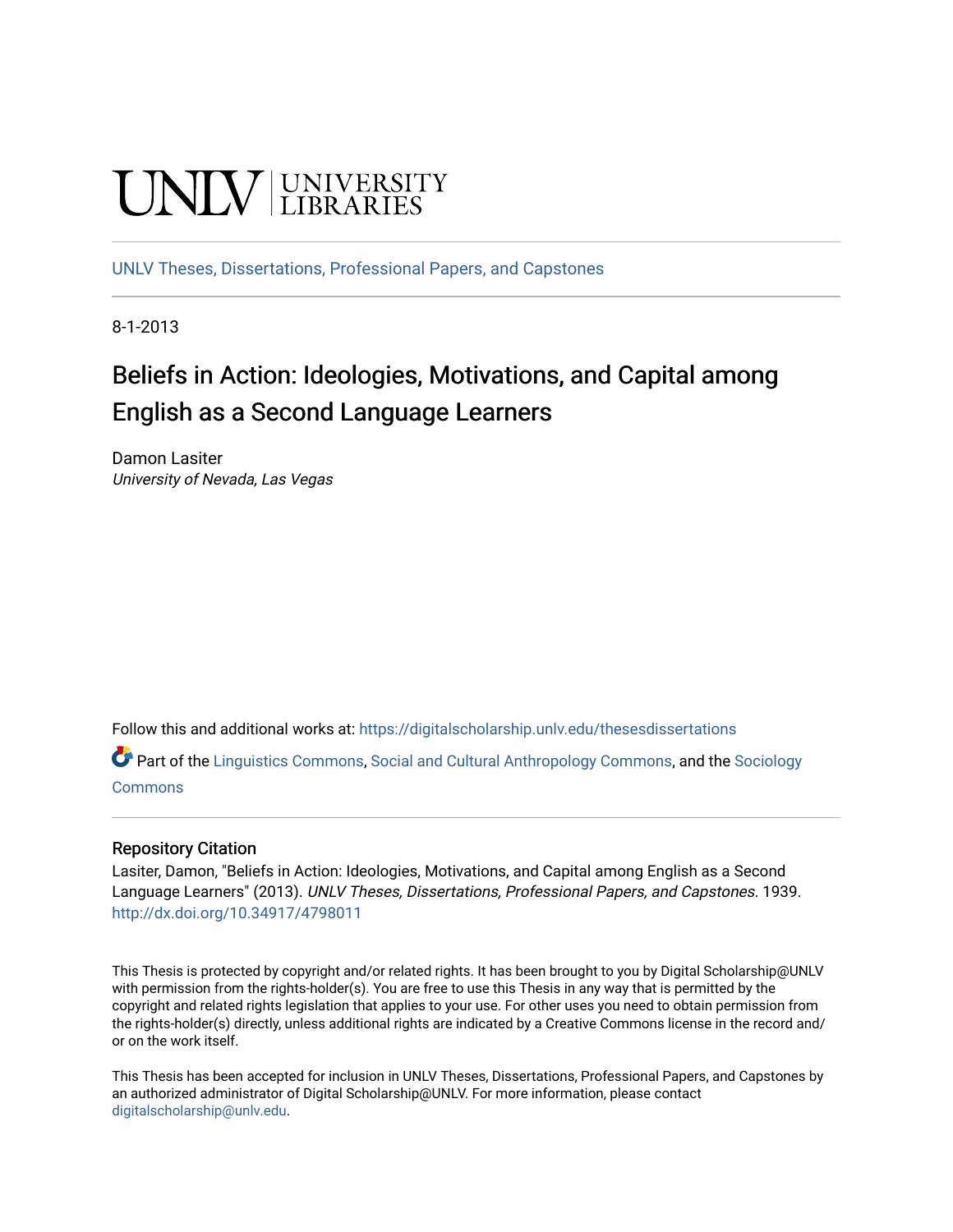# **UNIVERSITY**

[UNLV Theses, Dissertations, Professional Papers, and Capstones](https://digitalscholarship.unlv.edu/thesesdissertations)

8-1-2013

# Beliefs in Action: Ideologies, Motivations, and Capital among English as a Second Language Learners

Damon Lasiter University of Nevada, Las Vegas

Follow this and additional works at: [https://digitalscholarship.unlv.edu/thesesdissertations](https://digitalscholarship.unlv.edu/thesesdissertations?utm_source=digitalscholarship.unlv.edu%2Fthesesdissertations%2F1939&utm_medium=PDF&utm_campaign=PDFCoverPages)

Part of the [Linguistics Commons,](http://network.bepress.com/hgg/discipline/371?utm_source=digitalscholarship.unlv.edu%2Fthesesdissertations%2F1939&utm_medium=PDF&utm_campaign=PDFCoverPages) [Social and Cultural Anthropology Commons](http://network.bepress.com/hgg/discipline/323?utm_source=digitalscholarship.unlv.edu%2Fthesesdissertations%2F1939&utm_medium=PDF&utm_campaign=PDFCoverPages), and the [Sociology](http://network.bepress.com/hgg/discipline/416?utm_source=digitalscholarship.unlv.edu%2Fthesesdissertations%2F1939&utm_medium=PDF&utm_campaign=PDFCoverPages)  **[Commons](http://network.bepress.com/hgg/discipline/416?utm_source=digitalscholarship.unlv.edu%2Fthesesdissertations%2F1939&utm_medium=PDF&utm_campaign=PDFCoverPages)** 

#### Repository Citation

Lasiter, Damon, "Beliefs in Action: Ideologies, Motivations, and Capital among English as a Second Language Learners" (2013). UNLV Theses, Dissertations, Professional Papers, and Capstones. 1939. <http://dx.doi.org/10.34917/4798011>

This Thesis is protected by copyright and/or related rights. It has been brought to you by Digital Scholarship@UNLV with permission from the rights-holder(s). You are free to use this Thesis in any way that is permitted by the copyright and related rights legislation that applies to your use. For other uses you need to obtain permission from the rights-holder(s) directly, unless additional rights are indicated by a Creative Commons license in the record and/ or on the work itself.

This Thesis has been accepted for inclusion in UNLV Theses, Dissertations, Professional Papers, and Capstones by an authorized administrator of Digital Scholarship@UNLV. For more information, please contact [digitalscholarship@unlv.edu](mailto:digitalscholarship@unlv.edu).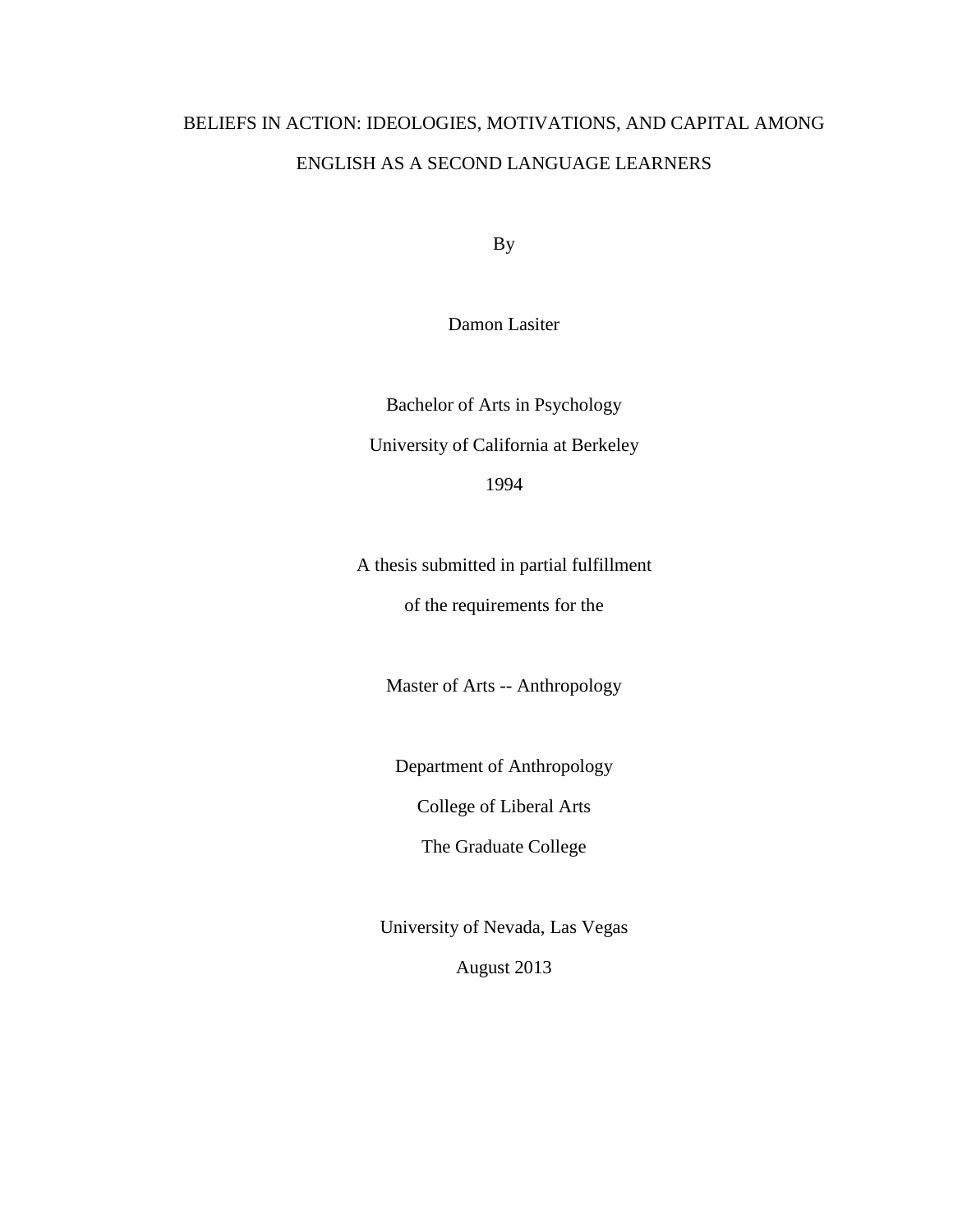# BELIEFS IN ACTION: IDEOLOGIES, MOTIVATIONS, AND CAPITAL AMONG ENGLISH AS A SECOND LANGUAGE LEARNERS

By

Damon Lasiter

Bachelor of Arts in Psychology University of California at Berkeley 1994

A thesis submitted in partial fulfillment of the requirements for the

Master of Arts -- Anthropology

Department of Anthropology

College of Liberal Arts

The Graduate College

University of Nevada, Las Vegas August 2013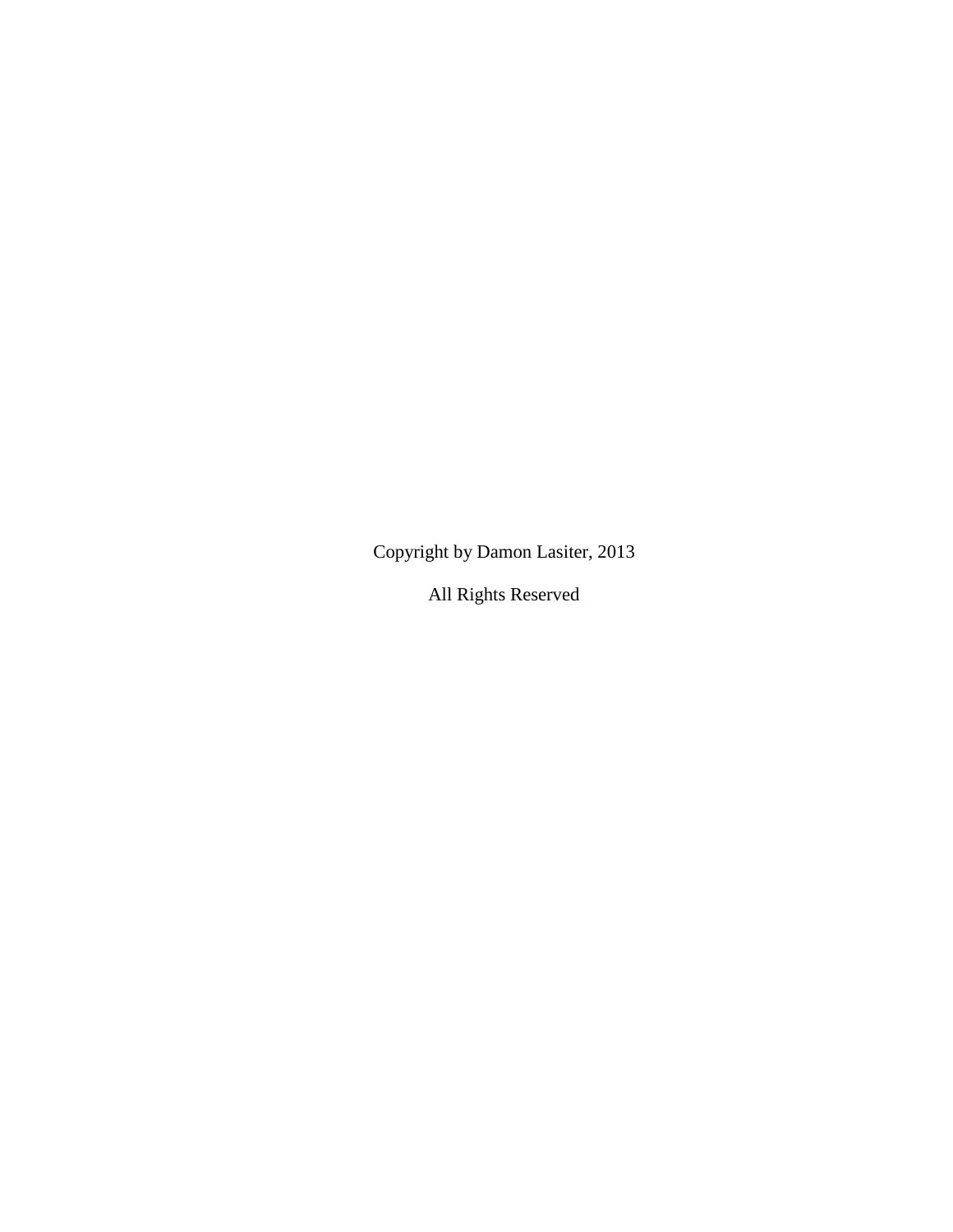Copyright by Damon Lasiter, 2013

All Rights Reserved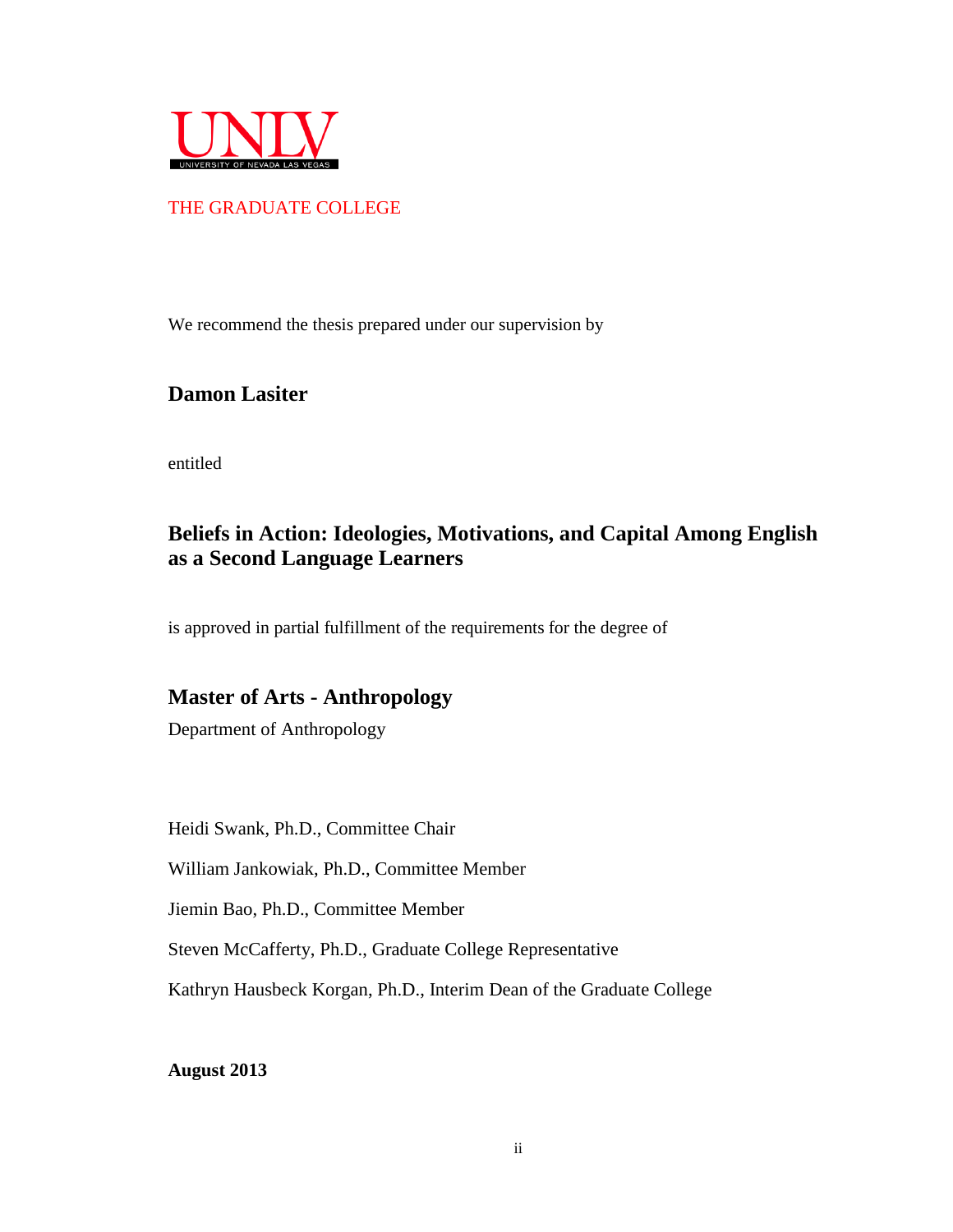

### THE GRADUATE COLLEGE

We recommend the thesis prepared under our supervision by

## **Damon Lasiter**

entitled

## **Beliefs in Action: Ideologies, Motivations, and Capital Among English as a Second Language Learners**

is approved in partial fulfillment of the requirements for the degree of

## **Master of Arts - Anthropology**

Department of Anthropology

Heidi Swank, Ph.D., Committee Chair

William Jankowiak, Ph.D., Committee Member

Jiemin Bao, Ph.D., Committee Member

Steven McCafferty, Ph.D., Graduate College Representative

Kathryn Hausbeck Korgan, Ph.D., Interim Dean of the Graduate College

**August 2013**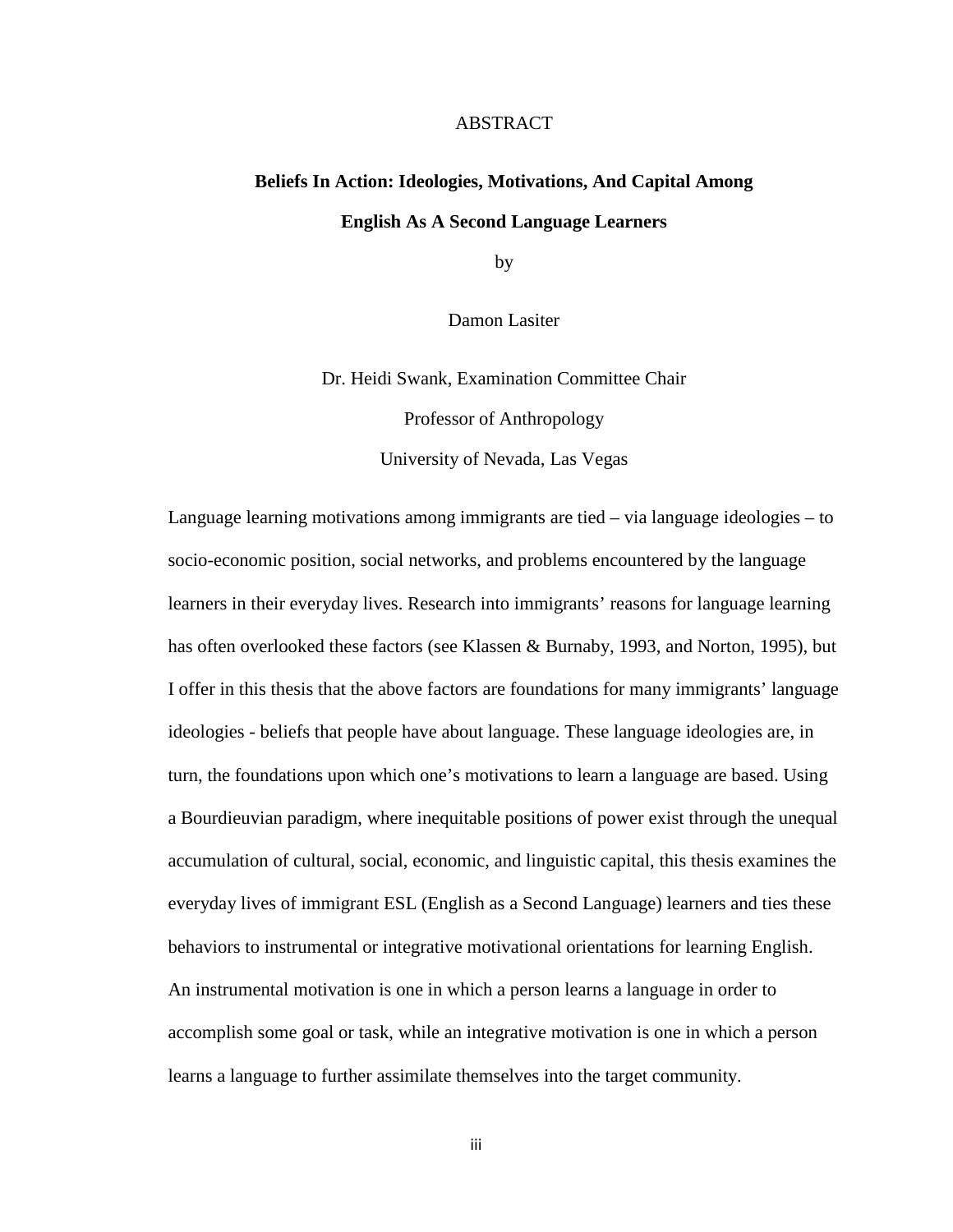#### ABSTRACT

# **Beliefs In Action: Ideologies, Motivations, And Capital Among English As A Second Language Learners**

by

Damon Lasiter

Dr. Heidi Swank, Examination Committee Chair Professor of Anthropology

University of Nevada, Las Vegas

Language learning motivations among immigrants are tied – via language ideologies – to socio-economic position, social networks, and problems encountered by the language learners in their everyday lives. Research into immigrants' reasons for language learning has often overlooked these factors (see Klassen & Burnaby, 1993, and Norton, 1995), but I offer in this thesis that the above factors are foundations for many immigrants' language ideologies - beliefs that people have about language. These language ideologies are, in turn, the foundations upon which one's motivations to learn a language are based. Using a Bourdieuvian paradigm, where inequitable positions of power exist through the unequal accumulation of cultural, social, economic, and linguistic capital, this thesis examines the everyday lives of immigrant ESL (English as a Second Language) learners and ties these behaviors to instrumental or integrative motivational orientations for learning English. An instrumental motivation is one in which a person learns a language in order to accomplish some goal or task, while an integrative motivation is one in which a person learns a language to further assimilate themselves into the target community.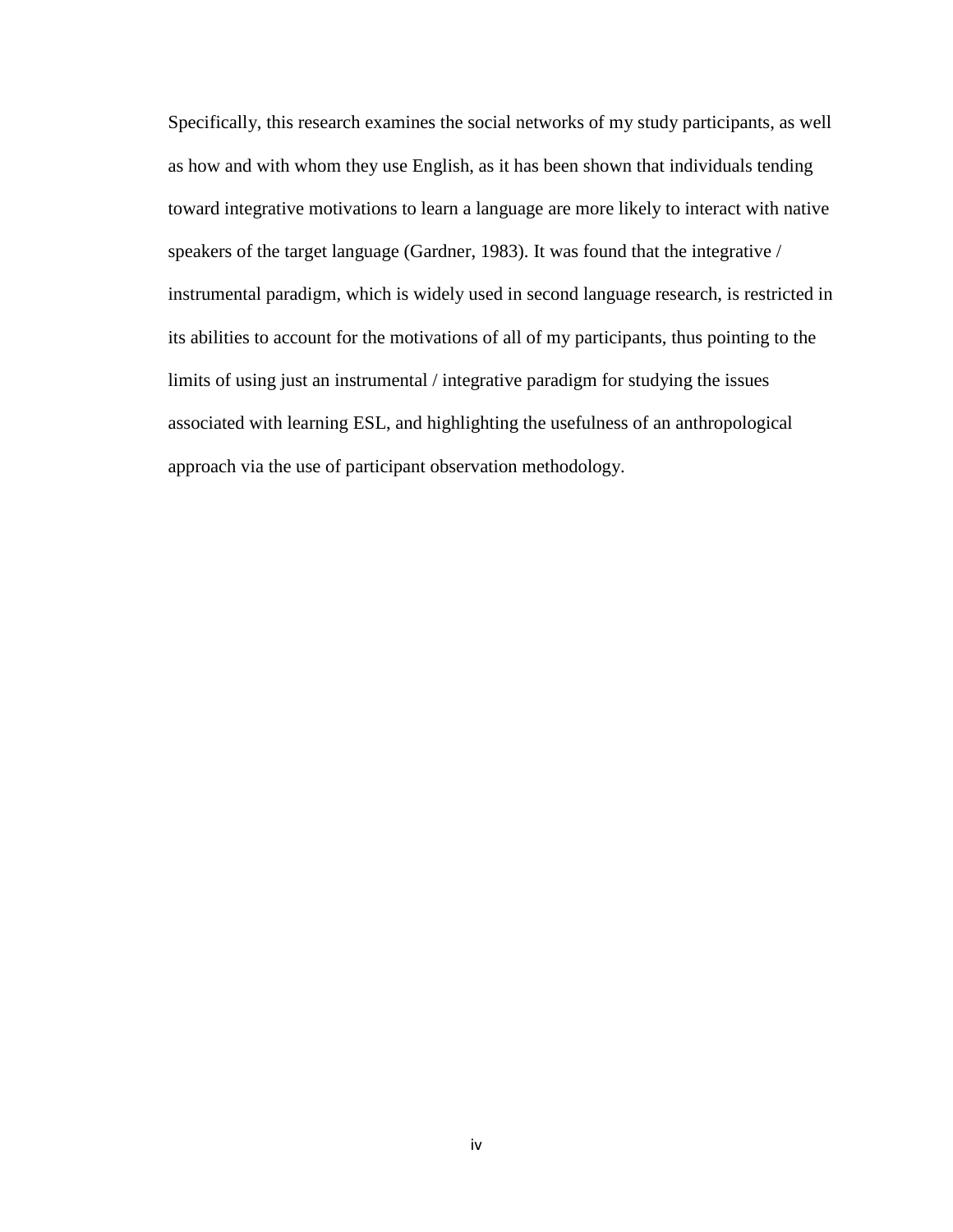Specifically, this research examines the social networks of my study participants, as well as how and with whom they use English, as it has been shown that individuals tending toward integrative motivations to learn a language are more likely to interact with native speakers of the target language (Gardner, 1983). It was found that the integrative / instrumental paradigm, which is widely used in second language research, is restricted in its abilities to account for the motivations of all of my participants, thus pointing to the limits of using just an instrumental / integrative paradigm for studying the issues associated with learning ESL, and highlighting the usefulness of an anthropological approach via the use of participant observation methodology.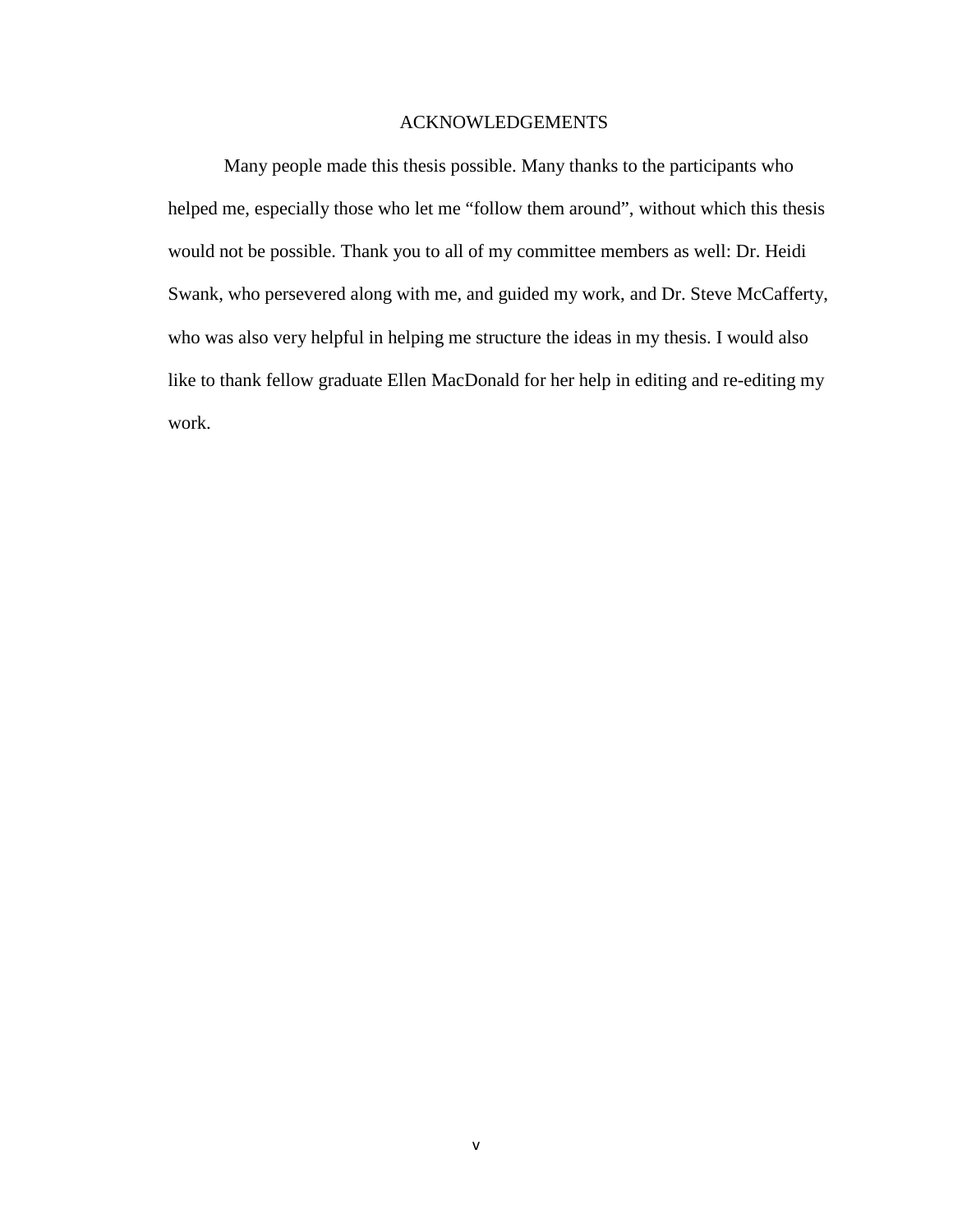#### ACKNOWLEDGEMENTS

Many people made this thesis possible. Many thanks to the participants who helped me, especially those who let me "follow them around", without which this thesis would not be possible. Thank you to all of my committee members as well: Dr. Heidi Swank, who persevered along with me, and guided my work, and Dr. Steve McCafferty, who was also very helpful in helping me structure the ideas in my thesis. I would also like to thank fellow graduate Ellen MacDonald for her help in editing and re-editing my work.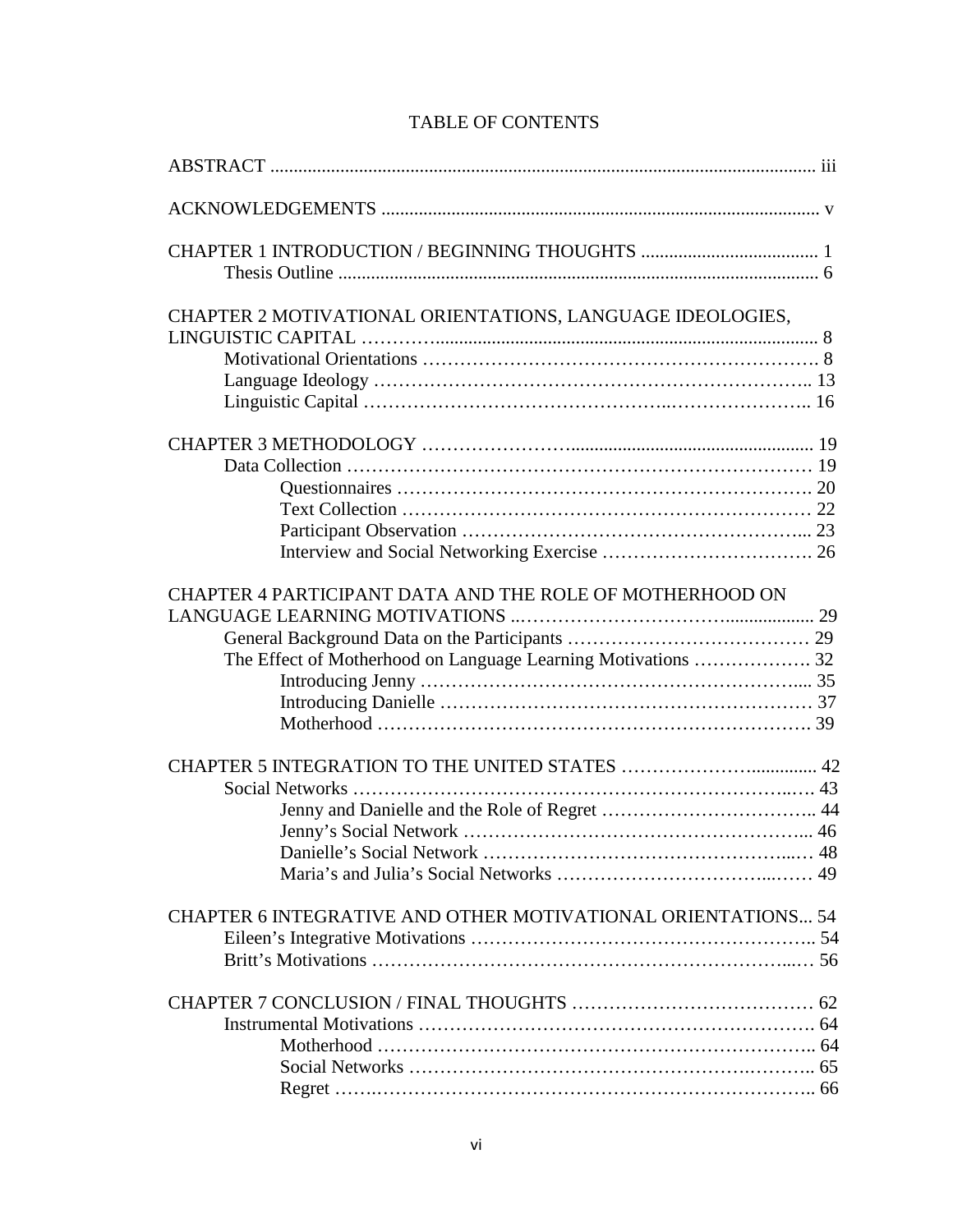| CHAPTER 2 MOTIVATIONAL ORIENTATIONS, LANGUAGE IDEOLOGIES,    |  |
|--------------------------------------------------------------|--|
|                                                              |  |
|                                                              |  |
|                                                              |  |
|                                                              |  |
|                                                              |  |
|                                                              |  |
|                                                              |  |
|                                                              |  |
|                                                              |  |
|                                                              |  |
|                                                              |  |
| CHAPTER 4 PARTICIPANT DATA AND THE ROLE OF MOTHERHOOD ON     |  |
|                                                              |  |
|                                                              |  |
|                                                              |  |
|                                                              |  |
|                                                              |  |
|                                                              |  |
|                                                              |  |
|                                                              |  |
|                                                              |  |
|                                                              |  |
|                                                              |  |
|                                                              |  |
|                                                              |  |
| CHAPTER 6 INTEGRATIVE AND OTHER MOTIVATIONAL ORIENTATIONS 54 |  |
|                                                              |  |
|                                                              |  |
|                                                              |  |
|                                                              |  |
|                                                              |  |
|                                                              |  |
|                                                              |  |
|                                                              |  |

## TABLE OF CONTENTS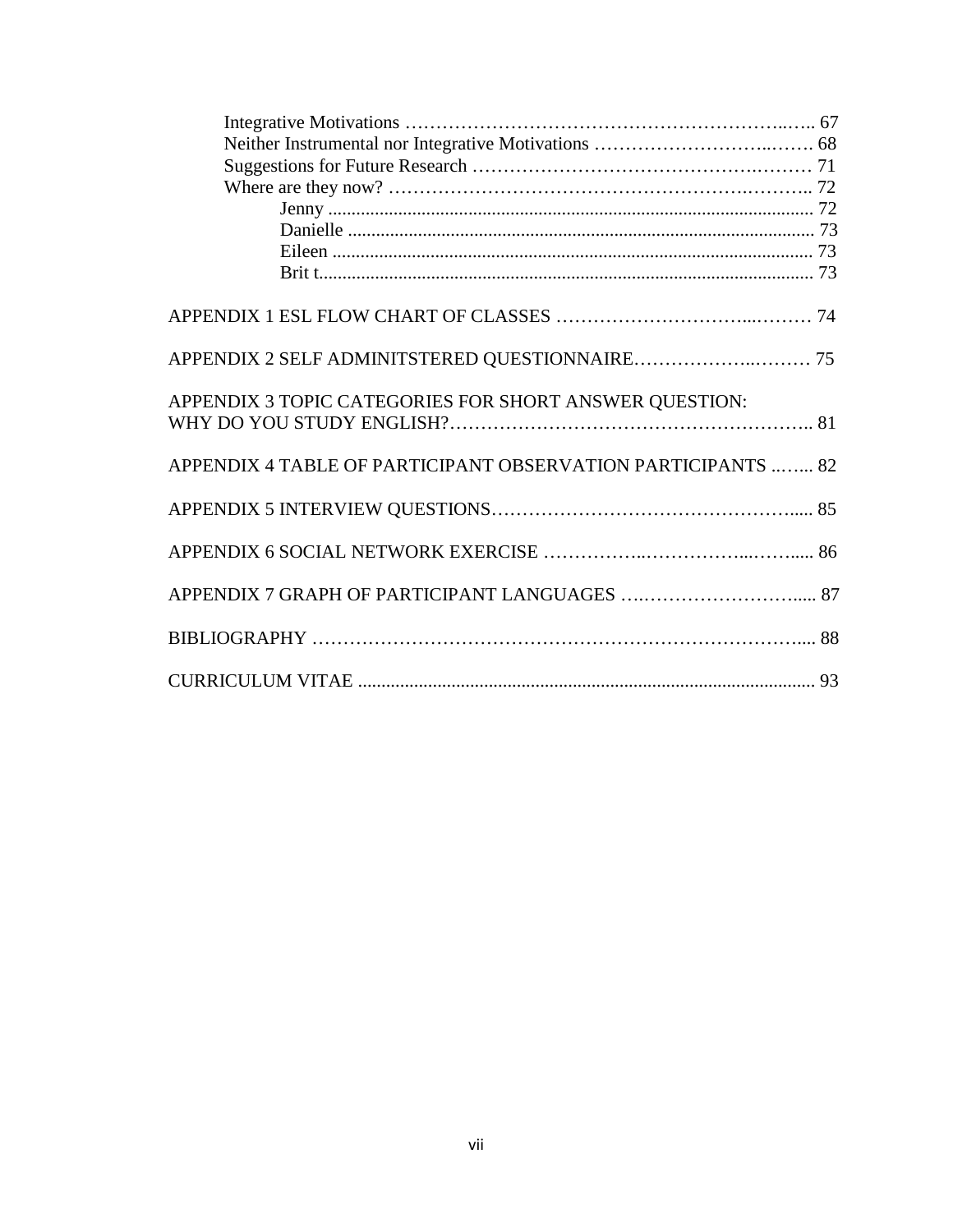| APPENDIX 3 TOPIC CATEGORIES FOR SHORT ANSWER QUESTION:       |  |
|--------------------------------------------------------------|--|
|                                                              |  |
| APPENDIX 4 TABLE OF PARTICIPANT OBSERVATION PARTICIPANTS  82 |  |
|                                                              |  |
|                                                              |  |
|                                                              |  |
|                                                              |  |
|                                                              |  |
|                                                              |  |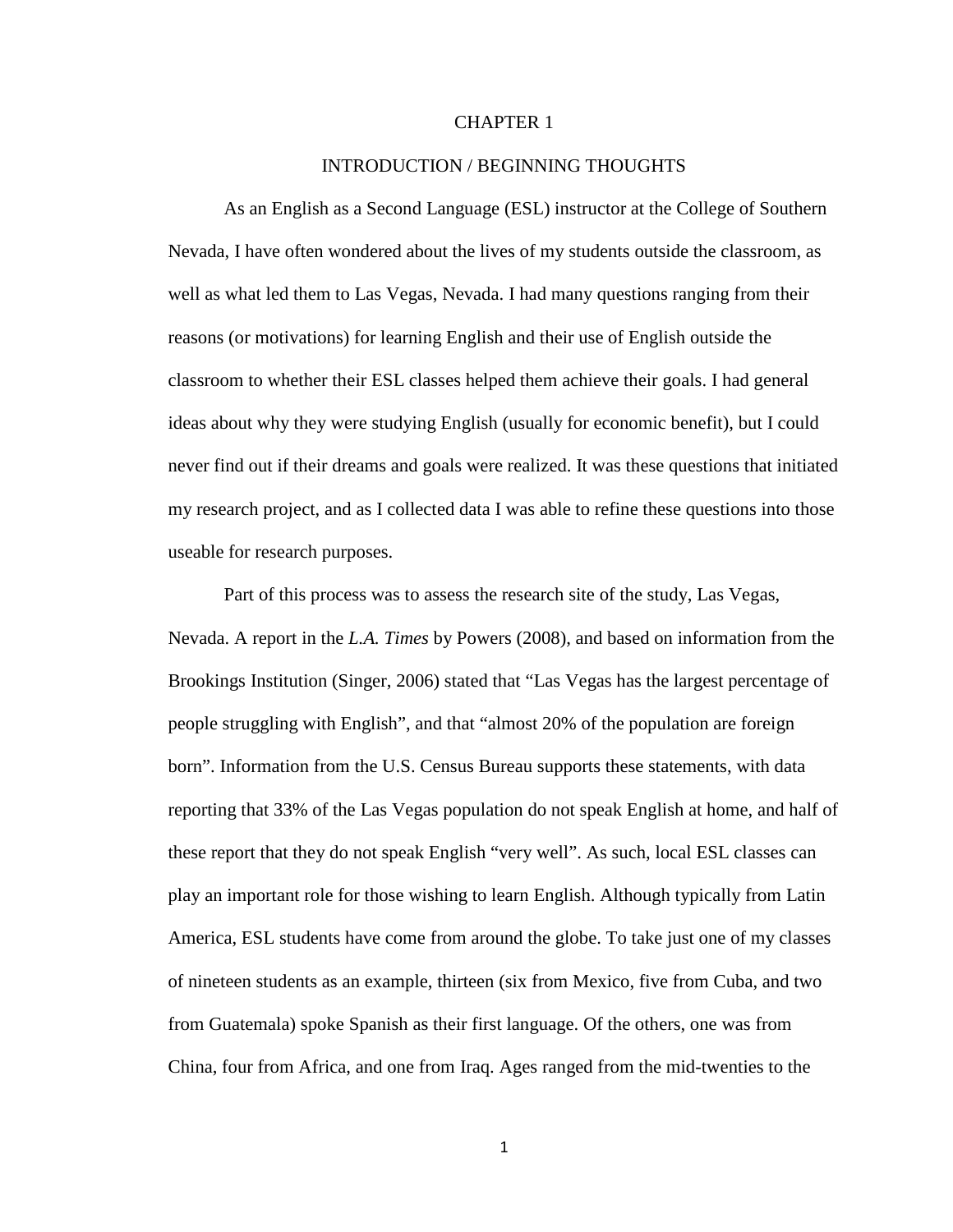#### CHAPTER 1

#### INTRODUCTION / BEGINNING THOUGHTS

As an English as a Second Language (ESL) instructor at the College of Southern Nevada, I have often wondered about the lives of my students outside the classroom, as well as what led them to Las Vegas, Nevada. I had many questions ranging from their reasons (or motivations) for learning English and their use of English outside the classroom to whether their ESL classes helped them achieve their goals. I had general ideas about why they were studying English (usually for economic benefit), but I could never find out if their dreams and goals were realized. It was these questions that initiated my research project, and as I collected data I was able to refine these questions into those useable for research purposes.

Part of this process was to assess the research site of the study, Las Vegas, Nevada. A report in the *L.A. Times* by Powers (2008), and based on information from the Brookings Institution (Singer, 2006) stated that "Las Vegas has the largest percentage of people struggling with English", and that "almost 20% of the population are foreign born". Information from the U.S. Census Bureau supports these statements, with data reporting that 33% of the Las Vegas population do not speak English at home, and half of these report that they do not speak English "very well". As such, local ESL classes can play an important role for those wishing to learn English. Although typically from Latin America, ESL students have come from around the globe. To take just one of my classes of nineteen students as an example, thirteen (six from Mexico, five from Cuba, and two from Guatemala) spoke Spanish as their first language. Of the others, one was from China, four from Africa, and one from Iraq. Ages ranged from the mid-twenties to the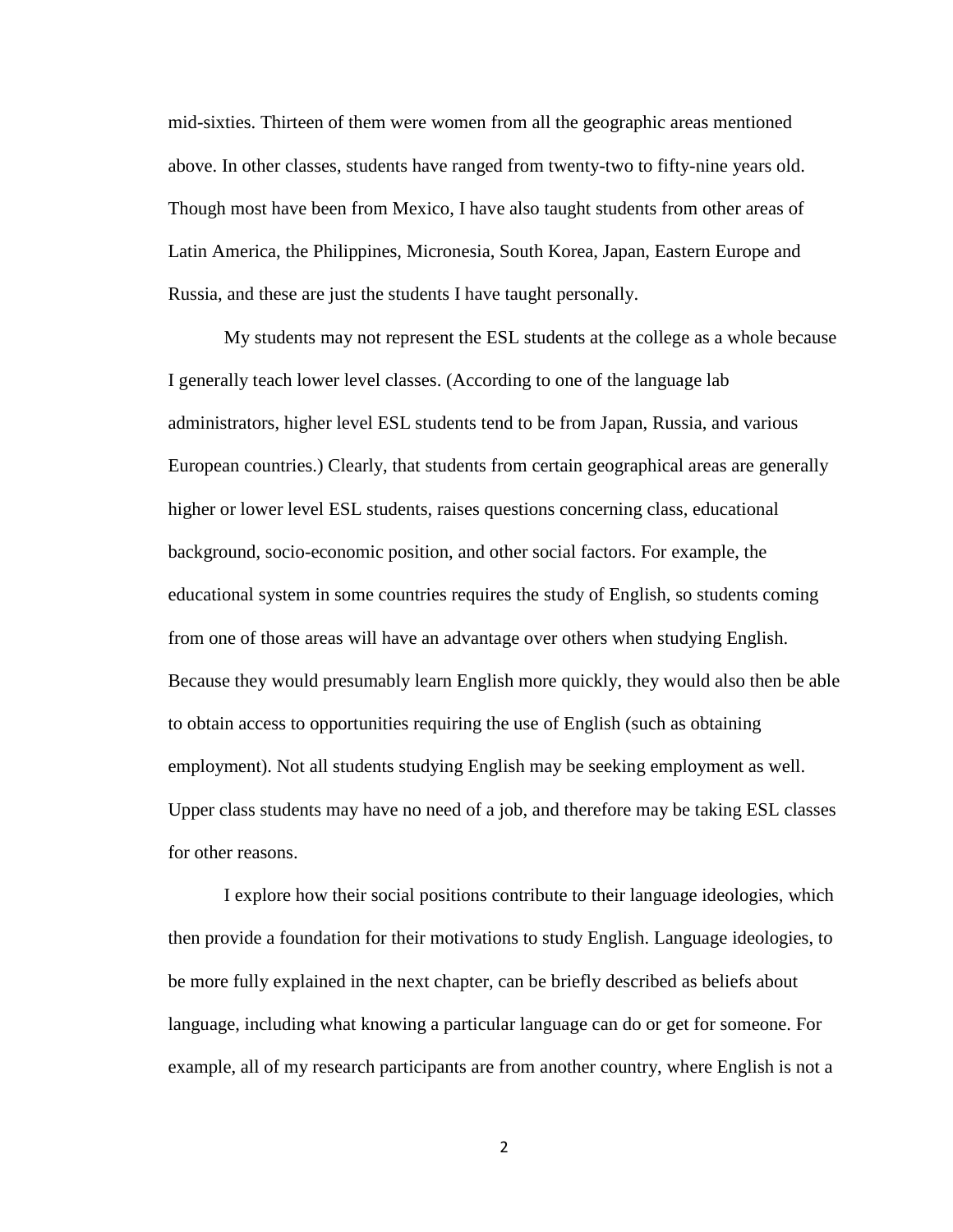mid-sixties. Thirteen of them were women from all the geographic areas mentioned above. In other classes, students have ranged from twenty-two to fifty-nine years old. Though most have been from Mexico, I have also taught students from other areas of Latin America, the Philippines, Micronesia, South Korea, Japan, Eastern Europe and Russia, and these are just the students I have taught personally.

My students may not represent the ESL students at the college as a whole because I generally teach lower level classes. (According to one of the language lab administrators, higher level ESL students tend to be from Japan, Russia, and various European countries.) Clearly, that students from certain geographical areas are generally higher or lower level ESL students, raises questions concerning class, educational background, socio-economic position, and other social factors. For example, the educational system in some countries requires the study of English, so students coming from one of those areas will have an advantage over others when studying English. Because they would presumably learn English more quickly, they would also then be able to obtain access to opportunities requiring the use of English (such as obtaining employment). Not all students studying English may be seeking employment as well. Upper class students may have no need of a job, and therefore may be taking ESL classes for other reasons.

I explore how their social positions contribute to their language ideologies, which then provide a foundation for their motivations to study English. Language ideologies, to be more fully explained in the next chapter, can be briefly described as beliefs about language, including what knowing a particular language can do or get for someone. For example, all of my research participants are from another country, where English is not a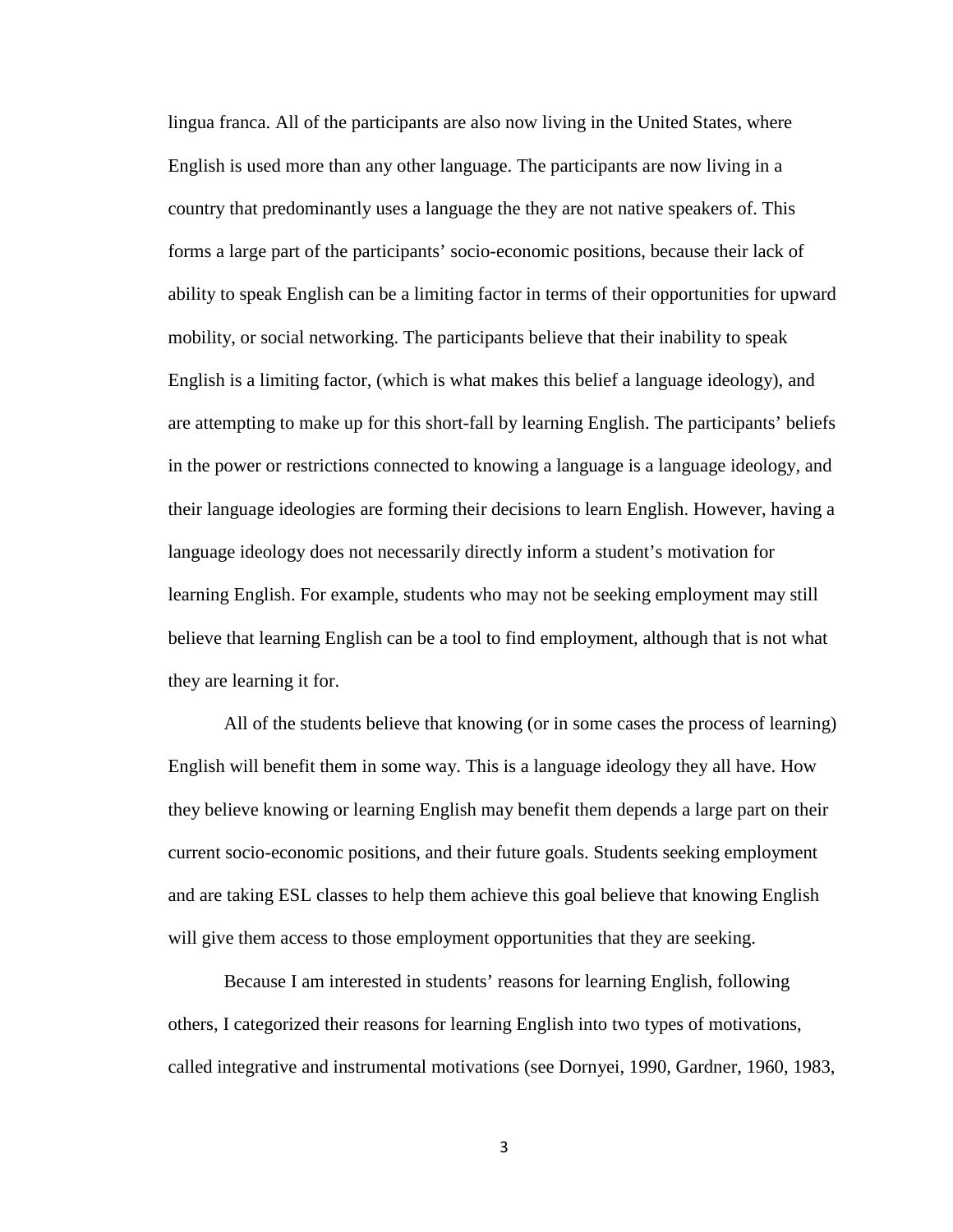lingua franca. All of the participants are also now living in the United States, where English is used more than any other language. The participants are now living in a country that predominantly uses a language the they are not native speakers of. This forms a large part of the participants' socio-economic positions, because their lack of ability to speak English can be a limiting factor in terms of their opportunities for upward mobility, or social networking. The participants believe that their inability to speak English is a limiting factor, (which is what makes this belief a language ideology), and are attempting to make up for this short-fall by learning English. The participants' beliefs in the power or restrictions connected to knowing a language is a language ideology, and their language ideologies are forming their decisions to learn English. However, having a language ideology does not necessarily directly inform a student's motivation for learning English. For example, students who may not be seeking employment may still believe that learning English can be a tool to find employment, although that is not what they are learning it for.

All of the students believe that knowing (or in some cases the process of learning) English will benefit them in some way. This is a language ideology they all have. How they believe knowing or learning English may benefit them depends a large part on their current socio-economic positions, and their future goals. Students seeking employment and are taking ESL classes to help them achieve this goal believe that knowing English will give them access to those employment opportunities that they are seeking.

Because I am interested in students' reasons for learning English, following others, I categorized their reasons for learning English into two types of motivations, called integrative and instrumental motivations (see Dornyei, 1990, Gardner, 1960, 1983,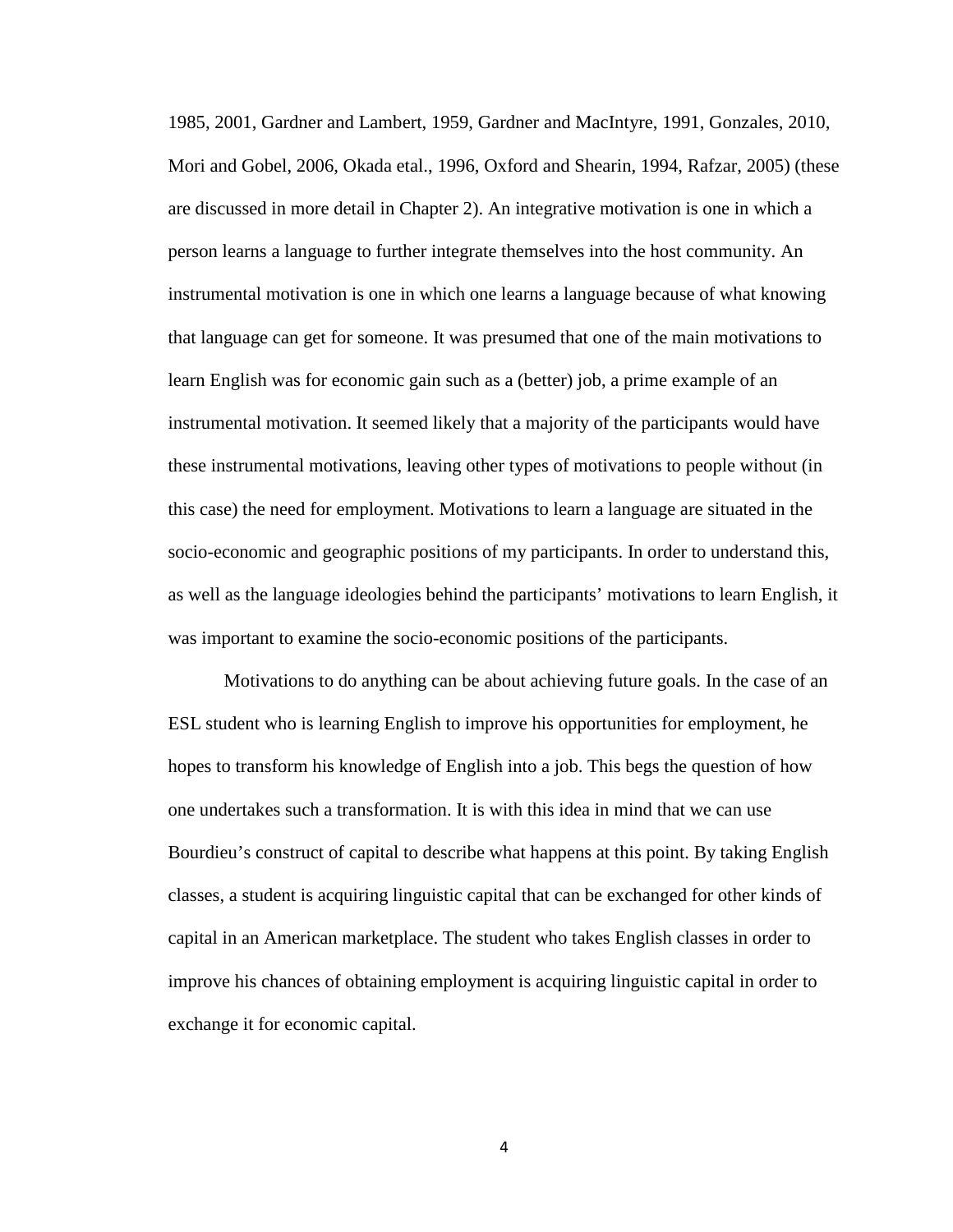1985, 2001, Gardner and Lambert, 1959, Gardner and MacIntyre, 1991, Gonzales, 2010, Mori and Gobel, 2006, Okada etal., 1996, Oxford and Shearin, 1994, Rafzar, 2005) (these are discussed in more detail in Chapter 2). An integrative motivation is one in which a person learns a language to further integrate themselves into the host community. An instrumental motivation is one in which one learns a language because of what knowing that language can get for someone. It was presumed that one of the main motivations to learn English was for economic gain such as a (better) job, a prime example of an instrumental motivation. It seemed likely that a majority of the participants would have these instrumental motivations, leaving other types of motivations to people without (in this case) the need for employment. Motivations to learn a language are situated in the socio-economic and geographic positions of my participants. In order to understand this, as well as the language ideologies behind the participants' motivations to learn English, it was important to examine the socio-economic positions of the participants.

Motivations to do anything can be about achieving future goals. In the case of an ESL student who is learning English to improve his opportunities for employment, he hopes to transform his knowledge of English into a job. This begs the question of how one undertakes such a transformation. It is with this idea in mind that we can use Bourdieu's construct of capital to describe what happens at this point. By taking English classes, a student is acquiring linguistic capital that can be exchanged for other kinds of capital in an American marketplace. The student who takes English classes in order to improve his chances of obtaining employment is acquiring linguistic capital in order to exchange it for economic capital.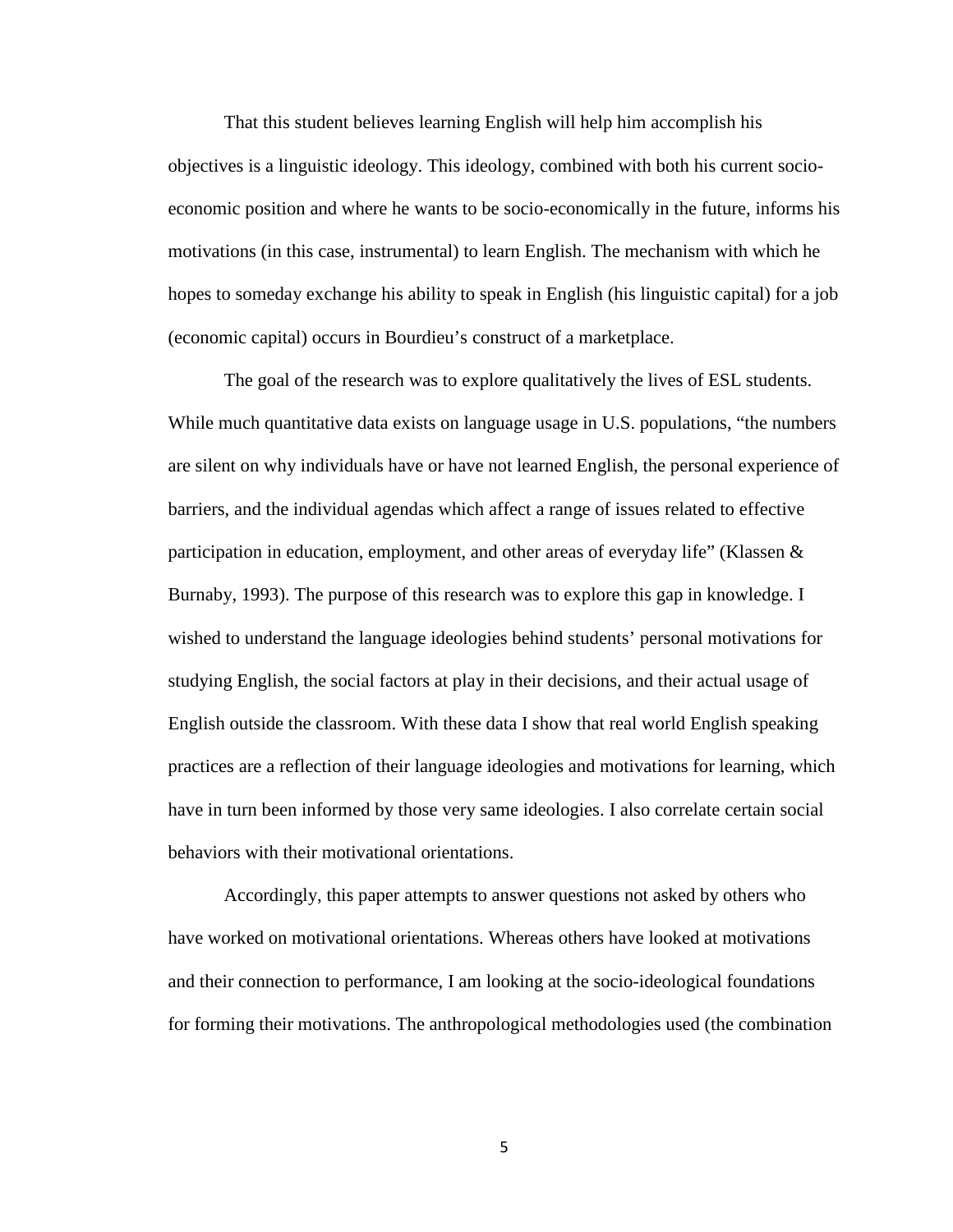That this student believes learning English will help him accomplish his objectives is a linguistic ideology. This ideology, combined with both his current socioeconomic position and where he wants to be socio-economically in the future, informs his motivations (in this case, instrumental) to learn English. The mechanism with which he hopes to someday exchange his ability to speak in English (his linguistic capital) for a job (economic capital) occurs in Bourdieu's construct of a marketplace.

The goal of the research was to explore qualitatively the lives of ESL students. While much quantitative data exists on language usage in U.S. populations, "the numbers" are silent on why individuals have or have not learned English, the personal experience of barriers, and the individual agendas which affect a range of issues related to effective participation in education, employment, and other areas of everyday life" (Klassen & Burnaby, 1993). The purpose of this research was to explore this gap in knowledge. I wished to understand the language ideologies behind students' personal motivations for studying English, the social factors at play in their decisions, and their actual usage of English outside the classroom. With these data I show that real world English speaking practices are a reflection of their language ideologies and motivations for learning, which have in turn been informed by those very same ideologies. I also correlate certain social behaviors with their motivational orientations.

Accordingly, this paper attempts to answer questions not asked by others who have worked on motivational orientations. Whereas others have looked at motivations and their connection to performance, I am looking at the socio-ideological foundations for forming their motivations. The anthropological methodologies used (the combination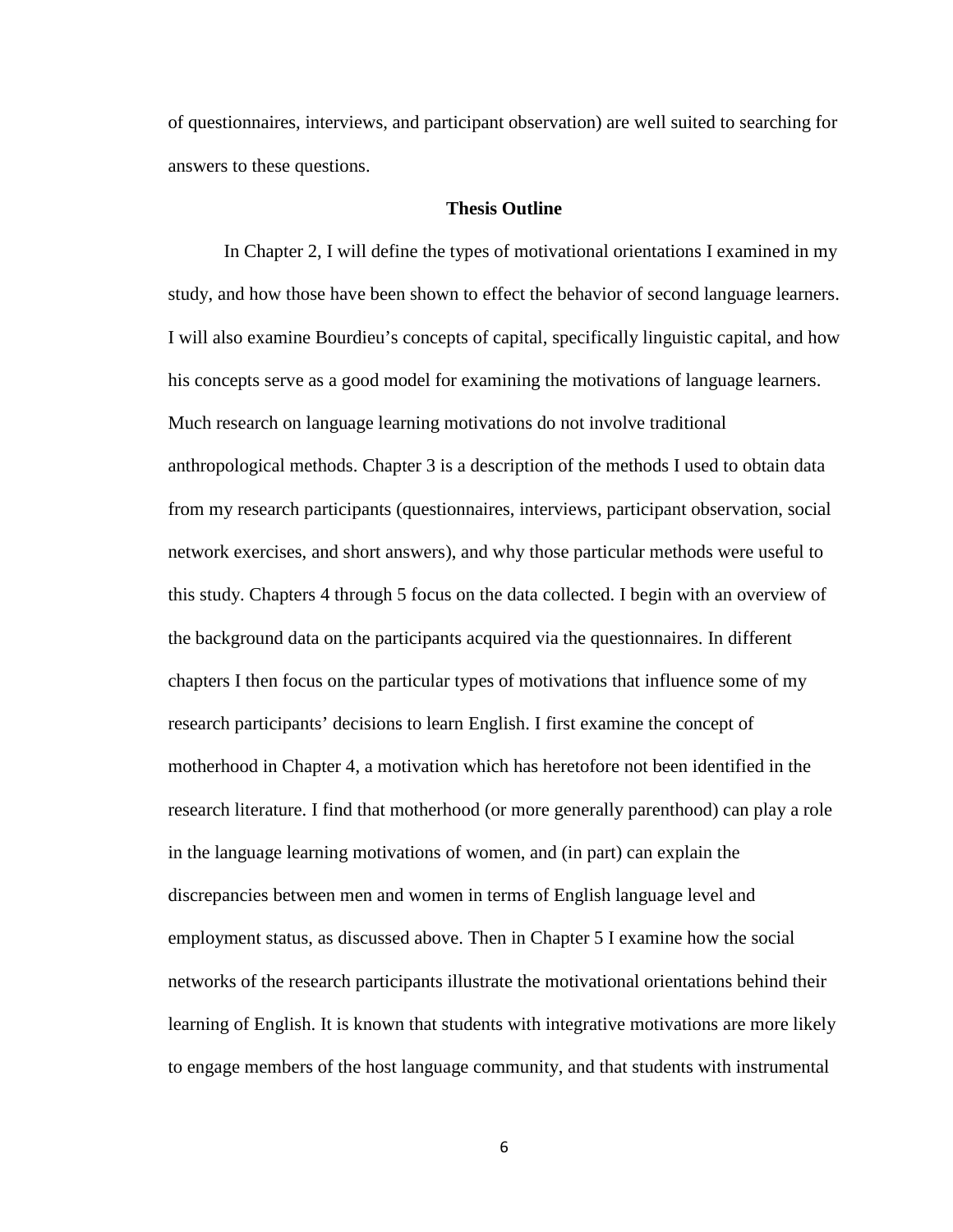of questionnaires, interviews, and participant observation) are well suited to searching for answers to these questions.

#### **Thesis Outline**

In Chapter 2, I will define the types of motivational orientations I examined in my study, and how those have been shown to effect the behavior of second language learners. I will also examine Bourdieu's concepts of capital, specifically linguistic capital, and how his concepts serve as a good model for examining the motivations of language learners. Much research on language learning motivations do not involve traditional anthropological methods. Chapter 3 is a description of the methods I used to obtain data from my research participants (questionnaires, interviews, participant observation, social network exercises, and short answers), and why those particular methods were useful to this study. Chapters 4 through 5 focus on the data collected. I begin with an overview of the background data on the participants acquired via the questionnaires. In different chapters I then focus on the particular types of motivations that influence some of my research participants' decisions to learn English. I first examine the concept of motherhood in Chapter 4, a motivation which has heretofore not been identified in the research literature. I find that motherhood (or more generally parenthood) can play a role in the language learning motivations of women, and (in part) can explain the discrepancies between men and women in terms of English language level and employment status, as discussed above. Then in Chapter 5 I examine how the social networks of the research participants illustrate the motivational orientations behind their learning of English. It is known that students with integrative motivations are more likely to engage members of the host language community, and that students with instrumental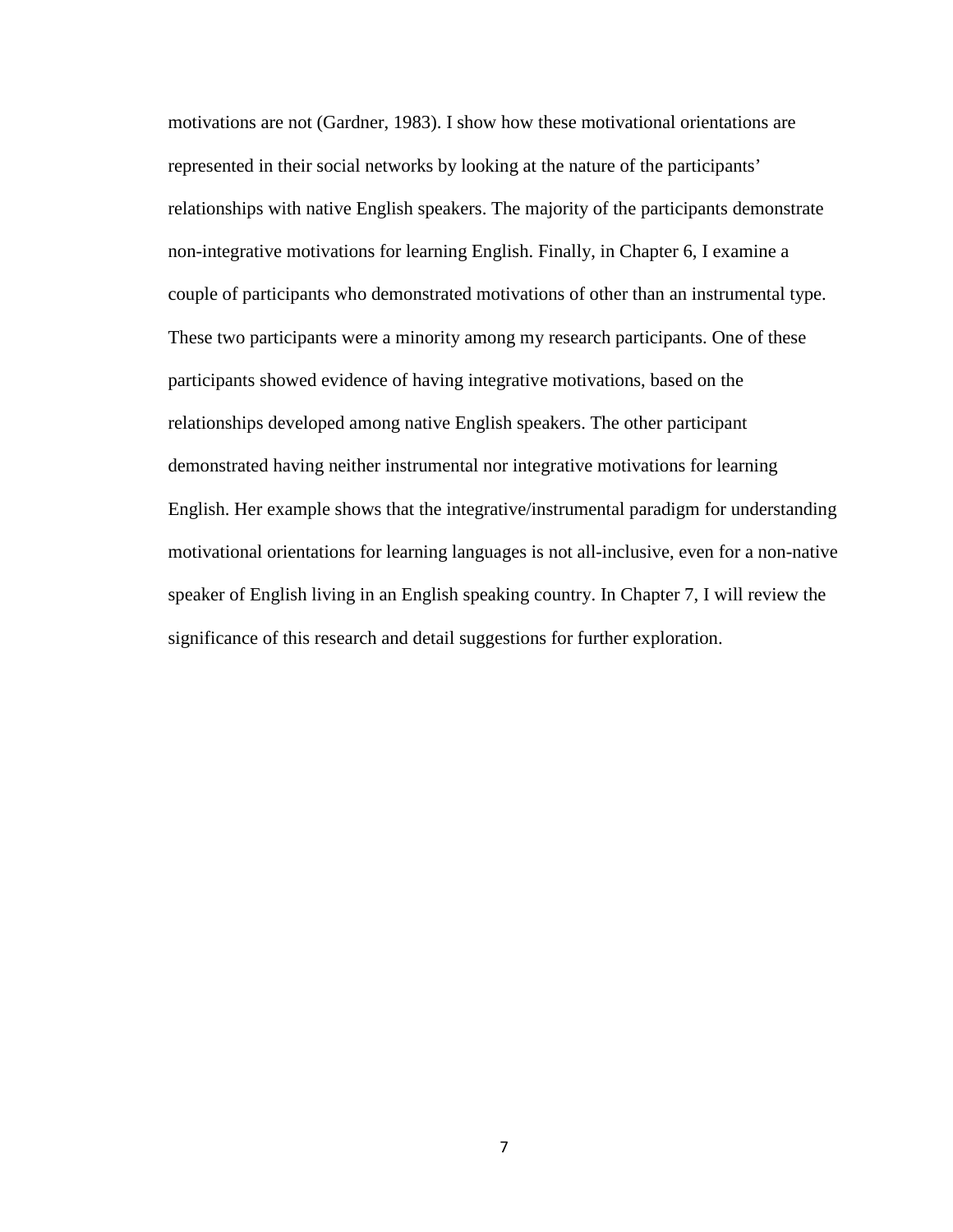motivations are not (Gardner, 1983). I show how these motivational orientations are represented in their social networks by looking at the nature of the participants' relationships with native English speakers. The majority of the participants demonstrate non-integrative motivations for learning English. Finally, in Chapter 6, I examine a couple of participants who demonstrated motivations of other than an instrumental type. These two participants were a minority among my research participants. One of these participants showed evidence of having integrative motivations, based on the relationships developed among native English speakers. The other participant demonstrated having neither instrumental nor integrative motivations for learning English. Her example shows that the integrative/instrumental paradigm for understanding motivational orientations for learning languages is not all-inclusive, even for a non-native speaker of English living in an English speaking country. In Chapter 7, I will review the significance of this research and detail suggestions for further exploration.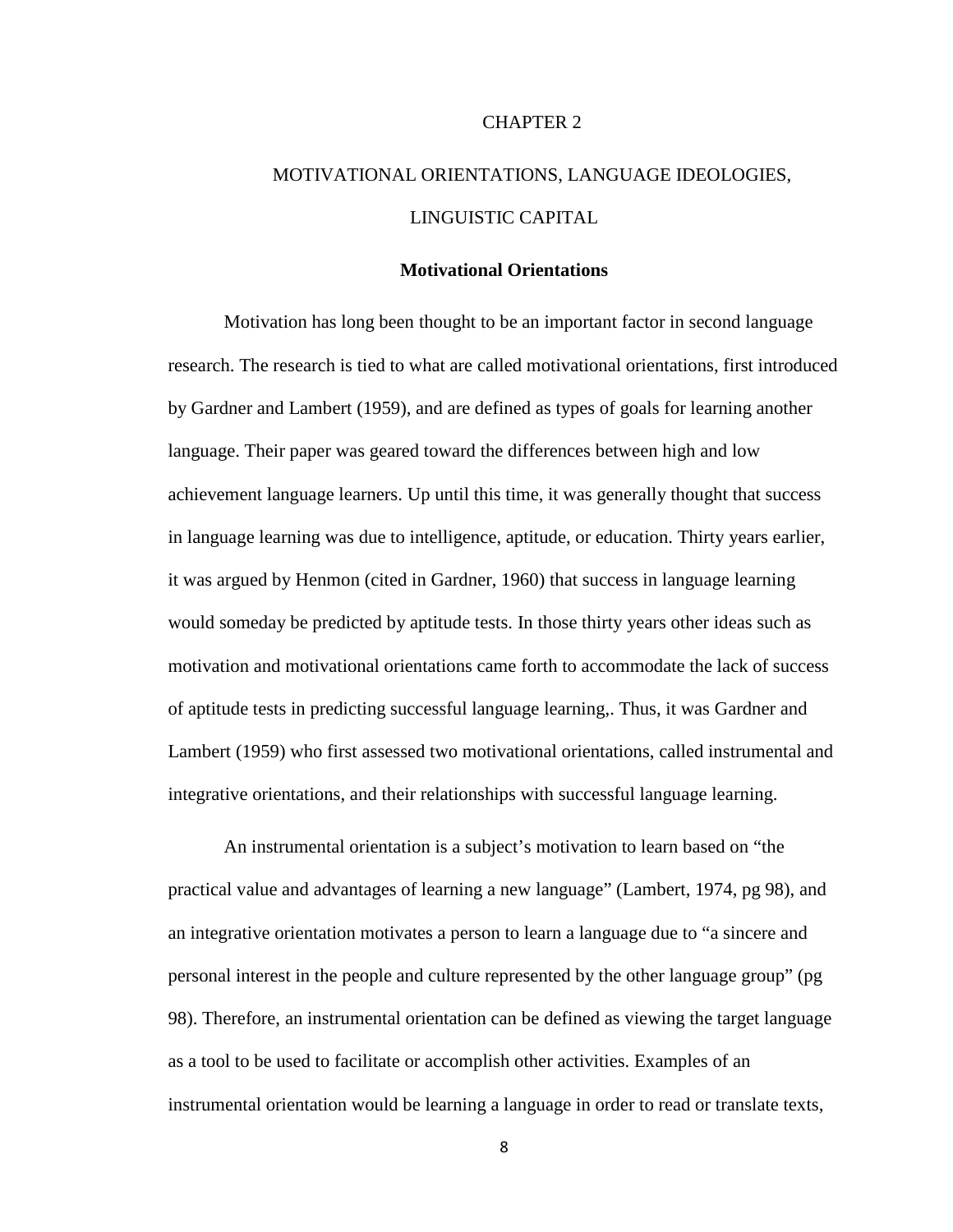#### CHAPTER 2

# MOTIVATIONAL ORIENTATIONS, LANGUAGE IDEOLOGIES, LINGUISTIC CAPITAL

#### **Motivational Orientations**

Motivation has long been thought to be an important factor in second language research. The research is tied to what are called motivational orientations, first introduced by Gardner and Lambert (1959), and are defined as types of goals for learning another language. Their paper was geared toward the differences between high and low achievement language learners. Up until this time, it was generally thought that success in language learning was due to intelligence, aptitude, or education. Thirty years earlier, it was argued by Henmon (cited in Gardner, 1960) that success in language learning would someday be predicted by aptitude tests. In those thirty years other ideas such as motivation and motivational orientations came forth to accommodate the lack of success of aptitude tests in predicting successful language learning,. Thus, it was Gardner and Lambert (1959) who first assessed two motivational orientations, called instrumental and integrative orientations, and their relationships with successful language learning.

An instrumental orientation is a subject's motivation to learn based on "the practical value and advantages of learning a new language" (Lambert, 1974, pg 98), and an integrative orientation motivates a person to learn a language due to "a sincere and personal interest in the people and culture represented by the other language group" (pg 98). Therefore, an instrumental orientation can be defined as viewing the target language as a tool to be used to facilitate or accomplish other activities. Examples of an instrumental orientation would be learning a language in order to read or translate texts,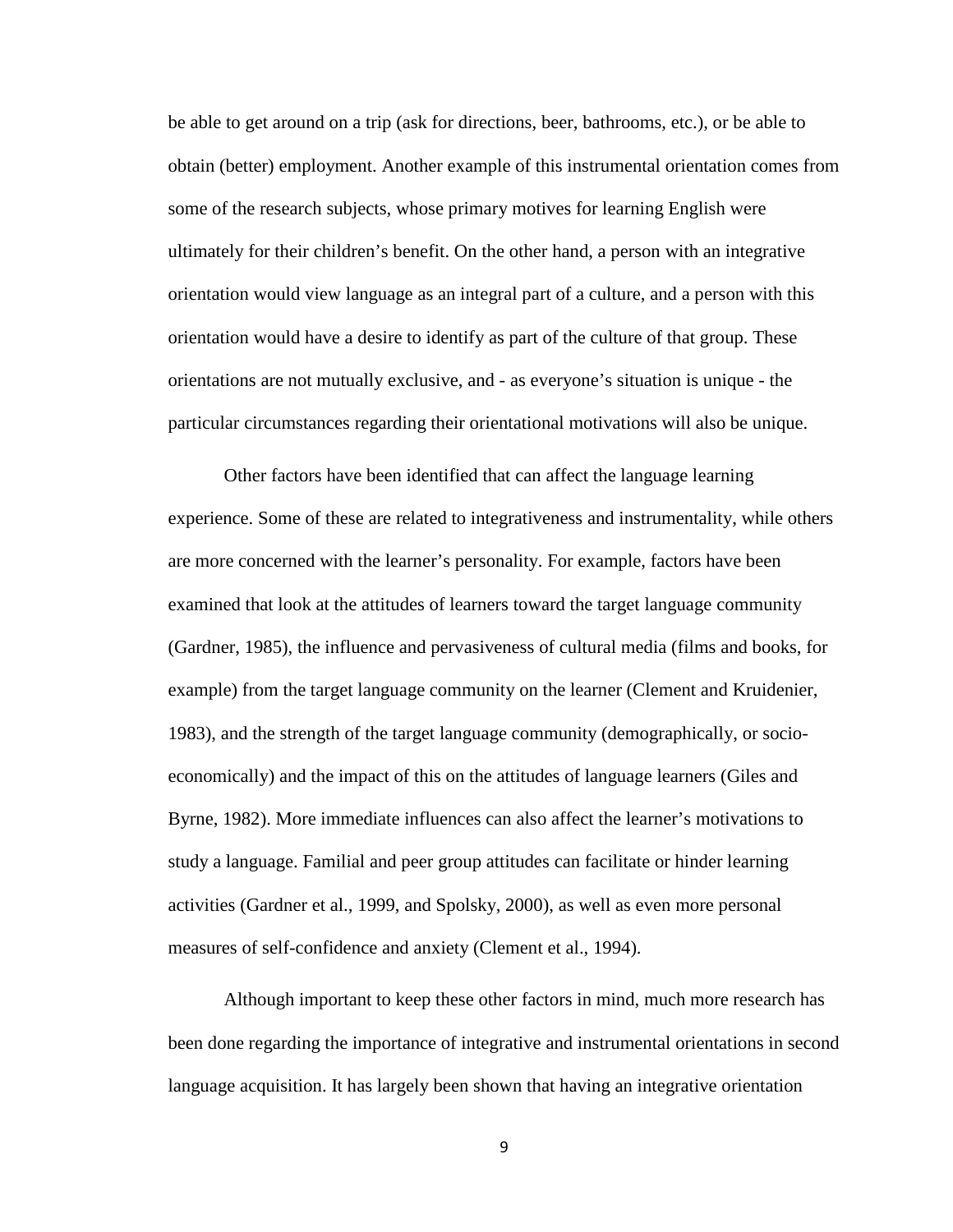be able to get around on a trip (ask for directions, beer, bathrooms, etc.), or be able to obtain (better) employment. Another example of this instrumental orientation comes from some of the research subjects, whose primary motives for learning English were ultimately for their children's benefit. On the other hand, a person with an integrative orientation would view language as an integral part of a culture, and a person with this orientation would have a desire to identify as part of the culture of that group. These orientations are not mutually exclusive, and - as everyone's situation is unique - the particular circumstances regarding their orientational motivations will also be unique.

Other factors have been identified that can affect the language learning experience. Some of these are related to integrativeness and instrumentality, while others are more concerned with the learner's personality. For example, factors have been examined that look at the attitudes of learners toward the target language community (Gardner, 1985), the influence and pervasiveness of cultural media (films and books, for example) from the target language community on the learner (Clement and Kruidenier, 1983), and the strength of the target language community (demographically, or socioeconomically) and the impact of this on the attitudes of language learners (Giles and Byrne, 1982). More immediate influences can also affect the learner's motivations to study a language. Familial and peer group attitudes can facilitate or hinder learning activities (Gardner et al., 1999, and Spolsky, 2000), as well as even more personal measures of self-confidence and anxiety (Clement et al., 1994).

Although important to keep these other factors in mind, much more research has been done regarding the importance of integrative and instrumental orientations in second language acquisition. It has largely been shown that having an integrative orientation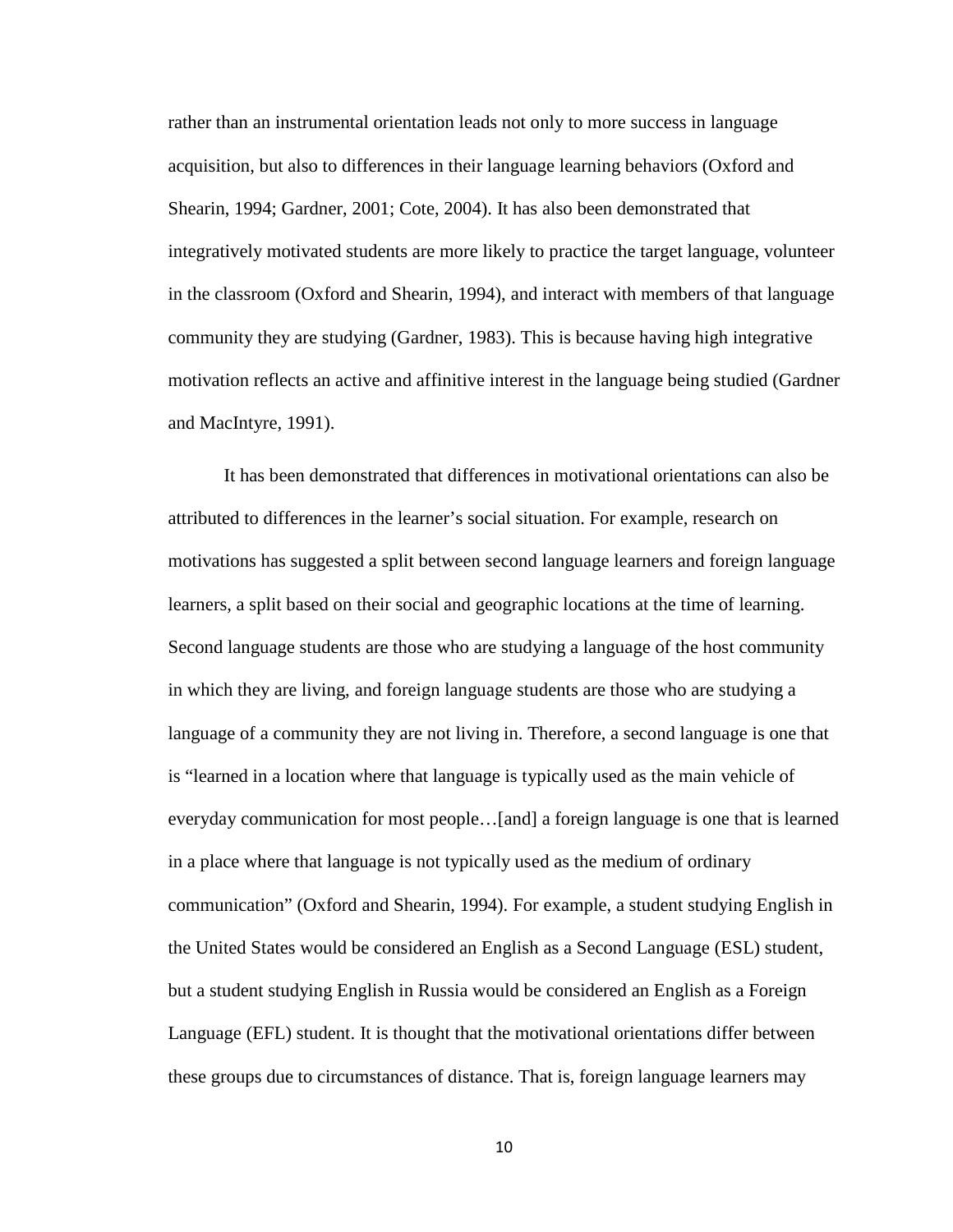rather than an instrumental orientation leads not only to more success in language acquisition, but also to differences in their language learning behaviors (Oxford and Shearin, 1994; Gardner, 2001; Cote, 2004). It has also been demonstrated that integratively motivated students are more likely to practice the target language, volunteer in the classroom (Oxford and Shearin, 1994), and interact with members of that language community they are studying (Gardner, 1983). This is because having high integrative motivation reflects an active and affinitive interest in the language being studied (Gardner and MacIntyre, 1991).

It has been demonstrated that differences in motivational orientations can also be attributed to differences in the learner's social situation. For example, research on motivations has suggested a split between second language learners and foreign language learners, a split based on their social and geographic locations at the time of learning. Second language students are those who are studying a language of the host community in which they are living, and foreign language students are those who are studying a language of a community they are not living in. Therefore, a second language is one that is "learned in a location where that language is typically used as the main vehicle of everyday communication for most people…[and] a foreign language is one that is learned in a place where that language is not typically used as the medium of ordinary communication" (Oxford and Shearin, 1994). For example, a student studying English in the United States would be considered an English as a Second Language (ESL) student, but a student studying English in Russia would be considered an English as a Foreign Language (EFL) student. It is thought that the motivational orientations differ between these groups due to circumstances of distance. That is, foreign language learners may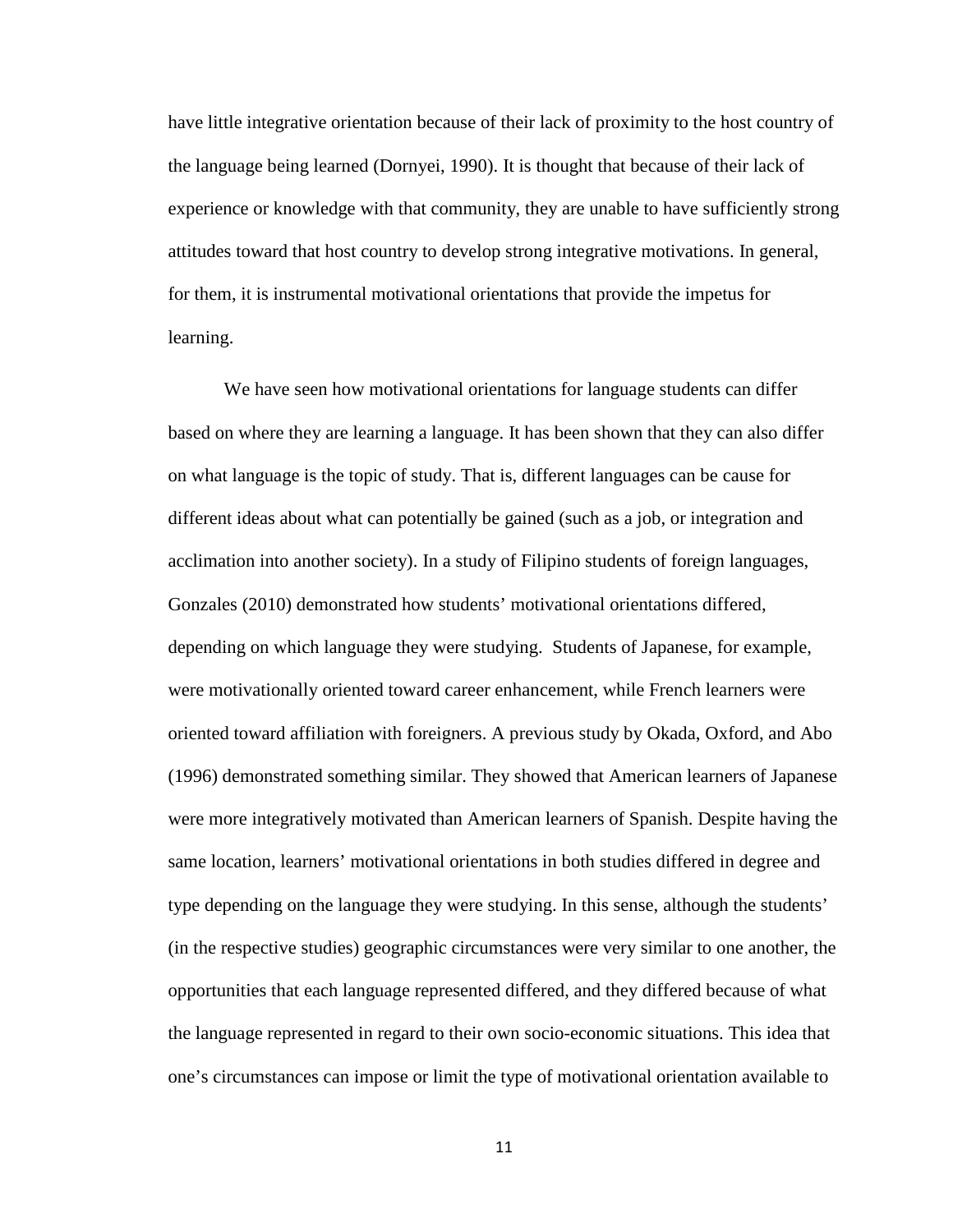have little integrative orientation because of their lack of proximity to the host country of the language being learned (Dornyei, 1990). It is thought that because of their lack of experience or knowledge with that community, they are unable to have sufficiently strong attitudes toward that host country to develop strong integrative motivations. In general, for them, it is instrumental motivational orientations that provide the impetus for learning.

We have seen how motivational orientations for language students can differ based on where they are learning a language. It has been shown that they can also differ on what language is the topic of study. That is, different languages can be cause for different ideas about what can potentially be gained (such as a job, or integration and acclimation into another society). In a study of Filipino students of foreign languages, Gonzales (2010) demonstrated how students' motivational orientations differed, depending on which language they were studying. Students of Japanese, for example, were motivationally oriented toward career enhancement, while French learners were oriented toward affiliation with foreigners. A previous study by Okada, Oxford, and Abo (1996) demonstrated something similar. They showed that American learners of Japanese were more integratively motivated than American learners of Spanish. Despite having the same location, learners' motivational orientations in both studies differed in degree and type depending on the language they were studying. In this sense, although the students' (in the respective studies) geographic circumstances were very similar to one another, the opportunities that each language represented differed, and they differed because of what the language represented in regard to their own socio-economic situations. This idea that one's circumstances can impose or limit the type of motivational orientation available to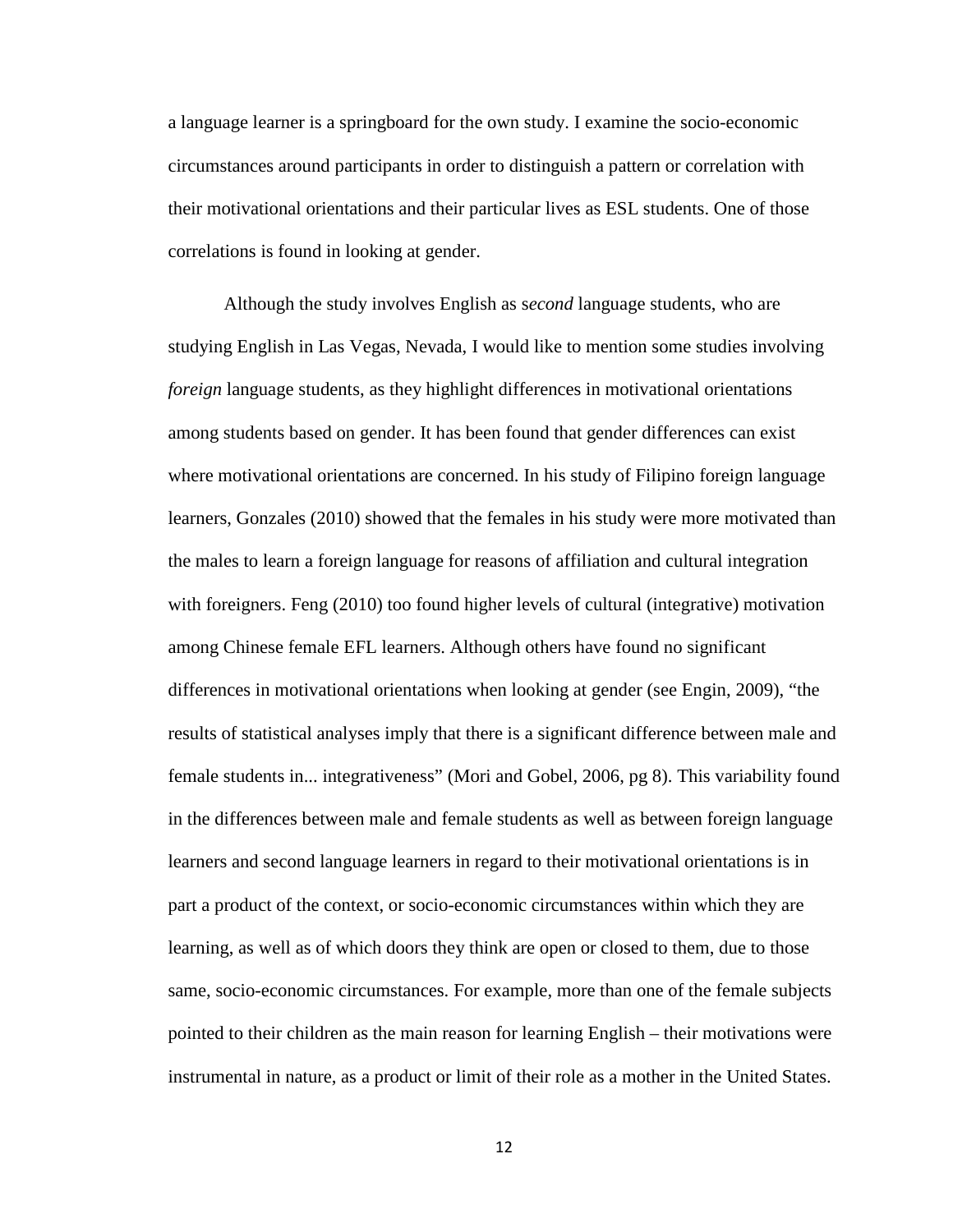a language learner is a springboard for the own study. I examine the socio-economic circumstances around participants in order to distinguish a pattern or correlation with their motivational orientations and their particular lives as ESL students. One of those correlations is found in looking at gender.

Although the study involves English as s*econd* language students, who are studying English in Las Vegas, Nevada, I would like to mention some studies involving *foreign* language students, as they highlight differences in motivational orientations among students based on gender. It has been found that gender differences can exist where motivational orientations are concerned. In his study of Filipino foreign language learners, Gonzales (2010) showed that the females in his study were more motivated than the males to learn a foreign language for reasons of affiliation and cultural integration with foreigners. Feng (2010) too found higher levels of cultural (integrative) motivation among Chinese female EFL learners. Although others have found no significant differences in motivational orientations when looking at gender (see Engin, 2009), "the results of statistical analyses imply that there is a significant difference between male and female students in... integrativeness" (Mori and Gobel, 2006, pg 8). This variability found in the differences between male and female students as well as between foreign language learners and second language learners in regard to their motivational orientations is in part a product of the context, or socio-economic circumstances within which they are learning, as well as of which doors they think are open or closed to them, due to those same, socio-economic circumstances. For example, more than one of the female subjects pointed to their children as the main reason for learning English – their motivations were instrumental in nature, as a product or limit of their role as a mother in the United States.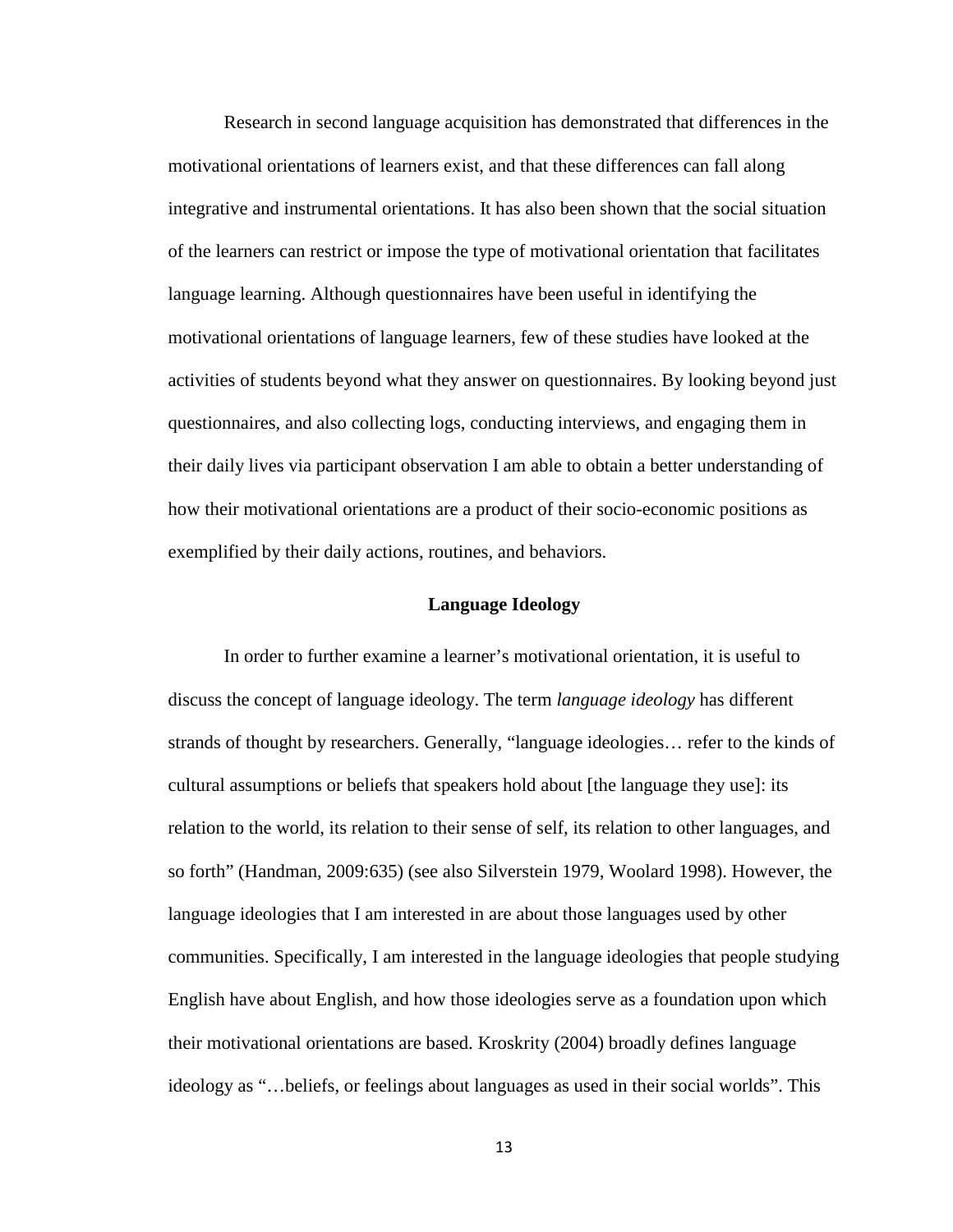Research in second language acquisition has demonstrated that differences in the motivational orientations of learners exist, and that these differences can fall along integrative and instrumental orientations. It has also been shown that the social situation of the learners can restrict or impose the type of motivational orientation that facilitates language learning. Although questionnaires have been useful in identifying the motivational orientations of language learners, few of these studies have looked at the activities of students beyond what they answer on questionnaires. By looking beyond just questionnaires, and also collecting logs, conducting interviews, and engaging them in their daily lives via participant observation I am able to obtain a better understanding of how their motivational orientations are a product of their socio-economic positions as exemplified by their daily actions, routines, and behaviors.

#### **Language Ideology**

In order to further examine a learner's motivational orientation, it is useful to discuss the concept of language ideology. The term *language ideology* has different strands of thought by researchers. Generally, "language ideologies… refer to the kinds of cultural assumptions or beliefs that speakers hold about [the language they use]: its relation to the world, its relation to their sense of self, its relation to other languages, and so forth" (Handman, 2009:635) (see also Silverstein 1979, Woolard 1998). However, the language ideologies that I am interested in are about those languages used by other communities. Specifically, I am interested in the language ideologies that people studying English have about English, and how those ideologies serve as a foundation upon which their motivational orientations are based. Kroskrity (2004) broadly defines language ideology as "…beliefs, or feelings about languages as used in their social worlds". This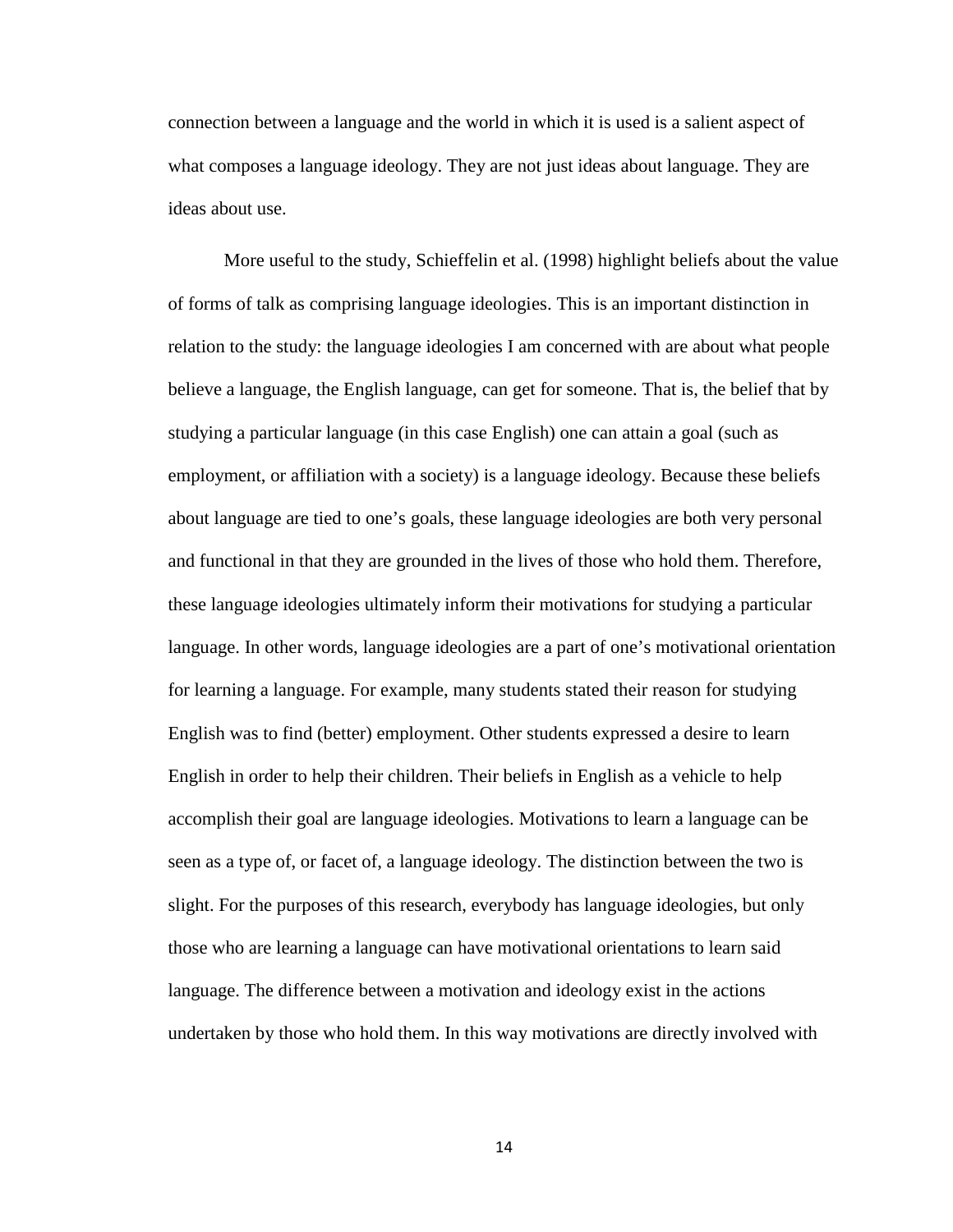connection between a language and the world in which it is used is a salient aspect of what composes a language ideology. They are not just ideas about language. They are ideas about use.

More useful to the study, Schieffelin et al. (1998) highlight beliefs about the value of forms of talk as comprising language ideologies. This is an important distinction in relation to the study: the language ideologies I am concerned with are about what people believe a language, the English language, can get for someone. That is, the belief that by studying a particular language (in this case English) one can attain a goal (such as employment, or affiliation with a society) is a language ideology. Because these beliefs about language are tied to one's goals, these language ideologies are both very personal and functional in that they are grounded in the lives of those who hold them. Therefore, these language ideologies ultimately inform their motivations for studying a particular language. In other words, language ideologies are a part of one's motivational orientation for learning a language. For example, many students stated their reason for studying English was to find (better) employment. Other students expressed a desire to learn English in order to help their children. Their beliefs in English as a vehicle to help accomplish their goal are language ideologies. Motivations to learn a language can be seen as a type of, or facet of, a language ideology. The distinction between the two is slight. For the purposes of this research, everybody has language ideologies, but only those who are learning a language can have motivational orientations to learn said language. The difference between a motivation and ideology exist in the actions undertaken by those who hold them. In this way motivations are directly involved with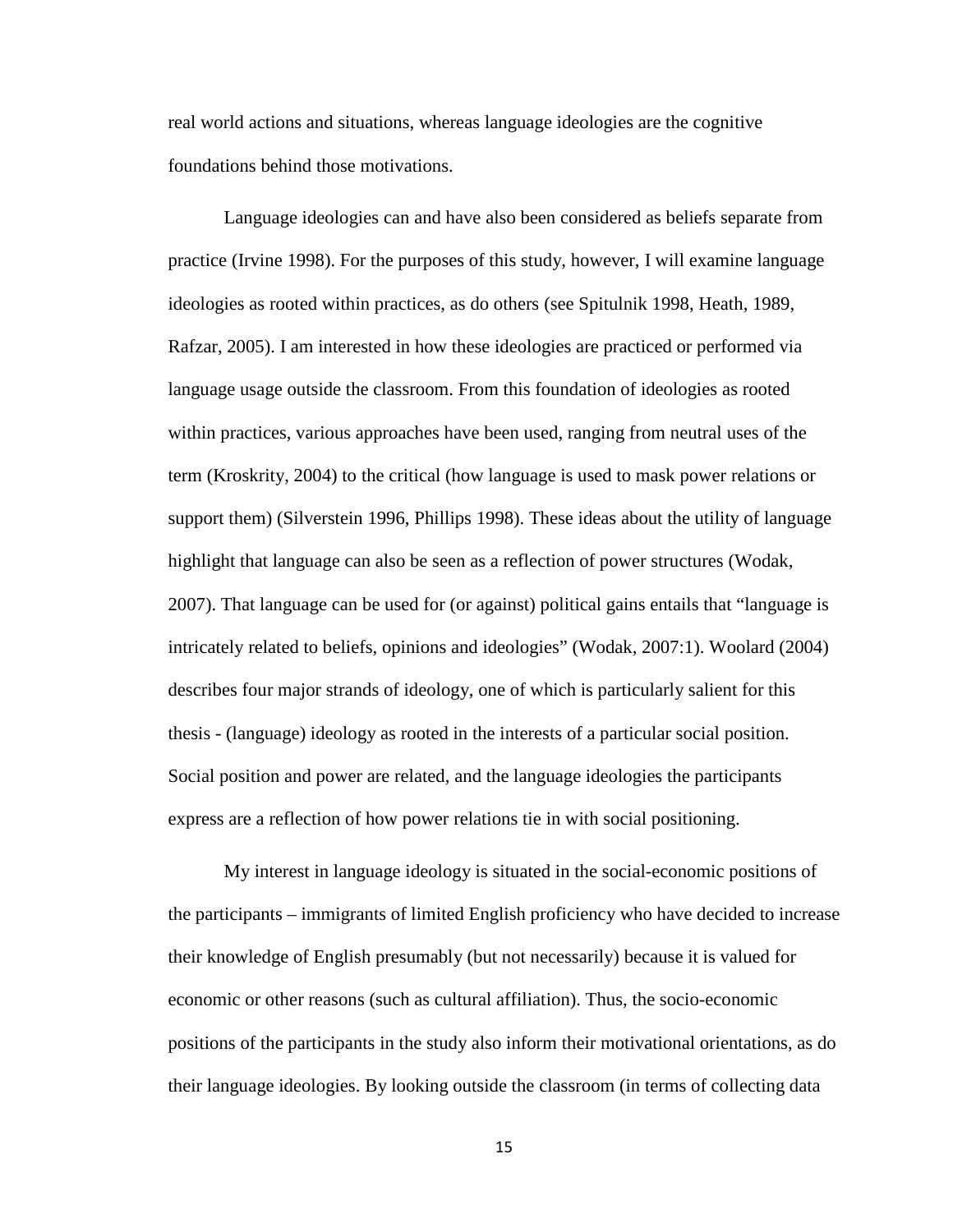real world actions and situations, whereas language ideologies are the cognitive foundations behind those motivations.

Language ideologies can and have also been considered as beliefs separate from practice (Irvine 1998). For the purposes of this study, however, I will examine language ideologies as rooted within practices, as do others (see Spitulnik 1998, Heath, 1989, Rafzar, 2005). I am interested in how these ideologies are practiced or performed via language usage outside the classroom. From this foundation of ideologies as rooted within practices, various approaches have been used, ranging from neutral uses of the term (Kroskrity, 2004) to the critical (how language is used to mask power relations or support them) (Silverstein 1996, Phillips 1998). These ideas about the utility of language highlight that language can also be seen as a reflection of power structures (Wodak, 2007). That language can be used for (or against) political gains entails that "language is intricately related to beliefs, opinions and ideologies" (Wodak, 2007:1). Woolard (2004) describes four major strands of ideology, one of which is particularly salient for this thesis - (language) ideology as rooted in the interests of a particular social position. Social position and power are related, and the language ideologies the participants express are a reflection of how power relations tie in with social positioning.

My interest in language ideology is situated in the social-economic positions of the participants – immigrants of limited English proficiency who have decided to increase their knowledge of English presumably (but not necessarily) because it is valued for economic or other reasons (such as cultural affiliation). Thus, the socio-economic positions of the participants in the study also inform their motivational orientations, as do their language ideologies. By looking outside the classroom (in terms of collecting data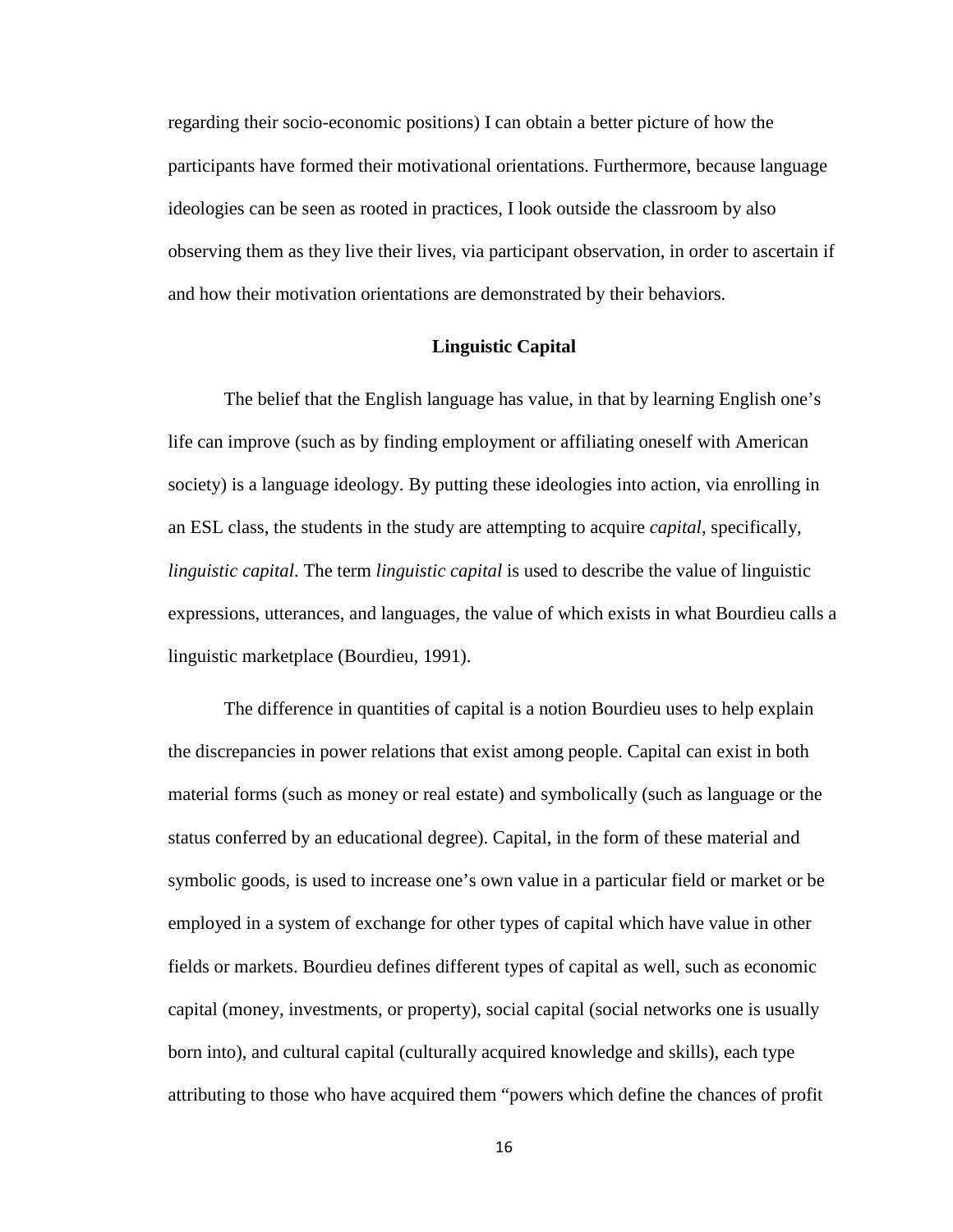regarding their socio-economic positions) I can obtain a better picture of how the participants have formed their motivational orientations. Furthermore, because language ideologies can be seen as rooted in practices, I look outside the classroom by also observing them as they live their lives, via participant observation, in order to ascertain if and how their motivation orientations are demonstrated by their behaviors.

#### **Linguistic Capital**

The belief that the English language has value, in that by learning English one's life can improve (such as by finding employment or affiliating oneself with American society) is a language ideology. By putting these ideologies into action, via enrolling in an ESL class, the students in the study are attempting to acquire *capital*, specifically, *linguistic capital*. The term *linguistic capital* is used to describe the value of linguistic expressions, utterances, and languages, the value of which exists in what Bourdieu calls a linguistic marketplace (Bourdieu, 1991).

The difference in quantities of capital is a notion Bourdieu uses to help explain the discrepancies in power relations that exist among people. Capital can exist in both material forms (such as money or real estate) and symbolically (such as language or the status conferred by an educational degree). Capital, in the form of these material and symbolic goods, is used to increase one's own value in a particular field or market or be employed in a system of exchange for other types of capital which have value in other fields or markets. Bourdieu defines different types of capital as well, such as economic capital (money, investments, or property), social capital (social networks one is usually born into), and cultural capital (culturally acquired knowledge and skills), each type attributing to those who have acquired them "powers which define the chances of profit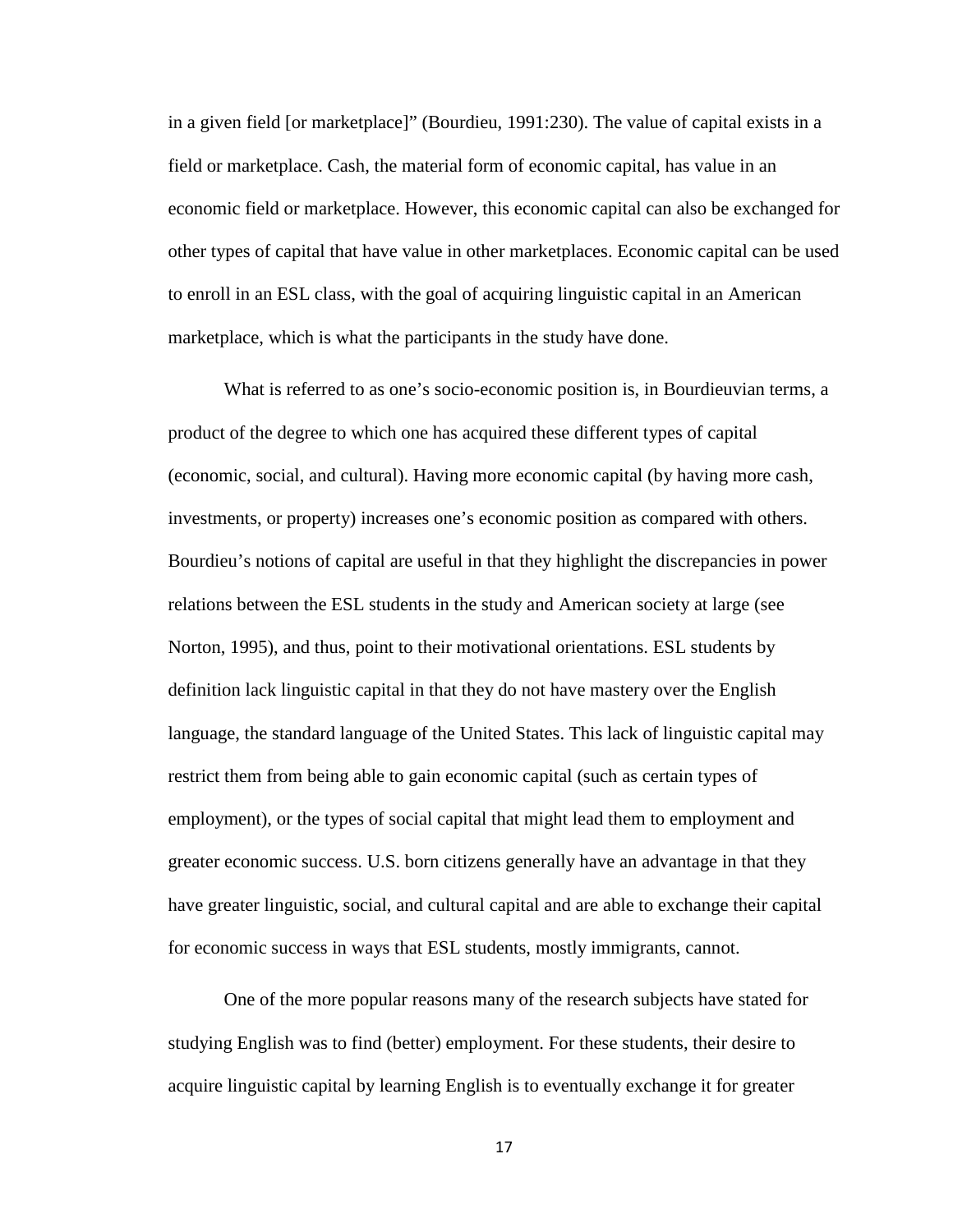in a given field [or marketplace]" (Bourdieu, 1991:230). The value of capital exists in a field or marketplace. Cash, the material form of economic capital, has value in an economic field or marketplace. However, this economic capital can also be exchanged for other types of capital that have value in other marketplaces. Economic capital can be used to enroll in an ESL class, with the goal of acquiring linguistic capital in an American marketplace, which is what the participants in the study have done.

What is referred to as one's socio-economic position is, in Bourdieuvian terms, a product of the degree to which one has acquired these different types of capital (economic, social, and cultural). Having more economic capital (by having more cash, investments, or property) increases one's economic position as compared with others. Bourdieu's notions of capital are useful in that they highlight the discrepancies in power relations between the ESL students in the study and American society at large (see Norton, 1995), and thus, point to their motivational orientations. ESL students by definition lack linguistic capital in that they do not have mastery over the English language, the standard language of the United States. This lack of linguistic capital may restrict them from being able to gain economic capital (such as certain types of employment), or the types of social capital that might lead them to employment and greater economic success. U.S. born citizens generally have an advantage in that they have greater linguistic, social, and cultural capital and are able to exchange their capital for economic success in ways that ESL students, mostly immigrants, cannot.

One of the more popular reasons many of the research subjects have stated for studying English was to find (better) employment. For these students, their desire to acquire linguistic capital by learning English is to eventually exchange it for greater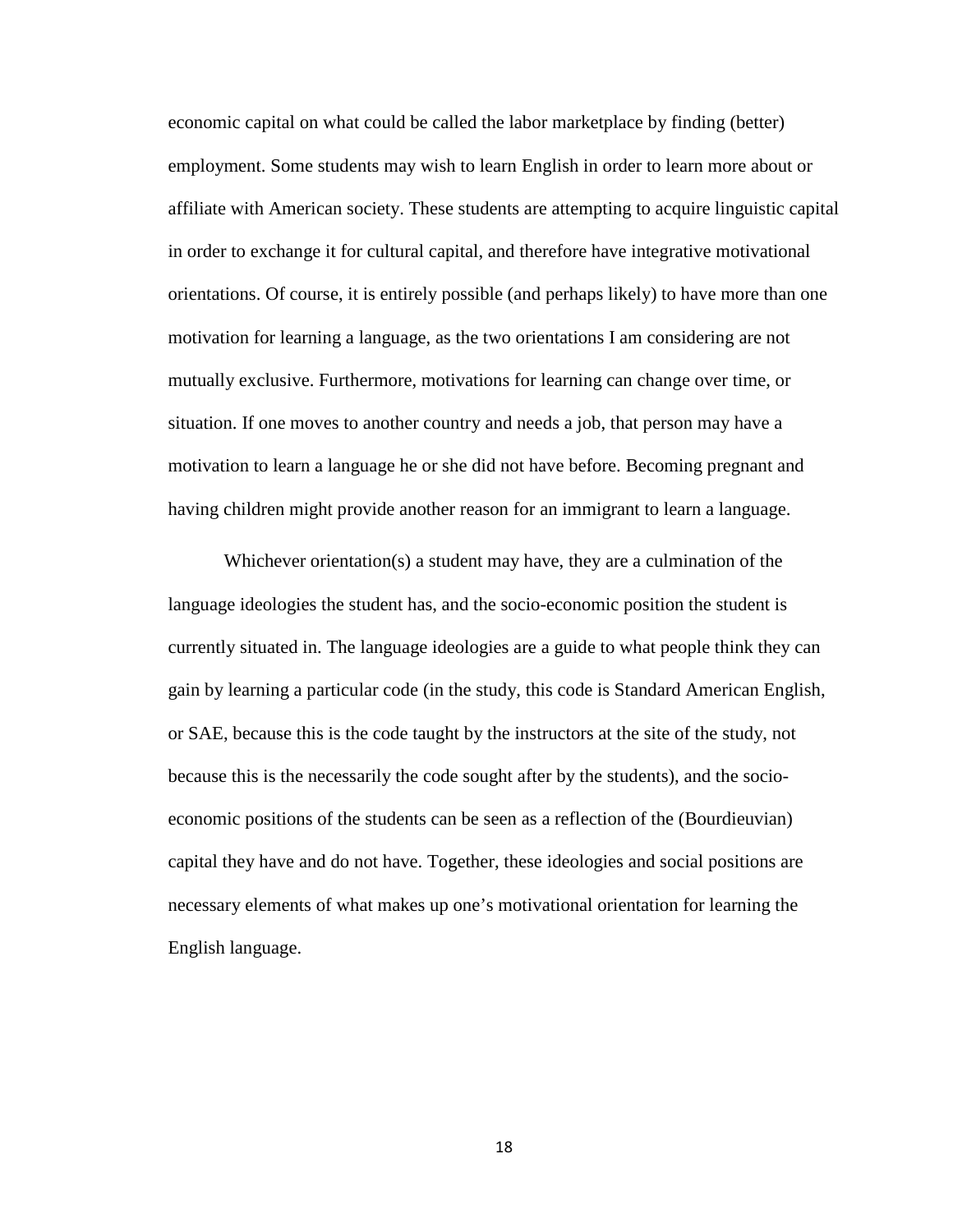economic capital on what could be called the labor marketplace by finding (better) employment. Some students may wish to learn English in order to learn more about or affiliate with American society. These students are attempting to acquire linguistic capital in order to exchange it for cultural capital, and therefore have integrative motivational orientations. Of course, it is entirely possible (and perhaps likely) to have more than one motivation for learning a language, as the two orientations I am considering are not mutually exclusive. Furthermore, motivations for learning can change over time, or situation. If one moves to another country and needs a job, that person may have a motivation to learn a language he or she did not have before. Becoming pregnant and having children might provide another reason for an immigrant to learn a language.

Whichever orientation(s) a student may have, they are a culmination of the language ideologies the student has, and the socio-economic position the student is currently situated in. The language ideologies are a guide to what people think they can gain by learning a particular code (in the study, this code is Standard American English, or SAE, because this is the code taught by the instructors at the site of the study, not because this is the necessarily the code sought after by the students), and the socioeconomic positions of the students can be seen as a reflection of the (Bourdieuvian) capital they have and do not have. Together, these ideologies and social positions are necessary elements of what makes up one's motivational orientation for learning the English language.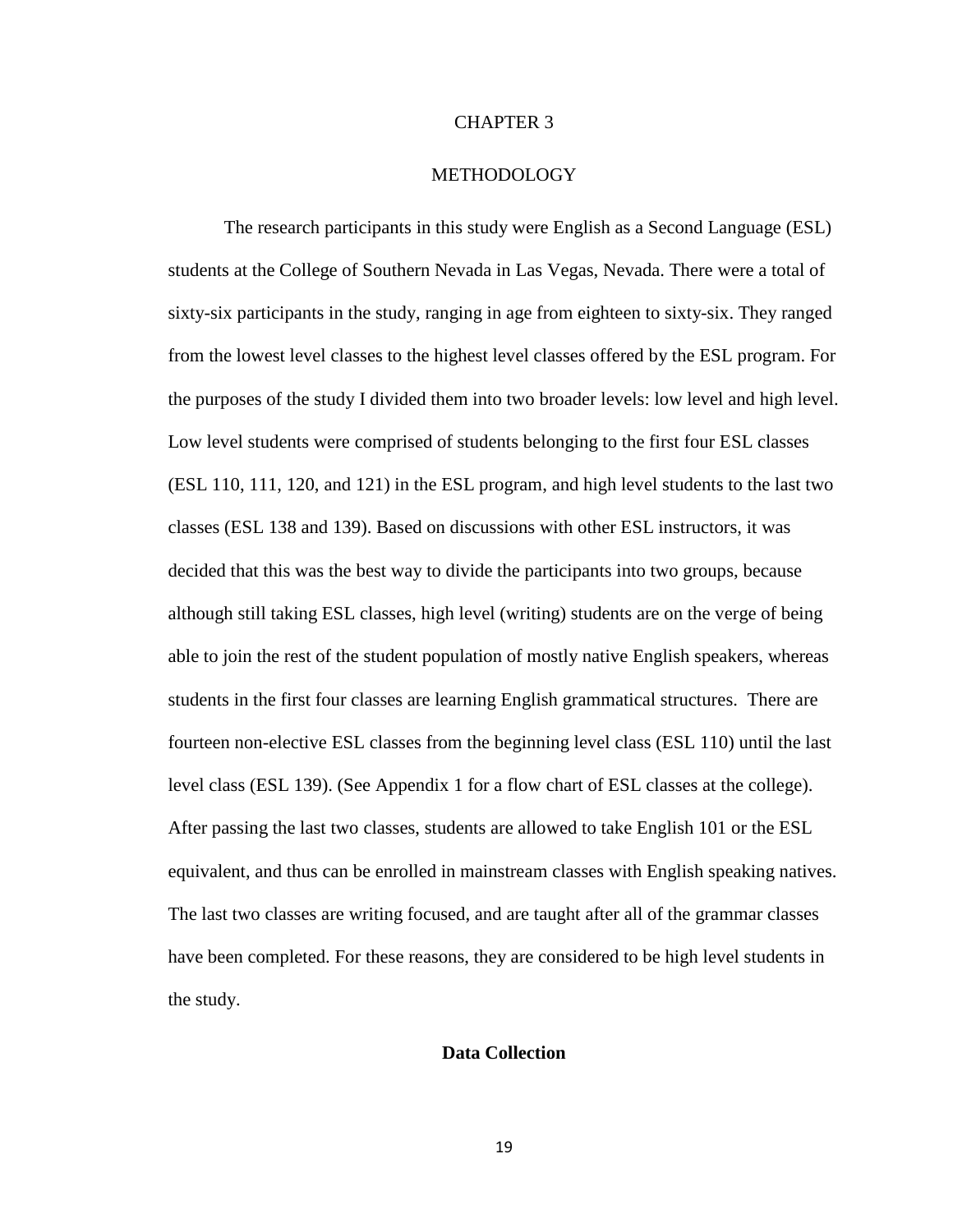#### CHAPTER 3

#### METHODOLOGY

The research participants in this study were English as a Second Language (ESL) students at the College of Southern Nevada in Las Vegas, Nevada. There were a total of sixty-six participants in the study, ranging in age from eighteen to sixty-six. They ranged from the lowest level classes to the highest level classes offered by the ESL program. For the purposes of the study I divided them into two broader levels: low level and high level. Low level students were comprised of students belonging to the first four ESL classes (ESL 110, 111, 120, and 121) in the ESL program, and high level students to the last two classes (ESL 138 and 139). Based on discussions with other ESL instructors, it was decided that this was the best way to divide the participants into two groups, because although still taking ESL classes, high level (writing) students are on the verge of being able to join the rest of the student population of mostly native English speakers, whereas students in the first four classes are learning English grammatical structures. There are fourteen non-elective ESL classes from the beginning level class (ESL 110) until the last level class (ESL 139). (See Appendix 1 for a flow chart of ESL classes at the college). After passing the last two classes, students are allowed to take English 101 or the ESL equivalent, and thus can be enrolled in mainstream classes with English speaking natives. The last two classes are writing focused, and are taught after all of the grammar classes have been completed. For these reasons, they are considered to be high level students in the study.

#### **Data Collection**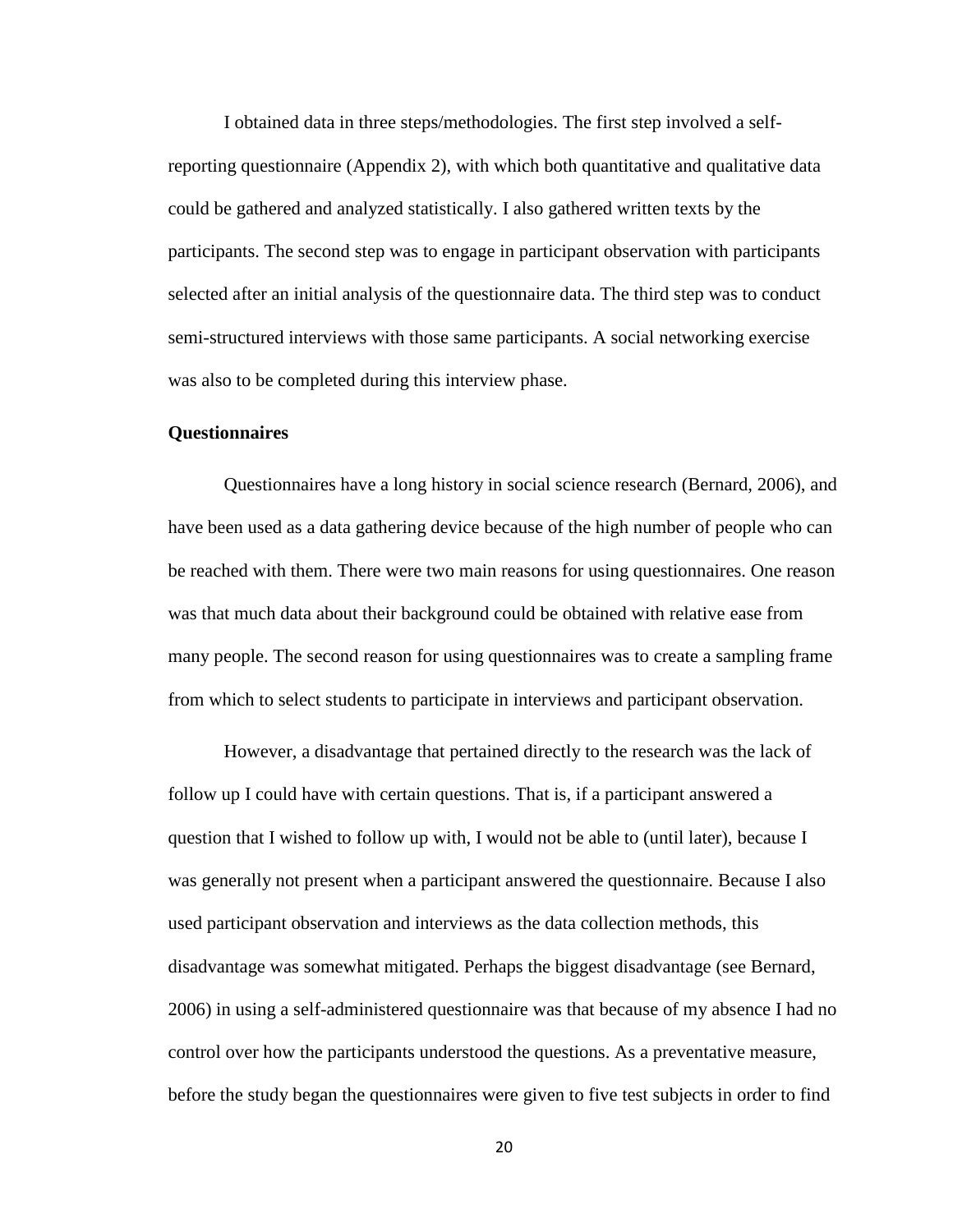I obtained data in three steps/methodologies. The first step involved a selfreporting questionnaire (Appendix 2), with which both quantitative and qualitative data could be gathered and analyzed statistically. I also gathered written texts by the participants. The second step was to engage in participant observation with participants selected after an initial analysis of the questionnaire data. The third step was to conduct semi-structured interviews with those same participants. A social networking exercise was also to be completed during this interview phase.

#### **Questionnaires**

Questionnaires have a long history in social science research (Bernard, 2006), and have been used as a data gathering device because of the high number of people who can be reached with them. There were two main reasons for using questionnaires. One reason was that much data about their background could be obtained with relative ease from many people. The second reason for using questionnaires was to create a sampling frame from which to select students to participate in interviews and participant observation.

However, a disadvantage that pertained directly to the research was the lack of follow up I could have with certain questions. That is, if a participant answered a question that I wished to follow up with, I would not be able to (until later), because I was generally not present when a participant answered the questionnaire. Because I also used participant observation and interviews as the data collection methods, this disadvantage was somewhat mitigated. Perhaps the biggest disadvantage (see Bernard, 2006) in using a self-administered questionnaire was that because of my absence I had no control over how the participants understood the questions. As a preventative measure, before the study began the questionnaires were given to five test subjects in order to find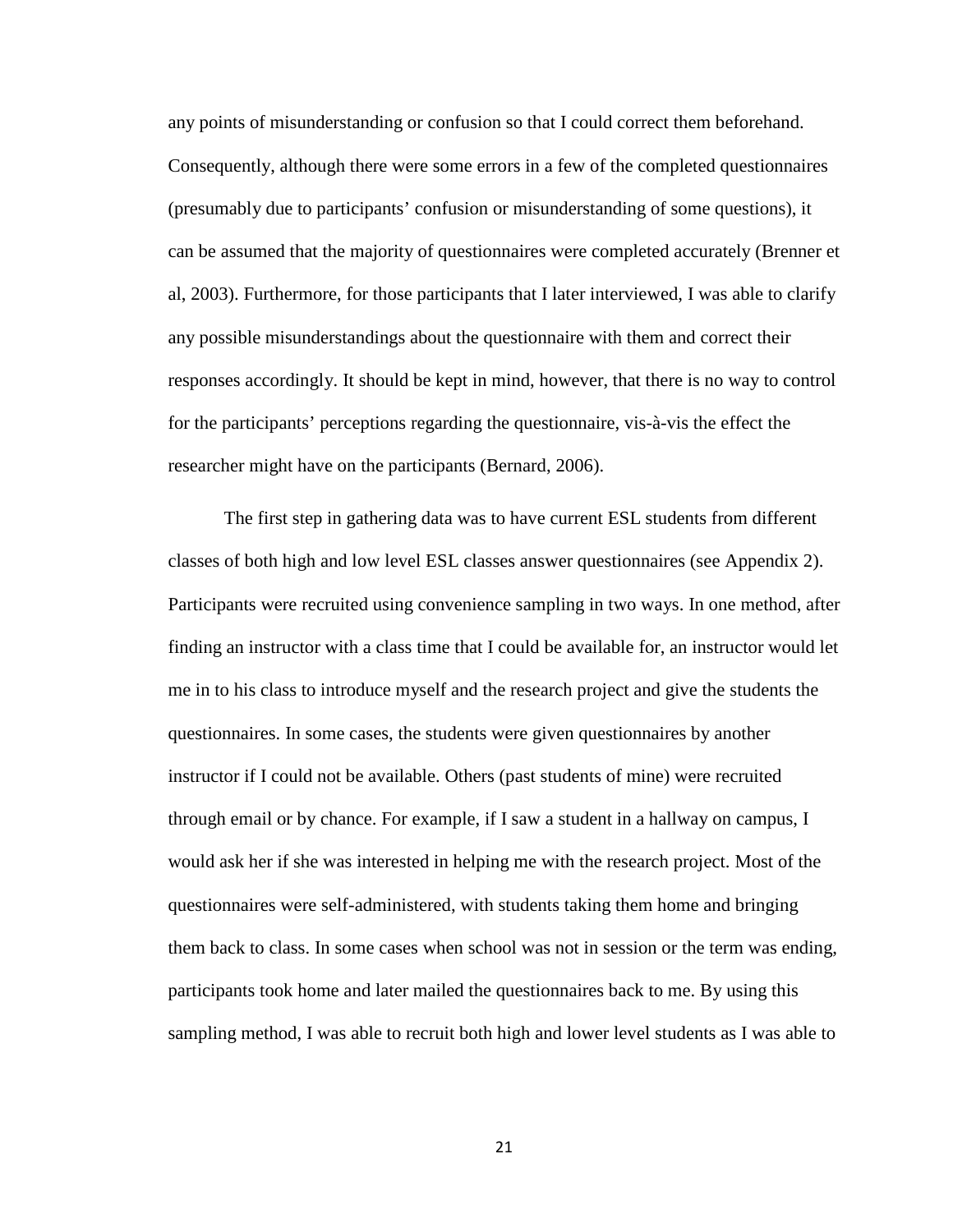any points of misunderstanding or confusion so that I could correct them beforehand. Consequently, although there were some errors in a few of the completed questionnaires (presumably due to participants' confusion or misunderstanding of some questions), it can be assumed that the majority of questionnaires were completed accurately (Brenner et al, 2003). Furthermore, for those participants that I later interviewed, I was able to clarify any possible misunderstandings about the questionnaire with them and correct their responses accordingly. It should be kept in mind, however, that there is no way to control for the participants' perceptions regarding the questionnaire, vis-à-vis the effect the researcher might have on the participants (Bernard, 2006).

The first step in gathering data was to have current ESL students from different classes of both high and low level ESL classes answer questionnaires (see Appendix 2). Participants were recruited using convenience sampling in two ways. In one method, after finding an instructor with a class time that I could be available for, an instructor would let me in to his class to introduce myself and the research project and give the students the questionnaires. In some cases, the students were given questionnaires by another instructor if I could not be available. Others (past students of mine) were recruited through email or by chance. For example, if I saw a student in a hallway on campus, I would ask her if she was interested in helping me with the research project. Most of the questionnaires were self-administered, with students taking them home and bringing them back to class. In some cases when school was not in session or the term was ending, participants took home and later mailed the questionnaires back to me. By using this sampling method, I was able to recruit both high and lower level students as I was able to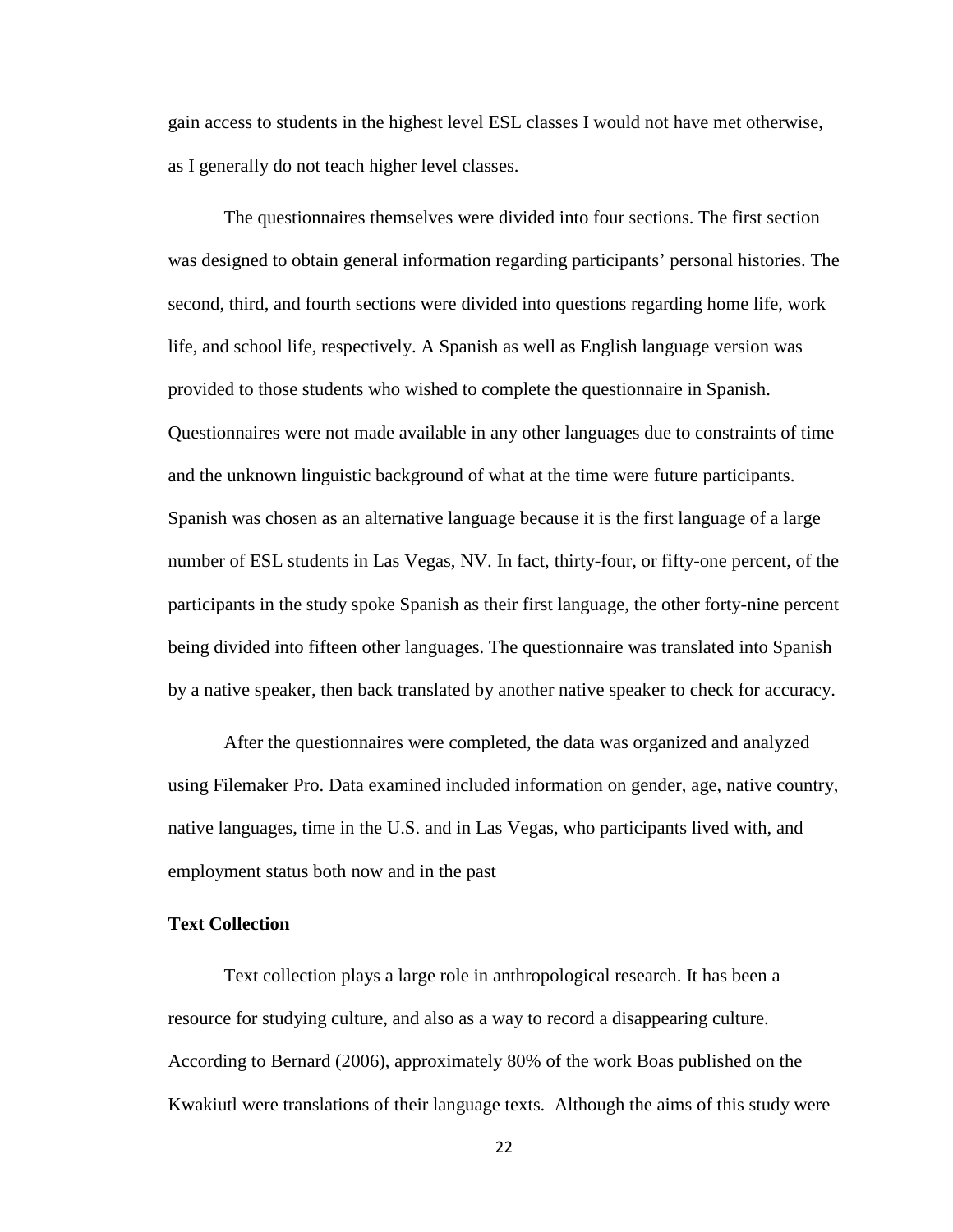gain access to students in the highest level ESL classes I would not have met otherwise, as I generally do not teach higher level classes.

The questionnaires themselves were divided into four sections. The first section was designed to obtain general information regarding participants' personal histories. The second, third, and fourth sections were divided into questions regarding home life, work life, and school life, respectively. A Spanish as well as English language version was provided to those students who wished to complete the questionnaire in Spanish. Questionnaires were not made available in any other languages due to constraints of time and the unknown linguistic background of what at the time were future participants. Spanish was chosen as an alternative language because it is the first language of a large number of ESL students in Las Vegas, NV. In fact, thirty-four, or fifty-one percent, of the participants in the study spoke Spanish as their first language, the other forty-nine percent being divided into fifteen other languages. The questionnaire was translated into Spanish by a native speaker, then back translated by another native speaker to check for accuracy.

After the questionnaires were completed, the data was organized and analyzed using Filemaker Pro. Data examined included information on gender, age, native country, native languages, time in the U.S. and in Las Vegas, who participants lived with, and employment status both now and in the past

#### **Text Collection**

Text collection plays a large role in anthropological research. It has been a resource for studying culture, and also as a way to record a disappearing culture. According to Bernard (2006), approximately 80% of the work Boas published on the Kwakiutl were translations of their language texts. Although the aims of this study were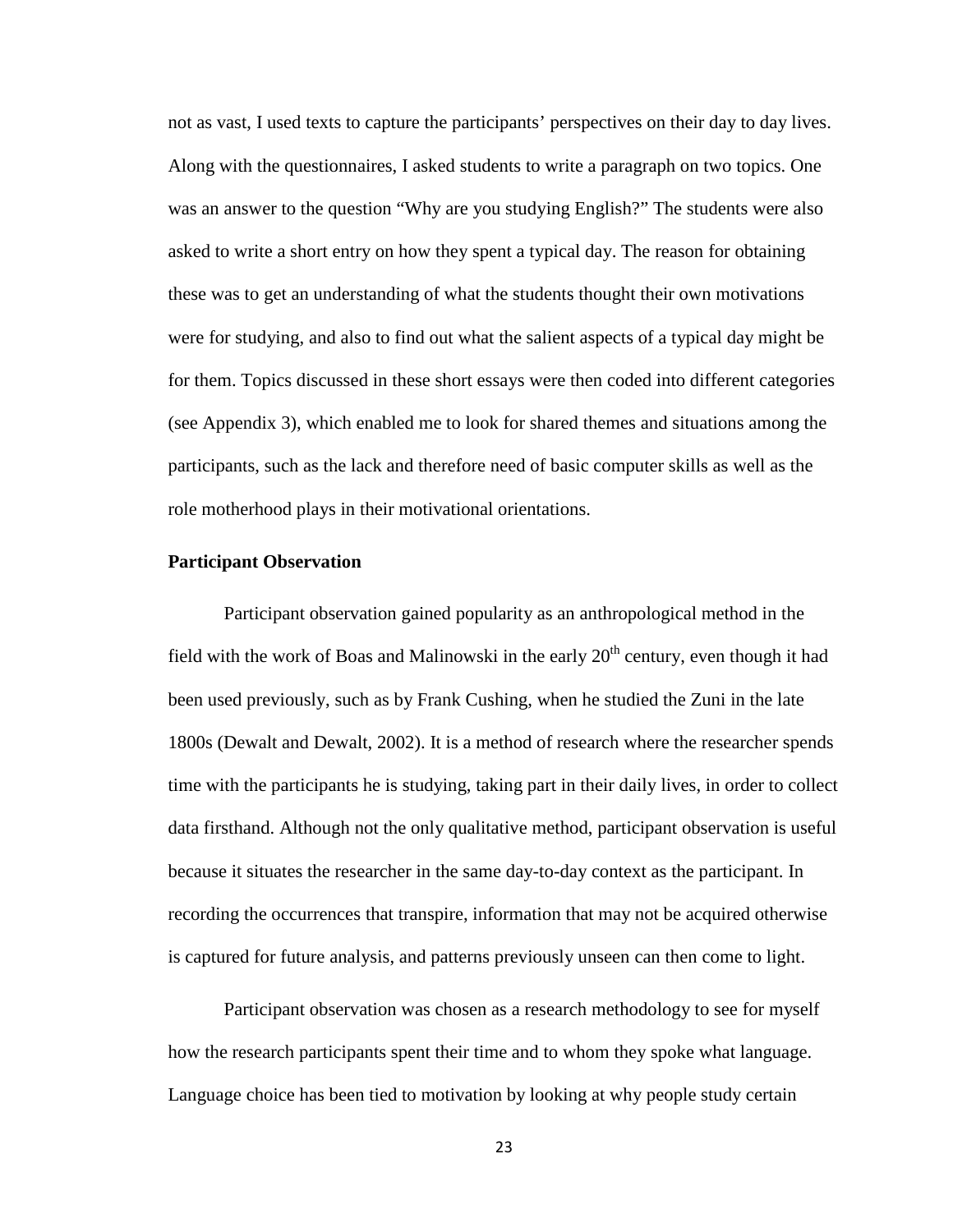not as vast, I used texts to capture the participants' perspectives on their day to day lives. Along with the questionnaires, I asked students to write a paragraph on two topics. One was an answer to the question "Why are you studying English?" The students were also asked to write a short entry on how they spent a typical day. The reason for obtaining these was to get an understanding of what the students thought their own motivations were for studying, and also to find out what the salient aspects of a typical day might be for them. Topics discussed in these short essays were then coded into different categories (see Appendix 3), which enabled me to look for shared themes and situations among the participants, such as the lack and therefore need of basic computer skills as well as the role motherhood plays in their motivational orientations.

#### **Participant Observation**

Participant observation gained popularity as an anthropological method in the field with the work of Boas and Malinowski in the early  $20<sup>th</sup>$  century, even though it had been used previously, such as by Frank Cushing, when he studied the Zuni in the late 1800s (Dewalt and Dewalt, 2002). It is a method of research where the researcher spends time with the participants he is studying, taking part in their daily lives, in order to collect data firsthand. Although not the only qualitative method, participant observation is useful because it situates the researcher in the same day-to-day context as the participant. In recording the occurrences that transpire, information that may not be acquired otherwise is captured for future analysis, and patterns previously unseen can then come to light.

Participant observation was chosen as a research methodology to see for myself how the research participants spent their time and to whom they spoke what language. Language choice has been tied to motivation by looking at why people study certain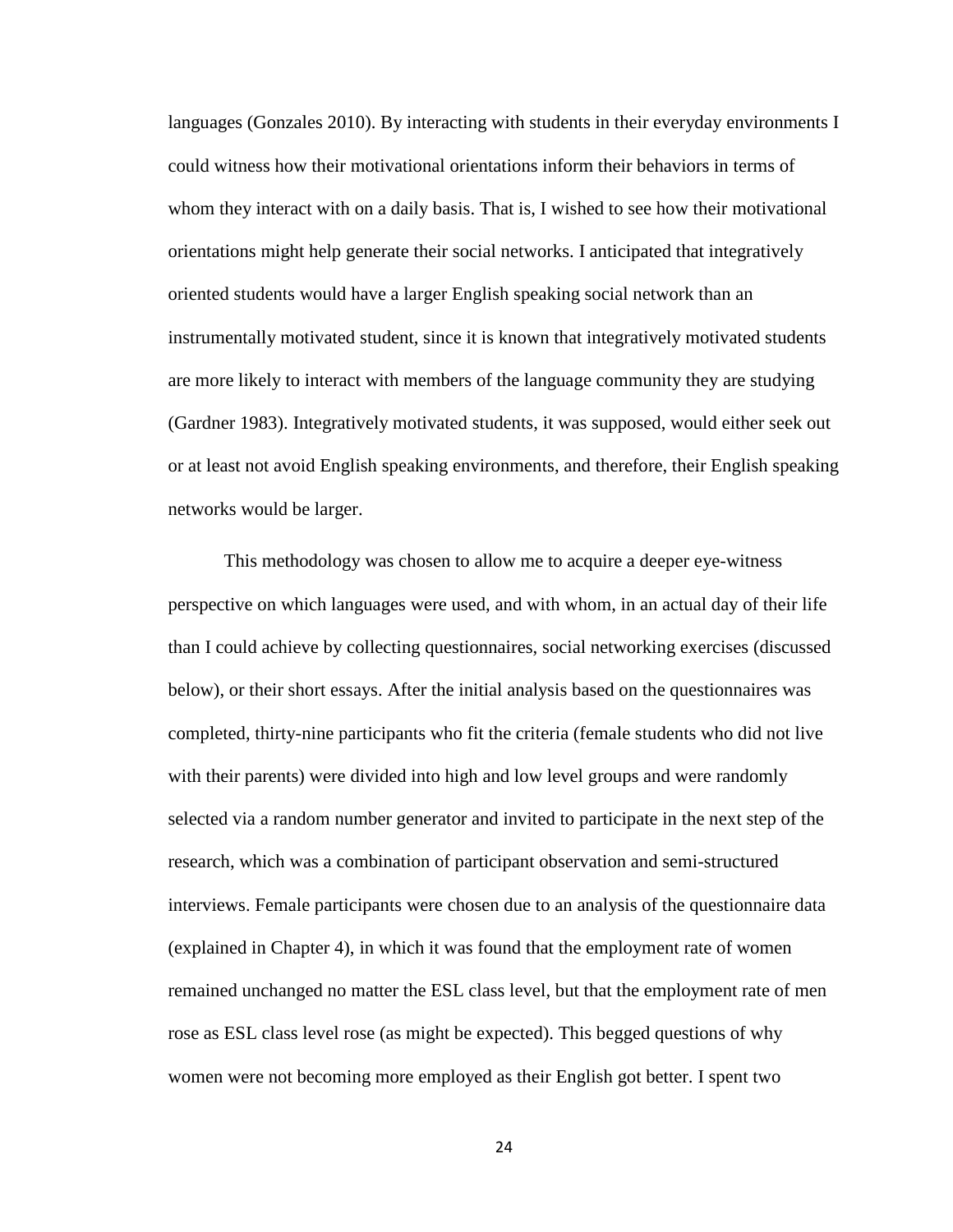languages (Gonzales 2010). By interacting with students in their everyday environments I could witness how their motivational orientations inform their behaviors in terms of whom they interact with on a daily basis. That is, I wished to see how their motivational orientations might help generate their social networks. I anticipated that integratively oriented students would have a larger English speaking social network than an instrumentally motivated student, since it is known that integratively motivated students are more likely to interact with members of the language community they are studying (Gardner 1983). Integratively motivated students, it was supposed, would either seek out or at least not avoid English speaking environments, and therefore, their English speaking networks would be larger.

This methodology was chosen to allow me to acquire a deeper eye-witness perspective on which languages were used, and with whom, in an actual day of their life than I could achieve by collecting questionnaires, social networking exercises (discussed below), or their short essays. After the initial analysis based on the questionnaires was completed, thirty-nine participants who fit the criteria (female students who did not live with their parents) were divided into high and low level groups and were randomly selected via a random number generator and invited to participate in the next step of the research, which was a combination of participant observation and semi-structured interviews. Female participants were chosen due to an analysis of the questionnaire data (explained in Chapter 4), in which it was found that the employment rate of women remained unchanged no matter the ESL class level, but that the employment rate of men rose as ESL class level rose (as might be expected). This begged questions of why women were not becoming more employed as their English got better. I spent two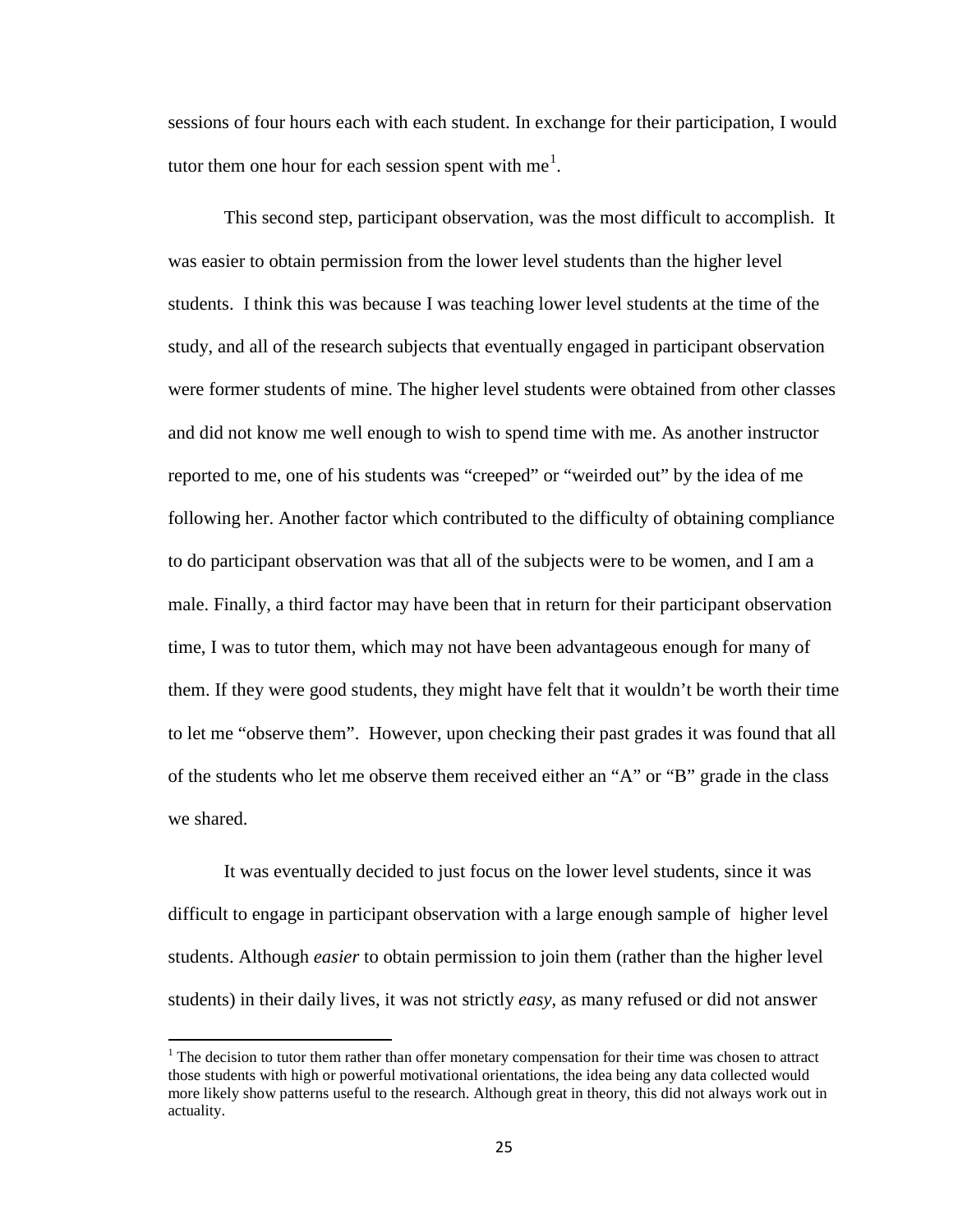sessions of four hours each with each student. In exchange for their participation, I would tutor them one hour for each session spent with me<sup>[1](#page-33-0)</sup>.

This second step, participant observation, was the most difficult to accomplish. It was easier to obtain permission from the lower level students than the higher level students. I think this was because I was teaching lower level students at the time of the study, and all of the research subjects that eventually engaged in participant observation were former students of mine. The higher level students were obtained from other classes and did not know me well enough to wish to spend time with me. As another instructor reported to me, one of his students was "creeped" or "weirded out" by the idea of me following her. Another factor which contributed to the difficulty of obtaining compliance to do participant observation was that all of the subjects were to be women, and I am a male. Finally, a third factor may have been that in return for their participant observation time, I was to tutor them, which may not have been advantageous enough for many of them. If they were good students, they might have felt that it wouldn't be worth their time to let me "observe them". However, upon checking their past grades it was found that all of the students who let me observe them received either an "A" or "B" grade in the class we shared.

It was eventually decided to just focus on the lower level students, since it was difficult to engage in participant observation with a large enough sample of higher level students. Although *easier* to obtain permission to join them (rather than the higher level students) in their daily lives, it was not strictly *easy*, as many refused or did not answer

<span id="page-33-0"></span> $<sup>1</sup>$  The decision to tutor them rather than offer monetary compensation for their time was chosen to attract</sup> those students with high or powerful motivational orientations, the idea being any data collected would more likely show patterns useful to the research. Although great in theory, this did not always work out in actuality.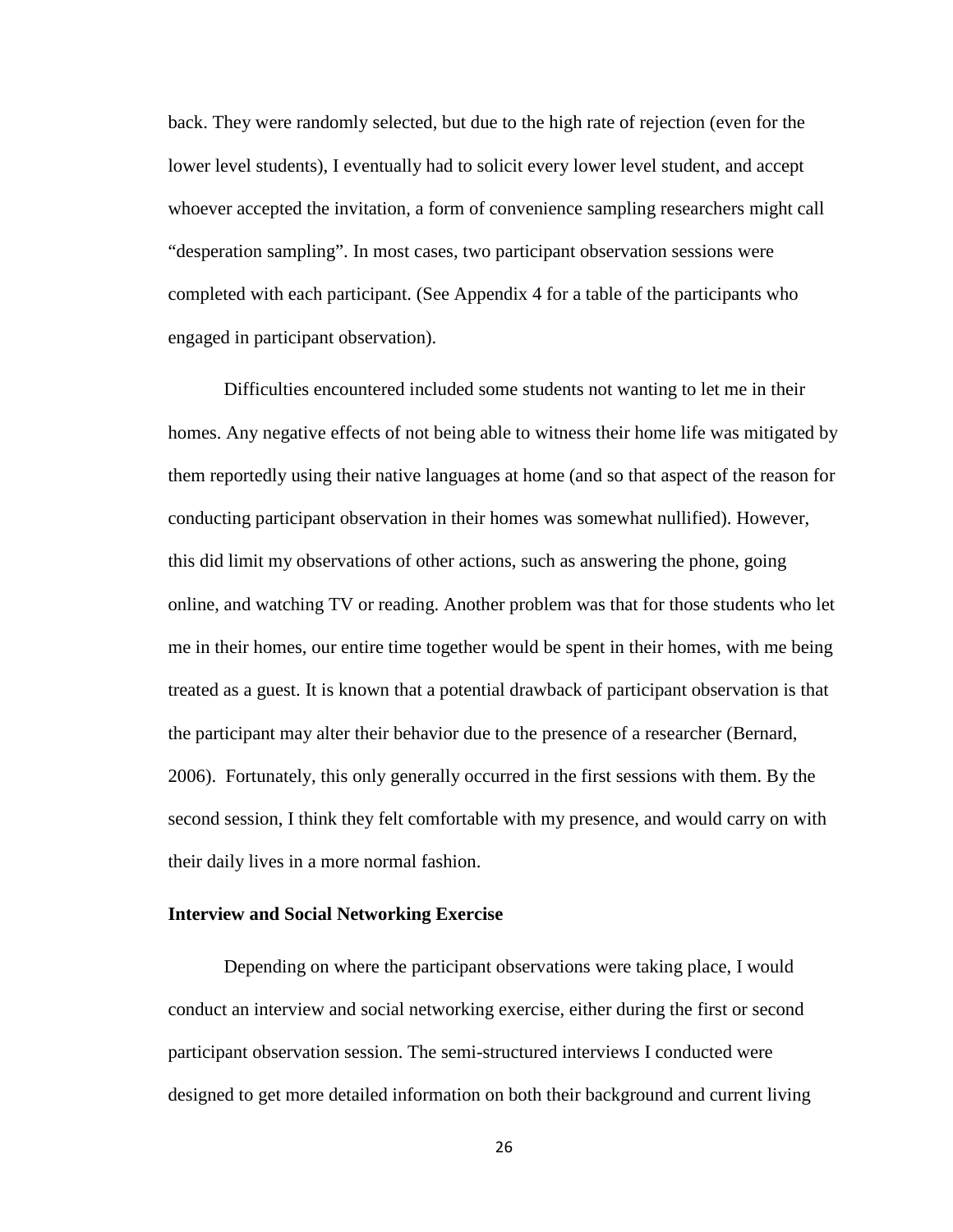back. They were randomly selected, but due to the high rate of rejection (even for the lower level students), I eventually had to solicit every lower level student, and accept whoever accepted the invitation, a form of convenience sampling researchers might call "desperation sampling". In most cases, two participant observation sessions were completed with each participant. (See Appendix 4 for a table of the participants who engaged in participant observation).

Difficulties encountered included some students not wanting to let me in their homes. Any negative effects of not being able to witness their home life was mitigated by them reportedly using their native languages at home (and so that aspect of the reason for conducting participant observation in their homes was somewhat nullified). However, this did limit my observations of other actions, such as answering the phone, going online, and watching TV or reading. Another problem was that for those students who let me in their homes, our entire time together would be spent in their homes, with me being treated as a guest. It is known that a potential drawback of participant observation is that the participant may alter their behavior due to the presence of a researcher (Bernard, 2006). Fortunately, this only generally occurred in the first sessions with them. By the second session, I think they felt comfortable with my presence, and would carry on with their daily lives in a more normal fashion.

#### **Interview and Social Networking Exercise**

Depending on where the participant observations were taking place, I would conduct an interview and social networking exercise, either during the first or second participant observation session. The semi-structured interviews I conducted were designed to get more detailed information on both their background and current living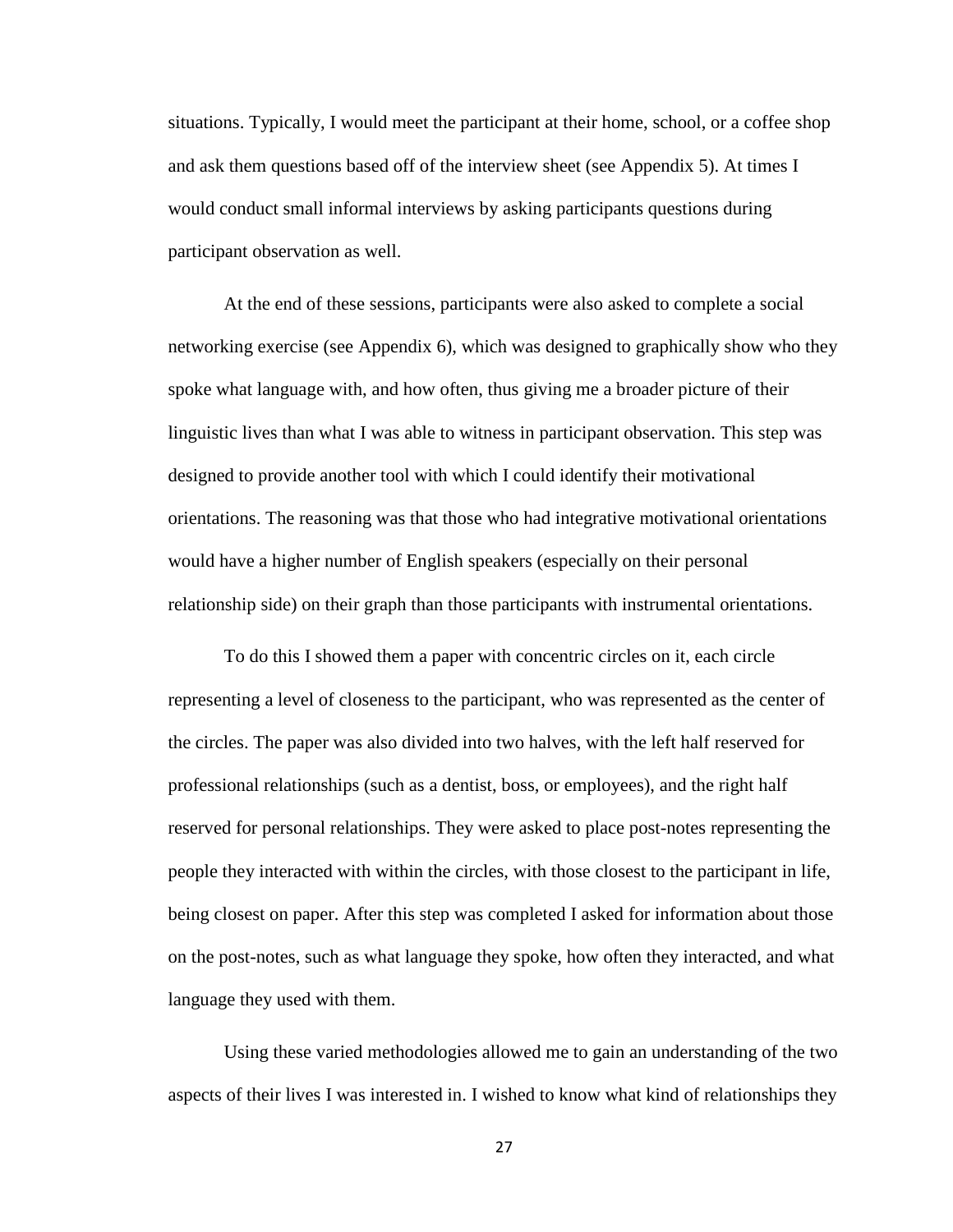situations. Typically, I would meet the participant at their home, school, or a coffee shop and ask them questions based off of the interview sheet (see Appendix 5). At times I would conduct small informal interviews by asking participants questions during participant observation as well.

At the end of these sessions, participants were also asked to complete a social networking exercise (see Appendix 6), which was designed to graphically show who they spoke what language with, and how often, thus giving me a broader picture of their linguistic lives than what I was able to witness in participant observation. This step was designed to provide another tool with which I could identify their motivational orientations. The reasoning was that those who had integrative motivational orientations would have a higher number of English speakers (especially on their personal relationship side) on their graph than those participants with instrumental orientations.

To do this I showed them a paper with concentric circles on it, each circle representing a level of closeness to the participant, who was represented as the center of the circles. The paper was also divided into two halves, with the left half reserved for professional relationships (such as a dentist, boss, or employees), and the right half reserved for personal relationships. They were asked to place post-notes representing the people they interacted with within the circles, with those closest to the participant in life, being closest on paper. After this step was completed I asked for information about those on the post-notes, such as what language they spoke, how often they interacted, and what language they used with them.

Using these varied methodologies allowed me to gain an understanding of the two aspects of their lives I was interested in. I wished to know what kind of relationships they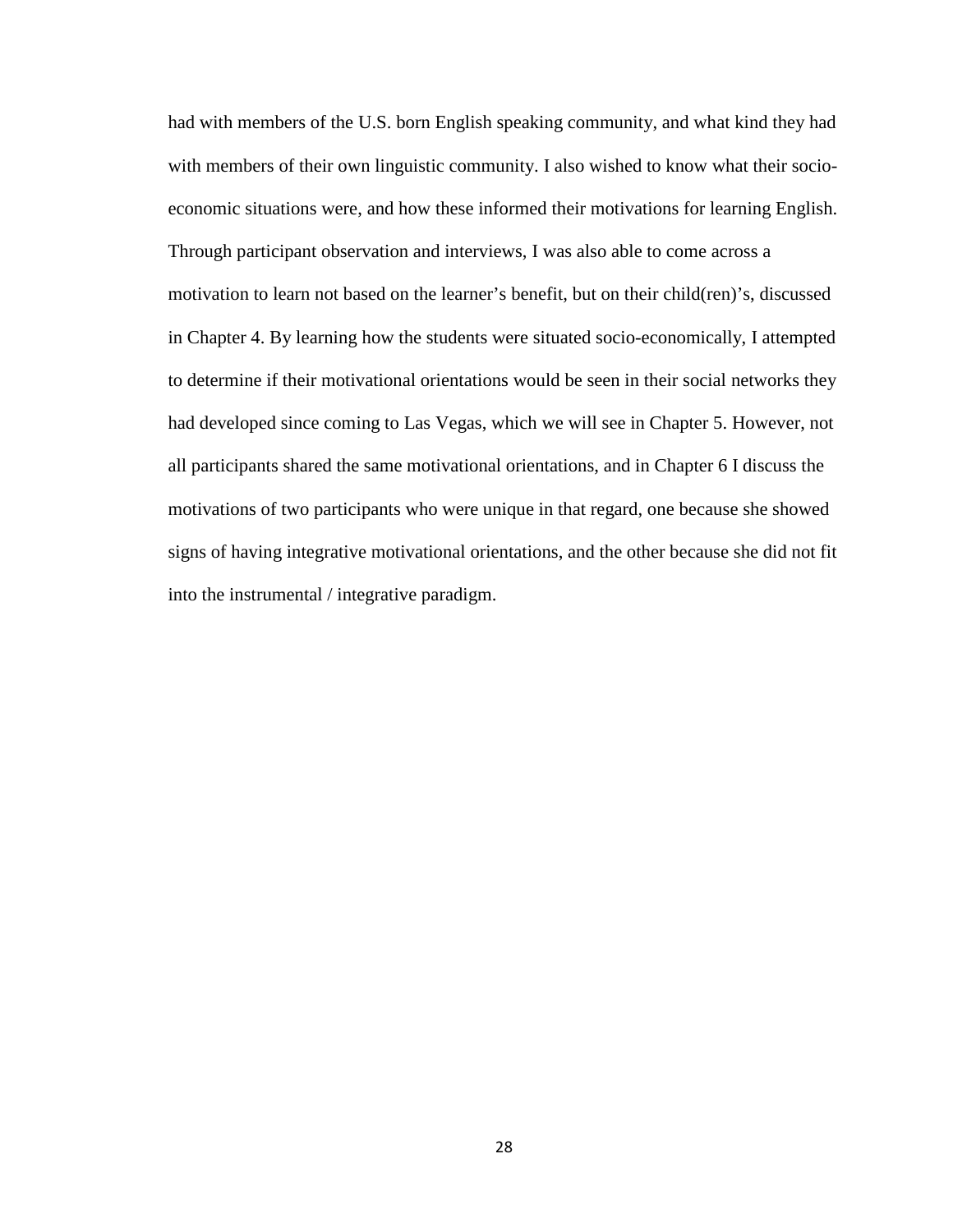had with members of the U.S. born English speaking community, and what kind they had with members of their own linguistic community. I also wished to know what their socioeconomic situations were, and how these informed their motivations for learning English. Through participant observation and interviews, I was also able to come across a motivation to learn not based on the learner's benefit, but on their child(ren)'s, discussed in Chapter 4. By learning how the students were situated socio-economically, I attempted to determine if their motivational orientations would be seen in their social networks they had developed since coming to Las Vegas, which we will see in Chapter 5. However, not all participants shared the same motivational orientations, and in Chapter 6 I discuss the motivations of two participants who were unique in that regard, one because she showed signs of having integrative motivational orientations, and the other because she did not fit into the instrumental / integrative paradigm.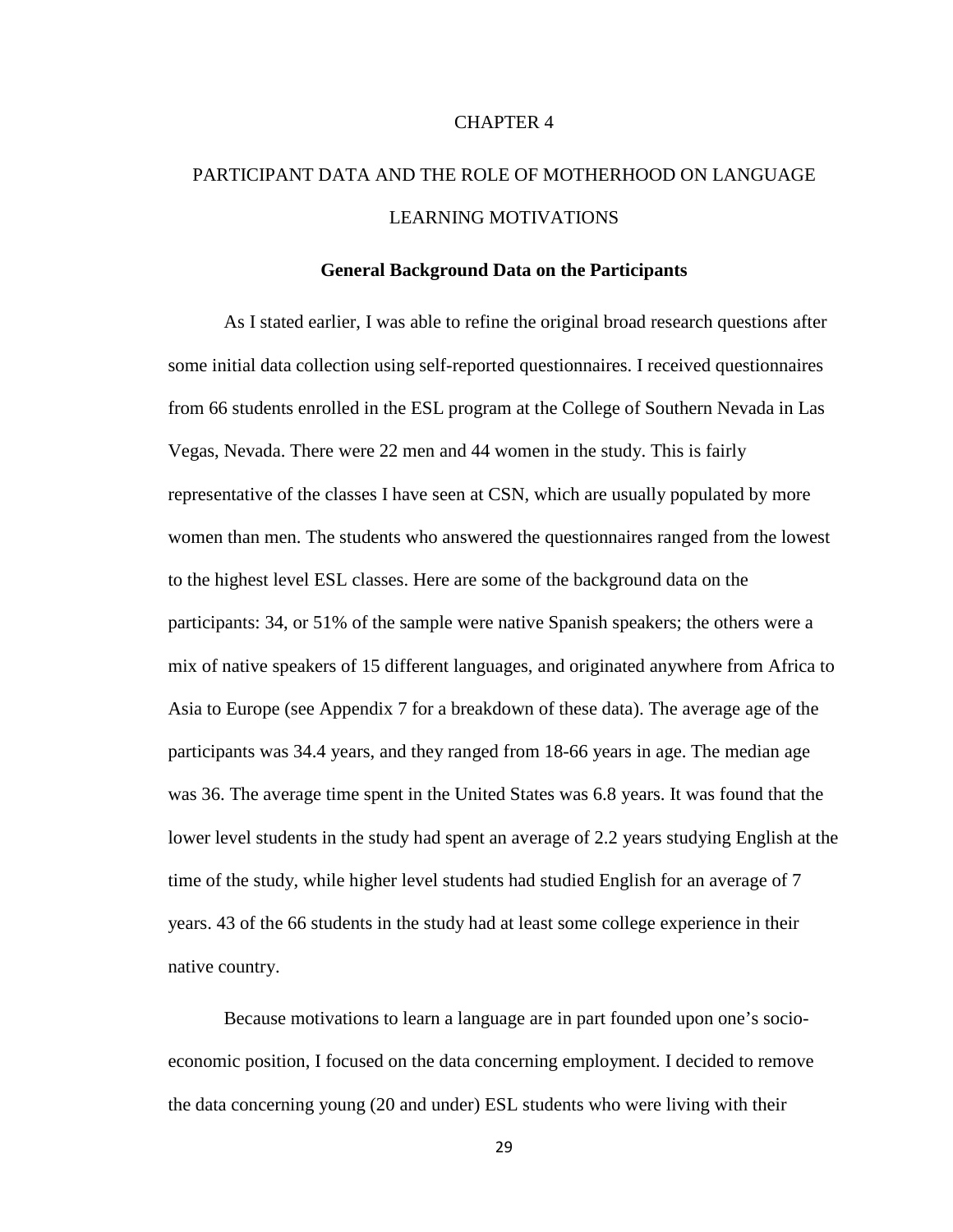# CHAPTER 4

# PARTICIPANT DATA AND THE ROLE OF MOTHERHOOD ON LANGUAGE LEARNING MOTIVATIONS

#### **General Background Data on the Participants**

As I stated earlier, I was able to refine the original broad research questions after some initial data collection using self-reported questionnaires. I received questionnaires from 66 students enrolled in the ESL program at the College of Southern Nevada in Las Vegas, Nevada. There were 22 men and 44 women in the study. This is fairly representative of the classes I have seen at CSN, which are usually populated by more women than men. The students who answered the questionnaires ranged from the lowest to the highest level ESL classes. Here are some of the background data on the participants: 34, or 51% of the sample were native Spanish speakers; the others were a mix of native speakers of 15 different languages, and originated anywhere from Africa to Asia to Europe (see Appendix 7 for a breakdown of these data). The average age of the participants was 34.4 years, and they ranged from 18-66 years in age. The median age was 36. The average time spent in the United States was 6.8 years. It was found that the lower level students in the study had spent an average of 2.2 years studying English at the time of the study, while higher level students had studied English for an average of 7 years. 43 of the 66 students in the study had at least some college experience in their native country.

Because motivations to learn a language are in part founded upon one's socioeconomic position, I focused on the data concerning employment. I decided to remove the data concerning young (20 and under) ESL students who were living with their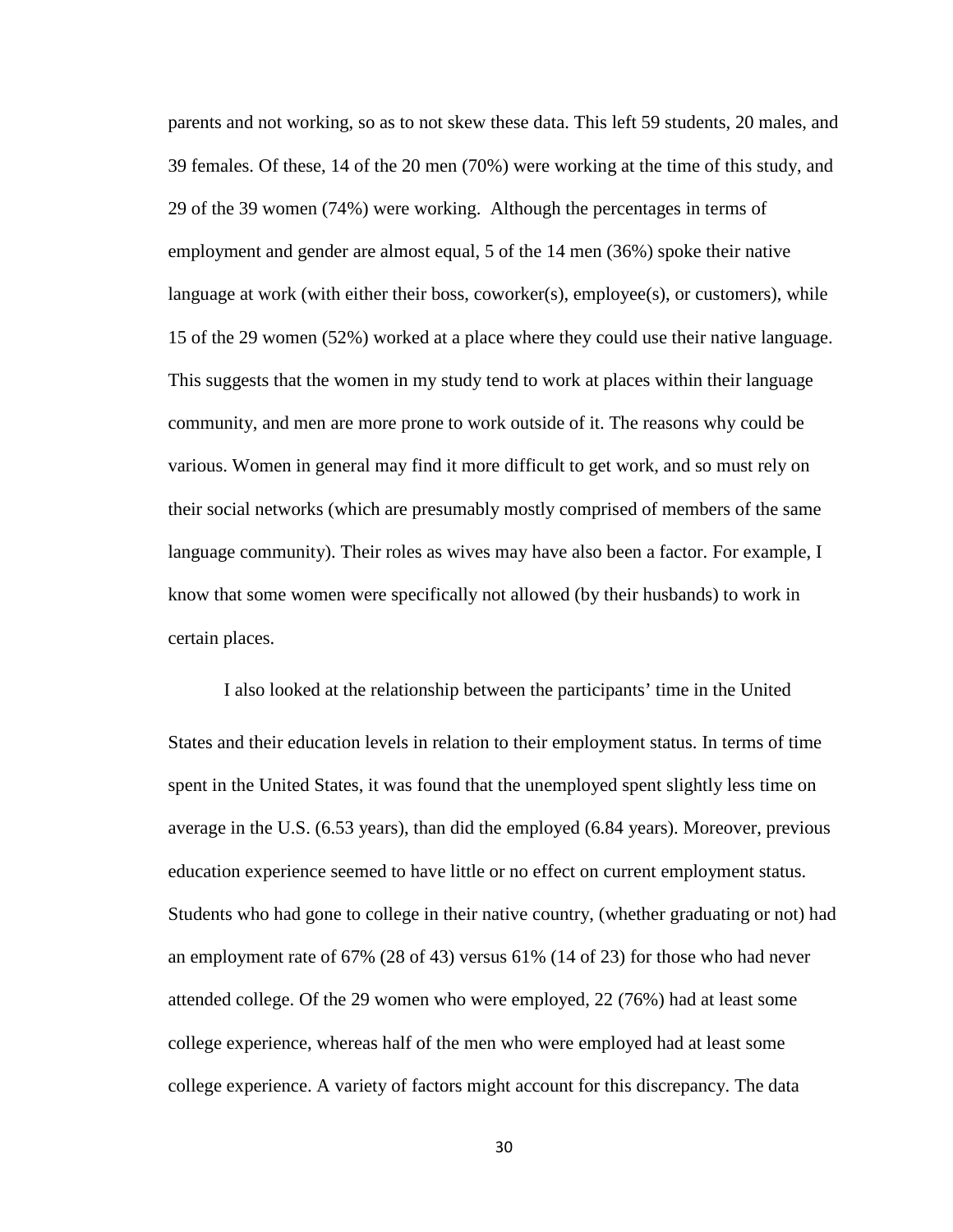parents and not working, so as to not skew these data. This left 59 students, 20 males, and 39 females. Of these, 14 of the 20 men (70%) were working at the time of this study, and 29 of the 39 women (74%) were working. Although the percentages in terms of employment and gender are almost equal, 5 of the 14 men (36%) spoke their native language at work (with either their boss, coworker(s), employee(s), or customers), while 15 of the 29 women (52%) worked at a place where they could use their native language. This suggests that the women in my study tend to work at places within their language community, and men are more prone to work outside of it. The reasons why could be various. Women in general may find it more difficult to get work, and so must rely on their social networks (which are presumably mostly comprised of members of the same language community). Their roles as wives may have also been a factor. For example, I know that some women were specifically not allowed (by their husbands) to work in certain places.

I also looked at the relationship between the participants' time in the United States and their education levels in relation to their employment status. In terms of time spent in the United States, it was found that the unemployed spent slightly less time on average in the U.S. (6.53 years), than did the employed (6.84 years). Moreover, previous education experience seemed to have little or no effect on current employment status. Students who had gone to college in their native country, (whether graduating or not) had an employment rate of 67% (28 of 43) versus 61% (14 of 23) for those who had never attended college. Of the 29 women who were employed, 22 (76%) had at least some college experience, whereas half of the men who were employed had at least some college experience. A variety of factors might account for this discrepancy. The data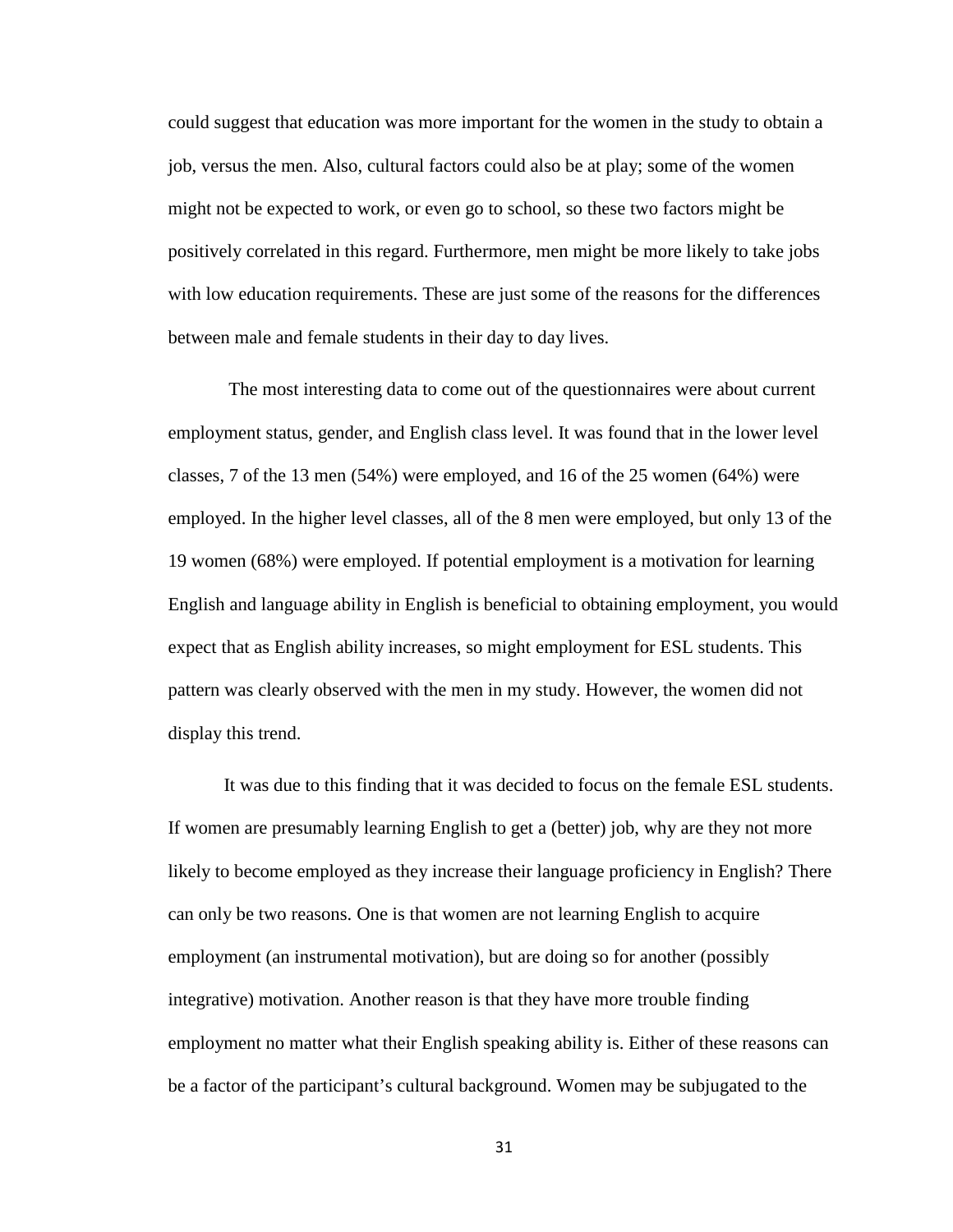could suggest that education was more important for the women in the study to obtain a job, versus the men. Also, cultural factors could also be at play; some of the women might not be expected to work, or even go to school, so these two factors might be positively correlated in this regard. Furthermore, men might be more likely to take jobs with low education requirements. These are just some of the reasons for the differences between male and female students in their day to day lives.

The most interesting data to come out of the questionnaires were about current employment status, gender, and English class level. It was found that in the lower level classes, 7 of the 13 men (54%) were employed, and 16 of the 25 women (64%) were employed. In the higher level classes, all of the 8 men were employed, but only 13 of the 19 women (68%) were employed. If potential employment is a motivation for learning English and language ability in English is beneficial to obtaining employment, you would expect that as English ability increases, so might employment for ESL students. This pattern was clearly observed with the men in my study. However, the women did not display this trend.

It was due to this finding that it was decided to focus on the female ESL students. If women are presumably learning English to get a (better) job, why are they not more likely to become employed as they increase their language proficiency in English? There can only be two reasons. One is that women are not learning English to acquire employment (an instrumental motivation), but are doing so for another (possibly integrative) motivation. Another reason is that they have more trouble finding employment no matter what their English speaking ability is. Either of these reasons can be a factor of the participant's cultural background. Women may be subjugated to the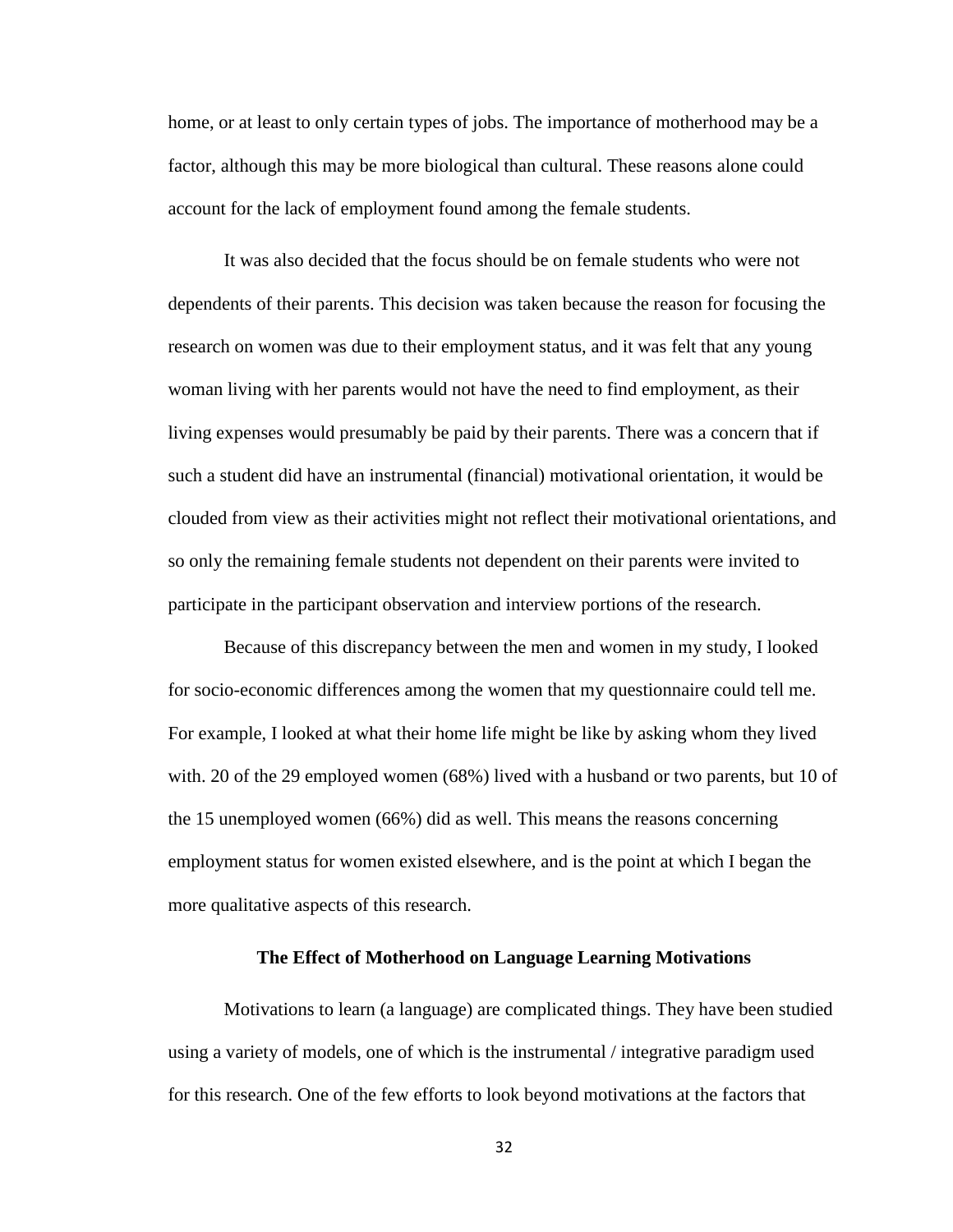home, or at least to only certain types of jobs. The importance of motherhood may be a factor, although this may be more biological than cultural. These reasons alone could account for the lack of employment found among the female students.

It was also decided that the focus should be on female students who were not dependents of their parents. This decision was taken because the reason for focusing the research on women was due to their employment status, and it was felt that any young woman living with her parents would not have the need to find employment, as their living expenses would presumably be paid by their parents. There was a concern that if such a student did have an instrumental (financial) motivational orientation, it would be clouded from view as their activities might not reflect their motivational orientations, and so only the remaining female students not dependent on their parents were invited to participate in the participant observation and interview portions of the research.

Because of this discrepancy between the men and women in my study, I looked for socio-economic differences among the women that my questionnaire could tell me. For example, I looked at what their home life might be like by asking whom they lived with. 20 of the 29 employed women (68%) lived with a husband or two parents, but 10 of the 15 unemployed women (66%) did as well. This means the reasons concerning employment status for women existed elsewhere, and is the point at which I began the more qualitative aspects of this research.

# **The Effect of Motherhood on Language Learning Motivations**

Motivations to learn (a language) are complicated things. They have been studied using a variety of models, one of which is the instrumental / integrative paradigm used for this research. One of the few efforts to look beyond motivations at the factors that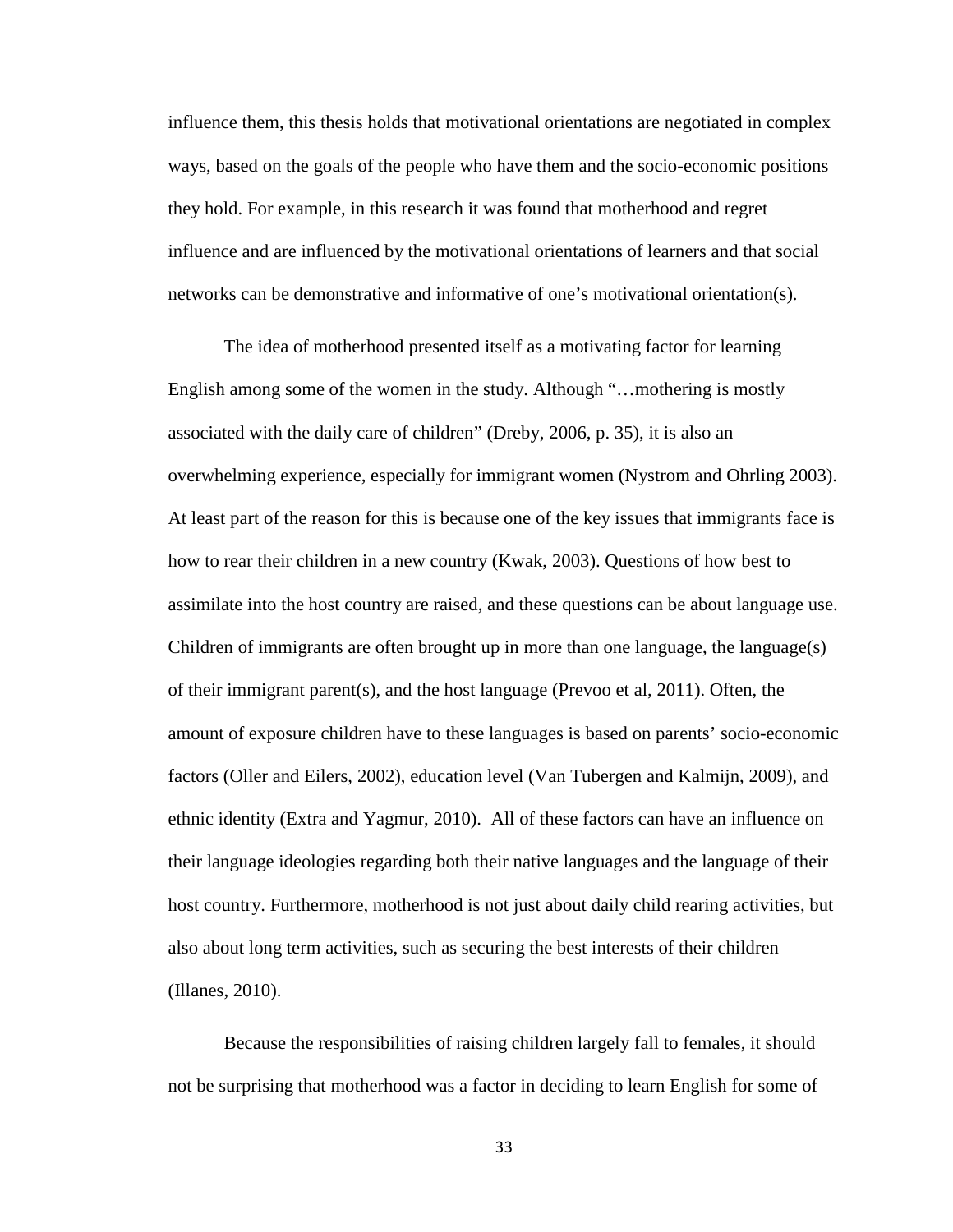influence them, this thesis holds that motivational orientations are negotiated in complex ways, based on the goals of the people who have them and the socio-economic positions they hold. For example, in this research it was found that motherhood and regret influence and are influenced by the motivational orientations of learners and that social networks can be demonstrative and informative of one's motivational orientation(s).

The idea of motherhood presented itself as a motivating factor for learning English among some of the women in the study. Although "…mothering is mostly associated with the daily care of children" (Dreby, 2006, p. 35), it is also an overwhelming experience, especially for immigrant women (Nystrom and Ohrling 2003). At least part of the reason for this is because one of the key issues that immigrants face is how to rear their children in a new country (Kwak, 2003). Questions of how best to assimilate into the host country are raised, and these questions can be about language use. Children of immigrants are often brought up in more than one language, the language(s) of their immigrant parent(s), and the host language (Prevoo et al, 2011). Often, the amount of exposure children have to these languages is based on parents' socio-economic factors (Oller and Eilers, 2002), education level (Van Tubergen and Kalmijn, 2009), and ethnic identity (Extra and Yagmur, 2010). All of these factors can have an influence on their language ideologies regarding both their native languages and the language of their host country. Furthermore, motherhood is not just about daily child rearing activities, but also about long term activities, such as securing the best interests of their children (Illanes, 2010).

Because the responsibilities of raising children largely fall to females, it should not be surprising that motherhood was a factor in deciding to learn English for some of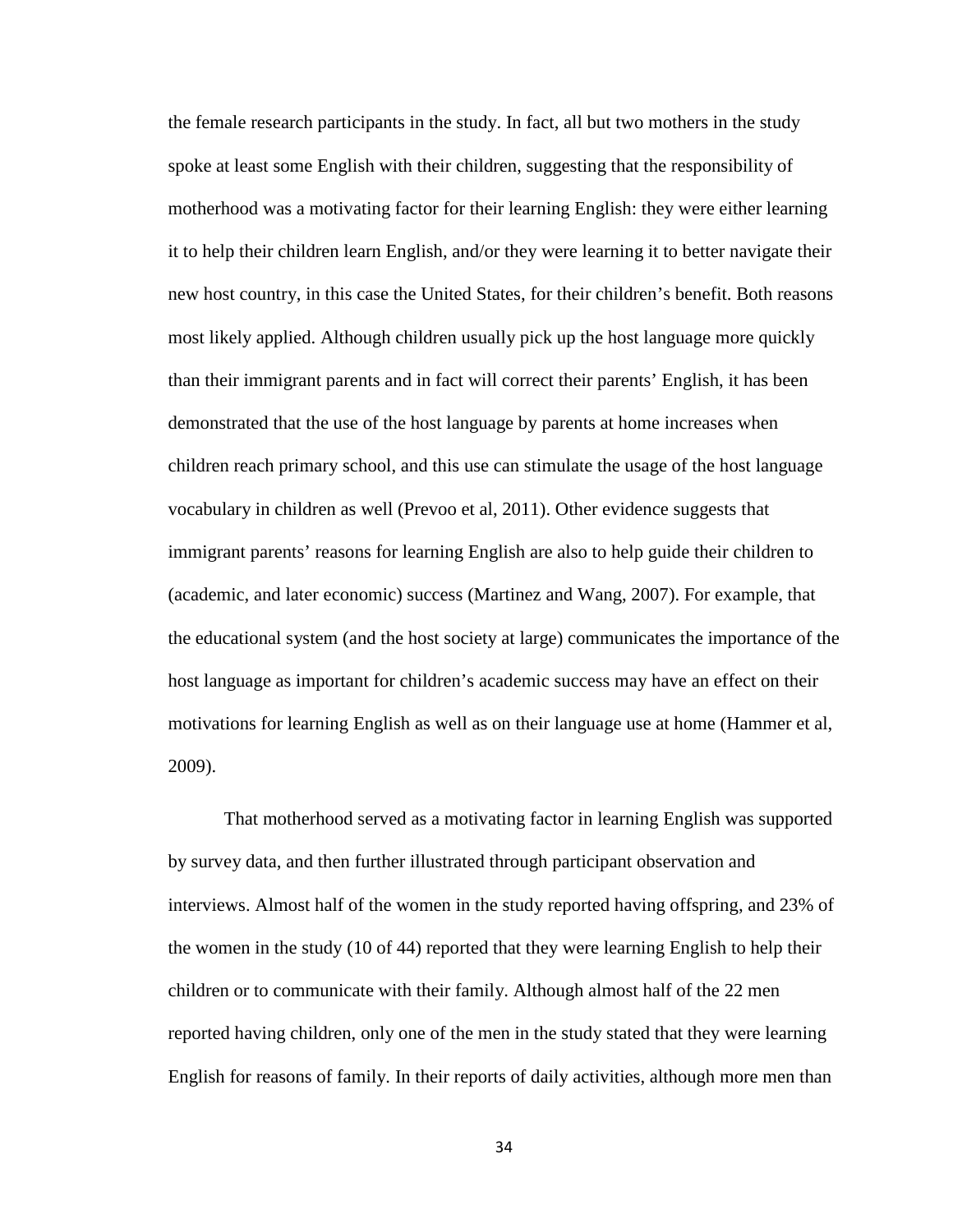the female research participants in the study. In fact, all but two mothers in the study spoke at least some English with their children, suggesting that the responsibility of motherhood was a motivating factor for their learning English: they were either learning it to help their children learn English, and/or they were learning it to better navigate their new host country, in this case the United States, for their children's benefit. Both reasons most likely applied. Although children usually pick up the host language more quickly than their immigrant parents and in fact will correct their parents' English, it has been demonstrated that the use of the host language by parents at home increases when children reach primary school, and this use can stimulate the usage of the host language vocabulary in children as well (Prevoo et al, 2011). Other evidence suggests that immigrant parents' reasons for learning English are also to help guide their children to (academic, and later economic) success (Martinez and Wang, 2007). For example, that the educational system (and the host society at large) communicates the importance of the host language as important for children's academic success may have an effect on their motivations for learning English as well as on their language use at home (Hammer et al, 2009).

That motherhood served as a motivating factor in learning English was supported by survey data, and then further illustrated through participant observation and interviews. Almost half of the women in the study reported having offspring, and 23% of the women in the study (10 of 44) reported that they were learning English to help their children or to communicate with their family. Although almost half of the 22 men reported having children, only one of the men in the study stated that they were learning English for reasons of family. In their reports of daily activities, although more men than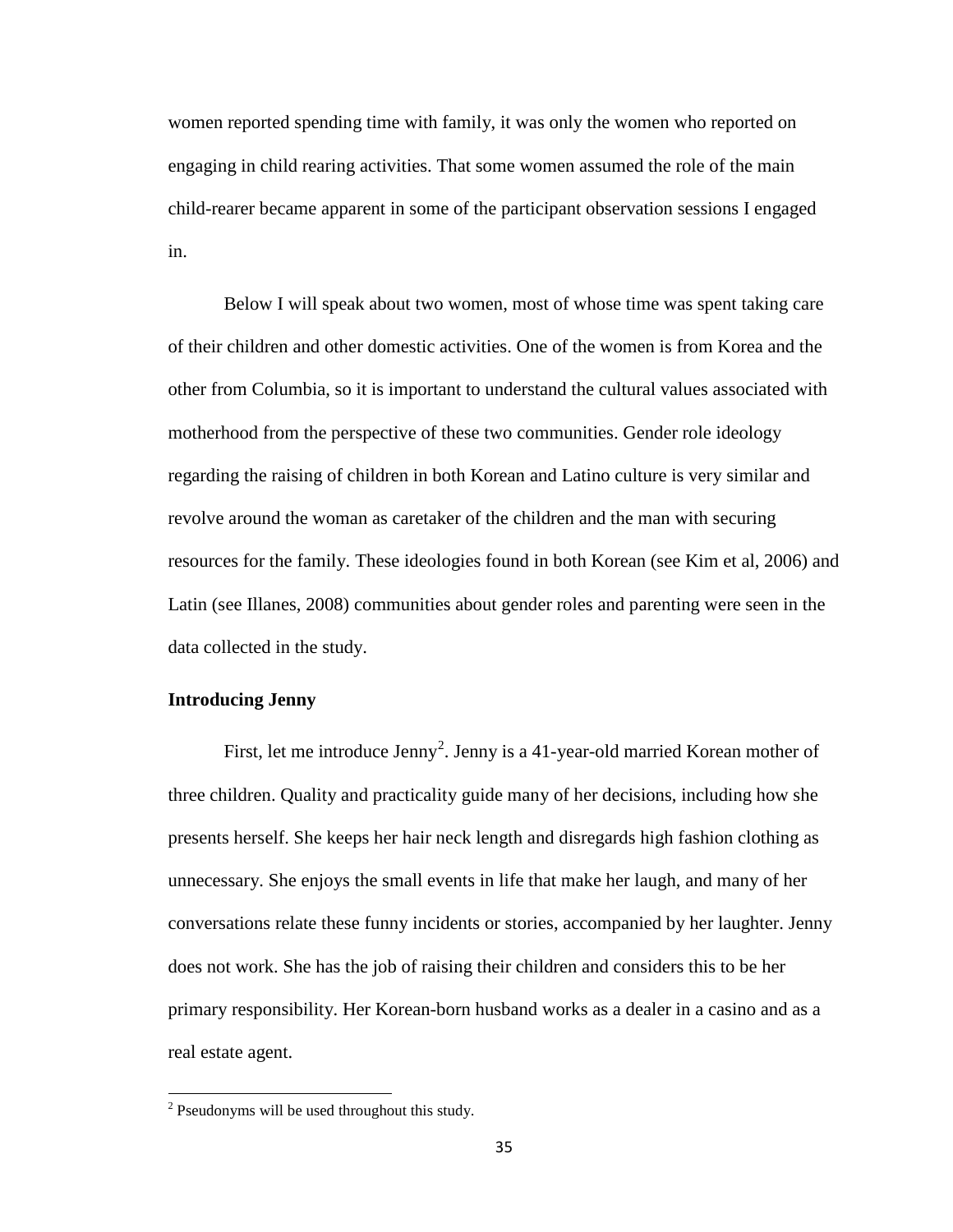women reported spending time with family, it was only the women who reported on engaging in child rearing activities. That some women assumed the role of the main child-rearer became apparent in some of the participant observation sessions I engaged in.

Below I will speak about two women, most of whose time was spent taking care of their children and other domestic activities. One of the women is from Korea and the other from Columbia, so it is important to understand the cultural values associated with motherhood from the perspective of these two communities. Gender role ideology regarding the raising of children in both Korean and Latino culture is very similar and revolve around the woman as caretaker of the children and the man with securing resources for the family. These ideologies found in both Korean (see Kim et al, 2006) and Latin (see Illanes, 2008) communities about gender roles and parenting were seen in the data collected in the study.

## **Introducing Jenny**

First, let me introduce Jenny<sup>[2](#page-43-0)</sup>. Jenny is a 41-year-old married Korean mother of three children. Quality and practicality guide many of her decisions, including how she presents herself. She keeps her hair neck length and disregards high fashion clothing as unnecessary. She enjoys the small events in life that make her laugh, and many of her conversations relate these funny incidents or stories, accompanied by her laughter. Jenny does not work. She has the job of raising their children and considers this to be her primary responsibility. Her Korean-born husband works as a dealer in a casino and as a real estate agent.

<span id="page-43-0"></span><sup>&</sup>lt;sup>2</sup> Pseudonyms will be used throughout this study.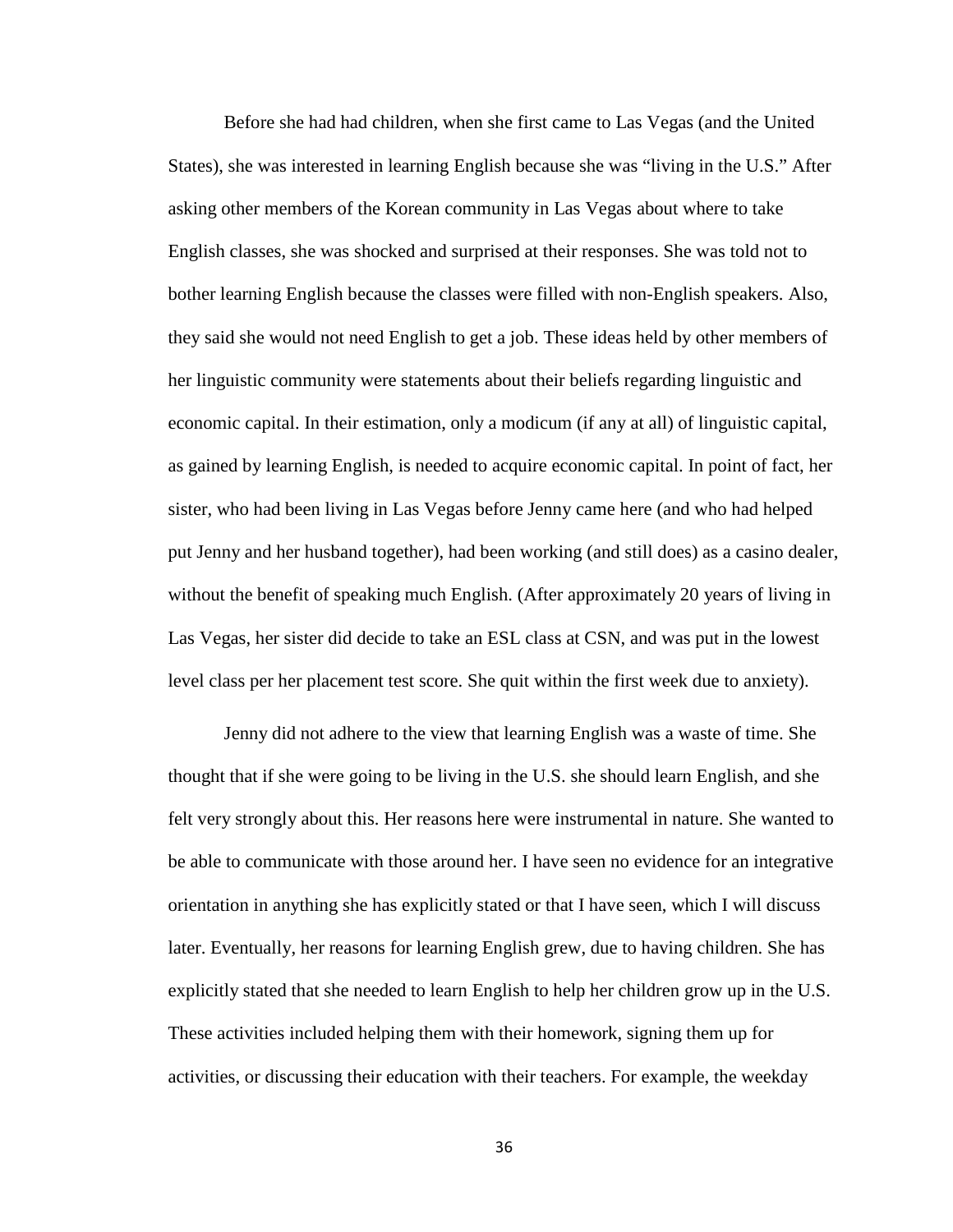Before she had had children, when she first came to Las Vegas (and the United States), she was interested in learning English because she was "living in the U.S." After asking other members of the Korean community in Las Vegas about where to take English classes, she was shocked and surprised at their responses. She was told not to bother learning English because the classes were filled with non-English speakers. Also, they said she would not need English to get a job. These ideas held by other members of her linguistic community were statements about their beliefs regarding linguistic and economic capital. In their estimation, only a modicum (if any at all) of linguistic capital, as gained by learning English, is needed to acquire economic capital. In point of fact, her sister, who had been living in Las Vegas before Jenny came here (and who had helped put Jenny and her husband together), had been working (and still does) as a casino dealer, without the benefit of speaking much English. (After approximately 20 years of living in Las Vegas, her sister did decide to take an ESL class at CSN, and was put in the lowest level class per her placement test score. She quit within the first week due to anxiety).

Jenny did not adhere to the view that learning English was a waste of time. She thought that if she were going to be living in the U.S. she should learn English, and she felt very strongly about this. Her reasons here were instrumental in nature. She wanted to be able to communicate with those around her. I have seen no evidence for an integrative orientation in anything she has explicitly stated or that I have seen, which I will discuss later. Eventually, her reasons for learning English grew, due to having children. She has explicitly stated that she needed to learn English to help her children grow up in the U.S. These activities included helping them with their homework, signing them up for activities, or discussing their education with their teachers. For example, the weekday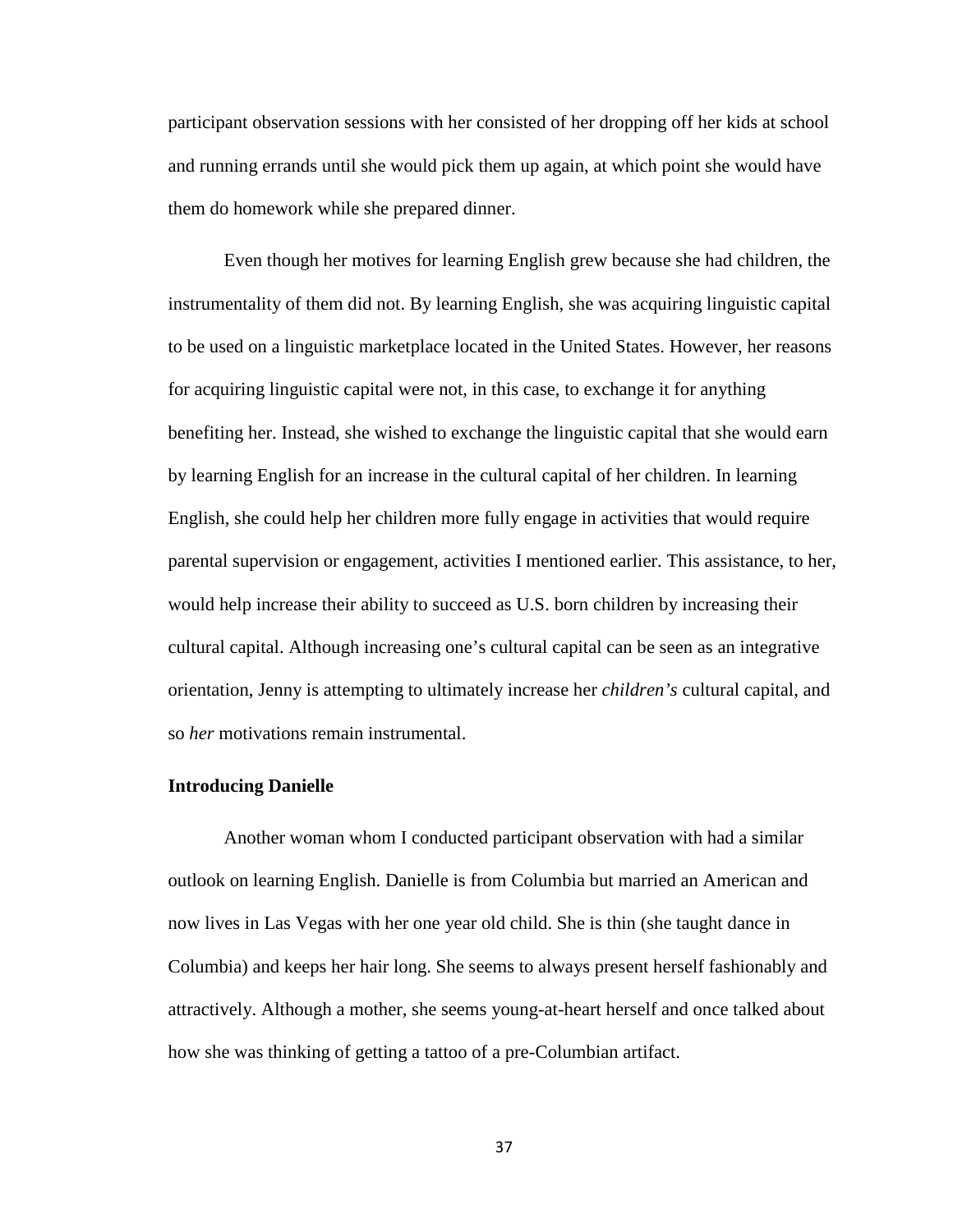participant observation sessions with her consisted of her dropping off her kids at school and running errands until she would pick them up again, at which point she would have them do homework while she prepared dinner.

Even though her motives for learning English grew because she had children, the instrumentality of them did not. By learning English, she was acquiring linguistic capital to be used on a linguistic marketplace located in the United States. However, her reasons for acquiring linguistic capital were not, in this case, to exchange it for anything benefiting her. Instead, she wished to exchange the linguistic capital that she would earn by learning English for an increase in the cultural capital of her children. In learning English, she could help her children more fully engage in activities that would require parental supervision or engagement, activities I mentioned earlier. This assistance, to her, would help increase their ability to succeed as U.S. born children by increasing their cultural capital. Although increasing one's cultural capital can be seen as an integrative orientation, Jenny is attempting to ultimately increase her *children's* cultural capital, and so *her* motivations remain instrumental.

# **Introducing Danielle**

Another woman whom I conducted participant observation with had a similar outlook on learning English. Danielle is from Columbia but married an American and now lives in Las Vegas with her one year old child. She is thin (she taught dance in Columbia) and keeps her hair long. She seems to always present herself fashionably and attractively. Although a mother, she seems young-at-heart herself and once talked about how she was thinking of getting a tattoo of a pre-Columbian artifact.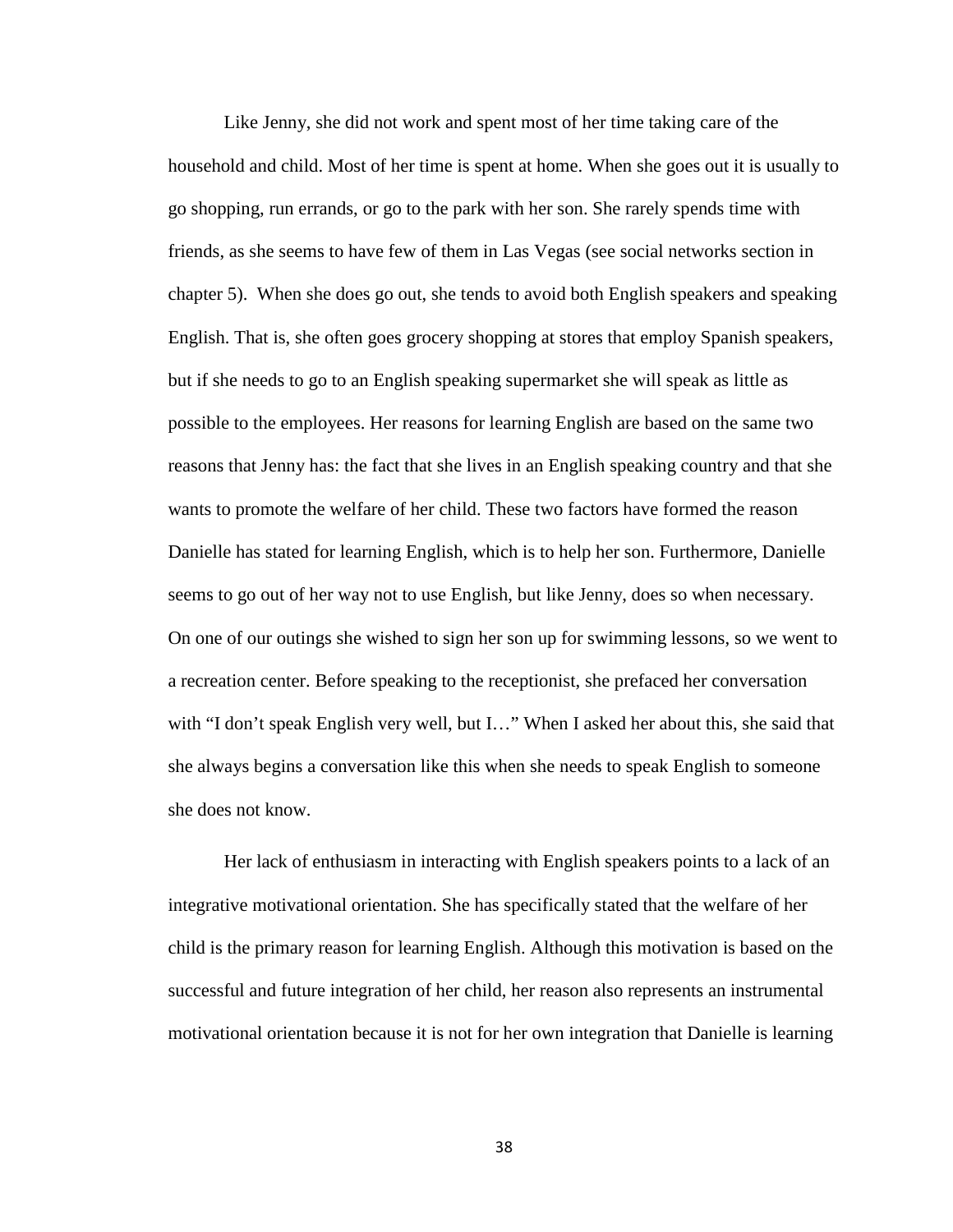Like Jenny, she did not work and spent most of her time taking care of the household and child. Most of her time is spent at home. When she goes out it is usually to go shopping, run errands, or go to the park with her son. She rarely spends time with friends, as she seems to have few of them in Las Vegas (see social networks section in chapter 5). When she does go out, she tends to avoid both English speakers and speaking English. That is, she often goes grocery shopping at stores that employ Spanish speakers, but if she needs to go to an English speaking supermarket she will speak as little as possible to the employees. Her reasons for learning English are based on the same two reasons that Jenny has: the fact that she lives in an English speaking country and that she wants to promote the welfare of her child. These two factors have formed the reason Danielle has stated for learning English, which is to help her son. Furthermore, Danielle seems to go out of her way not to use English, but like Jenny, does so when necessary. On one of our outings she wished to sign her son up for swimming lessons, so we went to a recreation center. Before speaking to the receptionist, she prefaced her conversation with "I don't speak English very well, but I..." When I asked her about this, she said that she always begins a conversation like this when she needs to speak English to someone she does not know.

Her lack of enthusiasm in interacting with English speakers points to a lack of an integrative motivational orientation. She has specifically stated that the welfare of her child is the primary reason for learning English. Although this motivation is based on the successful and future integration of her child, her reason also represents an instrumental motivational orientation because it is not for her own integration that Danielle is learning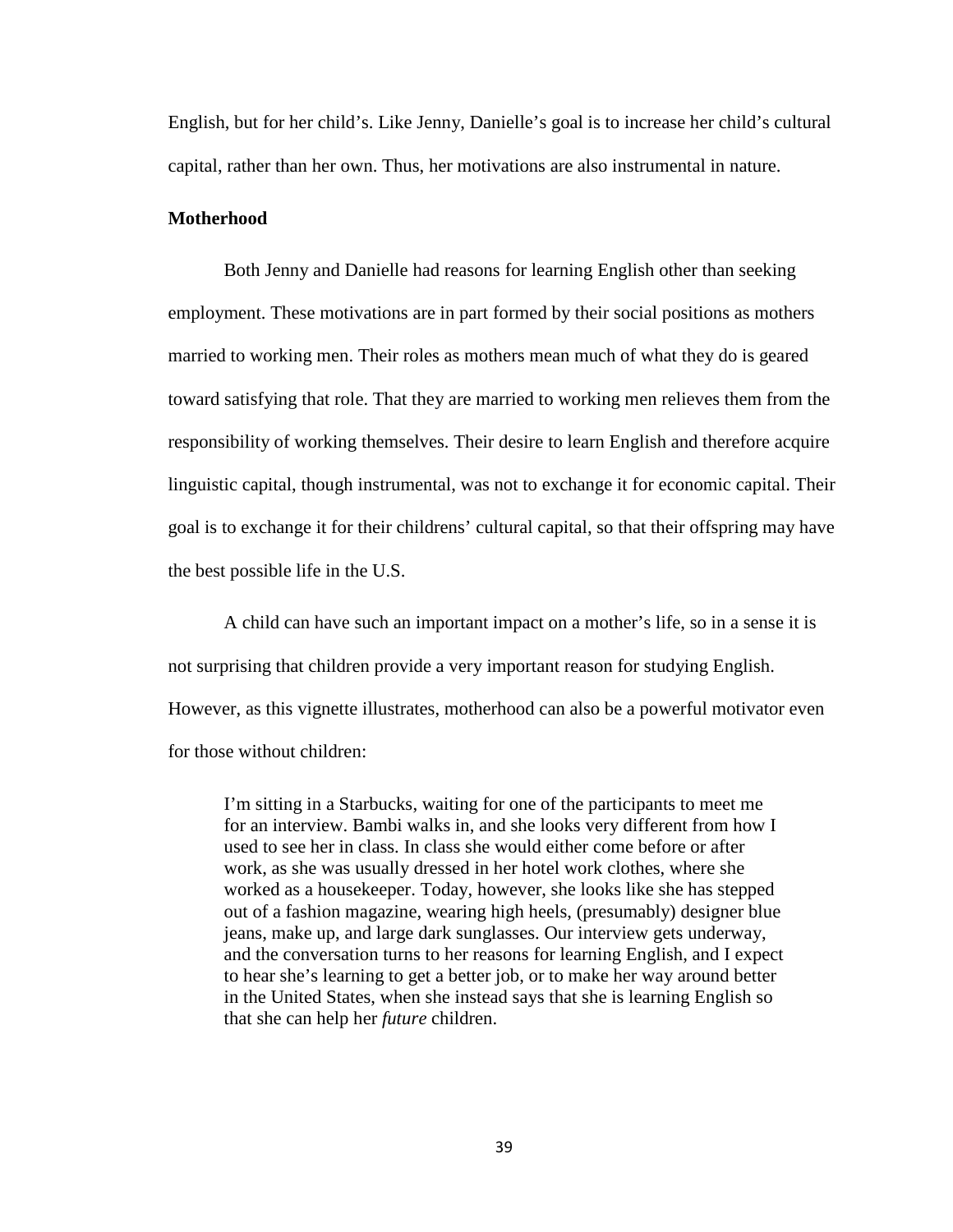English, but for her child's. Like Jenny, Danielle's goal is to increase her child's cultural capital, rather than her own. Thus, her motivations are also instrumental in nature.

# **Motherhood**

Both Jenny and Danielle had reasons for learning English other than seeking employment. These motivations are in part formed by their social positions as mothers married to working men. Their roles as mothers mean much of what they do is geared toward satisfying that role. That they are married to working men relieves them from the responsibility of working themselves. Their desire to learn English and therefore acquire linguistic capital, though instrumental, was not to exchange it for economic capital. Their goal is to exchange it for their childrens' cultural capital, so that their offspring may have the best possible life in the U.S.

A child can have such an important impact on a mother's life, so in a sense it is not surprising that children provide a very important reason for studying English. However, as this vignette illustrates, motherhood can also be a powerful motivator even for those without children:

I'm sitting in a Starbucks, waiting for one of the participants to meet me for an interview. Bambi walks in, and she looks very different from how I used to see her in class. In class she would either come before or after work, as she was usually dressed in her hotel work clothes, where she worked as a housekeeper. Today, however, she looks like she has stepped out of a fashion magazine, wearing high heels, (presumably) designer blue jeans, make up, and large dark sunglasses. Our interview gets underway, and the conversation turns to her reasons for learning English, and I expect to hear she's learning to get a better job, or to make her way around better in the United States, when she instead says that she is learning English so that she can help her *future* children.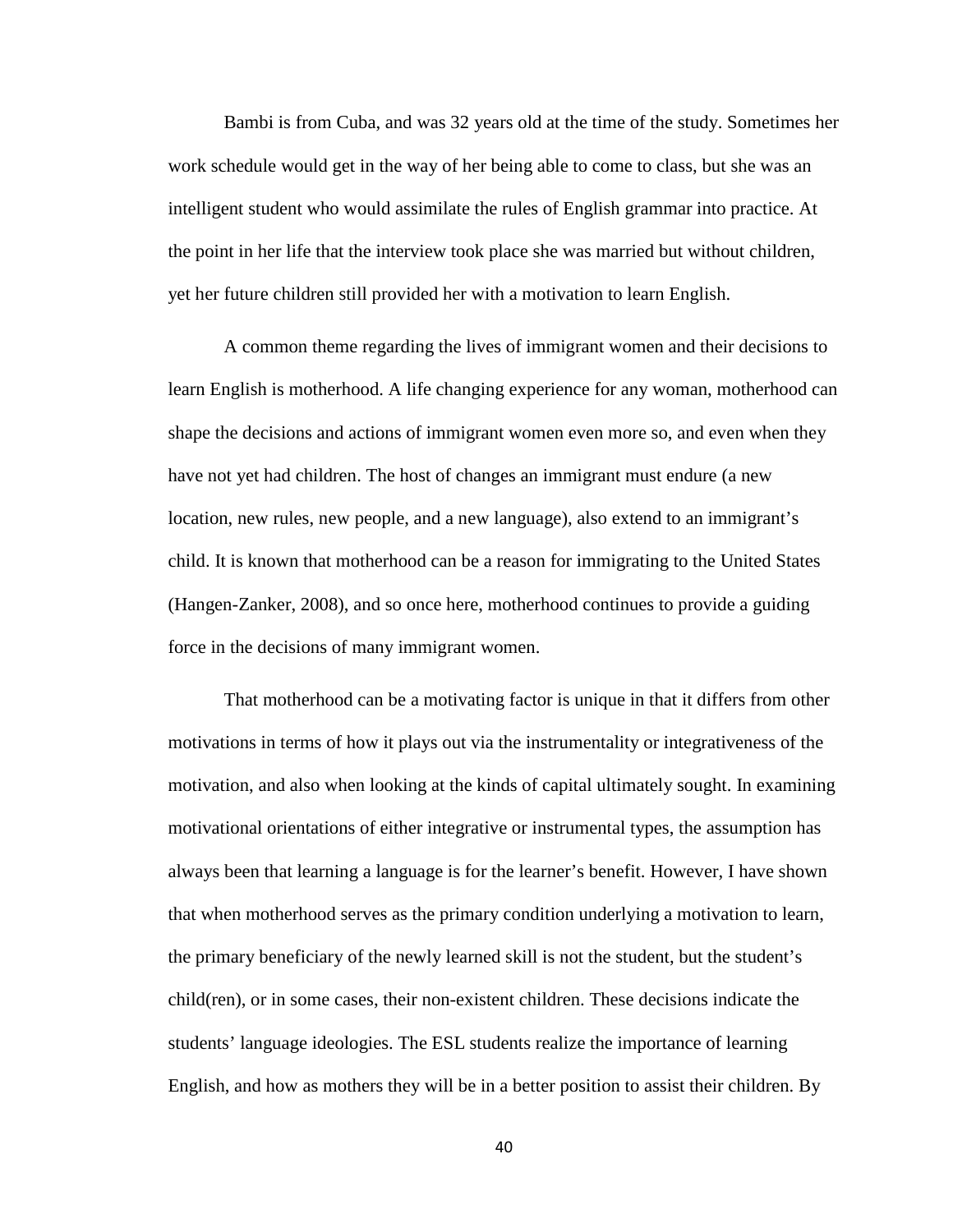Bambi is from Cuba, and was 32 years old at the time of the study. Sometimes her work schedule would get in the way of her being able to come to class, but she was an intelligent student who would assimilate the rules of English grammar into practice. At the point in her life that the interview took place she was married but without children, yet her future children still provided her with a motivation to learn English.

A common theme regarding the lives of immigrant women and their decisions to learn English is motherhood. A life changing experience for any woman, motherhood can shape the decisions and actions of immigrant women even more so, and even when they have not yet had children. The host of changes an immigrant must endure (a new location, new rules, new people, and a new language), also extend to an immigrant's child. It is known that motherhood can be a reason for immigrating to the United States (Hangen-Zanker, 2008), and so once here, motherhood continues to provide a guiding force in the decisions of many immigrant women.

That motherhood can be a motivating factor is unique in that it differs from other motivations in terms of how it plays out via the instrumentality or integrativeness of the motivation, and also when looking at the kinds of capital ultimately sought. In examining motivational orientations of either integrative or instrumental types, the assumption has always been that learning a language is for the learner's benefit. However, I have shown that when motherhood serves as the primary condition underlying a motivation to learn, the primary beneficiary of the newly learned skill is not the student, but the student's child(ren), or in some cases, their non-existent children. These decisions indicate the students' language ideologies. The ESL students realize the importance of learning English, and how as mothers they will be in a better position to assist their children. By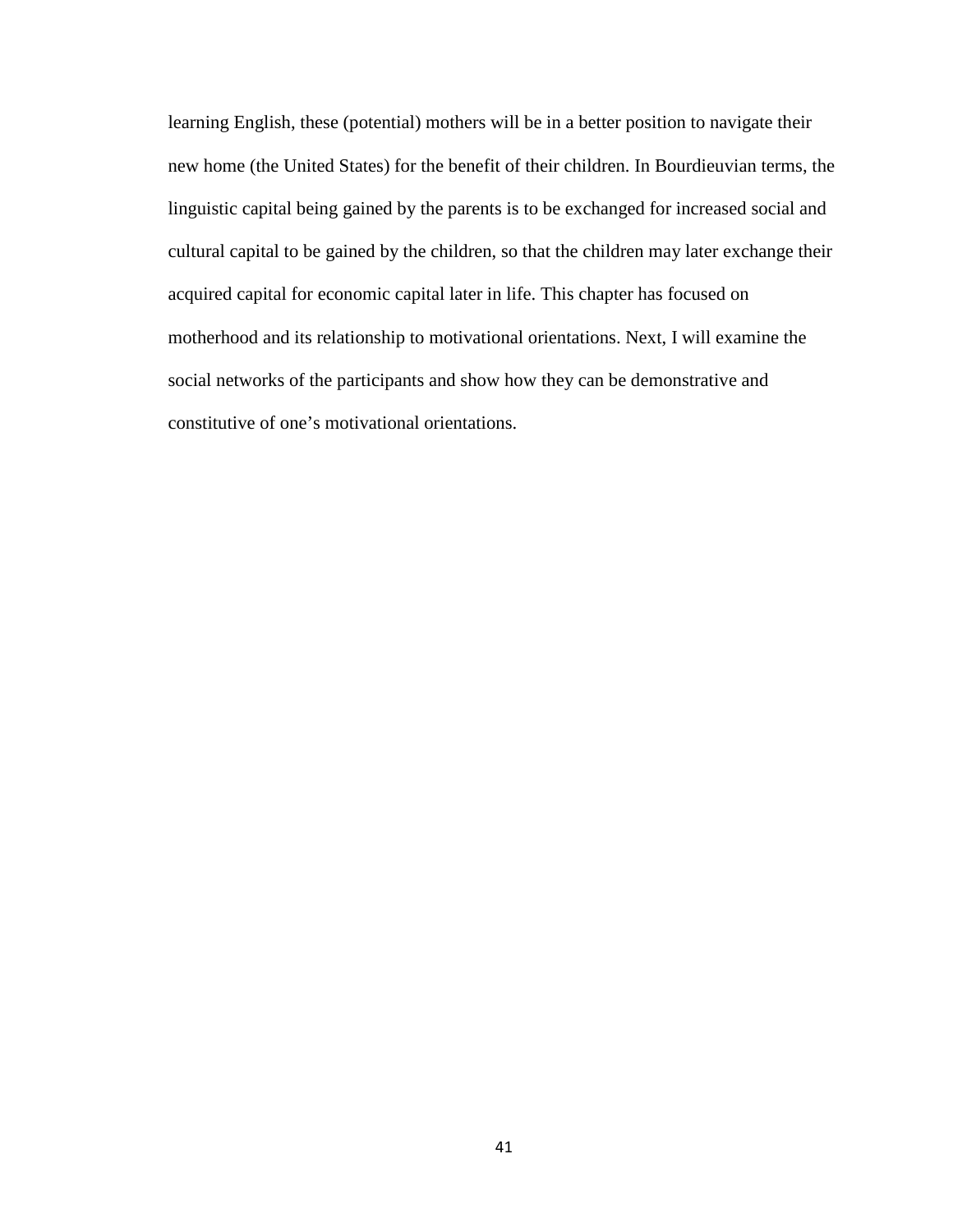learning English, these (potential) mothers will be in a better position to navigate their new home (the United States) for the benefit of their children. In Bourdieuvian terms, the linguistic capital being gained by the parents is to be exchanged for increased social and cultural capital to be gained by the children, so that the children may later exchange their acquired capital for economic capital later in life. This chapter has focused on motherhood and its relationship to motivational orientations. Next, I will examine the social networks of the participants and show how they can be demonstrative and constitutive of one's motivational orientations.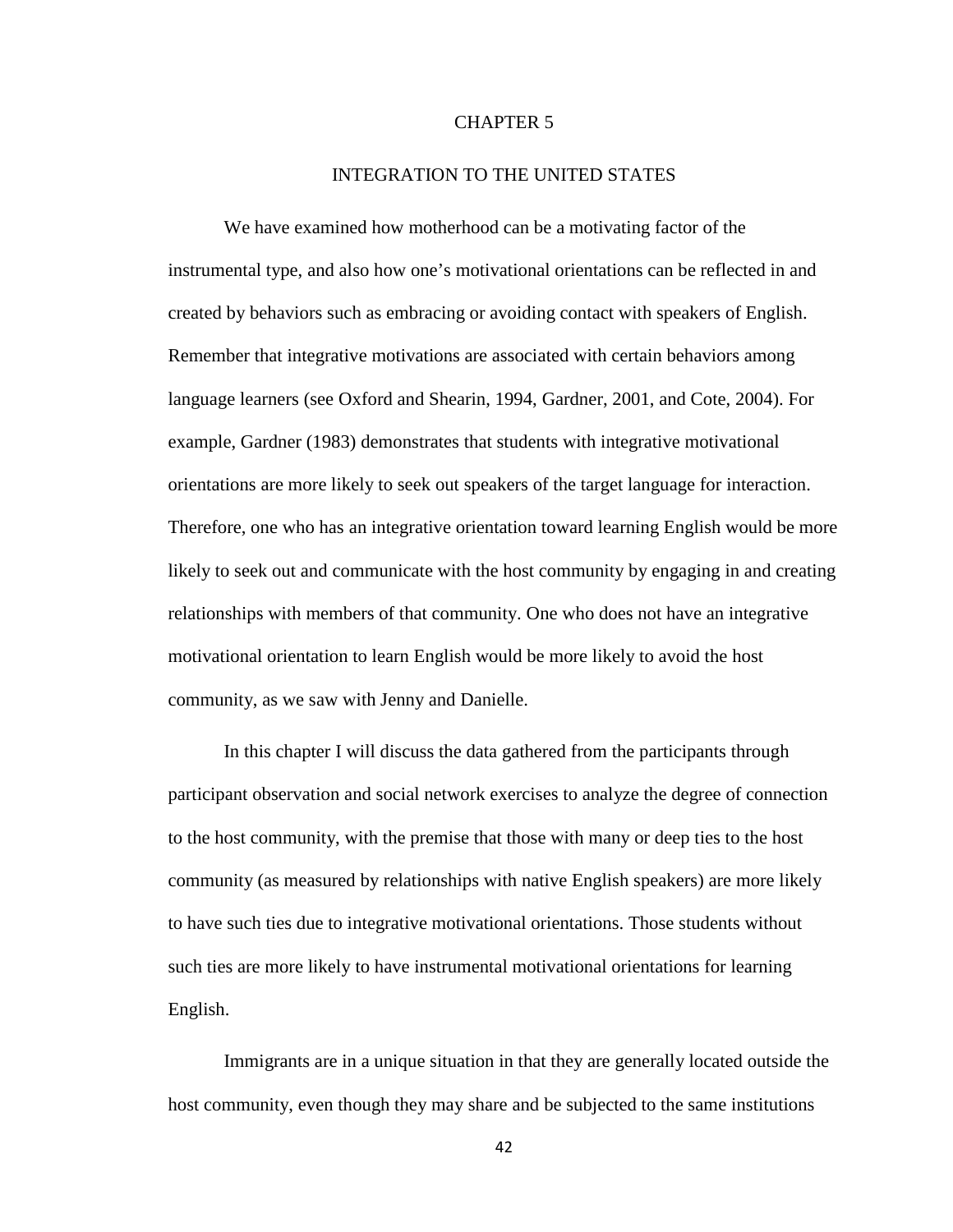#### CHAPTER 5

# INTEGRATION TO THE UNITED STATES

We have examined how motherhood can be a motivating factor of the instrumental type, and also how one's motivational orientations can be reflected in and created by behaviors such as embracing or avoiding contact with speakers of English. Remember that integrative motivations are associated with certain behaviors among language learners (see Oxford and Shearin, 1994, Gardner, 2001, and Cote, 2004). For example, Gardner (1983) demonstrates that students with integrative motivational orientations are more likely to seek out speakers of the target language for interaction. Therefore, one who has an integrative orientation toward learning English would be more likely to seek out and communicate with the host community by engaging in and creating relationships with members of that community. One who does not have an integrative motivational orientation to learn English would be more likely to avoid the host community, as we saw with Jenny and Danielle.

In this chapter I will discuss the data gathered from the participants through participant observation and social network exercises to analyze the degree of connection to the host community, with the premise that those with many or deep ties to the host community (as measured by relationships with native English speakers) are more likely to have such ties due to integrative motivational orientations. Those students without such ties are more likely to have instrumental motivational orientations for learning English.

Immigrants are in a unique situation in that they are generally located outside the host community, even though they may share and be subjected to the same institutions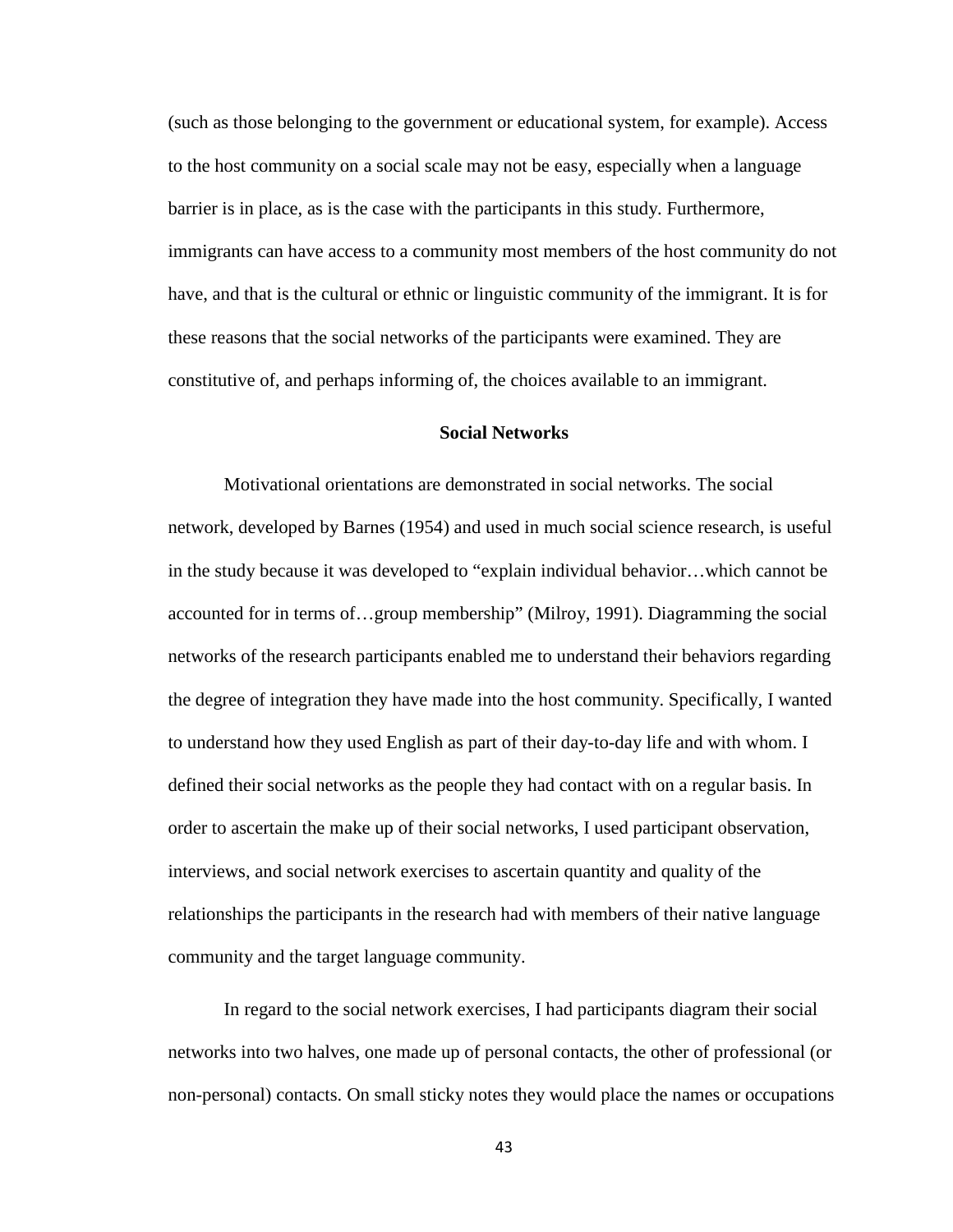(such as those belonging to the government or educational system, for example). Access to the host community on a social scale may not be easy, especially when a language barrier is in place, as is the case with the participants in this study. Furthermore, immigrants can have access to a community most members of the host community do not have, and that is the cultural or ethnic or linguistic community of the immigrant. It is for these reasons that the social networks of the participants were examined. They are constitutive of, and perhaps informing of, the choices available to an immigrant.

## **Social Networks**

Motivational orientations are demonstrated in social networks. The social network, developed by Barnes (1954) and used in much social science research, is useful in the study because it was developed to "explain individual behavior…which cannot be accounted for in terms of…group membership" (Milroy, 1991). Diagramming the social networks of the research participants enabled me to understand their behaviors regarding the degree of integration they have made into the host community. Specifically, I wanted to understand how they used English as part of their day-to-day life and with whom. I defined their social networks as the people they had contact with on a regular basis. In order to ascertain the make up of their social networks, I used participant observation, interviews, and social network exercises to ascertain quantity and quality of the relationships the participants in the research had with members of their native language community and the target language community.

In regard to the social network exercises, I had participants diagram their social networks into two halves, one made up of personal contacts, the other of professional (or non-personal) contacts. On small sticky notes they would place the names or occupations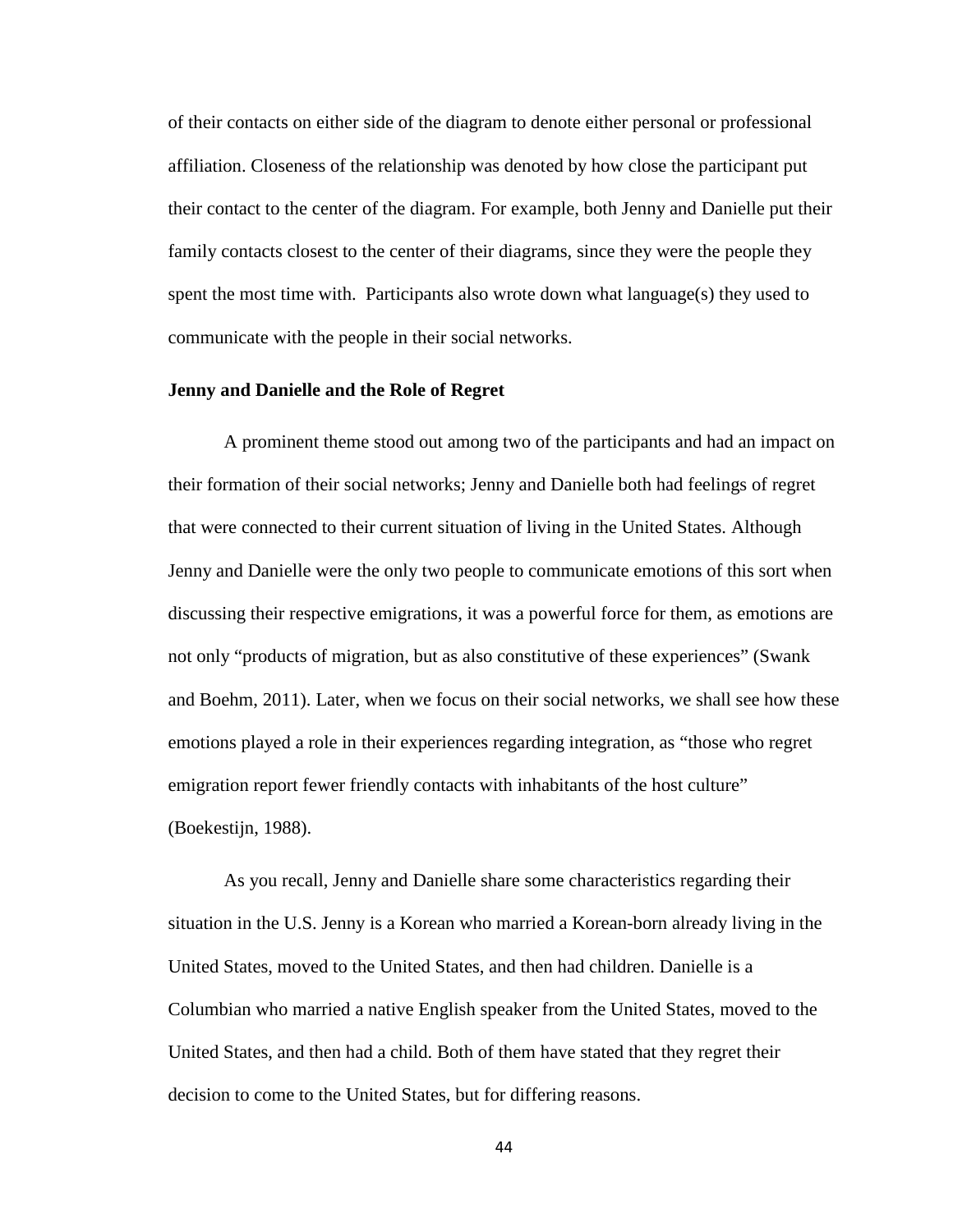of their contacts on either side of the diagram to denote either personal or professional affiliation. Closeness of the relationship was denoted by how close the participant put their contact to the center of the diagram. For example, both Jenny and Danielle put their family contacts closest to the center of their diagrams, since they were the people they spent the most time with. Participants also wrote down what language(s) they used to communicate with the people in their social networks.

#### **Jenny and Danielle and the Role of Regret**

A prominent theme stood out among two of the participants and had an impact on their formation of their social networks; Jenny and Danielle both had feelings of regret that were connected to their current situation of living in the United States. Although Jenny and Danielle were the only two people to communicate emotions of this sort when discussing their respective emigrations, it was a powerful force for them, as emotions are not only "products of migration, but as also constitutive of these experiences" (Swank and Boehm, 2011). Later, when we focus on their social networks, we shall see how these emotions played a role in their experiences regarding integration, as "those who regret emigration report fewer friendly contacts with inhabitants of the host culture" (Boekestijn, 1988).

As you recall, Jenny and Danielle share some characteristics regarding their situation in the U.S. Jenny is a Korean who married a Korean-born already living in the United States, moved to the United States, and then had children. Danielle is a Columbian who married a native English speaker from the United States, moved to the United States, and then had a child. Both of them have stated that they regret their decision to come to the United States, but for differing reasons.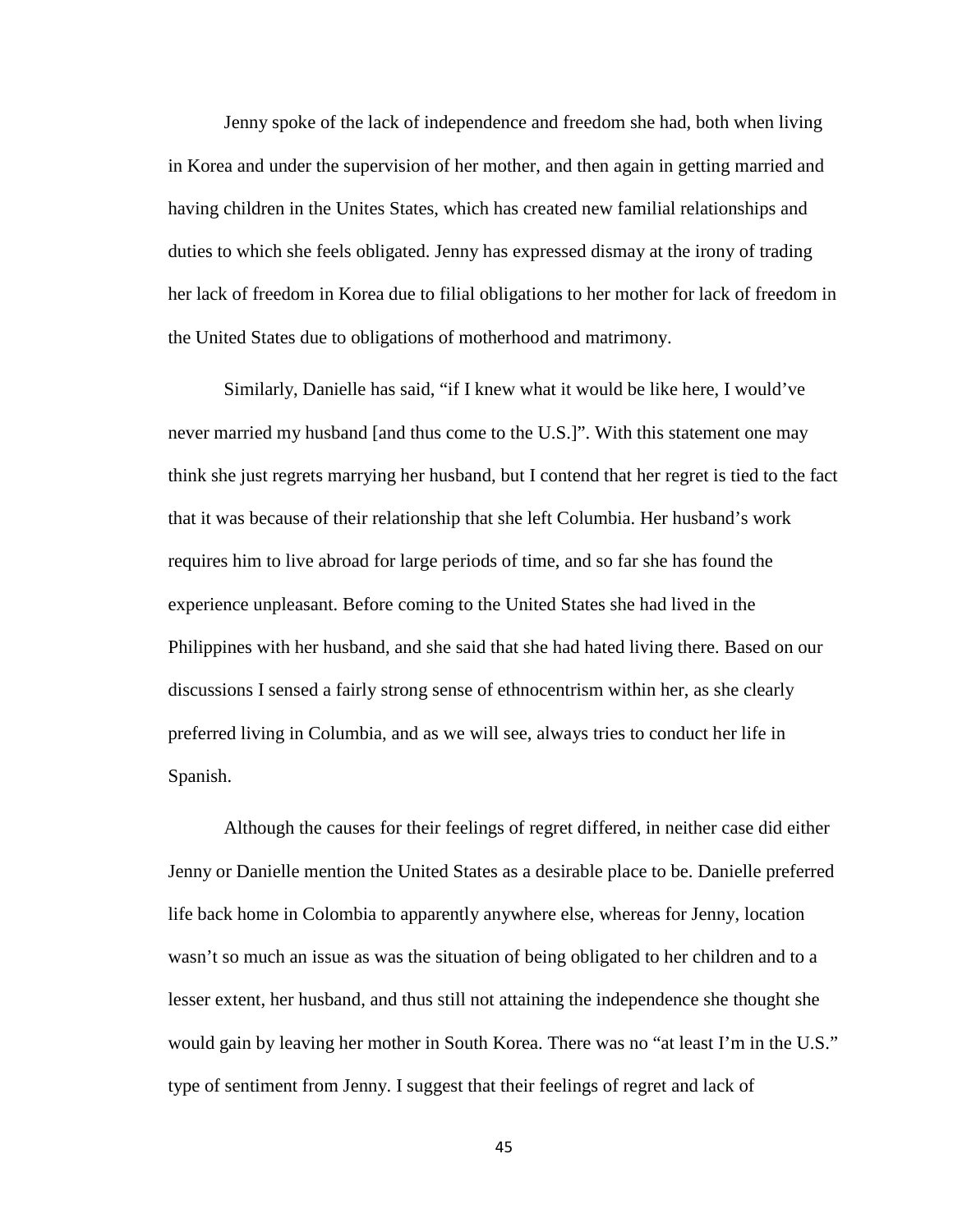Jenny spoke of the lack of independence and freedom she had, both when living in Korea and under the supervision of her mother, and then again in getting married and having children in the Unites States, which has created new familial relationships and duties to which she feels obligated. Jenny has expressed dismay at the irony of trading her lack of freedom in Korea due to filial obligations to her mother for lack of freedom in the United States due to obligations of motherhood and matrimony.

Similarly, Danielle has said, "if I knew what it would be like here, I would've never married my husband [and thus come to the U.S.]". With this statement one may think she just regrets marrying her husband, but I contend that her regret is tied to the fact that it was because of their relationship that she left Columbia. Her husband's work requires him to live abroad for large periods of time, and so far she has found the experience unpleasant. Before coming to the United States she had lived in the Philippines with her husband, and she said that she had hated living there. Based on our discussions I sensed a fairly strong sense of ethnocentrism within her, as she clearly preferred living in Columbia, and as we will see, always tries to conduct her life in Spanish.

Although the causes for their feelings of regret differed, in neither case did either Jenny or Danielle mention the United States as a desirable place to be. Danielle preferred life back home in Colombia to apparently anywhere else, whereas for Jenny, location wasn't so much an issue as was the situation of being obligated to her children and to a lesser extent, her husband, and thus still not attaining the independence she thought she would gain by leaving her mother in South Korea. There was no "at least I'm in the U.S." type of sentiment from Jenny. I suggest that their feelings of regret and lack of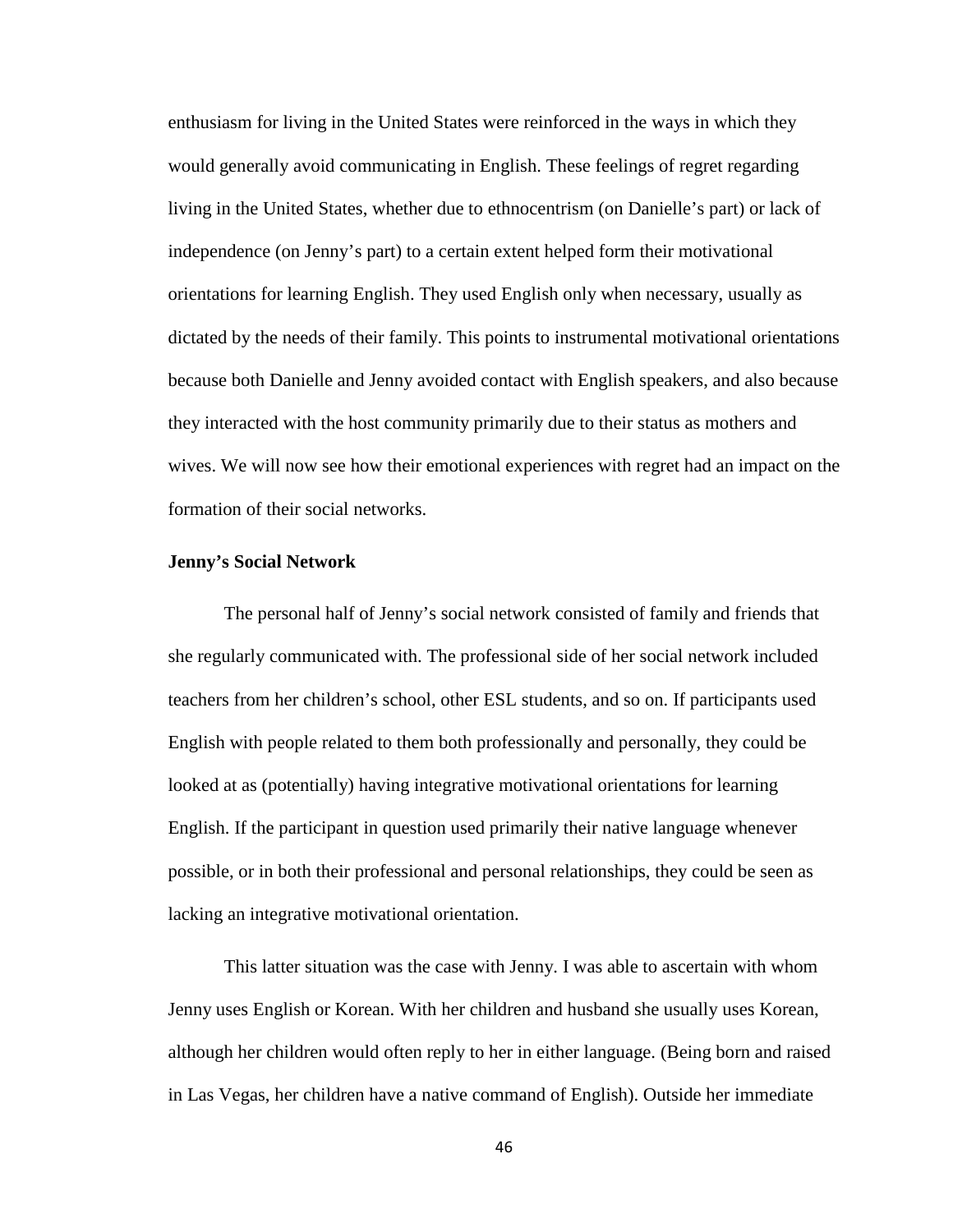enthusiasm for living in the United States were reinforced in the ways in which they would generally avoid communicating in English. These feelings of regret regarding living in the United States, whether due to ethnocentrism (on Danielle's part) or lack of independence (on Jenny's part) to a certain extent helped form their motivational orientations for learning English. They used English only when necessary, usually as dictated by the needs of their family. This points to instrumental motivational orientations because both Danielle and Jenny avoided contact with English speakers, and also because they interacted with the host community primarily due to their status as mothers and wives. We will now see how their emotional experiences with regret had an impact on the formation of their social networks.

#### **Jenny's Social Network**

The personal half of Jenny's social network consisted of family and friends that she regularly communicated with. The professional side of her social network included teachers from her children's school, other ESL students, and so on. If participants used English with people related to them both professionally and personally, they could be looked at as (potentially) having integrative motivational orientations for learning English. If the participant in question used primarily their native language whenever possible, or in both their professional and personal relationships, they could be seen as lacking an integrative motivational orientation.

This latter situation was the case with Jenny. I was able to ascertain with whom Jenny uses English or Korean. With her children and husband she usually uses Korean, although her children would often reply to her in either language. (Being born and raised in Las Vegas, her children have a native command of English). Outside her immediate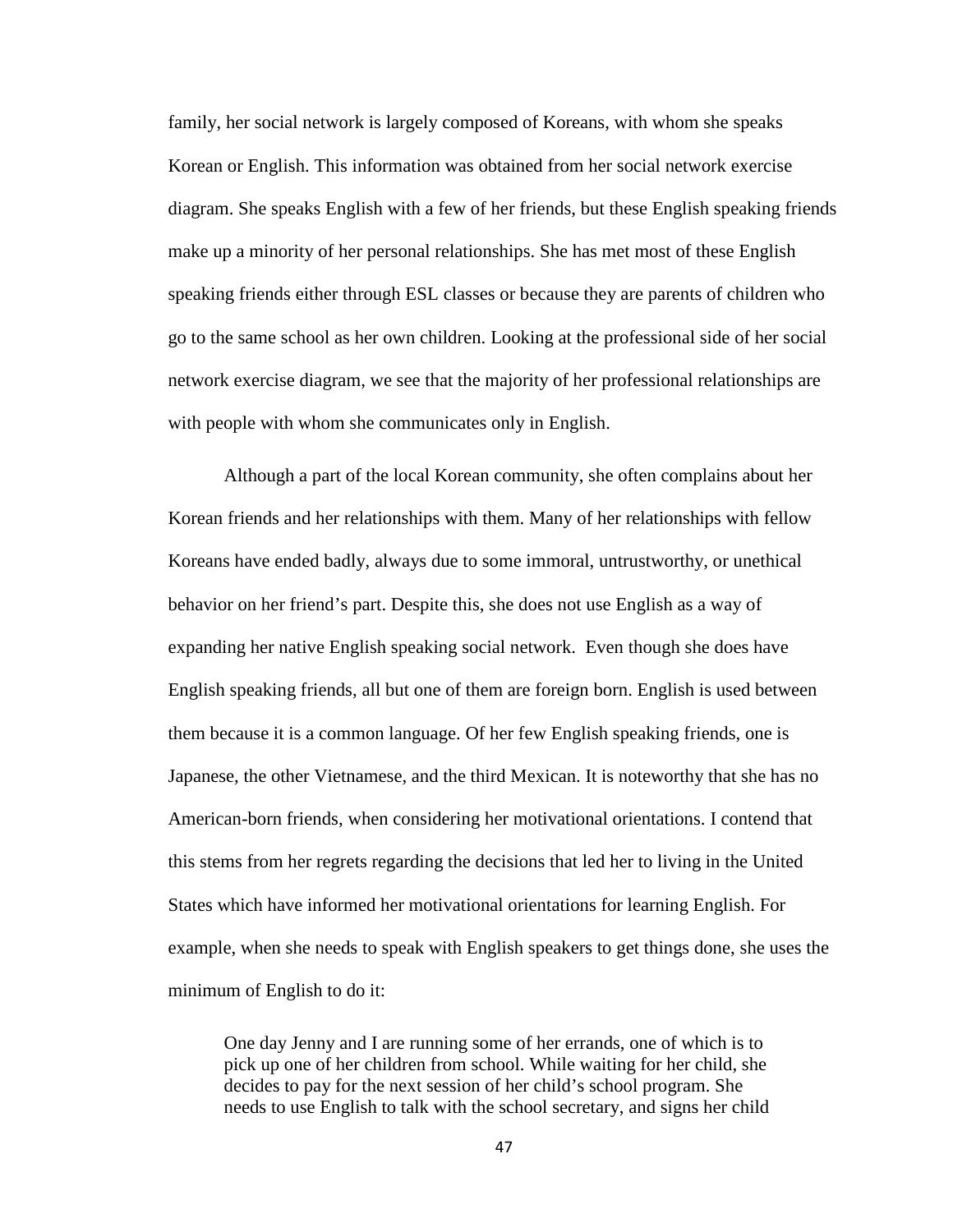family, her social network is largely composed of Koreans, with whom she speaks Korean or English. This information was obtained from her social network exercise diagram. She speaks English with a few of her friends, but these English speaking friends make up a minority of her personal relationships. She has met most of these English speaking friends either through ESL classes or because they are parents of children who go to the same school as her own children. Looking at the professional side of her social network exercise diagram, we see that the majority of her professional relationships are with people with whom she communicates only in English.

Although a part of the local Korean community, she often complains about her Korean friends and her relationships with them. Many of her relationships with fellow Koreans have ended badly, always due to some immoral, untrustworthy, or unethical behavior on her friend's part. Despite this, she does not use English as a way of expanding her native English speaking social network. Even though she does have English speaking friends, all but one of them are foreign born. English is used between them because it is a common language. Of her few English speaking friends, one is Japanese, the other Vietnamese, and the third Mexican. It is noteworthy that she has no American-born friends, when considering her motivational orientations. I contend that this stems from her regrets regarding the decisions that led her to living in the United States which have informed her motivational orientations for learning English. For example, when she needs to speak with English speakers to get things done, she uses the minimum of English to do it:

One day Jenny and I are running some of her errands, one of which is to pick up one of her children from school. While waiting for her child, she decides to pay for the next session of her child's school program. She needs to use English to talk with the school secretary, and signs her child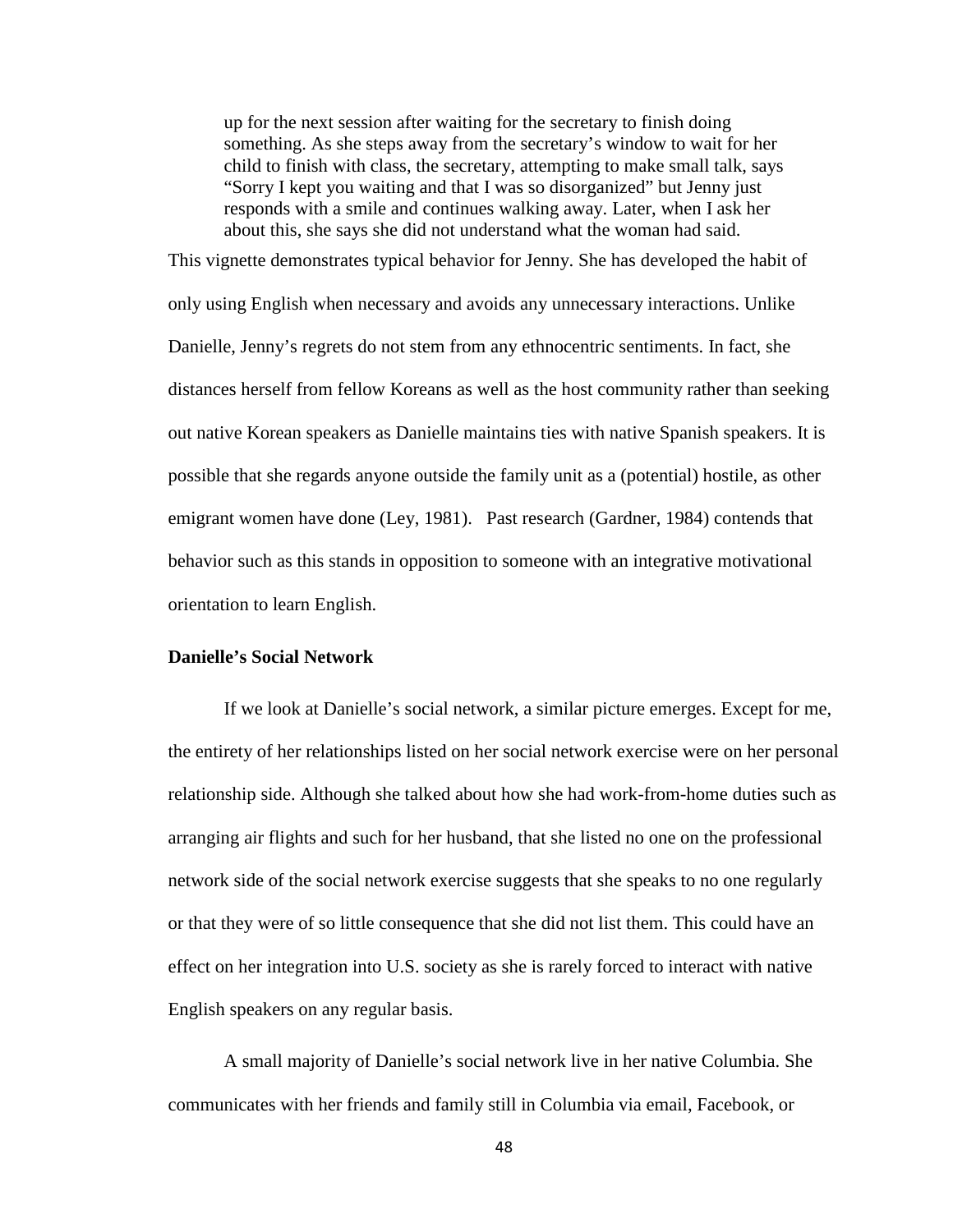up for the next session after waiting for the secretary to finish doing something. As she steps away from the secretary's window to wait for her child to finish with class, the secretary, attempting to make small talk, says "Sorry I kept you waiting and that I was so disorganized" but Jenny just responds with a smile and continues walking away. Later, when I ask her about this, she says she did not understand what the woman had said.

This vignette demonstrates typical behavior for Jenny. She has developed the habit of only using English when necessary and avoids any unnecessary interactions. Unlike Danielle, Jenny's regrets do not stem from any ethnocentric sentiments. In fact, she distances herself from fellow Koreans as well as the host community rather than seeking out native Korean speakers as Danielle maintains ties with native Spanish speakers. It is possible that she regards anyone outside the family unit as a (potential) hostile, as other emigrant women have done (Ley, 1981).Past research (Gardner, 1984) contends that behavior such as this stands in opposition to someone with an integrative motivational orientation to learn English.

## **Danielle's Social Network**

If we look at Danielle's social network, a similar picture emerges. Except for me, the entirety of her relationships listed on her social network exercise were on her personal relationship side. Although she talked about how she had work-from-home duties such as arranging air flights and such for her husband, that she listed no one on the professional network side of the social network exercise suggests that she speaks to no one regularly or that they were of so little consequence that she did not list them. This could have an effect on her integration into U.S. society as she is rarely forced to interact with native English speakers on any regular basis.

A small majority of Danielle's social network live in her native Columbia. She communicates with her friends and family still in Columbia via email, Facebook, or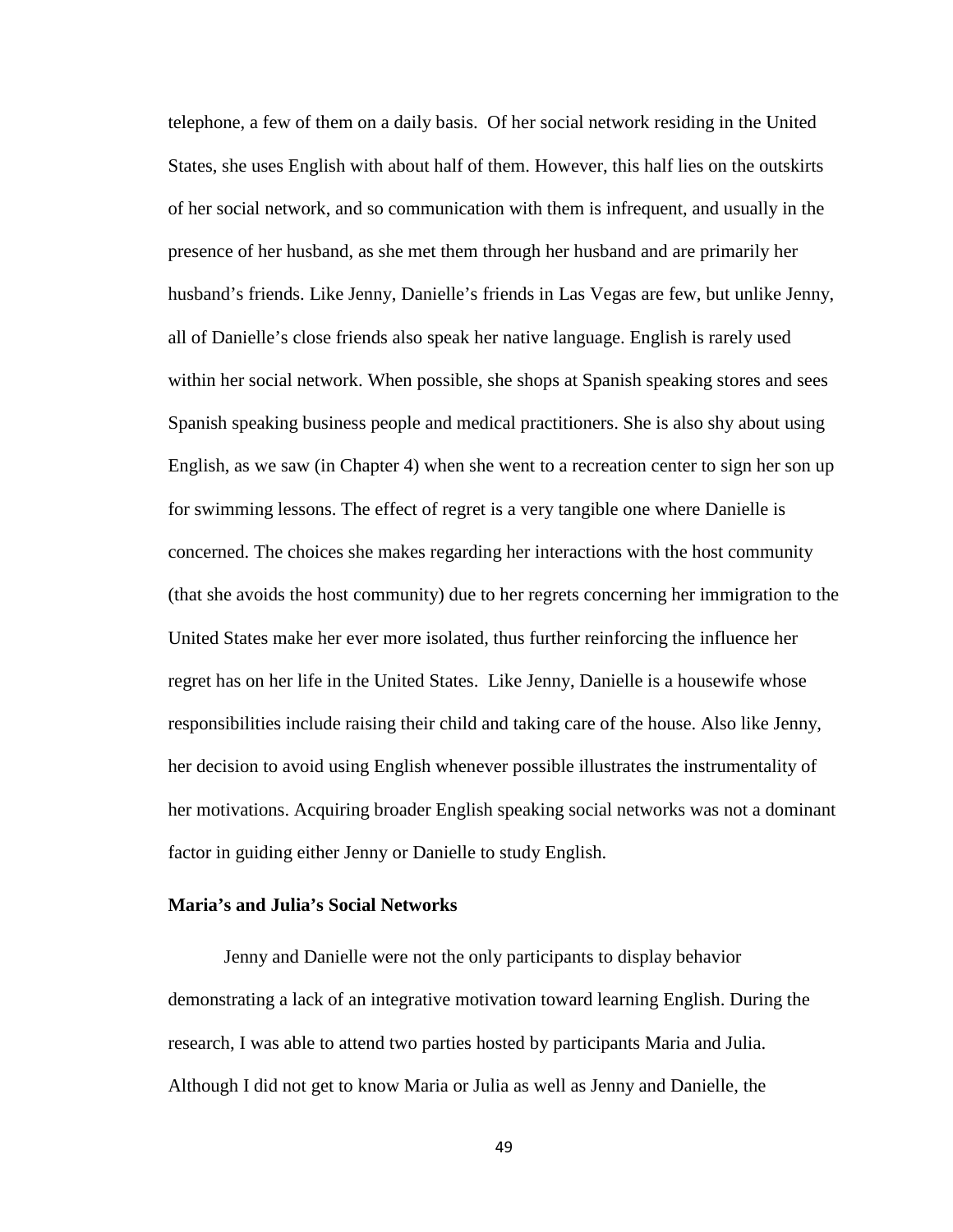telephone, a few of them on a daily basis. Of her social network residing in the United States, she uses English with about half of them. However, this half lies on the outskirts of her social network, and so communication with them is infrequent, and usually in the presence of her husband, as she met them through her husband and are primarily her husband's friends. Like Jenny, Danielle's friends in Las Vegas are few, but unlike Jenny, all of Danielle's close friends also speak her native language. English is rarely used within her social network. When possible, she shops at Spanish speaking stores and sees Spanish speaking business people and medical practitioners. She is also shy about using English, as we saw (in Chapter 4) when she went to a recreation center to sign her son up for swimming lessons. The effect of regret is a very tangible one where Danielle is concerned. The choices she makes regarding her interactions with the host community (that she avoids the host community) due to her regrets concerning her immigration to the United States make her ever more isolated, thus further reinforcing the influence her regret has on her life in the United States. Like Jenny, Danielle is a housewife whose responsibilities include raising their child and taking care of the house. Also like Jenny, her decision to avoid using English whenever possible illustrates the instrumentality of her motivations. Acquiring broader English speaking social networks was not a dominant factor in guiding either Jenny or Danielle to study English.

# **Maria's and Julia's Social Networks**

Jenny and Danielle were not the only participants to display behavior demonstrating a lack of an integrative motivation toward learning English. During the research, I was able to attend two parties hosted by participants Maria and Julia. Although I did not get to know Maria or Julia as well as Jenny and Danielle, the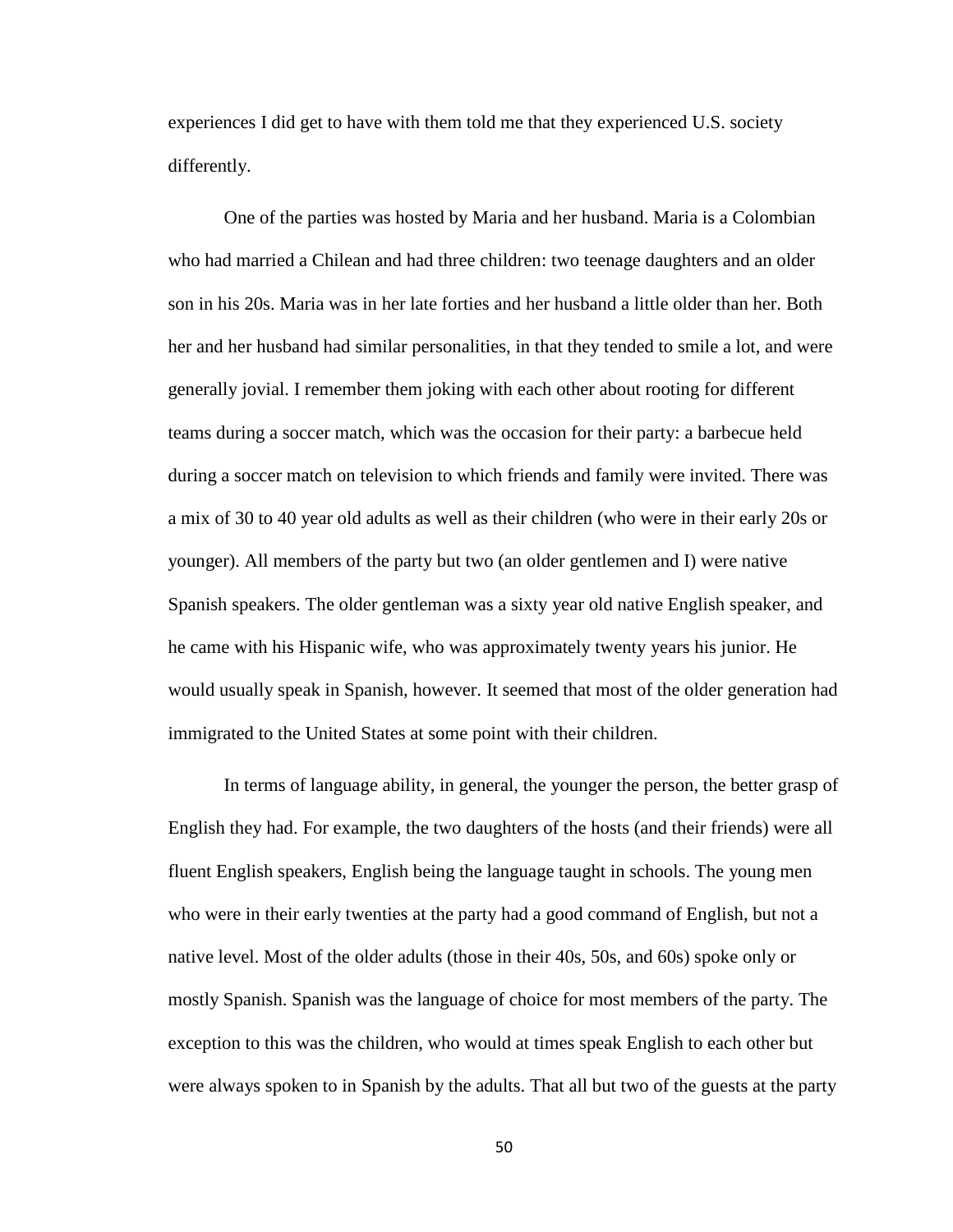experiences I did get to have with them told me that they experienced U.S. society differently.

One of the parties was hosted by Maria and her husband. Maria is a Colombian who had married a Chilean and had three children: two teenage daughters and an older son in his 20s. Maria was in her late forties and her husband a little older than her. Both her and her husband had similar personalities, in that they tended to smile a lot, and were generally jovial. I remember them joking with each other about rooting for different teams during a soccer match, which was the occasion for their party: a barbecue held during a soccer match on television to which friends and family were invited. There was a mix of 30 to 40 year old adults as well as their children (who were in their early 20s or younger). All members of the party but two (an older gentlemen and I) were native Spanish speakers. The older gentleman was a sixty year old native English speaker, and he came with his Hispanic wife, who was approximately twenty years his junior. He would usually speak in Spanish, however. It seemed that most of the older generation had immigrated to the United States at some point with their children.

In terms of language ability, in general, the younger the person, the better grasp of English they had. For example, the two daughters of the hosts (and their friends) were all fluent English speakers, English being the language taught in schools. The young men who were in their early twenties at the party had a good command of English, but not a native level. Most of the older adults (those in their 40s, 50s, and 60s) spoke only or mostly Spanish. Spanish was the language of choice for most members of the party. The exception to this was the children, who would at times speak English to each other but were always spoken to in Spanish by the adults. That all but two of the guests at the party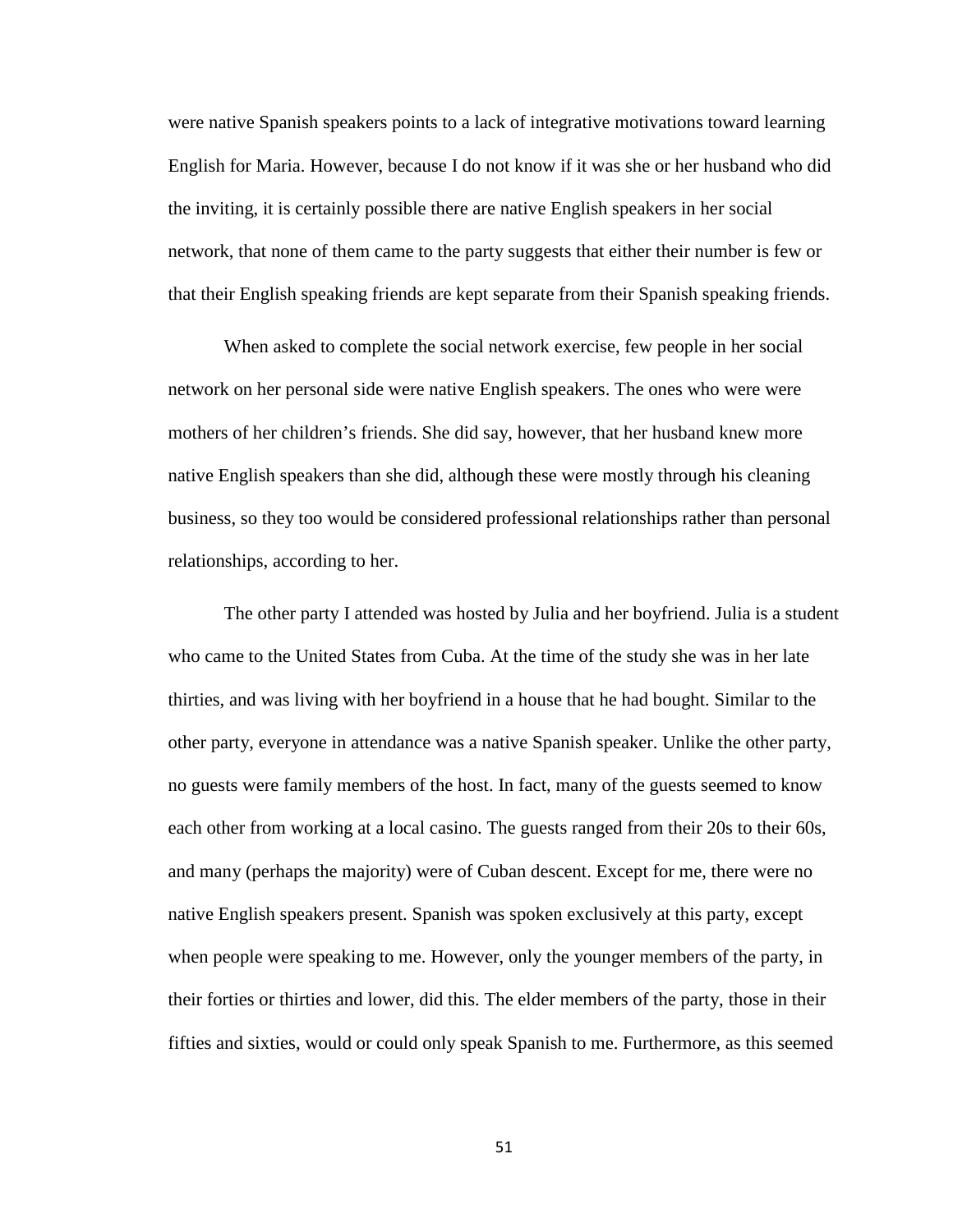were native Spanish speakers points to a lack of integrative motivations toward learning English for Maria. However, because I do not know if it was she or her husband who did the inviting, it is certainly possible there are native English speakers in her social network, that none of them came to the party suggests that either their number is few or that their English speaking friends are kept separate from their Spanish speaking friends.

When asked to complete the social network exercise, few people in her social network on her personal side were native English speakers. The ones who were were mothers of her children's friends. She did say, however, that her husband knew more native English speakers than she did, although these were mostly through his cleaning business, so they too would be considered professional relationships rather than personal relationships, according to her.

The other party I attended was hosted by Julia and her boyfriend. Julia is a student who came to the United States from Cuba. At the time of the study she was in her late thirties, and was living with her boyfriend in a house that he had bought. Similar to the other party, everyone in attendance was a native Spanish speaker. Unlike the other party, no guests were family members of the host. In fact, many of the guests seemed to know each other from working at a local casino. The guests ranged from their 20s to their 60s, and many (perhaps the majority) were of Cuban descent. Except for me, there were no native English speakers present. Spanish was spoken exclusively at this party, except when people were speaking to me. However, only the younger members of the party, in their forties or thirties and lower, did this. The elder members of the party, those in their fifties and sixties, would or could only speak Spanish to me. Furthermore, as this seemed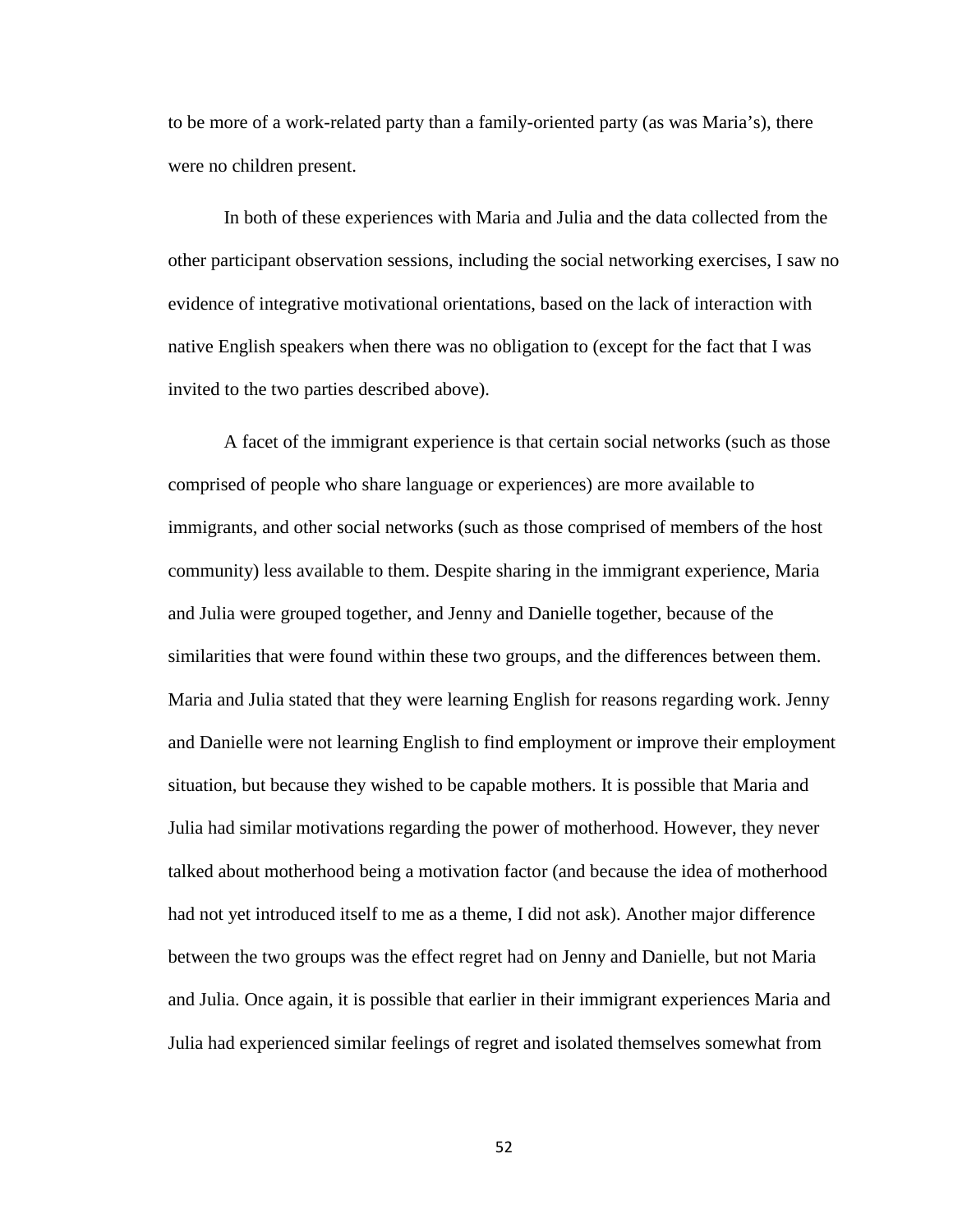to be more of a work-related party than a family-oriented party (as was Maria's), there were no children present.

In both of these experiences with Maria and Julia and the data collected from the other participant observation sessions, including the social networking exercises, I saw no evidence of integrative motivational orientations, based on the lack of interaction with native English speakers when there was no obligation to (except for the fact that I was invited to the two parties described above).

A facet of the immigrant experience is that certain social networks (such as those comprised of people who share language or experiences) are more available to immigrants, and other social networks (such as those comprised of members of the host community) less available to them. Despite sharing in the immigrant experience, Maria and Julia were grouped together, and Jenny and Danielle together, because of the similarities that were found within these two groups, and the differences between them. Maria and Julia stated that they were learning English for reasons regarding work. Jenny and Danielle were not learning English to find employment or improve their employment situation, but because they wished to be capable mothers. It is possible that Maria and Julia had similar motivations regarding the power of motherhood. However, they never talked about motherhood being a motivation factor (and because the idea of motherhood had not yet introduced itself to me as a theme, I did not ask). Another major difference between the two groups was the effect regret had on Jenny and Danielle, but not Maria and Julia. Once again, it is possible that earlier in their immigrant experiences Maria and Julia had experienced similar feelings of regret and isolated themselves somewhat from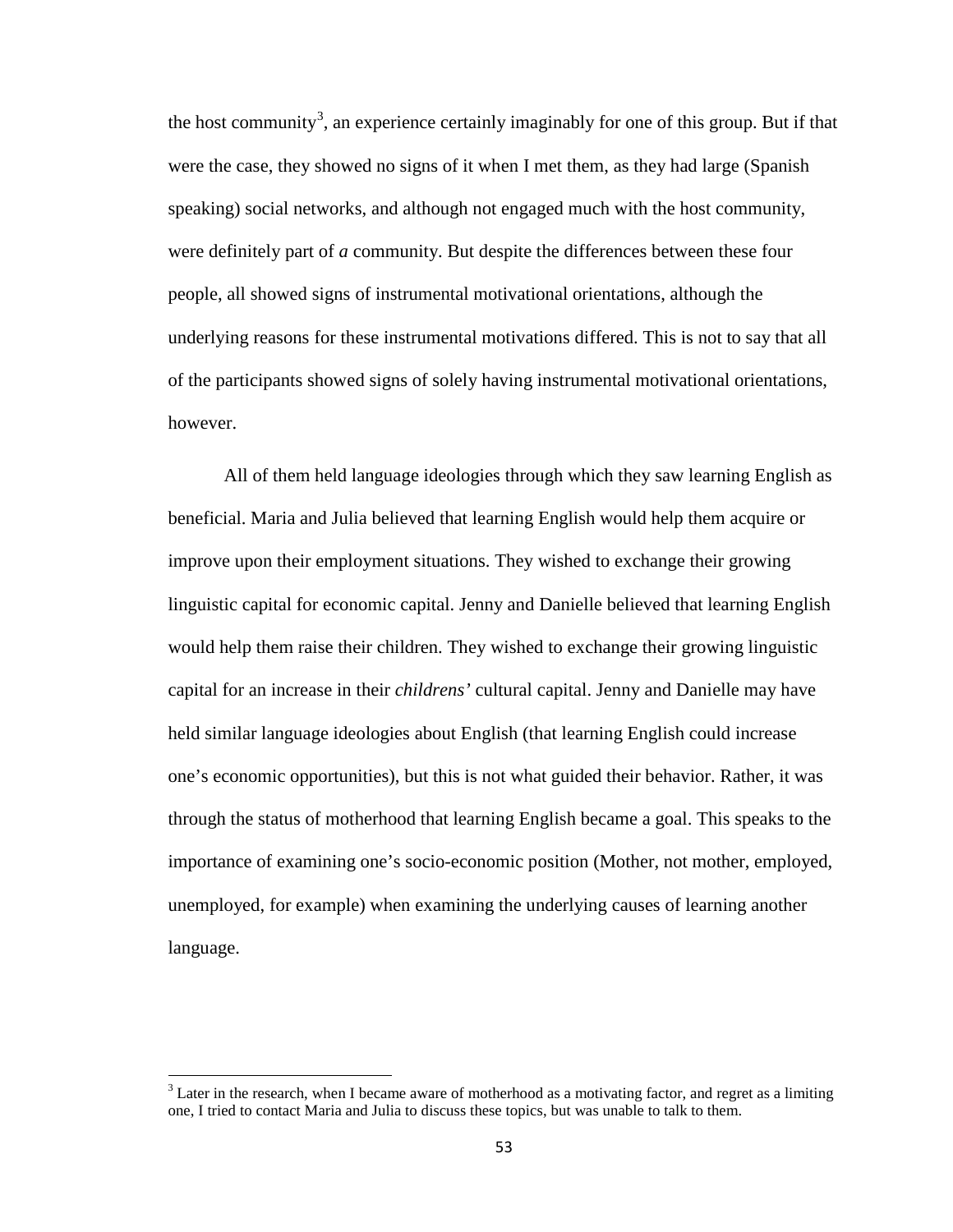the host community<sup>[3](#page-61-0)</sup>, an experience certainly imaginably for one of this group. But if that were the case, they showed no signs of it when I met them, as they had large (Spanish speaking) social networks, and although not engaged much with the host community, were definitely part of *a* community. But despite the differences between these four people, all showed signs of instrumental motivational orientations, although the underlying reasons for these instrumental motivations differed. This is not to say that all of the participants showed signs of solely having instrumental motivational orientations, however.

All of them held language ideologies through which they saw learning English as beneficial. Maria and Julia believed that learning English would help them acquire or improve upon their employment situations. They wished to exchange their growing linguistic capital for economic capital. Jenny and Danielle believed that learning English would help them raise their children. They wished to exchange their growing linguistic capital for an increase in their *childrens'* cultural capital. Jenny and Danielle may have held similar language ideologies about English (that learning English could increase one's economic opportunities), but this is not what guided their behavior. Rather, it was through the status of motherhood that learning English became a goal. This speaks to the importance of examining one's socio-economic position (Mother, not mother, employed, unemployed, for example) when examining the underlying causes of learning another language.

<span id="page-61-0"></span> $3$  Later in the research, when I became aware of motherhood as a motivating factor, and regret as a limiting one, I tried to contact Maria and Julia to discuss these topics, but was unable to talk to them.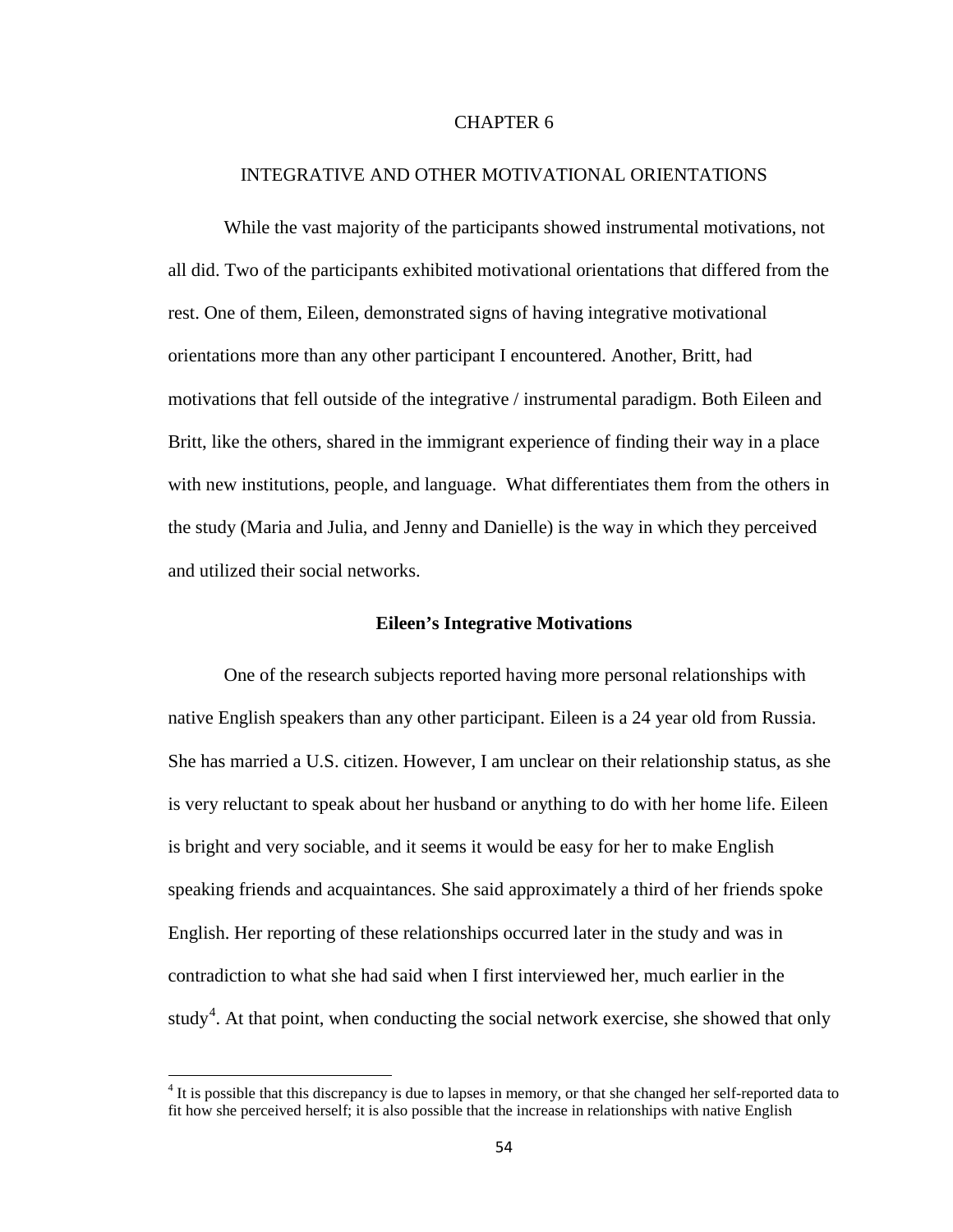# CHAPTER 6

# INTEGRATIVE AND OTHER MOTIVATIONAL ORIENTATIONS

While the vast majority of the participants showed instrumental motivations, not all did. Two of the participants exhibited motivational orientations that differed from the rest. One of them, Eileen, demonstrated signs of having integrative motivational orientations more than any other participant I encountered. Another, Britt, had motivations that fell outside of the integrative / instrumental paradigm. Both Eileen and Britt, like the others, shared in the immigrant experience of finding their way in a place with new institutions, people, and language. What differentiates them from the others in the study (Maria and Julia, and Jenny and Danielle) is the way in which they perceived and utilized their social networks.

## **Eileen's Integrative Motivations**

One of the research subjects reported having more personal relationships with native English speakers than any other participant. Eileen is a 24 year old from Russia. She has married a U.S. citizen. However, I am unclear on their relationship status, as she is very reluctant to speak about her husband or anything to do with her home life. Eileen is bright and very sociable, and it seems it would be easy for her to make English speaking friends and acquaintances. She said approximately a third of her friends spoke English. Her reporting of these relationships occurred later in the study and was in contradiction to what she had said when I first interviewed her, much earlier in the study<sup>[4](#page-62-0)</sup>. At that point, when conducting the social network exercise, she showed that only

<span id="page-62-0"></span> $<sup>4</sup>$  It is possible that this discrepancy is due to lapses in memory, or that she changed her self-reported data to</sup> fit how she perceived herself; it is also possible that the increase in relationships with native English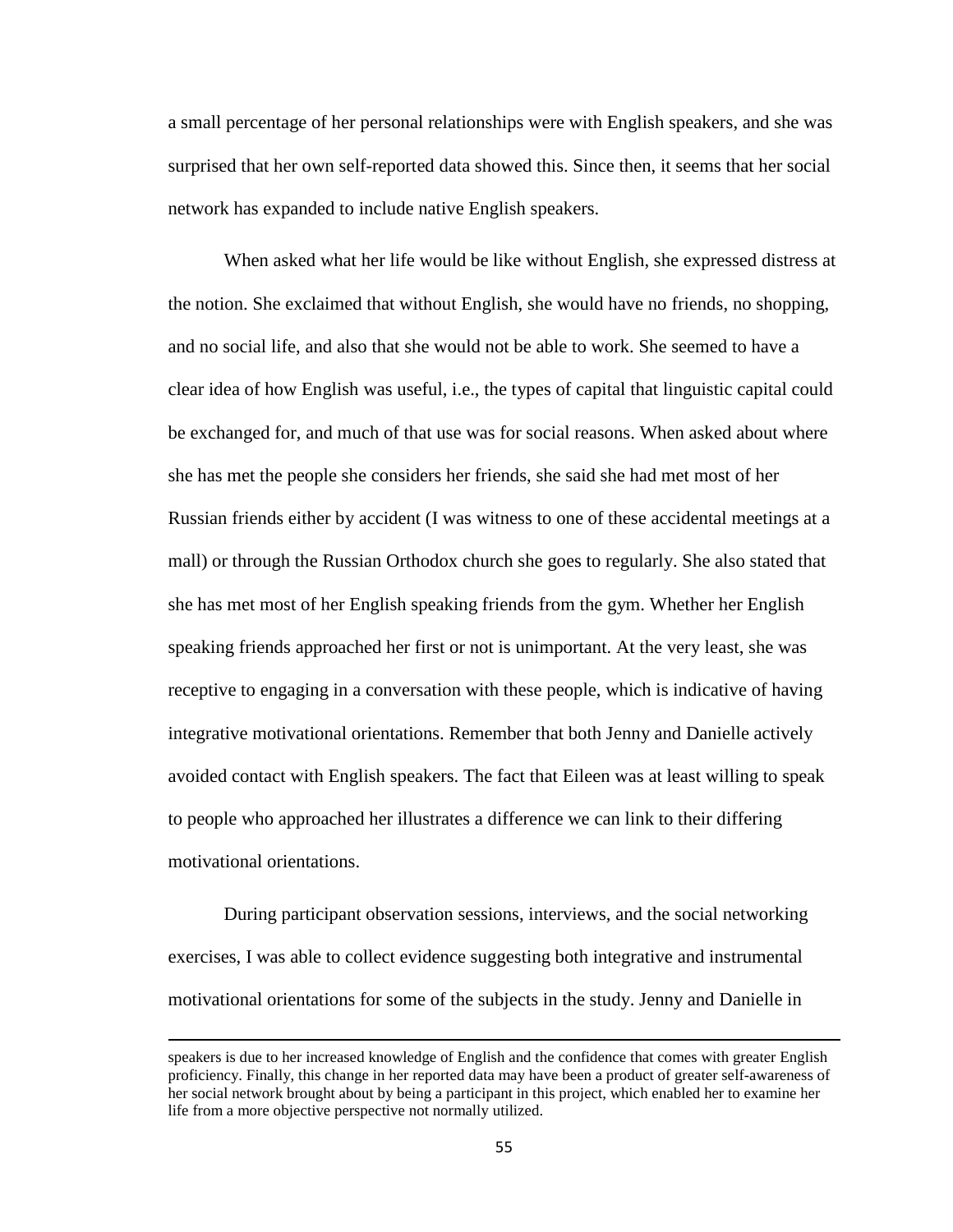a small percentage of her personal relationships were with English speakers, and she was surprised that her own self-reported data showed this. Since then, it seems that her social network has expanded to include native English speakers.

When asked what her life would be like without English, she expressed distress at the notion. She exclaimed that without English, she would have no friends, no shopping, and no social life, and also that she would not be able to work. She seemed to have a clear idea of how English was useful, i.e., the types of capital that linguistic capital could be exchanged for, and much of that use was for social reasons. When asked about where she has met the people she considers her friends, she said she had met most of her Russian friends either by accident (I was witness to one of these accidental meetings at a mall) or through the Russian Orthodox church she goes to regularly. She also stated that she has met most of her English speaking friends from the gym. Whether her English speaking friends approached her first or not is unimportant. At the very least, she was receptive to engaging in a conversation with these people, which is indicative of having integrative motivational orientations. Remember that both Jenny and Danielle actively avoided contact with English speakers. The fact that Eileen was at least willing to speak to people who approached her illustrates a difference we can link to their differing motivational orientations.

During participant observation sessions, interviews, and the social networking exercises, I was able to collect evidence suggesting both integrative and instrumental motivational orientations for some of the subjects in the study. Jenny and Danielle in

l

speakers is due to her increased knowledge of English and the confidence that comes with greater English proficiency. Finally, this change in her reported data may have been a product of greater self-awareness of her social network brought about by being a participant in this project, which enabled her to examine her life from a more objective perspective not normally utilized.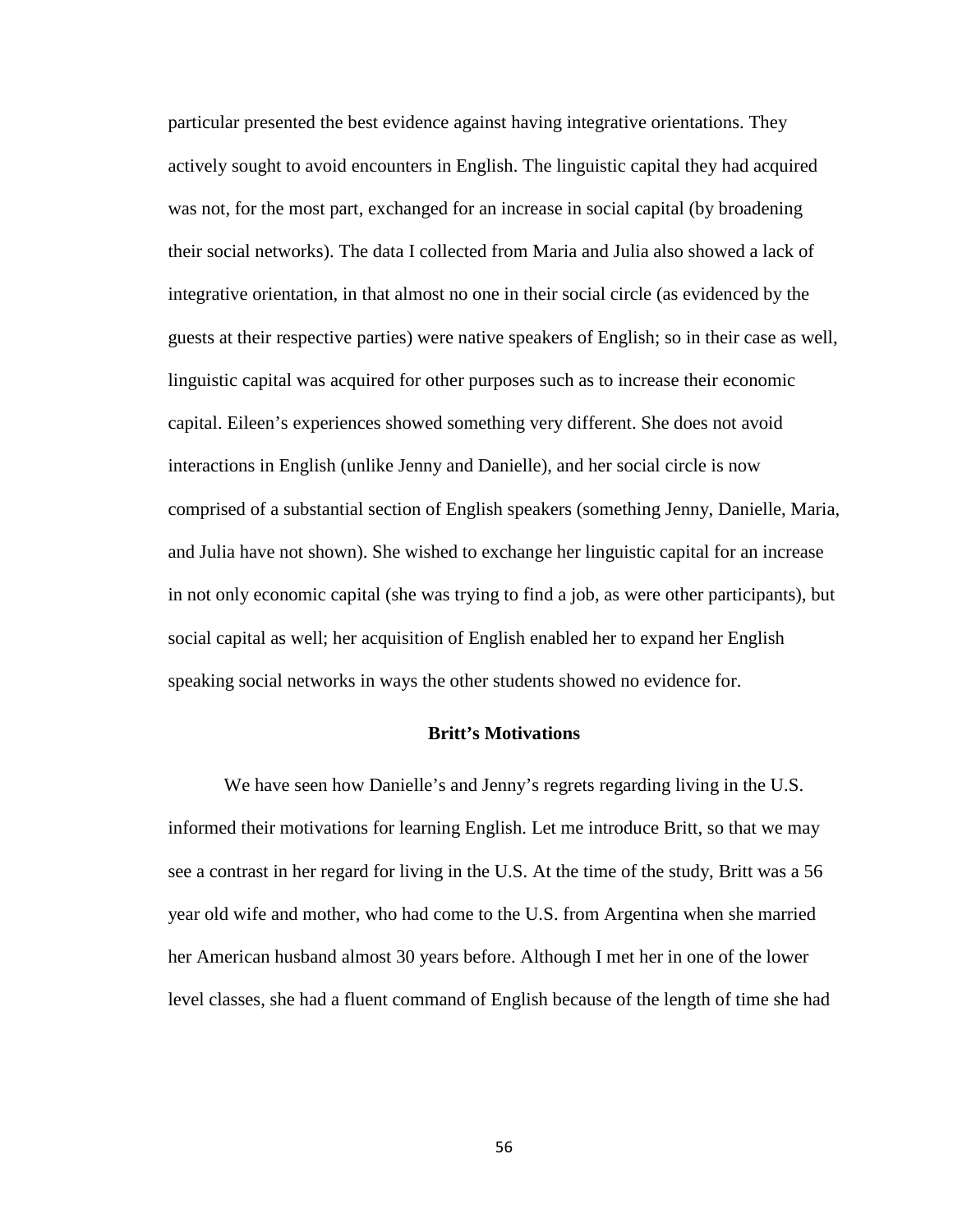particular presented the best evidence against having integrative orientations. They actively sought to avoid encounters in English. The linguistic capital they had acquired was not, for the most part, exchanged for an increase in social capital (by broadening their social networks). The data I collected from Maria and Julia also showed a lack of integrative orientation, in that almost no one in their social circle (as evidenced by the guests at their respective parties) were native speakers of English; so in their case as well, linguistic capital was acquired for other purposes such as to increase their economic capital. Eileen's experiences showed something very different. She does not avoid interactions in English (unlike Jenny and Danielle), and her social circle is now comprised of a substantial section of English speakers (something Jenny, Danielle, Maria, and Julia have not shown). She wished to exchange her linguistic capital for an increase in not only economic capital (she was trying to find a job, as were other participants), but social capital as well; her acquisition of English enabled her to expand her English speaking social networks in ways the other students showed no evidence for.

## **Britt's Motivations**

We have seen how Danielle's and Jenny's regrets regarding living in the U.S. informed their motivations for learning English. Let me introduce Britt, so that we may see a contrast in her regard for living in the U.S. At the time of the study, Britt was a 56 year old wife and mother, who had come to the U.S. from Argentina when she married her American husband almost 30 years before. Although I met her in one of the lower level classes, she had a fluent command of English because of the length of time she had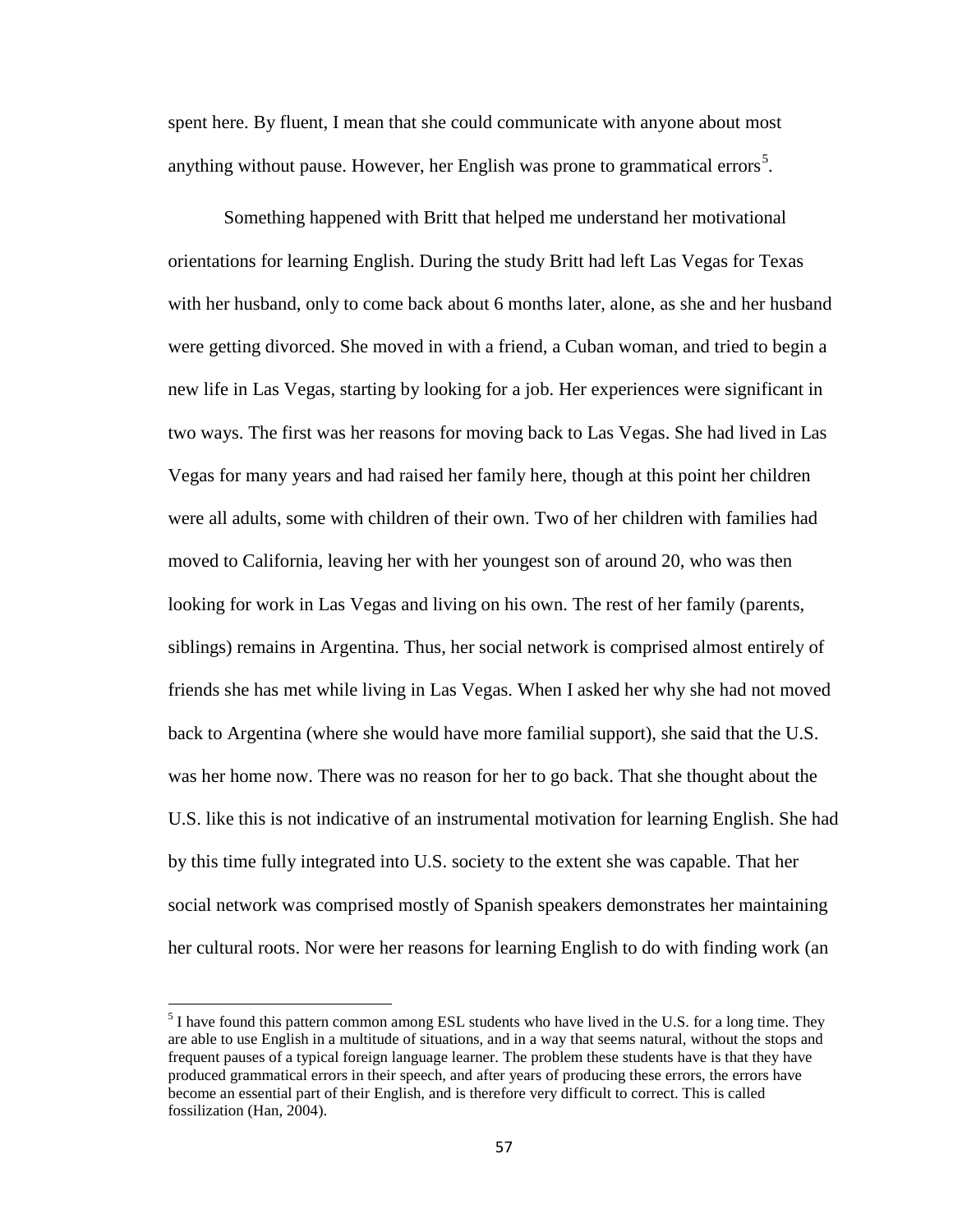spent here. By fluent, I mean that she could communicate with anyone about most anything without pause. However, her English was prone to grammatical errors<sup>[5](#page-65-0)</sup>.

Something happened with Britt that helped me understand her motivational orientations for learning English. During the study Britt had left Las Vegas for Texas with her husband, only to come back about 6 months later, alone, as she and her husband were getting divorced. She moved in with a friend, a Cuban woman, and tried to begin a new life in Las Vegas, starting by looking for a job. Her experiences were significant in two ways. The first was her reasons for moving back to Las Vegas. She had lived in Las Vegas for many years and had raised her family here, though at this point her children were all adults, some with children of their own. Two of her children with families had moved to California, leaving her with her youngest son of around 20, who was then looking for work in Las Vegas and living on his own. The rest of her family (parents, siblings) remains in Argentina. Thus, her social network is comprised almost entirely of friends she has met while living in Las Vegas. When I asked her why she had not moved back to Argentina (where she would have more familial support), she said that the U.S. was her home now. There was no reason for her to go back. That she thought about the U.S. like this is not indicative of an instrumental motivation for learning English. She had by this time fully integrated into U.S. society to the extent she was capable. That her social network was comprised mostly of Spanish speakers demonstrates her maintaining her cultural roots. Nor were her reasons for learning English to do with finding work (an

<span id="page-65-0"></span><sup>&</sup>lt;sup>5</sup> I have found this pattern common among ESL students who have lived in the U.S. for a long time. They are able to use English in a multitude of situations, and in a way that seems natural, without the stops and frequent pauses of a typical foreign language learner. The problem these students have is that they have produced grammatical errors in their speech, and after years of producing these errors, the errors have become an essential part of their English, and is therefore very difficult to correct. This is called fossilization (Han, 2004).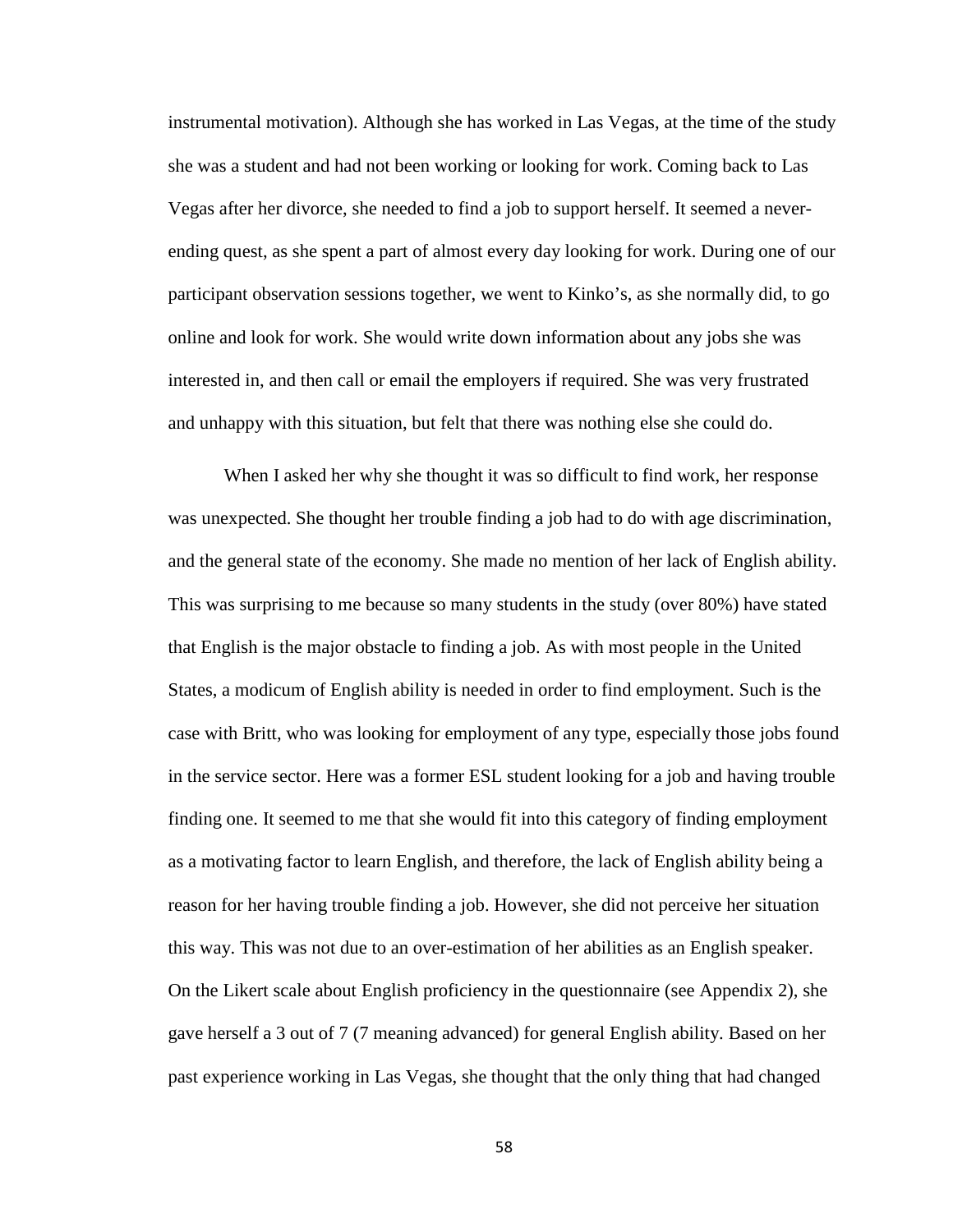instrumental motivation). Although she has worked in Las Vegas, at the time of the study she was a student and had not been working or looking for work. Coming back to Las Vegas after her divorce, she needed to find a job to support herself. It seemed a neverending quest, as she spent a part of almost every day looking for work. During one of our participant observation sessions together, we went to Kinko's, as she normally did, to go online and look for work. She would write down information about any jobs she was interested in, and then call or email the employers if required. She was very frustrated and unhappy with this situation, but felt that there was nothing else she could do.

When I asked her why she thought it was so difficult to find work, her response was unexpected. She thought her trouble finding a job had to do with age discrimination, and the general state of the economy. She made no mention of her lack of English ability. This was surprising to me because so many students in the study (over 80%) have stated that English is the major obstacle to finding a job. As with most people in the United States, a modicum of English ability is needed in order to find employment. Such is the case with Britt, who was looking for employment of any type, especially those jobs found in the service sector. Here was a former ESL student looking for a job and having trouble finding one. It seemed to me that she would fit into this category of finding employment as a motivating factor to learn English, and therefore, the lack of English ability being a reason for her having trouble finding a job. However, she did not perceive her situation this way. This was not due to an over-estimation of her abilities as an English speaker. On the Likert scale about English proficiency in the questionnaire (see Appendix 2), she gave herself a 3 out of 7 (7 meaning advanced) for general English ability. Based on her past experience working in Las Vegas, she thought that the only thing that had changed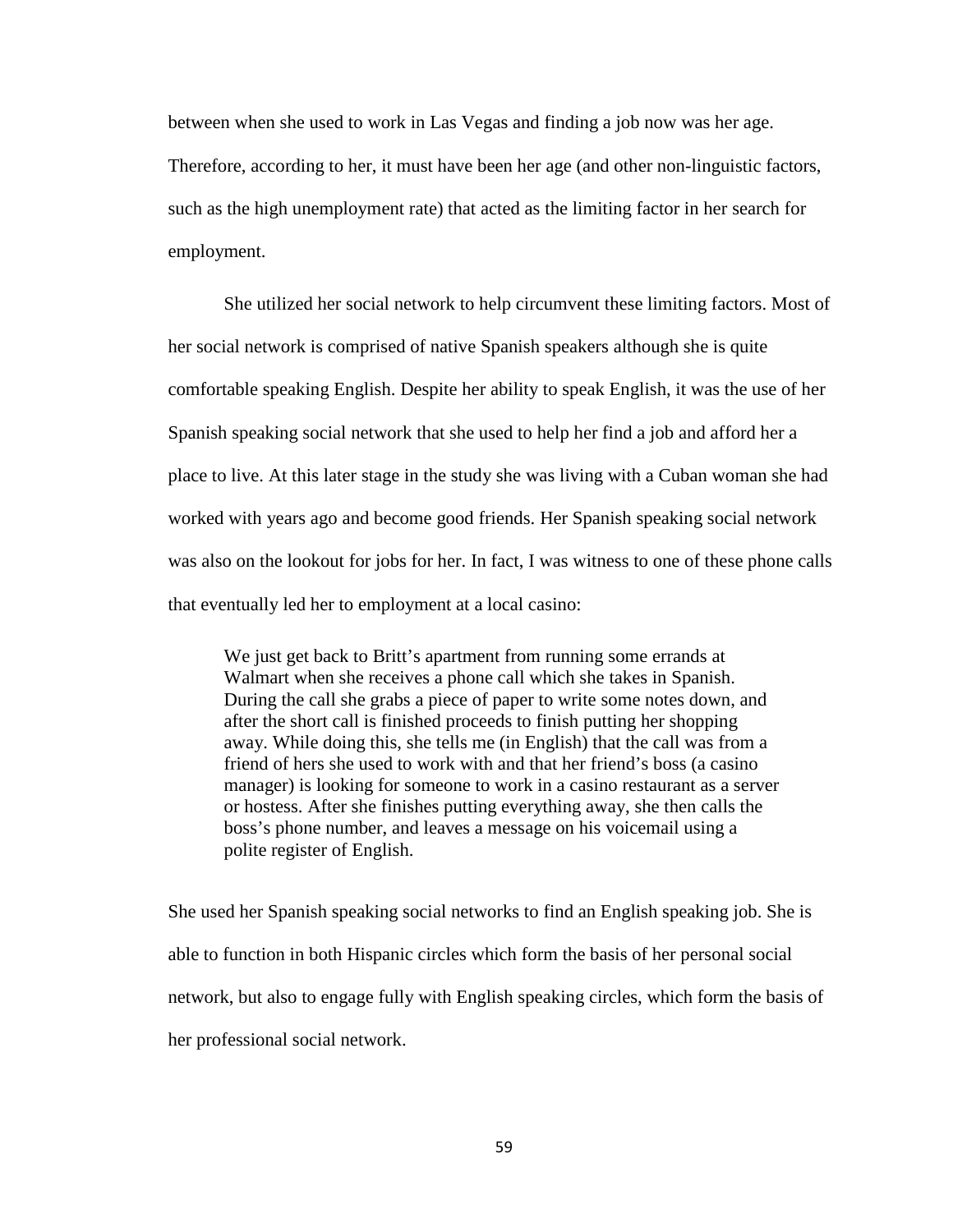between when she used to work in Las Vegas and finding a job now was her age. Therefore, according to her, it must have been her age (and other non-linguistic factors, such as the high unemployment rate) that acted as the limiting factor in her search for employment.

She utilized her social network to help circumvent these limiting factors. Most of her social network is comprised of native Spanish speakers although she is quite comfortable speaking English. Despite her ability to speak English, it was the use of her Spanish speaking social network that she used to help her find a job and afford her a place to live. At this later stage in the study she was living with a Cuban woman she had worked with years ago and become good friends. Her Spanish speaking social network was also on the lookout for jobs for her. In fact, I was witness to one of these phone calls that eventually led her to employment at a local casino:

We just get back to Britt's apartment from running some errands at Walmart when she receives a phone call which she takes in Spanish. During the call she grabs a piece of paper to write some notes down, and after the short call is finished proceeds to finish putting her shopping away. While doing this, she tells me (in English) that the call was from a friend of hers she used to work with and that her friend's boss (a casino manager) is looking for someone to work in a casino restaurant as a server or hostess. After she finishes putting everything away, she then calls the boss's phone number, and leaves a message on his voicemail using a polite register of English.

She used her Spanish speaking social networks to find an English speaking job. She is able to function in both Hispanic circles which form the basis of her personal social network, but also to engage fully with English speaking circles, which form the basis of her professional social network.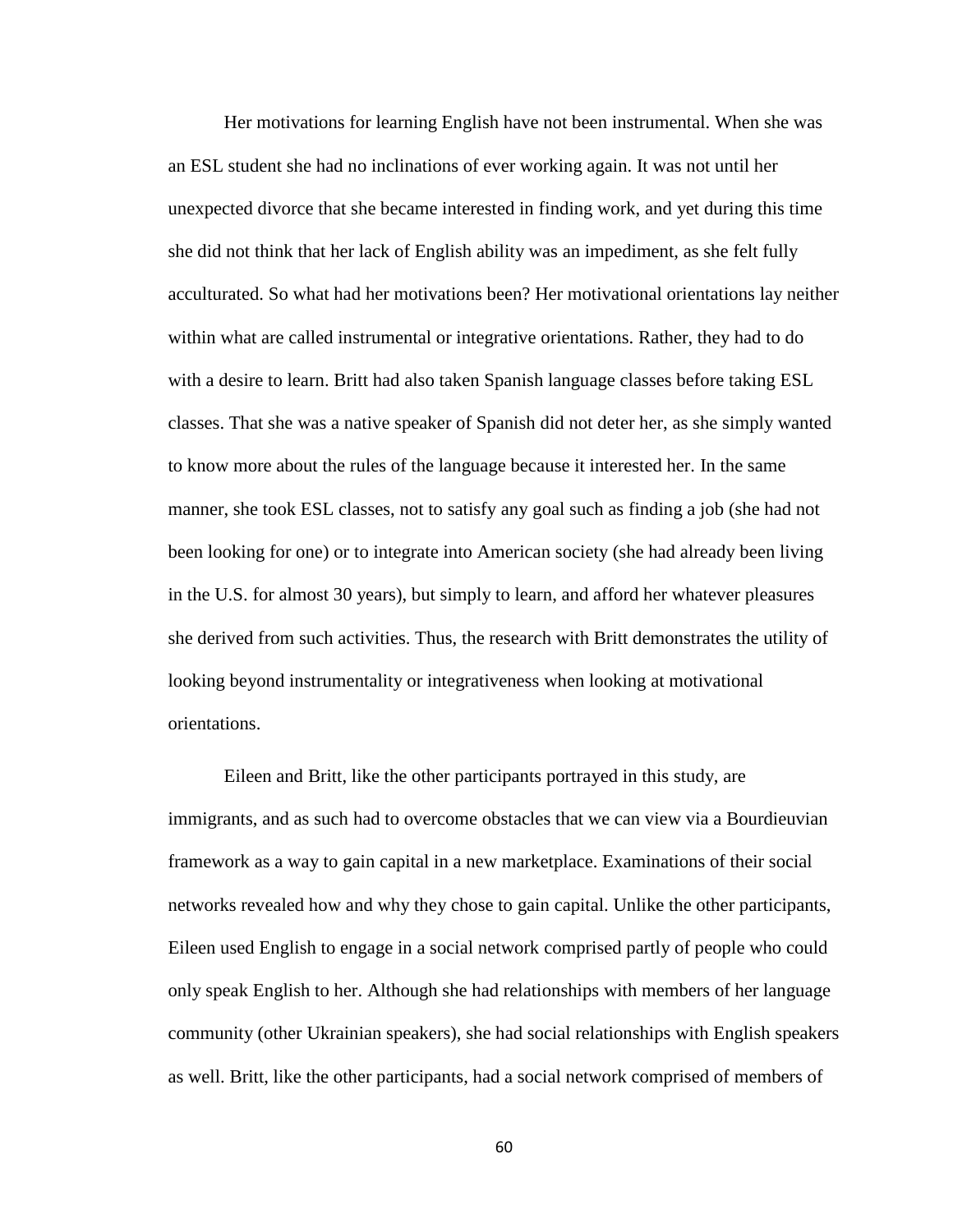Her motivations for learning English have not been instrumental. When she was an ESL student she had no inclinations of ever working again. It was not until her unexpected divorce that she became interested in finding work, and yet during this time she did not think that her lack of English ability was an impediment, as she felt fully acculturated. So what had her motivations been? Her motivational orientations lay neither within what are called instrumental or integrative orientations. Rather, they had to do with a desire to learn. Britt had also taken Spanish language classes before taking ESL classes. That she was a native speaker of Spanish did not deter her, as she simply wanted to know more about the rules of the language because it interested her. In the same manner, she took ESL classes, not to satisfy any goal such as finding a job (she had not been looking for one) or to integrate into American society (she had already been living in the U.S. for almost 30 years), but simply to learn, and afford her whatever pleasures she derived from such activities. Thus, the research with Britt demonstrates the utility of looking beyond instrumentality or integrativeness when looking at motivational orientations.

Eileen and Britt, like the other participants portrayed in this study, are immigrants, and as such had to overcome obstacles that we can view via a Bourdieuvian framework as a way to gain capital in a new marketplace. Examinations of their social networks revealed how and why they chose to gain capital. Unlike the other participants, Eileen used English to engage in a social network comprised partly of people who could only speak English to her. Although she had relationships with members of her language community (other Ukrainian speakers), she had social relationships with English speakers as well. Britt, like the other participants, had a social network comprised of members of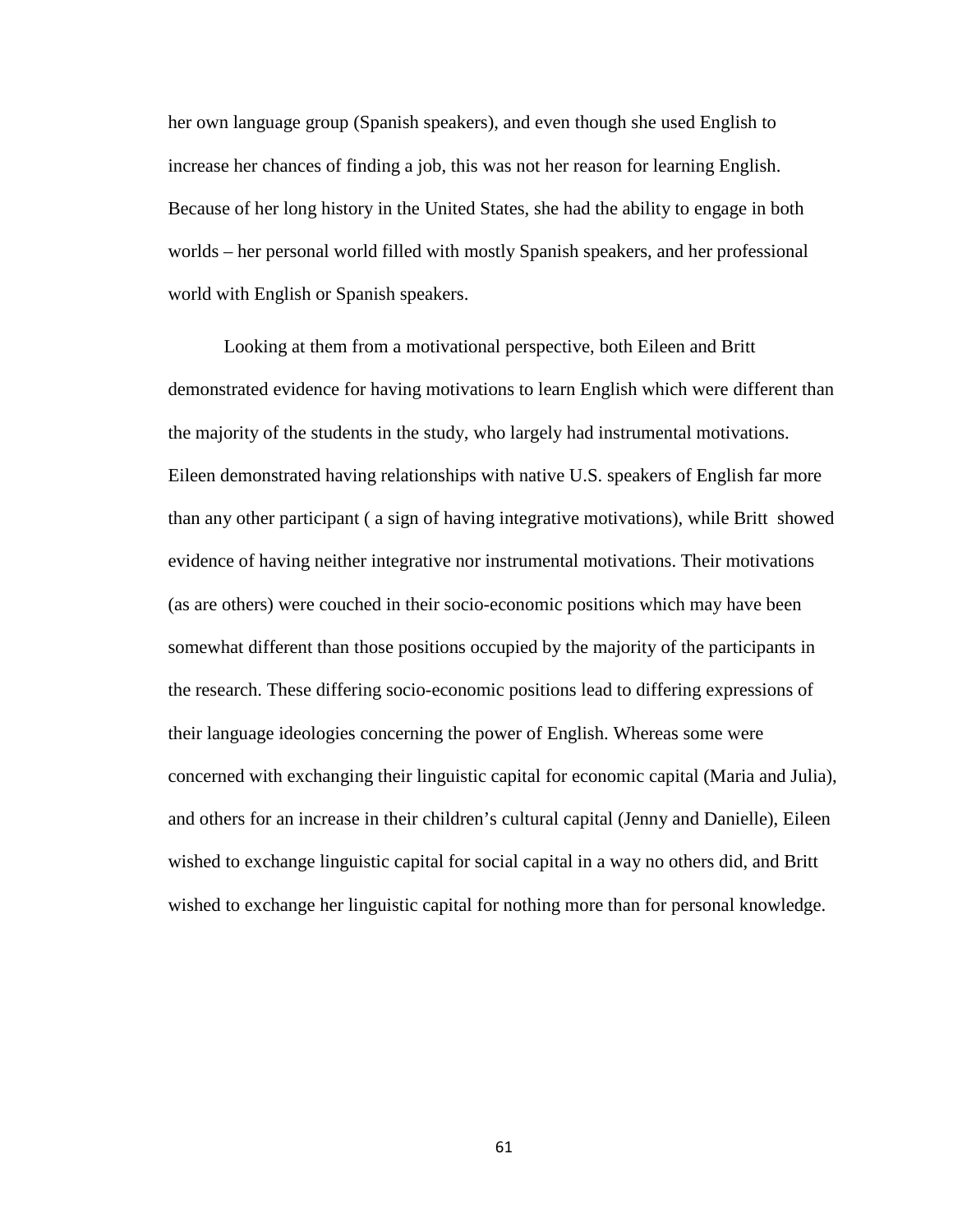her own language group (Spanish speakers), and even though she used English to increase her chances of finding a job, this was not her reason for learning English. Because of her long history in the United States, she had the ability to engage in both worlds – her personal world filled with mostly Spanish speakers, and her professional world with English or Spanish speakers.

Looking at them from a motivational perspective, both Eileen and Britt demonstrated evidence for having motivations to learn English which were different than the majority of the students in the study, who largely had instrumental motivations. Eileen demonstrated having relationships with native U.S. speakers of English far more than any other participant ( a sign of having integrative motivations), while Britt showed evidence of having neither integrative nor instrumental motivations. Their motivations (as are others) were couched in their socio-economic positions which may have been somewhat different than those positions occupied by the majority of the participants in the research. These differing socio-economic positions lead to differing expressions of their language ideologies concerning the power of English. Whereas some were concerned with exchanging their linguistic capital for economic capital (Maria and Julia), and others for an increase in their children's cultural capital (Jenny and Danielle), Eileen wished to exchange linguistic capital for social capital in a way no others did, and Britt wished to exchange her linguistic capital for nothing more than for personal knowledge.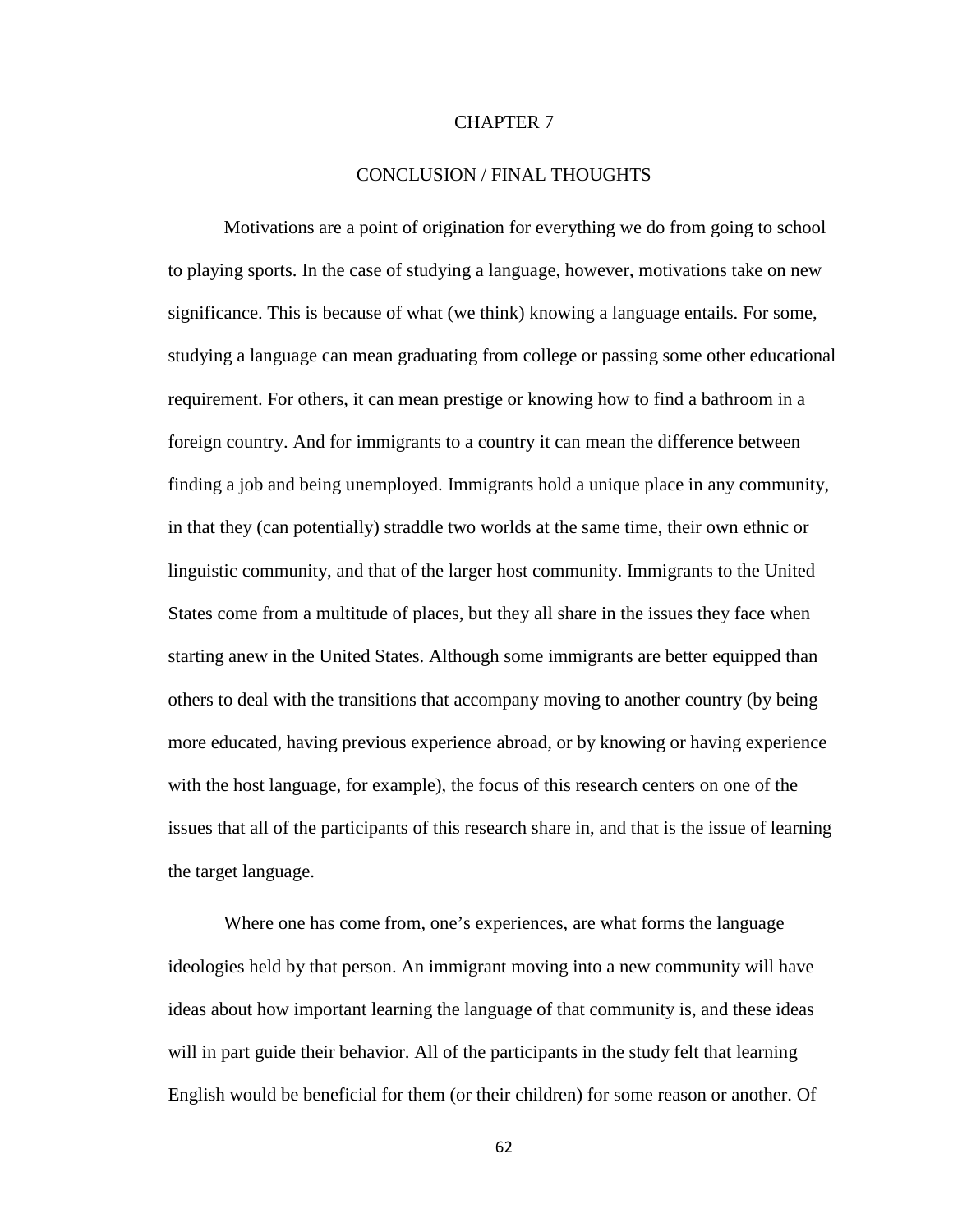#### CHAPTER 7

# CONCLUSION / FINAL THOUGHTS

Motivations are a point of origination for everything we do from going to school to playing sports. In the case of studying a language, however, motivations take on new significance. This is because of what (we think) knowing a language entails. For some, studying a language can mean graduating from college or passing some other educational requirement. For others, it can mean prestige or knowing how to find a bathroom in a foreign country. And for immigrants to a country it can mean the difference between finding a job and being unemployed. Immigrants hold a unique place in any community, in that they (can potentially) straddle two worlds at the same time, their own ethnic or linguistic community, and that of the larger host community. Immigrants to the United States come from a multitude of places, but they all share in the issues they face when starting anew in the United States. Although some immigrants are better equipped than others to deal with the transitions that accompany moving to another country (by being more educated, having previous experience abroad, or by knowing or having experience with the host language, for example), the focus of this research centers on one of the issues that all of the participants of this research share in, and that is the issue of learning the target language.

Where one has come from, one's experiences, are what forms the language ideologies held by that person. An immigrant moving into a new community will have ideas about how important learning the language of that community is, and these ideas will in part guide their behavior. All of the participants in the study felt that learning English would be beneficial for them (or their children) for some reason or another. Of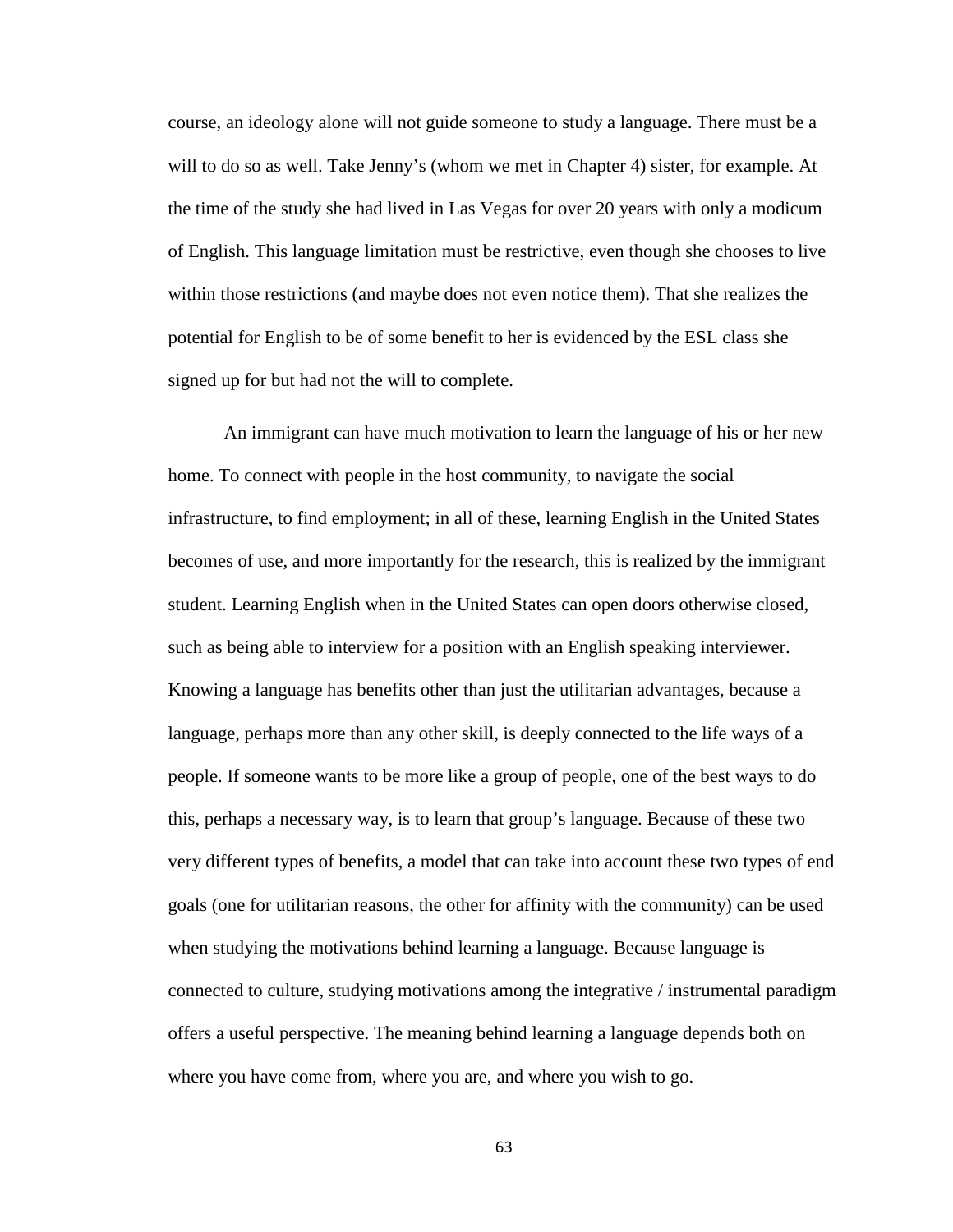course, an ideology alone will not guide someone to study a language. There must be a will to do so as well. Take Jenny's (whom we met in Chapter 4) sister, for example. At the time of the study she had lived in Las Vegas for over 20 years with only a modicum of English. This language limitation must be restrictive, even though she chooses to live within those restrictions (and maybe does not even notice them). That she realizes the potential for English to be of some benefit to her is evidenced by the ESL class she signed up for but had not the will to complete.

An immigrant can have much motivation to learn the language of his or her new home. To connect with people in the host community, to navigate the social infrastructure, to find employment; in all of these, learning English in the United States becomes of use, and more importantly for the research, this is realized by the immigrant student. Learning English when in the United States can open doors otherwise closed, such as being able to interview for a position with an English speaking interviewer. Knowing a language has benefits other than just the utilitarian advantages, because a language, perhaps more than any other skill, is deeply connected to the life ways of a people. If someone wants to be more like a group of people, one of the best ways to do this, perhaps a necessary way, is to learn that group's language. Because of these two very different types of benefits, a model that can take into account these two types of end goals (one for utilitarian reasons, the other for affinity with the community) can be used when studying the motivations behind learning a language. Because language is connected to culture, studying motivations among the integrative / instrumental paradigm offers a useful perspective. The meaning behind learning a language depends both on where you have come from, where you are, and where you wish to go.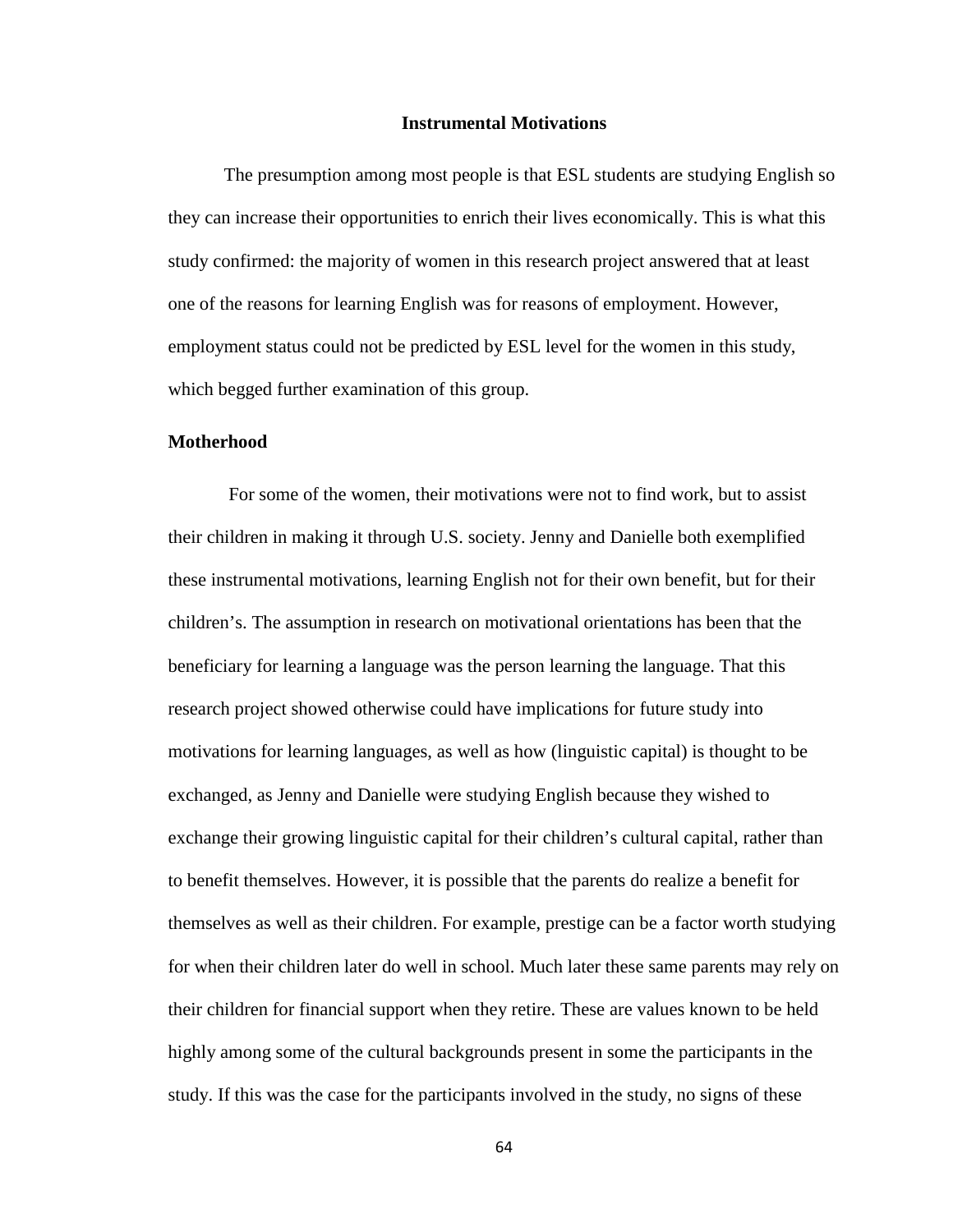#### **Instrumental Motivations**

The presumption among most people is that ESL students are studying English so they can increase their opportunities to enrich their lives economically. This is what this study confirmed: the majority of women in this research project answered that at least one of the reasons for learning English was for reasons of employment. However, employment status could not be predicted by ESL level for the women in this study, which begged further examination of this group.

#### **Motherhood**

For some of the women, their motivations were not to find work, but to assist their children in making it through U.S. society. Jenny and Danielle both exemplified these instrumental motivations, learning English not for their own benefit, but for their children's. The assumption in research on motivational orientations has been that the beneficiary for learning a language was the person learning the language. That this research project showed otherwise could have implications for future study into motivations for learning languages, as well as how (linguistic capital) is thought to be exchanged, as Jenny and Danielle were studying English because they wished to exchange their growing linguistic capital for their children's cultural capital, rather than to benefit themselves. However, it is possible that the parents do realize a benefit for themselves as well as their children. For example, prestige can be a factor worth studying for when their children later do well in school. Much later these same parents may rely on their children for financial support when they retire. These are values known to be held highly among some of the cultural backgrounds present in some the participants in the study. If this was the case for the participants involved in the study, no signs of these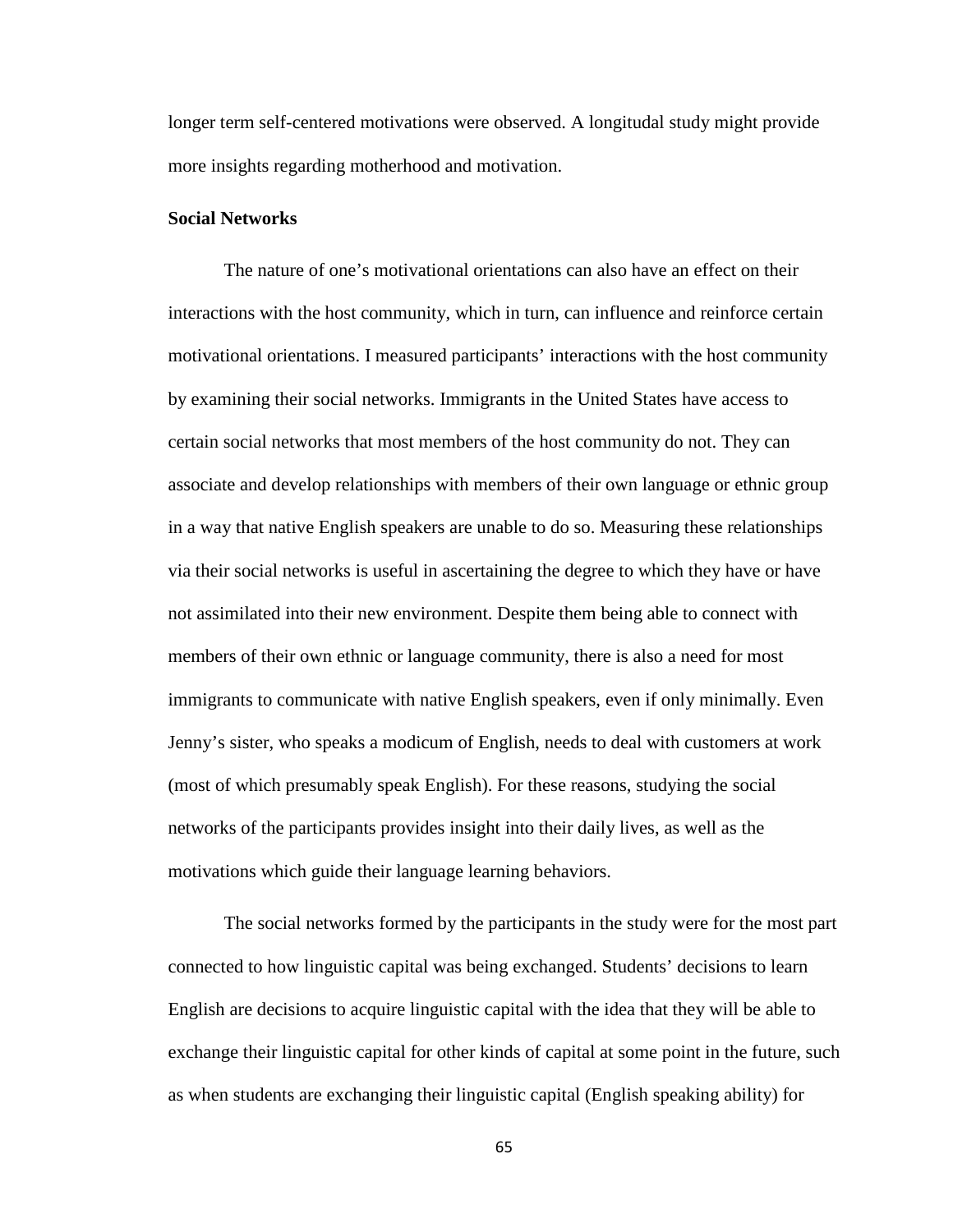longer term self-centered motivations were observed. A longitudal study might provide more insights regarding motherhood and motivation.

#### **Social Networks**

The nature of one's motivational orientations can also have an effect on their interactions with the host community, which in turn, can influence and reinforce certain motivational orientations. I measured participants' interactions with the host community by examining their social networks. Immigrants in the United States have access to certain social networks that most members of the host community do not. They can associate and develop relationships with members of their own language or ethnic group in a way that native English speakers are unable to do so. Measuring these relationships via their social networks is useful in ascertaining the degree to which they have or have not assimilated into their new environment. Despite them being able to connect with members of their own ethnic or language community, there is also a need for most immigrants to communicate with native English speakers, even if only minimally. Even Jenny's sister, who speaks a modicum of English, needs to deal with customers at work (most of which presumably speak English). For these reasons, studying the social networks of the participants provides insight into their daily lives, as well as the motivations which guide their language learning behaviors.

The social networks formed by the participants in the study were for the most part connected to how linguistic capital was being exchanged. Students' decisions to learn English are decisions to acquire linguistic capital with the idea that they will be able to exchange their linguistic capital for other kinds of capital at some point in the future, such as when students are exchanging their linguistic capital (English speaking ability) for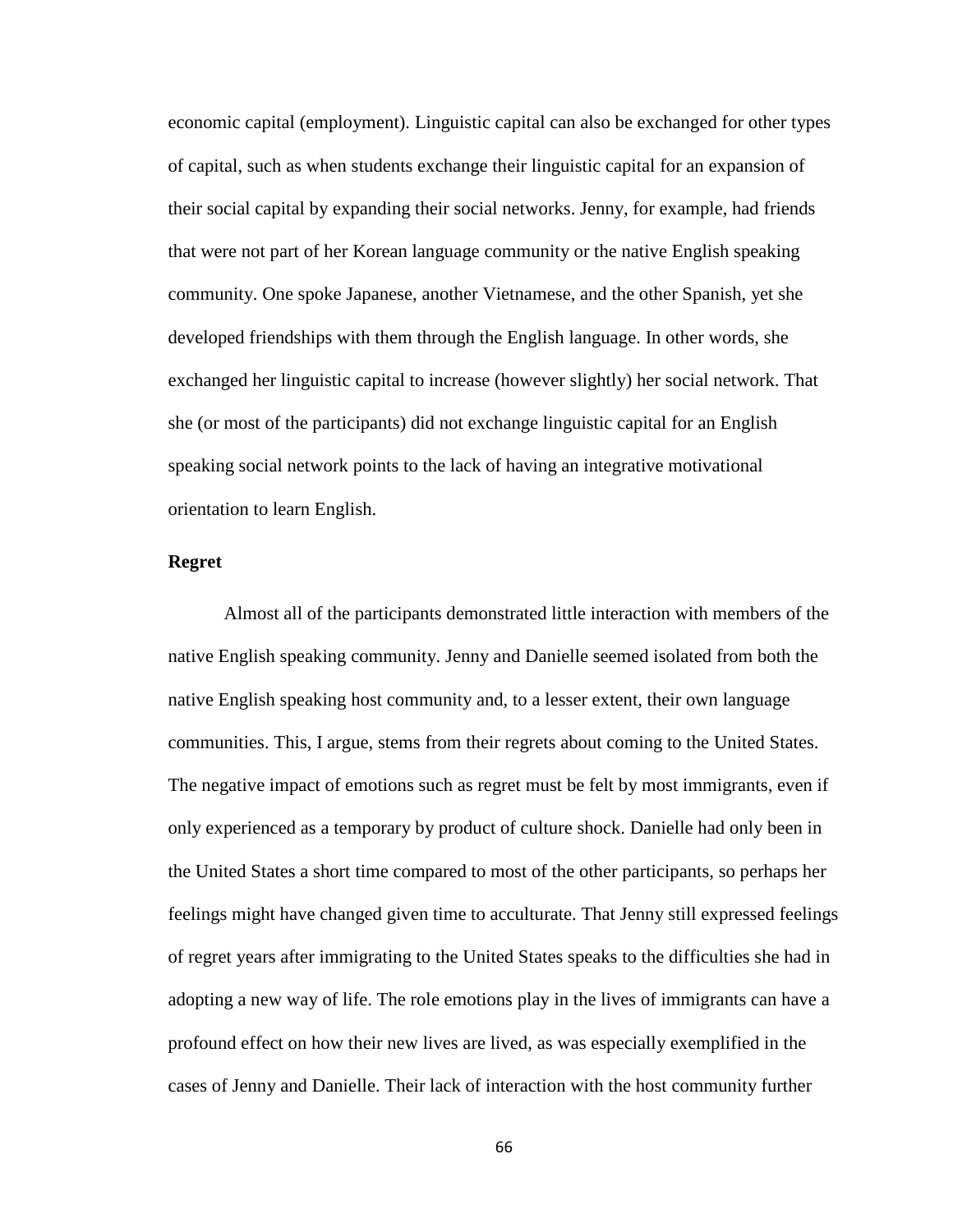economic capital (employment). Linguistic capital can also be exchanged for other types of capital, such as when students exchange their linguistic capital for an expansion of their social capital by expanding their social networks. Jenny, for example, had friends that were not part of her Korean language community or the native English speaking community. One spoke Japanese, another Vietnamese, and the other Spanish, yet she developed friendships with them through the English language. In other words, she exchanged her linguistic capital to increase (however slightly) her social network. That she (or most of the participants) did not exchange linguistic capital for an English speaking social network points to the lack of having an integrative motivational orientation to learn English.

#### **Regret**

Almost all of the participants demonstrated little interaction with members of the native English speaking community. Jenny and Danielle seemed isolated from both the native English speaking host community and, to a lesser extent, their own language communities. This, I argue, stems from their regrets about coming to the United States. The negative impact of emotions such as regret must be felt by most immigrants, even if only experienced as a temporary by product of culture shock. Danielle had only been in the United States a short time compared to most of the other participants, so perhaps her feelings might have changed given time to acculturate. That Jenny still expressed feelings of regret years after immigrating to the United States speaks to the difficulties she had in adopting a new way of life. The role emotions play in the lives of immigrants can have a profound effect on how their new lives are lived, as was especially exemplified in the cases of Jenny and Danielle. Their lack of interaction with the host community further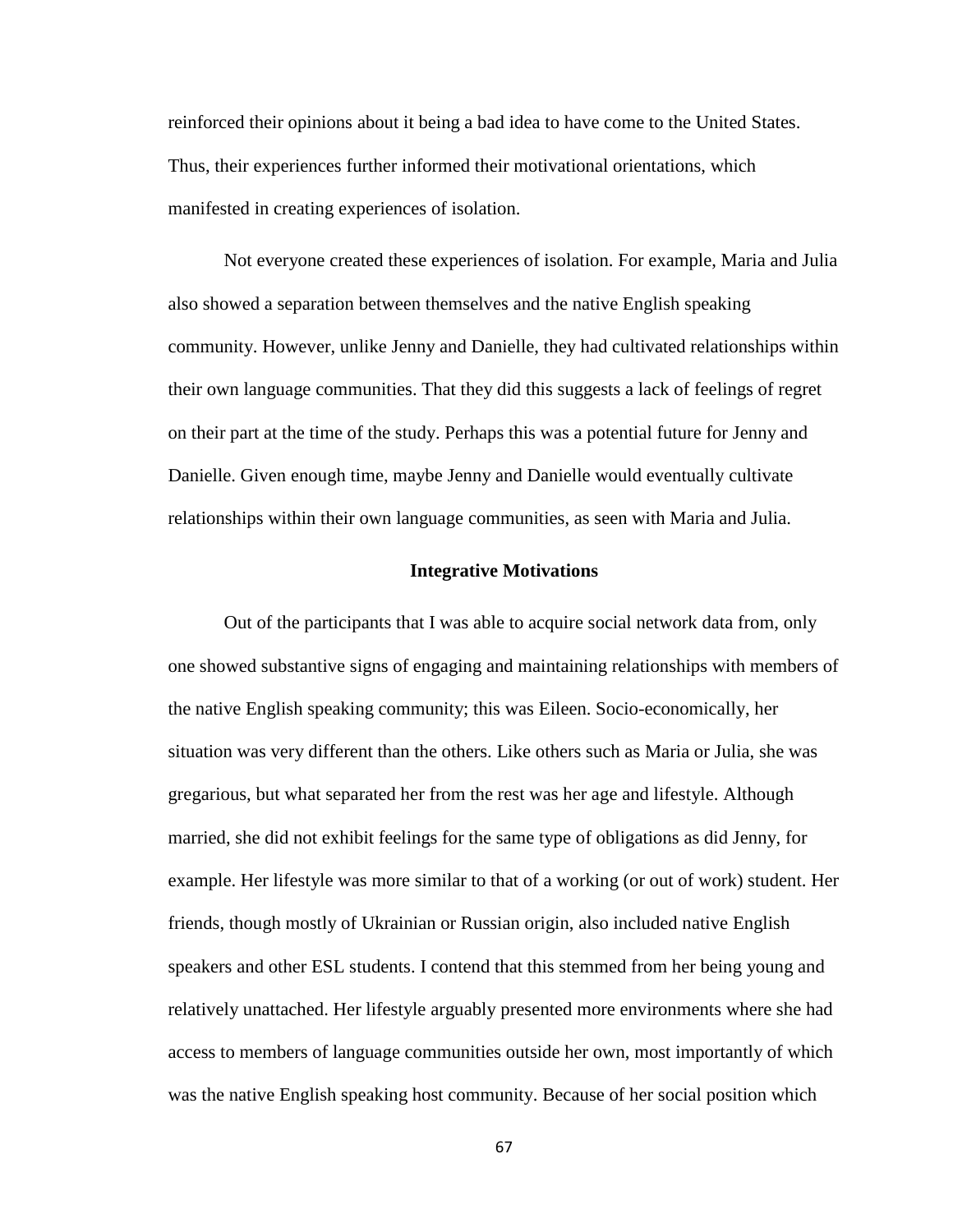reinforced their opinions about it being a bad idea to have come to the United States. Thus, their experiences further informed their motivational orientations, which manifested in creating experiences of isolation.

Not everyone created these experiences of isolation. For example, Maria and Julia also showed a separation between themselves and the native English speaking community. However, unlike Jenny and Danielle, they had cultivated relationships within their own language communities. That they did this suggests a lack of feelings of regret on their part at the time of the study. Perhaps this was a potential future for Jenny and Danielle. Given enough time, maybe Jenny and Danielle would eventually cultivate relationships within their own language communities, as seen with Maria and Julia.

#### **Integrative Motivations**

Out of the participants that I was able to acquire social network data from, only one showed substantive signs of engaging and maintaining relationships with members of the native English speaking community; this was Eileen. Socio-economically, her situation was very different than the others. Like others such as Maria or Julia, she was gregarious, but what separated her from the rest was her age and lifestyle. Although married, she did not exhibit feelings for the same type of obligations as did Jenny, for example. Her lifestyle was more similar to that of a working (or out of work) student. Her friends, though mostly of Ukrainian or Russian origin, also included native English speakers and other ESL students. I contend that this stemmed from her being young and relatively unattached. Her lifestyle arguably presented more environments where she had access to members of language communities outside her own, most importantly of which was the native English speaking host community. Because of her social position which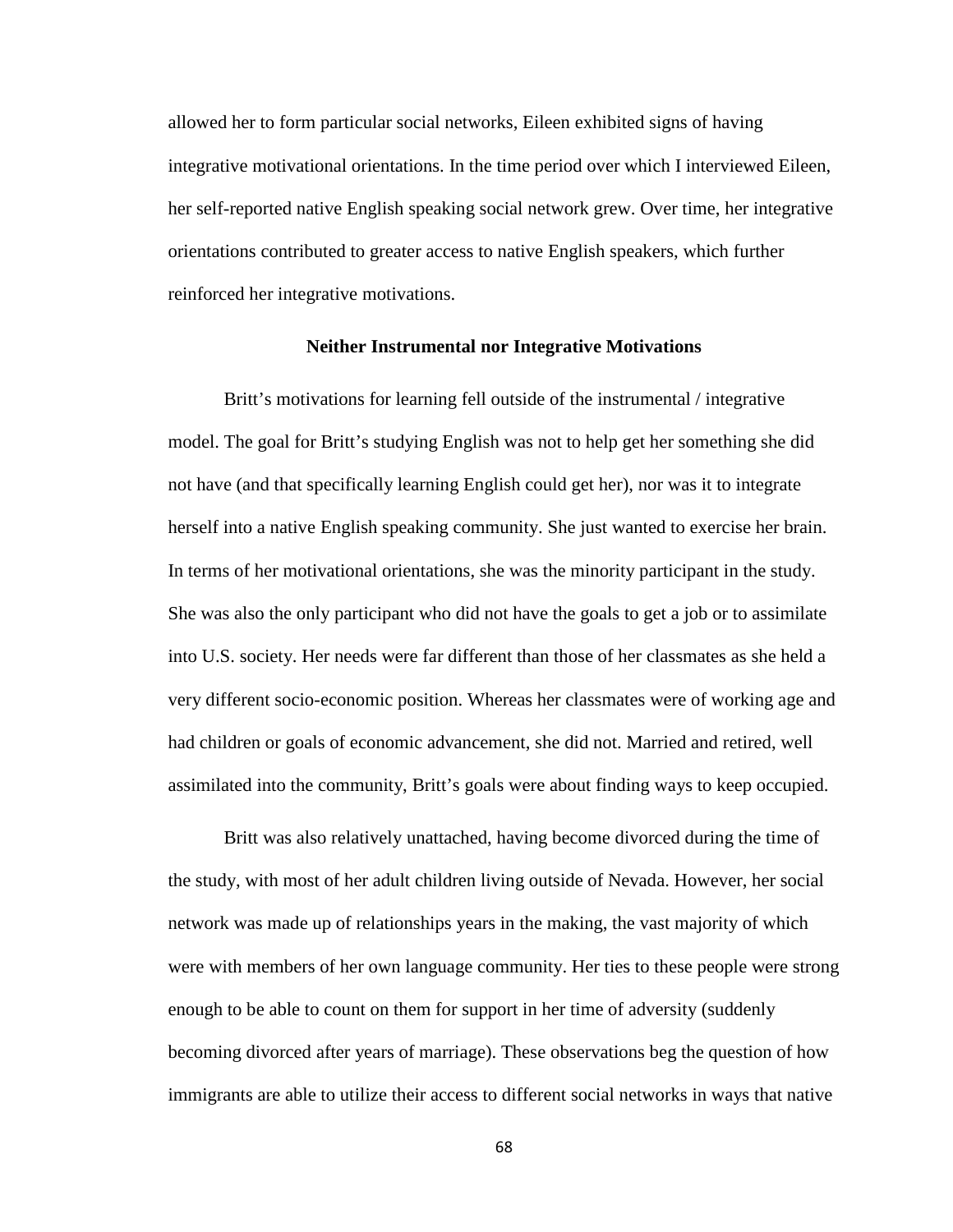allowed her to form particular social networks, Eileen exhibited signs of having integrative motivational orientations. In the time period over which I interviewed Eileen, her self-reported native English speaking social network grew. Over time, her integrative orientations contributed to greater access to native English speakers, which further reinforced her integrative motivations.

#### **Neither Instrumental nor Integrative Motivations**

Britt's motivations for learning fell outside of the instrumental / integrative model. The goal for Britt's studying English was not to help get her something she did not have (and that specifically learning English could get her), nor was it to integrate herself into a native English speaking community. She just wanted to exercise her brain. In terms of her motivational orientations, she was the minority participant in the study. She was also the only participant who did not have the goals to get a job or to assimilate into U.S. society. Her needs were far different than those of her classmates as she held a very different socio-economic position. Whereas her classmates were of working age and had children or goals of economic advancement, she did not. Married and retired, well assimilated into the community, Britt's goals were about finding ways to keep occupied.

Britt was also relatively unattached, having become divorced during the time of the study, with most of her adult children living outside of Nevada. However, her social network was made up of relationships years in the making, the vast majority of which were with members of her own language community. Her ties to these people were strong enough to be able to count on them for support in her time of adversity (suddenly becoming divorced after years of marriage). These observations beg the question of how immigrants are able to utilize their access to different social networks in ways that native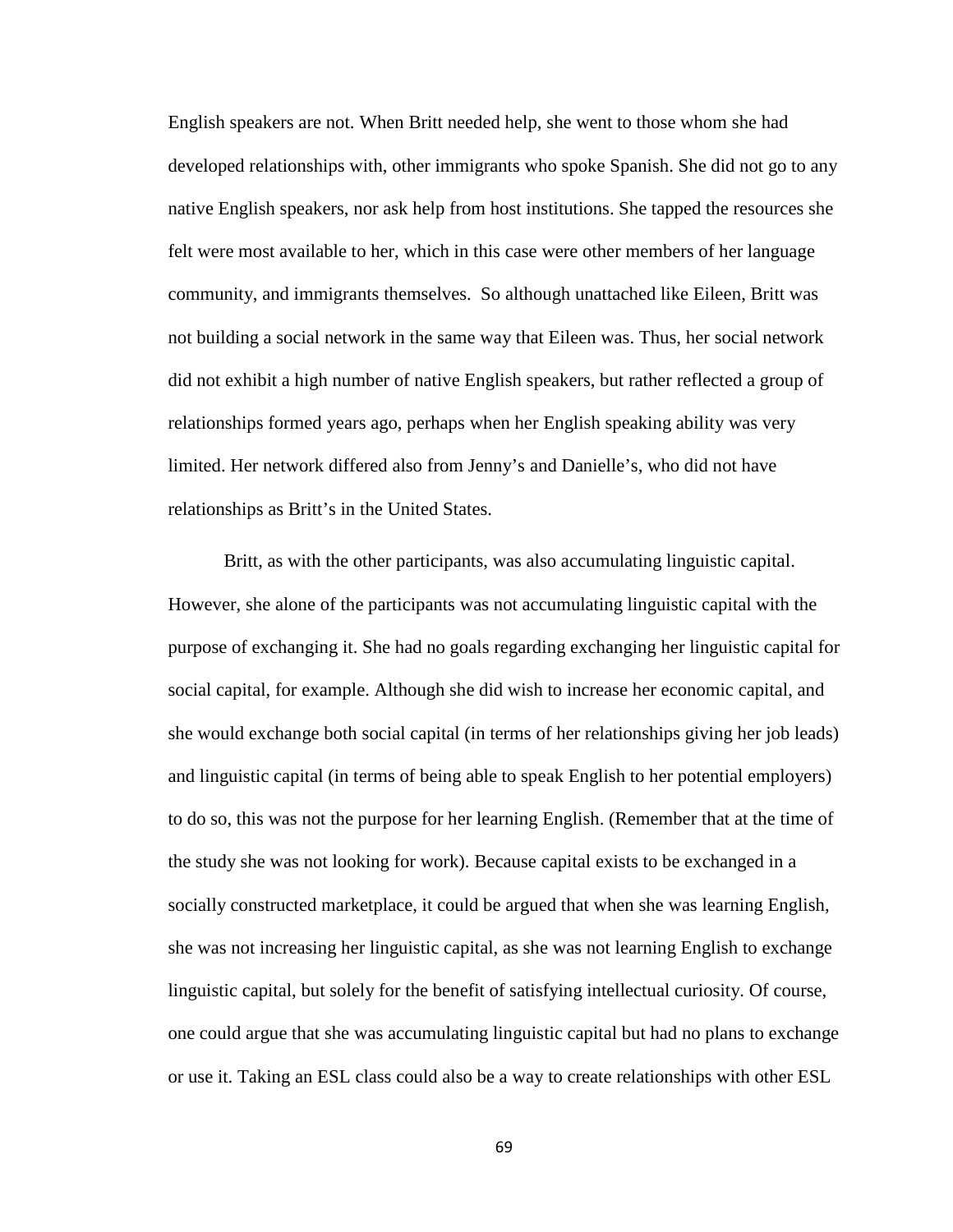English speakers are not. When Britt needed help, she went to those whom she had developed relationships with, other immigrants who spoke Spanish. She did not go to any native English speakers, nor ask help from host institutions. She tapped the resources she felt were most available to her, which in this case were other members of her language community, and immigrants themselves. So although unattached like Eileen, Britt was not building a social network in the same way that Eileen was. Thus, her social network did not exhibit a high number of native English speakers, but rather reflected a group of relationships formed years ago, perhaps when her English speaking ability was very limited. Her network differed also from Jenny's and Danielle's, who did not have relationships as Britt's in the United States.

Britt, as with the other participants, was also accumulating linguistic capital. However, she alone of the participants was not accumulating linguistic capital with the purpose of exchanging it. She had no goals regarding exchanging her linguistic capital for social capital, for example. Although she did wish to increase her economic capital, and she would exchange both social capital (in terms of her relationships giving her job leads) and linguistic capital (in terms of being able to speak English to her potential employers) to do so, this was not the purpose for her learning English. (Remember that at the time of the study she was not looking for work). Because capital exists to be exchanged in a socially constructed marketplace, it could be argued that when she was learning English, she was not increasing her linguistic capital, as she was not learning English to exchange linguistic capital, but solely for the benefit of satisfying intellectual curiosity. Of course, one could argue that she was accumulating linguistic capital but had no plans to exchange or use it. Taking an ESL class could also be a way to create relationships with other ESL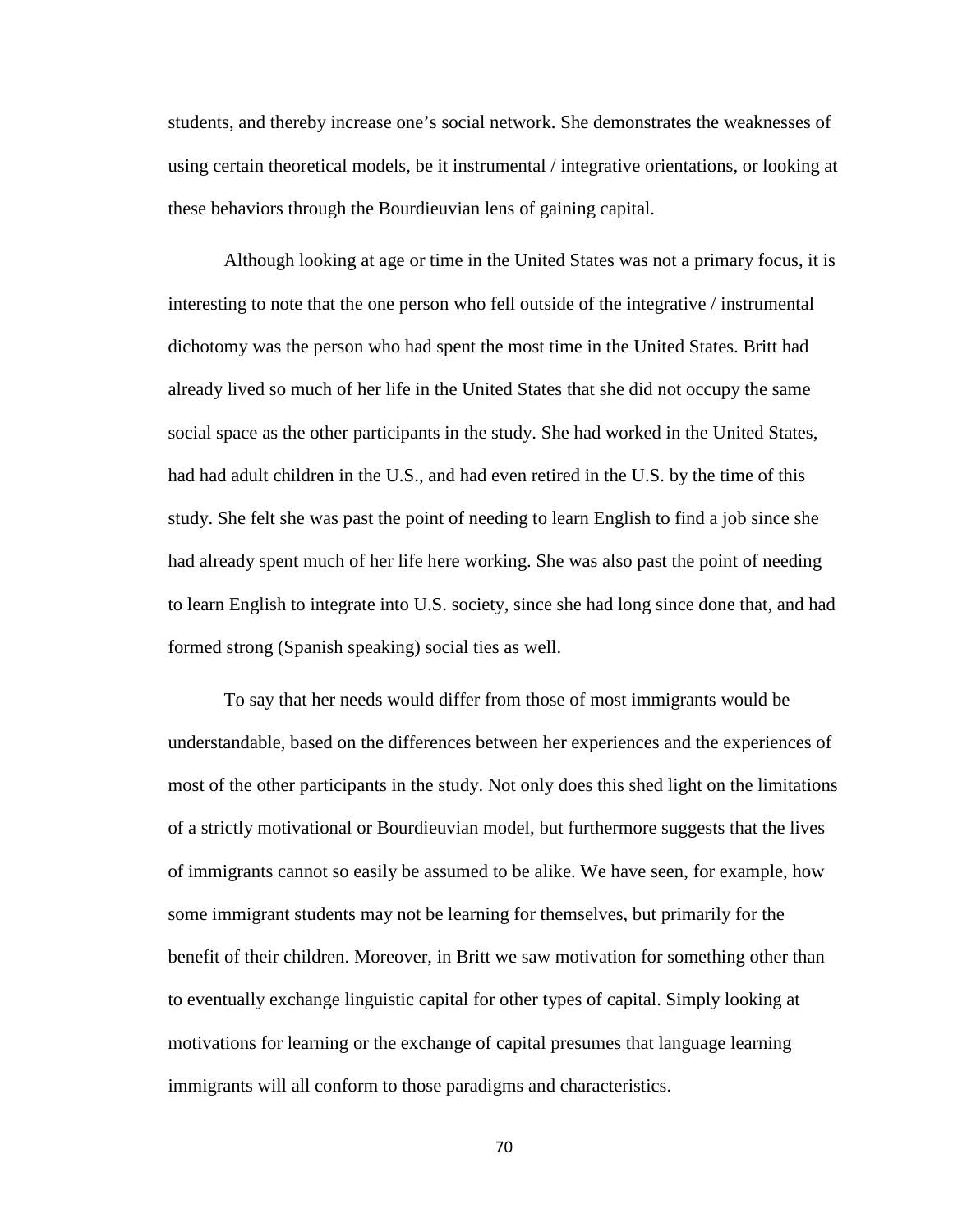students, and thereby increase one's social network. She demonstrates the weaknesses of using certain theoretical models, be it instrumental / integrative orientations, or looking at these behaviors through the Bourdieuvian lens of gaining capital.

Although looking at age or time in the United States was not a primary focus, it is interesting to note that the one person who fell outside of the integrative / instrumental dichotomy was the person who had spent the most time in the United States. Britt had already lived so much of her life in the United States that she did not occupy the same social space as the other participants in the study. She had worked in the United States, had had adult children in the U.S., and had even retired in the U.S. by the time of this study. She felt she was past the point of needing to learn English to find a job since she had already spent much of her life here working. She was also past the point of needing to learn English to integrate into U.S. society, since she had long since done that, and had formed strong (Spanish speaking) social ties as well.

To say that her needs would differ from those of most immigrants would be understandable, based on the differences between her experiences and the experiences of most of the other participants in the study. Not only does this shed light on the limitations of a strictly motivational or Bourdieuvian model, but furthermore suggests that the lives of immigrants cannot so easily be assumed to be alike. We have seen, for example, how some immigrant students may not be learning for themselves, but primarily for the benefit of their children. Moreover, in Britt we saw motivation for something other than to eventually exchange linguistic capital for other types of capital. Simply looking at motivations for learning or the exchange of capital presumes that language learning immigrants will all conform to those paradigms and characteristics.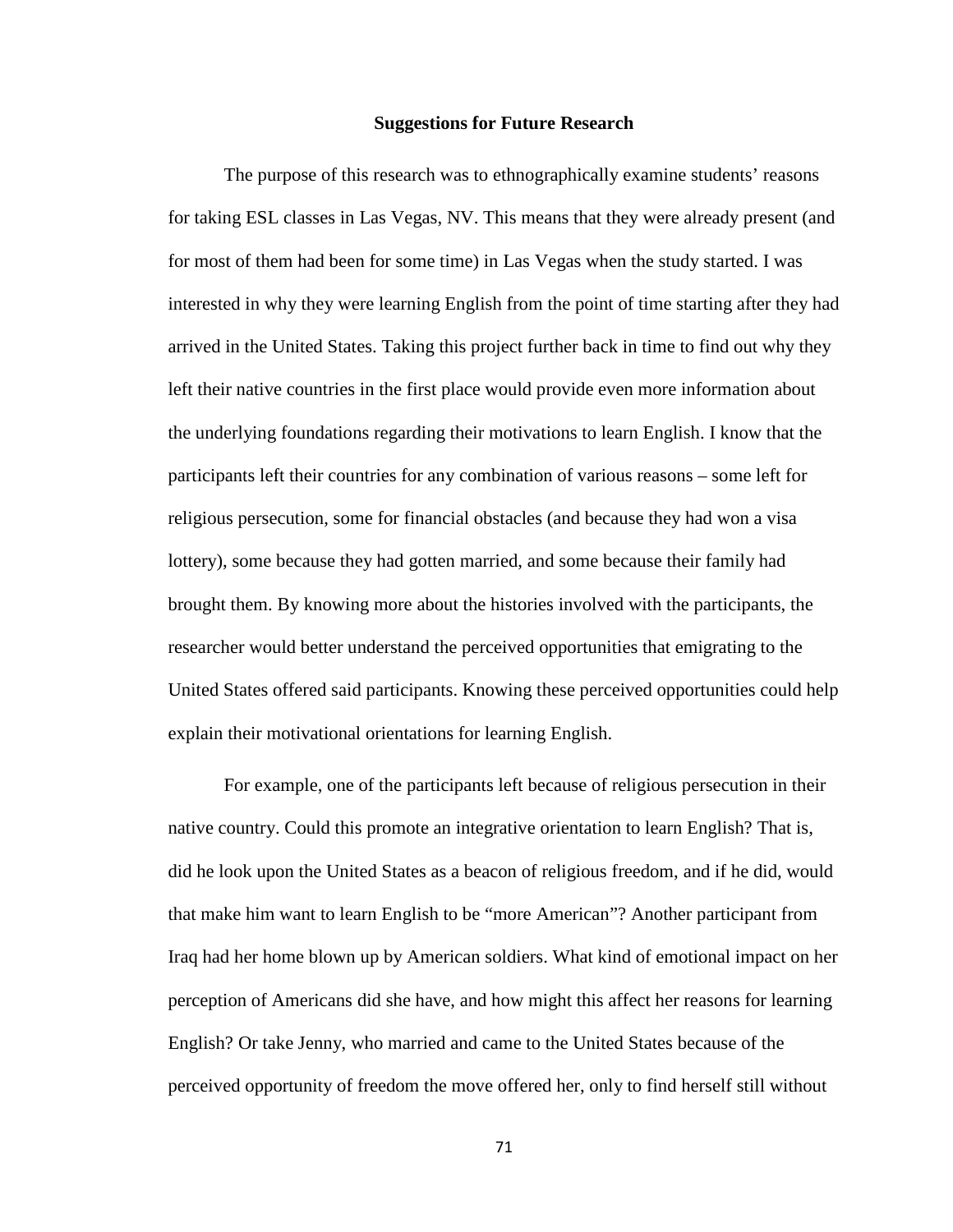#### **Suggestions for Future Research**

The purpose of this research was to ethnographically examine students' reasons for taking ESL classes in Las Vegas, NV. This means that they were already present (and for most of them had been for some time) in Las Vegas when the study started. I was interested in why they were learning English from the point of time starting after they had arrived in the United States. Taking this project further back in time to find out why they left their native countries in the first place would provide even more information about the underlying foundations regarding their motivations to learn English. I know that the participants left their countries for any combination of various reasons – some left for religious persecution, some for financial obstacles (and because they had won a visa lottery), some because they had gotten married, and some because their family had brought them. By knowing more about the histories involved with the participants, the researcher would better understand the perceived opportunities that emigrating to the United States offered said participants. Knowing these perceived opportunities could help explain their motivational orientations for learning English.

For example, one of the participants left because of religious persecution in their native country. Could this promote an integrative orientation to learn English? That is, did he look upon the United States as a beacon of religious freedom, and if he did, would that make him want to learn English to be "more American"? Another participant from Iraq had her home blown up by American soldiers. What kind of emotional impact on her perception of Americans did she have, and how might this affect her reasons for learning English? Or take Jenny, who married and came to the United States because of the perceived opportunity of freedom the move offered her, only to find herself still without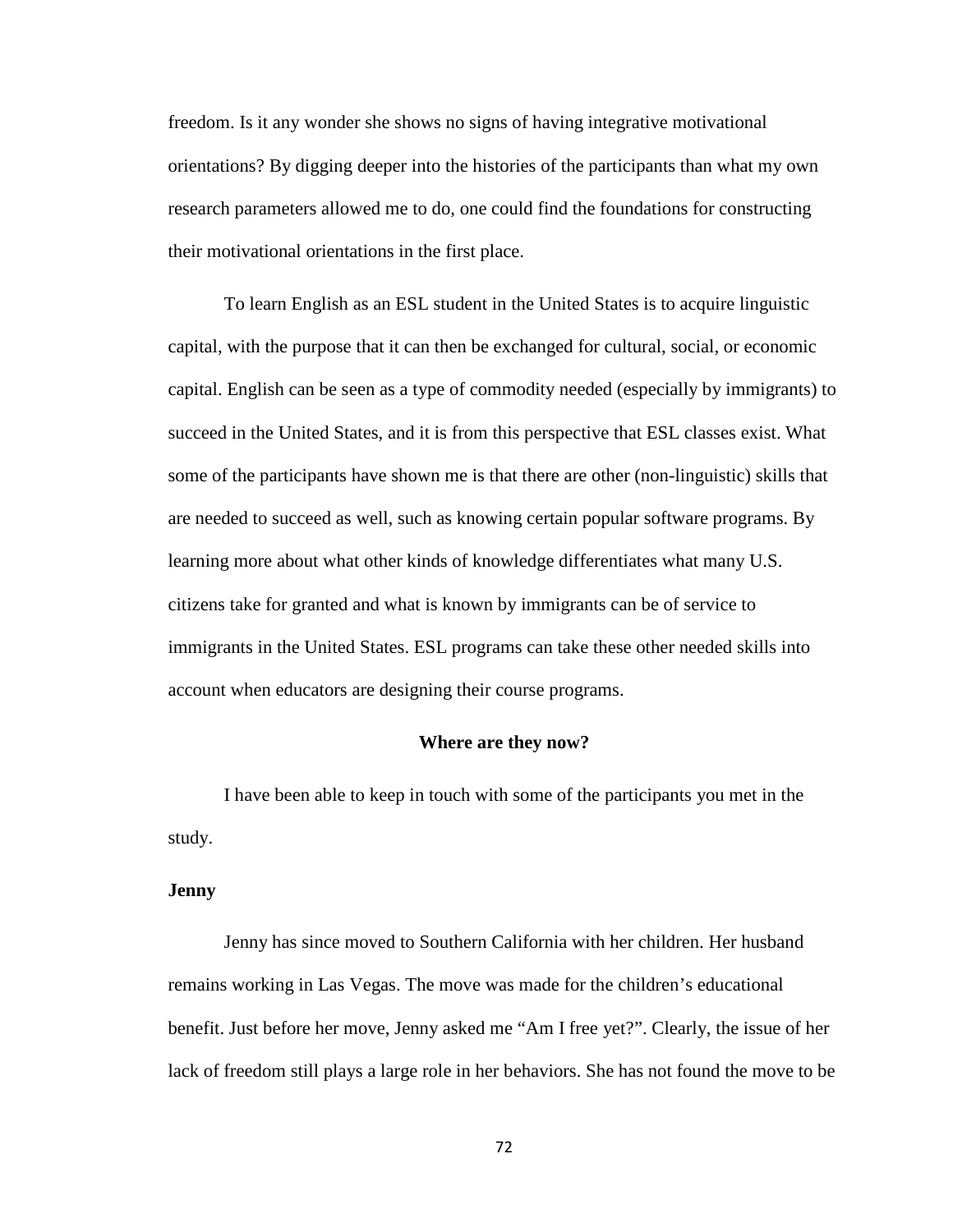freedom. Is it any wonder she shows no signs of having integrative motivational orientations? By digging deeper into the histories of the participants than what my own research parameters allowed me to do, one could find the foundations for constructing their motivational orientations in the first place.

To learn English as an ESL student in the United States is to acquire linguistic capital, with the purpose that it can then be exchanged for cultural, social, or economic capital. English can be seen as a type of commodity needed (especially by immigrants) to succeed in the United States, and it is from this perspective that ESL classes exist. What some of the participants have shown me is that there are other (non-linguistic) skills that are needed to succeed as well, such as knowing certain popular software programs. By learning more about what other kinds of knowledge differentiates what many U.S. citizens take for granted and what is known by immigrants can be of service to immigrants in the United States. ESL programs can take these other needed skills into account when educators are designing their course programs.

#### **Where are they now?**

I have been able to keep in touch with some of the participants you met in the study.

#### **Jenny**

Jenny has since moved to Southern California with her children. Her husband remains working in Las Vegas. The move was made for the children's educational benefit. Just before her move, Jenny asked me "Am I free yet?". Clearly, the issue of her lack of freedom still plays a large role in her behaviors. She has not found the move to be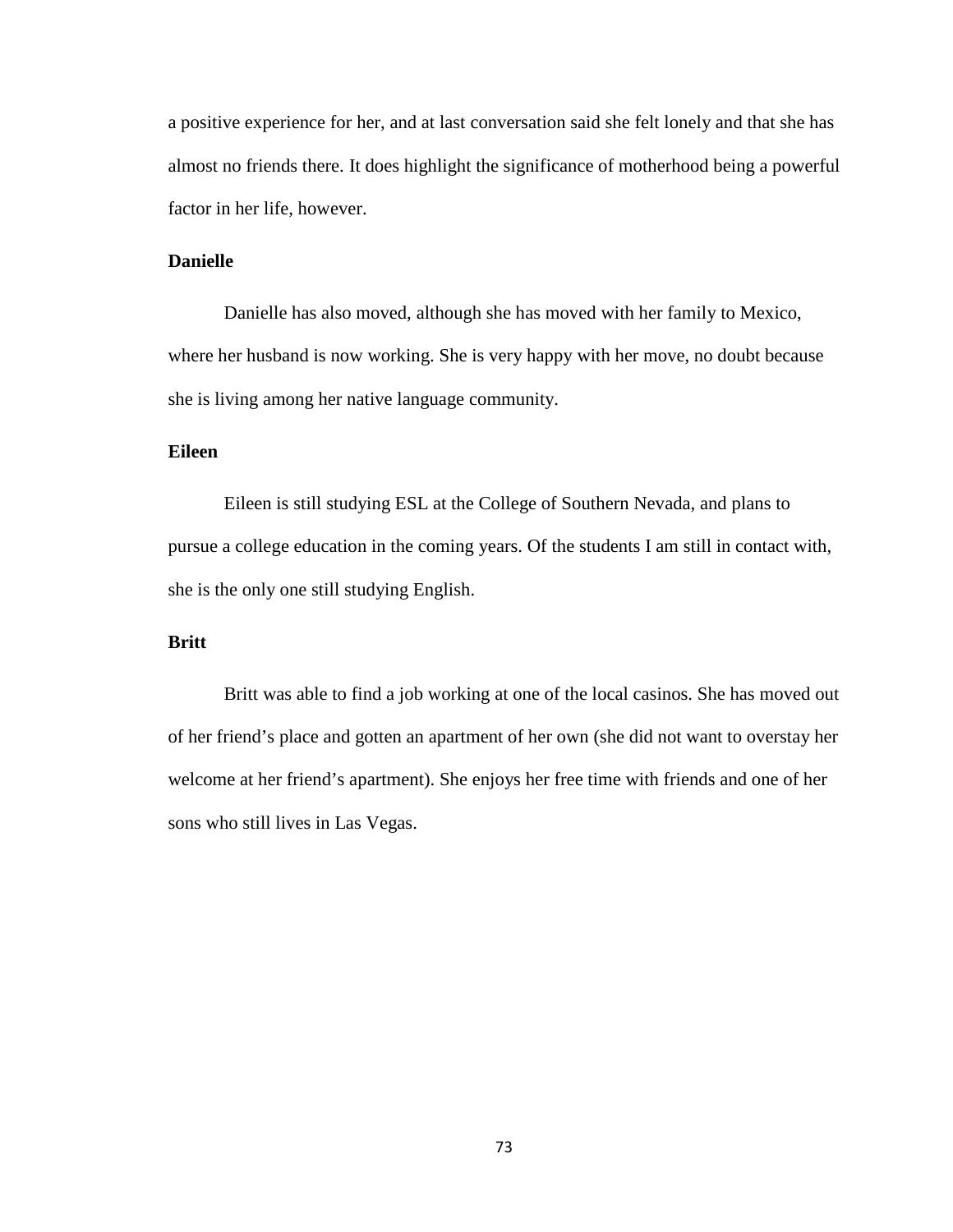a positive experience for her, and at last conversation said she felt lonely and that she has almost no friends there. It does highlight the significance of motherhood being a powerful factor in her life, however.

## **Danielle**

Danielle has also moved, although she has moved with her family to Mexico, where her husband is now working. She is very happy with her move, no doubt because she is living among her native language community.

## **Eileen**

Eileen is still studying ESL at the College of Southern Nevada, and plans to pursue a college education in the coming years. Of the students I am still in contact with, she is the only one still studying English.

## **Britt**

Britt was able to find a job working at one of the local casinos. She has moved out of her friend's place and gotten an apartment of her own (she did not want to overstay her welcome at her friend's apartment). She enjoys her free time with friends and one of her sons who still lives in Las Vegas.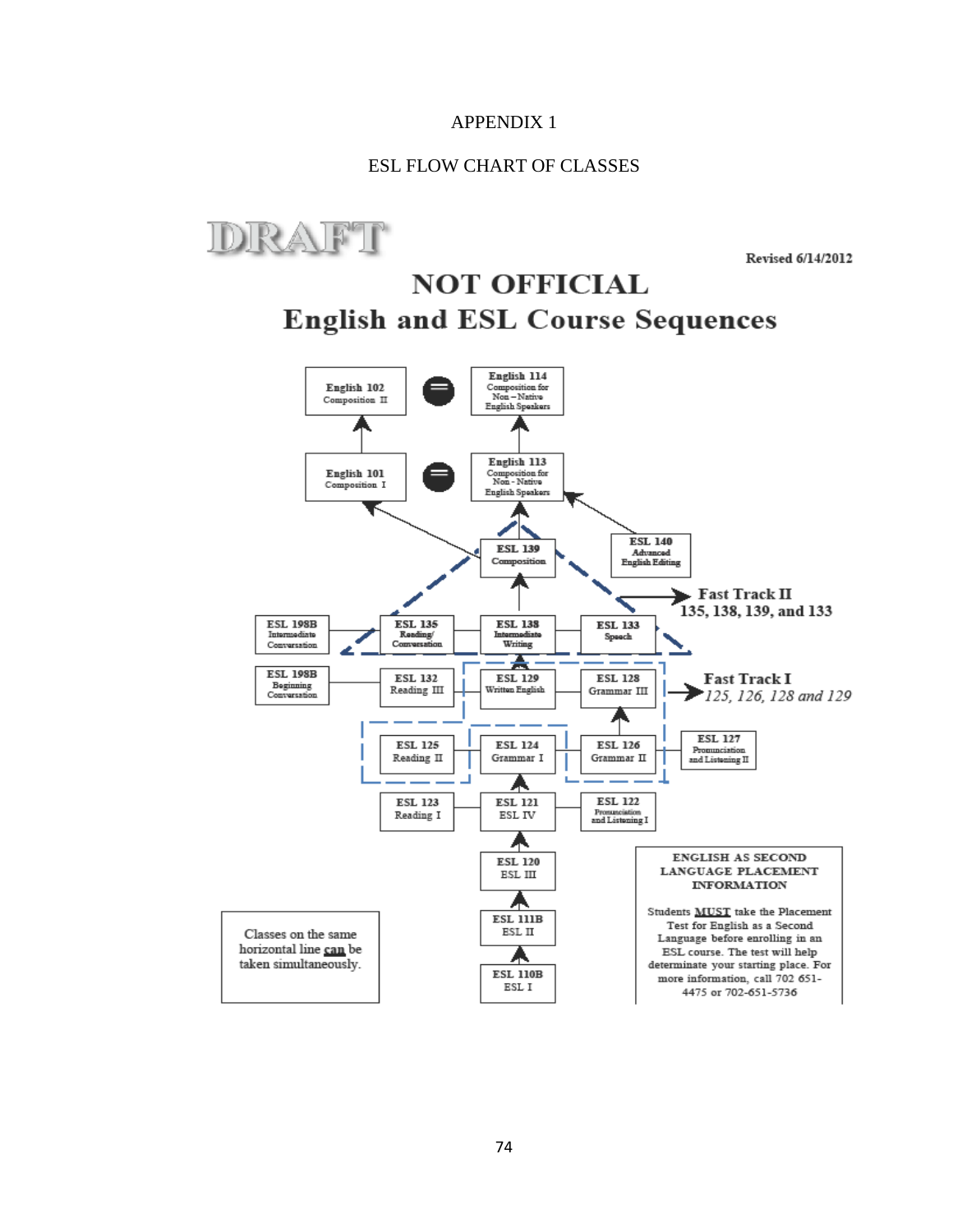## ESL FLOW CHART OF CLASSES



Revised 6/14/2012

# **NOT OFFICIAL English and ESL Course Sequences**

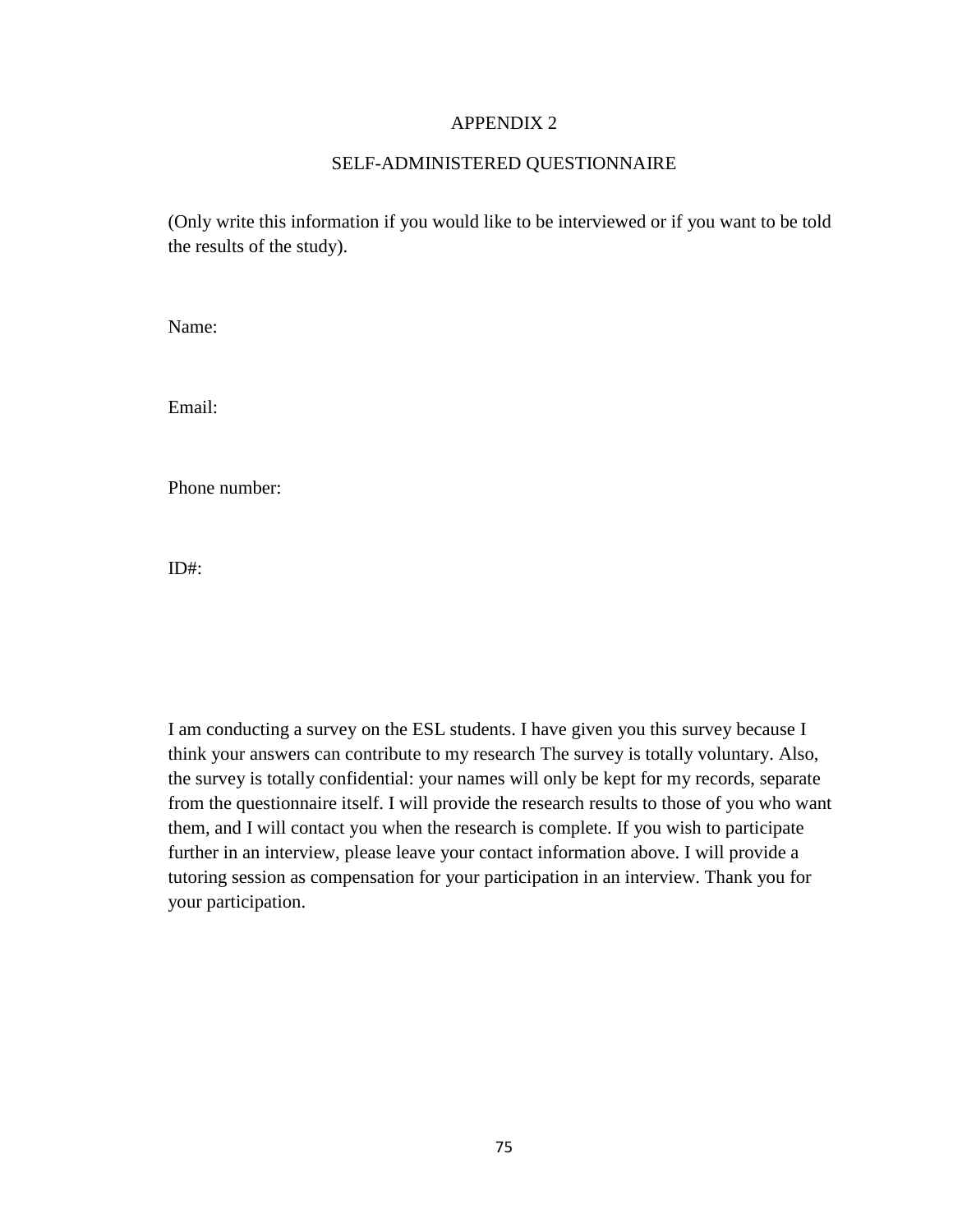## SELF-ADMINISTERED QUESTIONNAIRE

(Only write this information if you would like to be interviewed or if you want to be told the results of the study).

Name:

Email:

Phone number:

 $ID#$ :

I am conducting a survey on the ESL students. I have given you this survey because I think your answers can contribute to my research The survey is totally voluntary. Also, the survey is totally confidential: your names will only be kept for my records, separate from the questionnaire itself. I will provide the research results to those of you who want them, and I will contact you when the research is complete. If you wish to participate further in an interview, please leave your contact information above. I will provide a tutoring session as compensation for your participation in an interview. Thank you for your participation.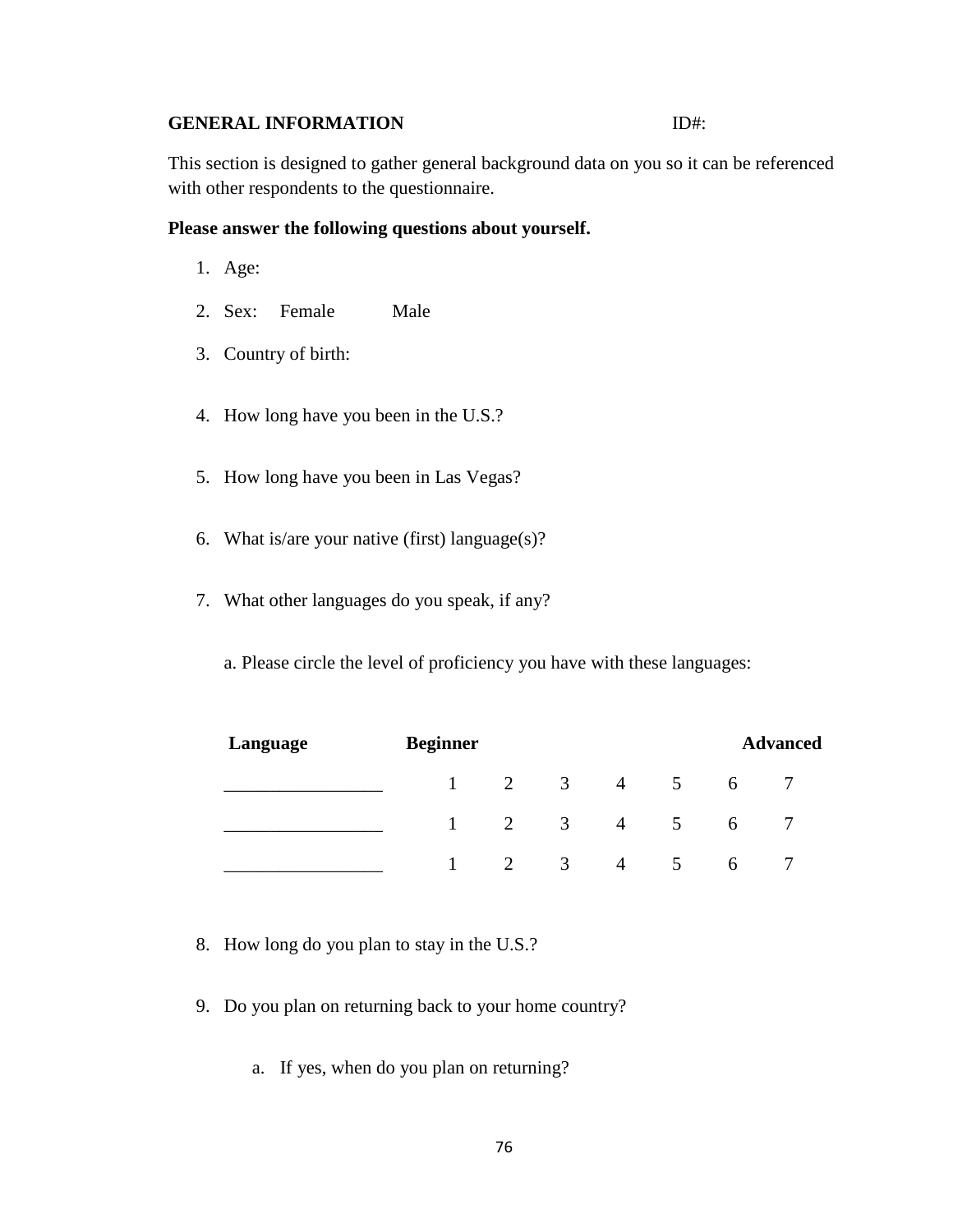## **GENERAL INFORMATION** ID#:

This section is designed to gather general background data on you so it can be referenced with other respondents to the questionnaire.

#### **Please answer the following questions about yourself.**

- 1. Age:
- 2. Sex: Female Male
- 3. Country of birth:
- 4. How long have you been in the U.S.?
- 5. How long have you been in Las Vegas?
- 6. What is/are your native (first) language(s)?
- 7. What other languages do you speak, if any?

a. Please circle the level of proficiency you have with these languages:

| Language | <b>Beginner</b> |   |                |                | <b>Advanced</b> |              |  |  |
|----------|-----------------|---|----------------|----------------|-----------------|--------------|--|--|
|          |                 | 2 | 3              | 4              | $\mathcal{L}$   | <sub>0</sub> |  |  |
|          |                 | 2 | 3 <sup>1</sup> | $\overline{4}$ |                 | <sub>0</sub> |  |  |
|          |                 |   | 3              | 4              |                 | <sub>b</sub> |  |  |

- 8. How long do you plan to stay in the U.S.?
- 9. Do you plan on returning back to your home country?
	- a. If yes, when do you plan on returning?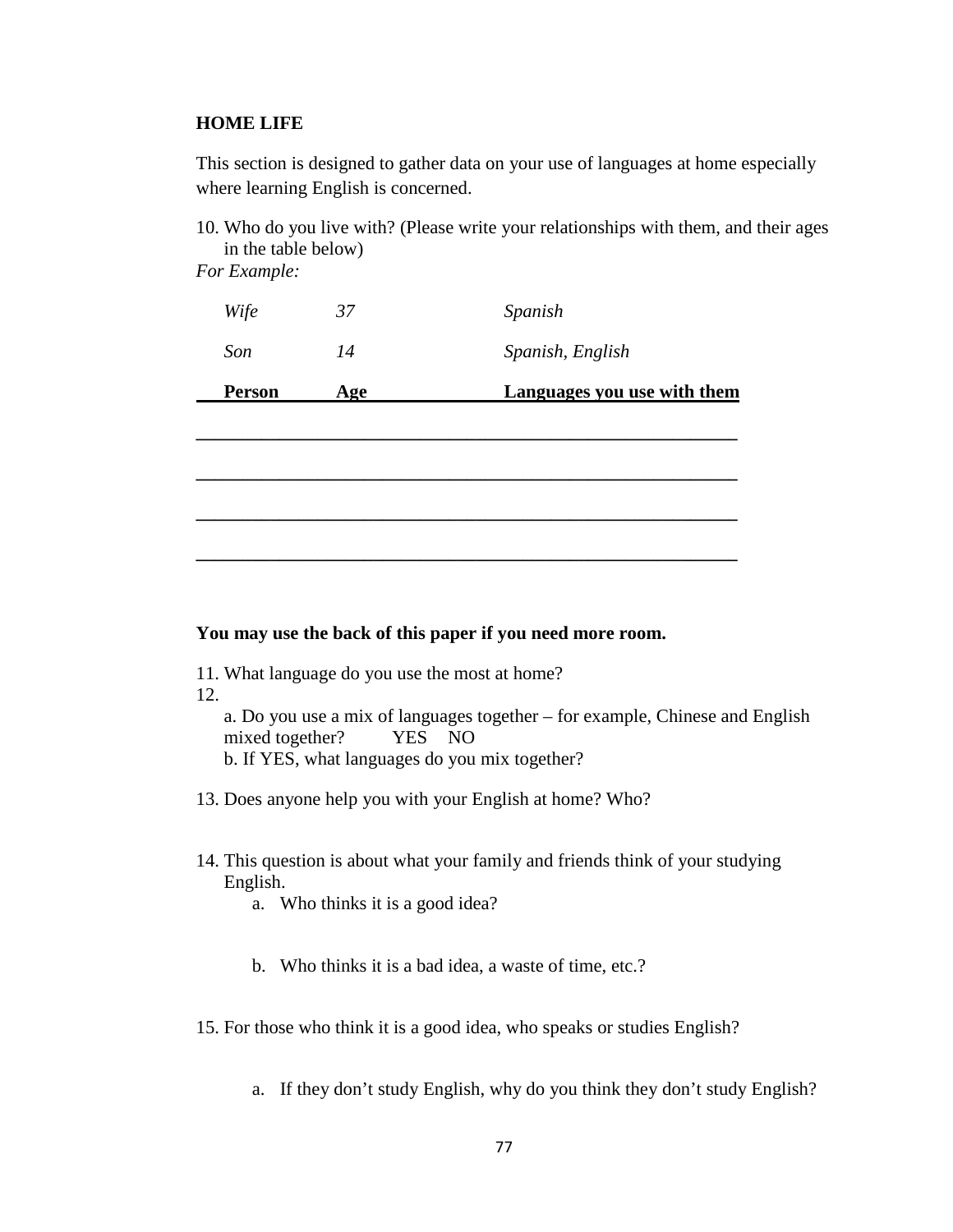#### **HOME LIFE**

This section is designed to gather data on your use of languages at home especially where learning English is concerned.

10. Who do you live with? (Please write your relationships with them, and their ages in the table below)

*For Example:*

| Person | Age | Languages you use with them |
|--------|-----|-----------------------------|
| Son    | 14  | Spanish, English            |
| Wife   | 37  | Spanish                     |

**\_\_\_\_\_\_\_\_\_\_\_\_\_\_\_\_\_\_\_\_\_\_\_\_\_\_\_\_\_\_\_\_\_\_\_\_\_\_\_\_\_\_\_\_\_\_\_\_\_\_\_\_\_\_\_\_\_\_**

**\_\_\_\_\_\_\_\_\_\_\_\_\_\_\_\_\_\_\_\_\_\_\_\_\_\_\_\_\_\_\_\_\_\_\_\_\_\_\_\_\_\_\_\_\_\_\_\_\_\_\_\_\_\_\_\_\_\_**

**\_\_\_\_\_\_\_\_\_\_\_\_\_\_\_\_\_\_\_\_\_\_\_\_\_\_\_\_\_\_\_\_\_\_\_\_\_\_\_\_\_\_\_\_\_\_\_\_\_\_\_\_\_\_\_\_\_\_**

**\_\_\_\_\_\_\_\_\_\_\_\_\_\_\_\_\_\_\_\_\_\_\_\_\_\_\_\_\_\_\_\_\_\_\_\_\_\_\_\_\_\_\_\_\_\_\_\_\_\_\_\_\_\_\_\_\_\_**

#### **You may use the back of this paper if you need more room.**

- 11. What language do you use the most at home?
- 12.
	- a. Do you use a mix of languages together for example, Chinese and English mixed together? YES NO

b. If YES, what languages do you mix together?

- 13. Does anyone help you with your English at home? Who?
- 14. This question is about what your family and friends think of your studying English.
	- a. Who thinks it is a good idea?
	- b. Who thinks it is a bad idea, a waste of time, etc.?

15. For those who think it is a good idea, who speaks or studies English?

a. If they don't study English, why do you think they don't study English?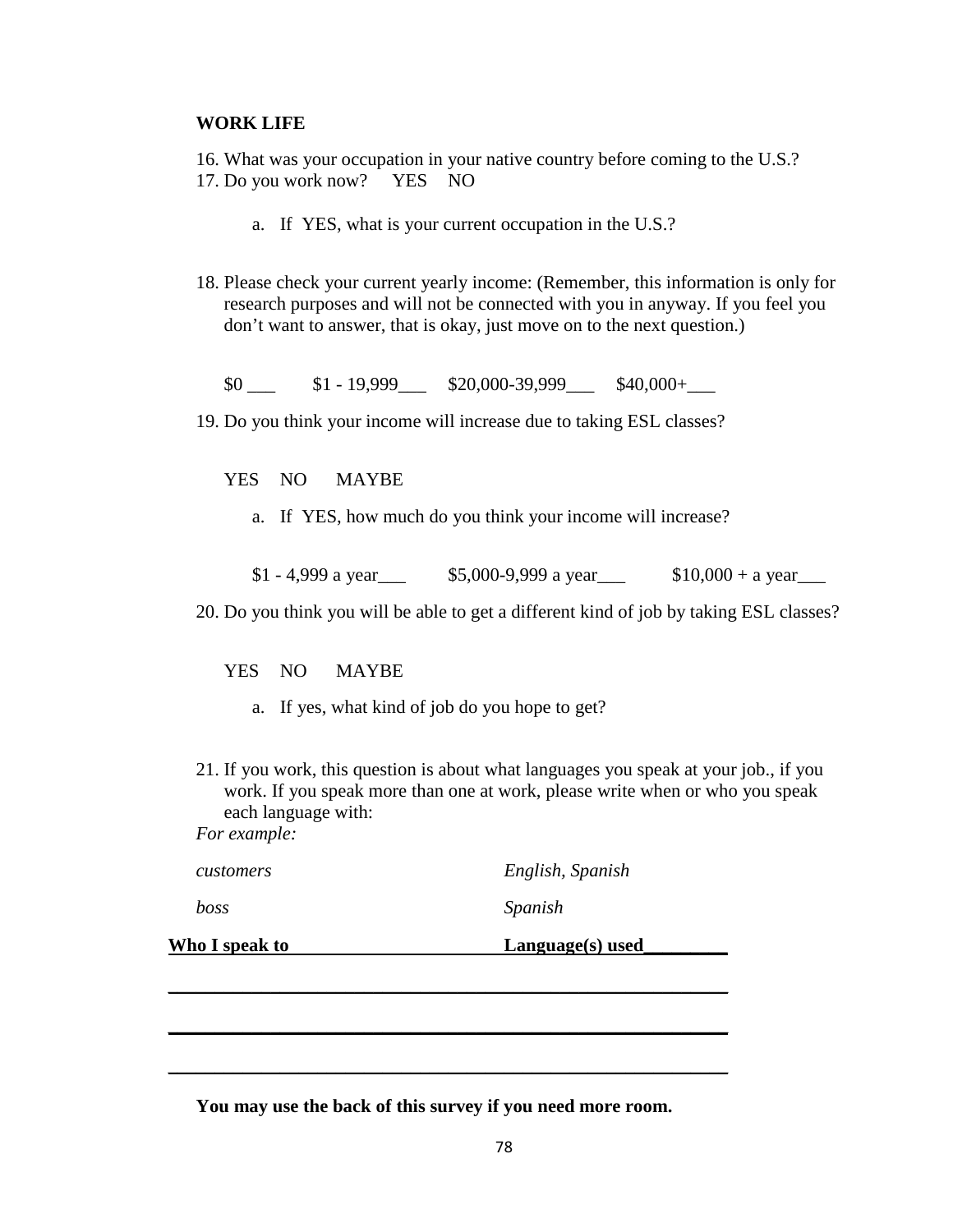#### **WORK LIFE**

16. What was your occupation in your native country before coming to the U.S.? 17. Do you work now? YES NO

- a. If YES, what is your current occupation in the U.S.?
- 18. Please check your current yearly income: (Remember, this information is only for research purposes and will not be connected with you in anyway. If you feel you don't want to answer, that is okay, just move on to the next question.)

 $$0 \qquad $1 - 19,999 \qquad $20,000-39,999 \qquad $40,000+$ 

19. Do you think your income will increase due to taking ESL classes?

YES NO MAYBE

a. If YES, how much do you think your income will increase?

 $$1 - 4,999$  a year  $$5,000-9,999$  a year  $$10,000 + a$  year

20. Do you think you will be able to get a different kind of job by taking ESL classes?

YES NO MAYBE

- a. If yes, what kind of job do you hope to get?
- 21. If you work, this question is about what languages you speak at your job., if you work. If you speak more than one at work, please write when or who you speak each language with:

*For example:*

| <b>Who I speak to</b> | Language(s) used |
|-----------------------|------------------|
| boss                  | Spanish          |
| <i>customers</i>      | English, Spanish |

\_\_\_\_\_\_\_\_\_\_\_\_\_\_\_\_\_\_\_\_\_\_\_\_\_\_\_\_\_\_\_\_\_\_\_\_\_\_\_\_\_\_\_\_\_\_\_\_\_\_\_\_\_\_\_\_\_\_\_\_

 $\overline{\phantom{a}}$  , and the contract of the contract of the contract of the contract of the contract of the contract of the contract of the contract of the contract of the contract of the contract of the contract of the contrac

**You may use the back of this survey if you need more room.**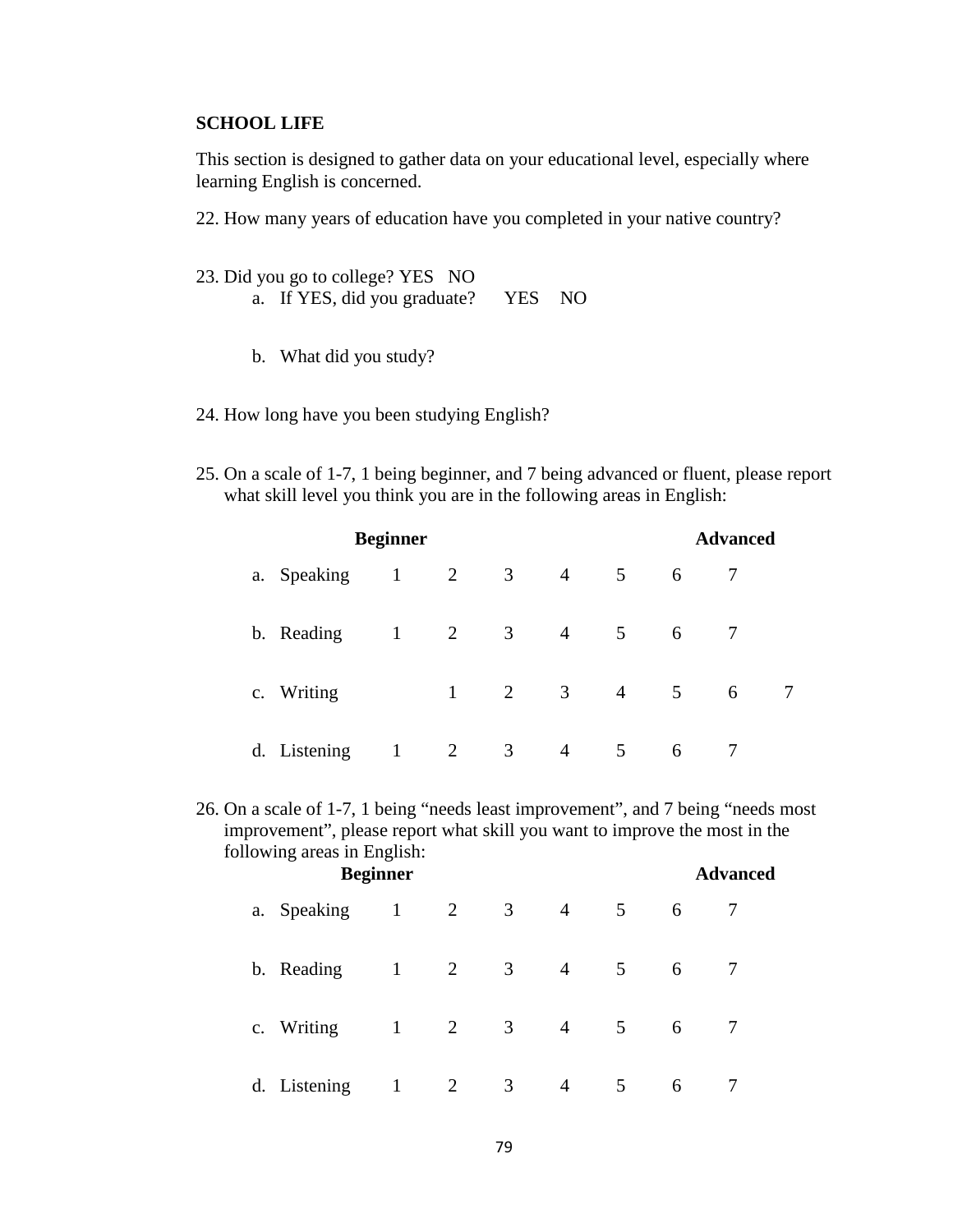## **SCHOOL LIFE**

This section is designed to gather data on your educational level, especially where learning English is concerned.

22. How many years of education have you completed in your native country?

- 23. Did you go to college? YES NO a. If YES, did you graduate? YES NO
	- b. What did you study?
- 24. How long have you been studying English?
- 25. On a scale of 1-7, 1 being beginner, and 7 being advanced or fluent, please report what skill level you think you are in the following areas in English:

| <b>Beginner</b> |              |                |                         |                | <b>Advanced</b> |             |   |  |
|-----------------|--------------|----------------|-------------------------|----------------|-----------------|-------------|---|--|
| a. Speaking     | $\mathbf{1}$ | 2              | 3                       | $\overline{4}$ | 5               | 6           |   |  |
| b. Reading      | $\mathbf{1}$ | 2              | $\overline{\mathbf{3}}$ | $\overline{4}$ | 5               | 6           |   |  |
| c. Writing      |              | 1              | 2                       | $\mathfrak{Z}$ | $\overline{4}$  | $5^{\circ}$ | 6 |  |
| d. Listening    |              | $\overline{2}$ | 3                       | $\overline{4}$ | 5               | 6           |   |  |

26. On a scale of 1-7, 1 being "needs least improvement", and 7 being "needs most improvement", please report what skill you want to improve the most in the following areas in English:

|              | <b>Beginner</b> |                |                         |                |   |   | <b>Advanced</b> |  |
|--------------|-----------------|----------------|-------------------------|----------------|---|---|-----------------|--|
| a. Speaking  | $\mathbf{1}$    | 2              | $\overline{3}$          | $\overline{4}$ | 5 | 6 |                 |  |
| b. Reading   | $\mathbf{1}$    | $\overline{2}$ | $\overline{3}$          | $\overline{4}$ | 5 | 6 |                 |  |
| c. Writing   | $\mathbf{1}$    | 2              | $\overline{\mathbf{3}}$ | $\overline{4}$ | 5 | 6 |                 |  |
| d. Listening | $\mathbf{1}$    | $\overline{2}$ | 3                       | $\overline{4}$ | 5 | 6 |                 |  |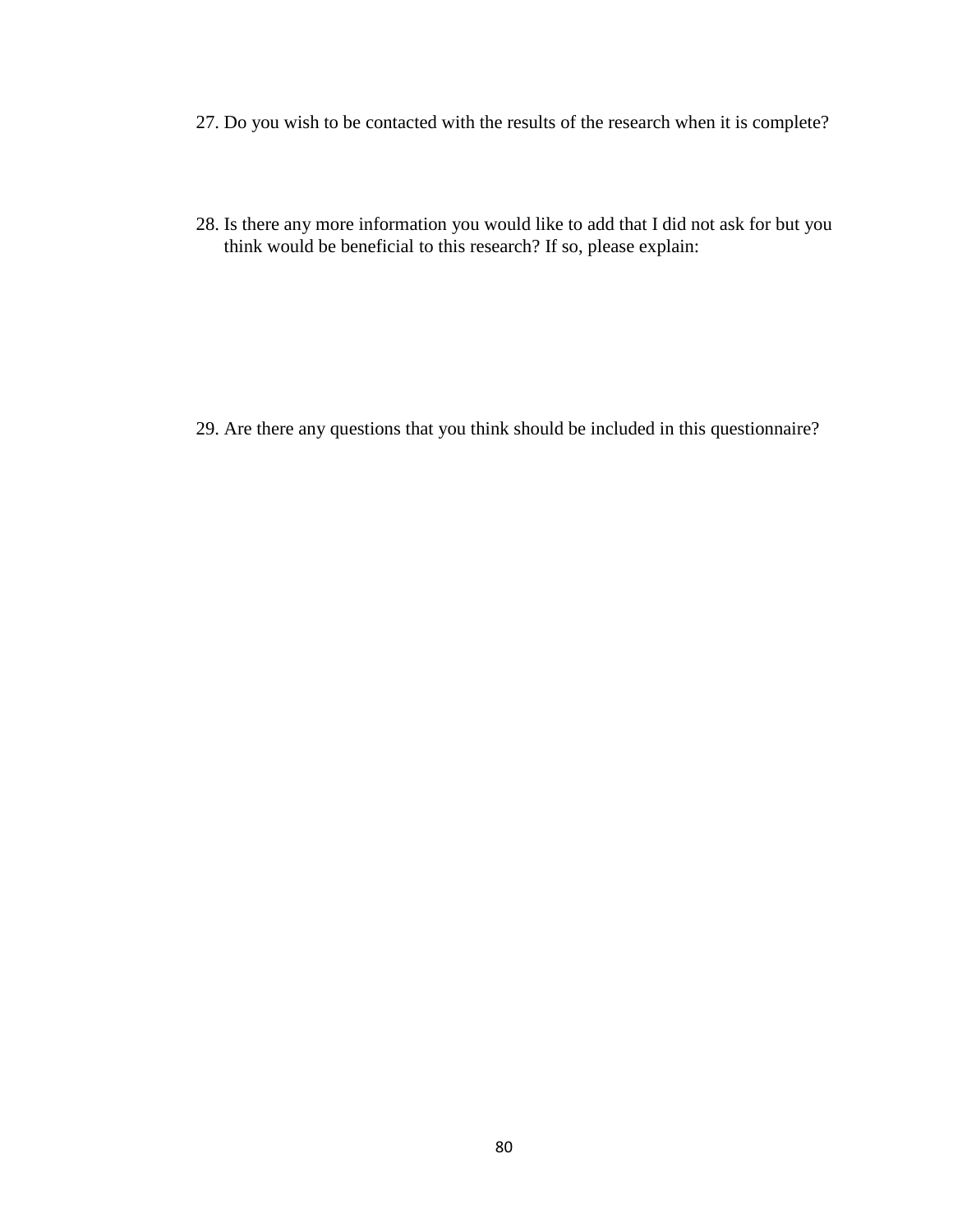- 27. Do you wish to be contacted with the results of the research when it is complete?
- 28. Is there any more information you would like to add that I did not ask for but you think would be beneficial to this research? If so, please explain:

29. Are there any questions that you think should be included in this questionnaire?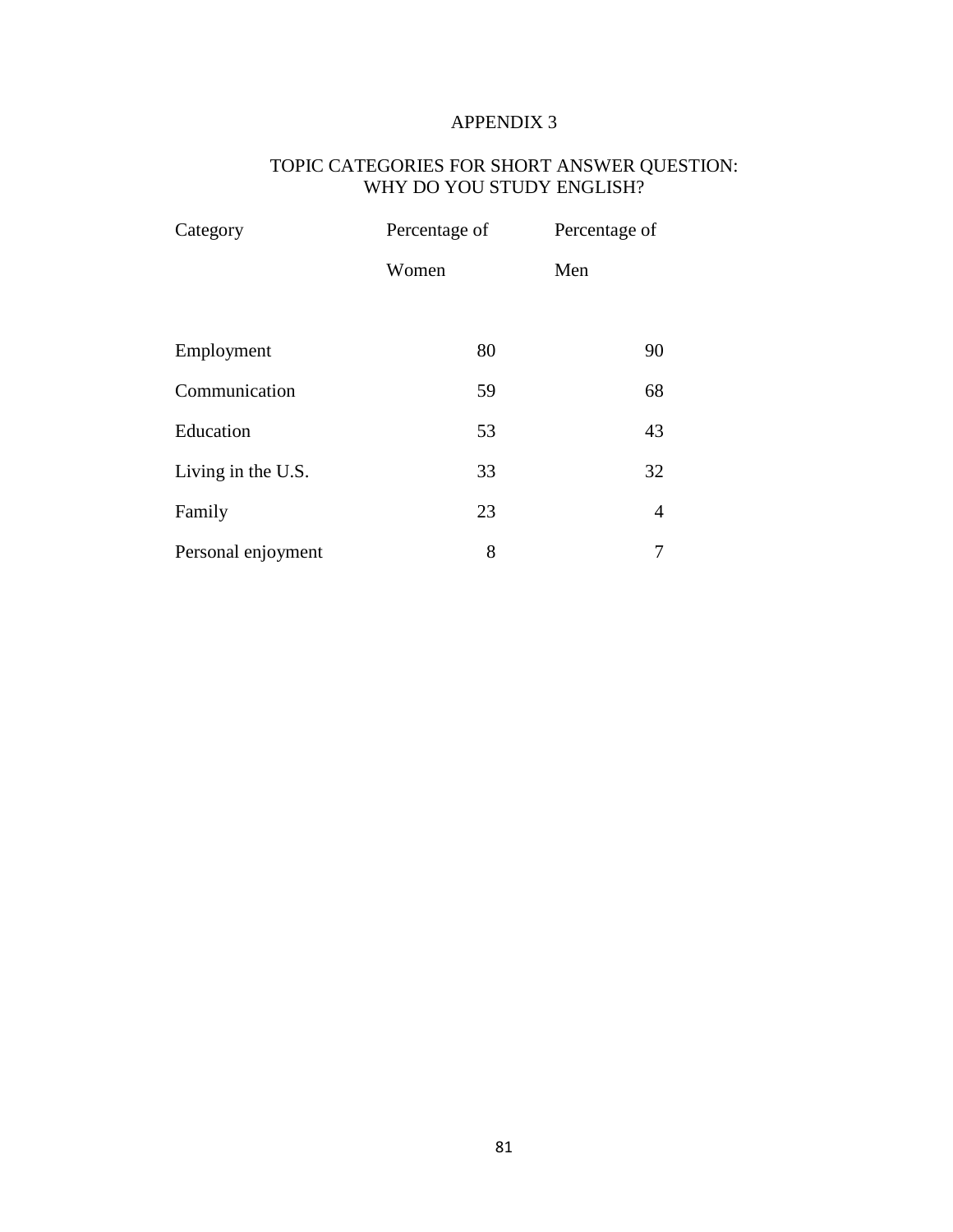# TOPIC CATEGORIES FOR SHORT ANSWER QUESTION: WHY DO YOU STUDY ENGLISH?

| Category           | Percentage of | Percentage of |  |
|--------------------|---------------|---------------|--|
|                    | Women         | Men           |  |
| Employment         | 80            | 90            |  |
| Communication      | 59            | 68            |  |
| Education          | 53            | 43            |  |
| Living in the U.S. | 33            | 32            |  |
| Family             | 23            | 4             |  |
| Personal enjoyment | 8             |               |  |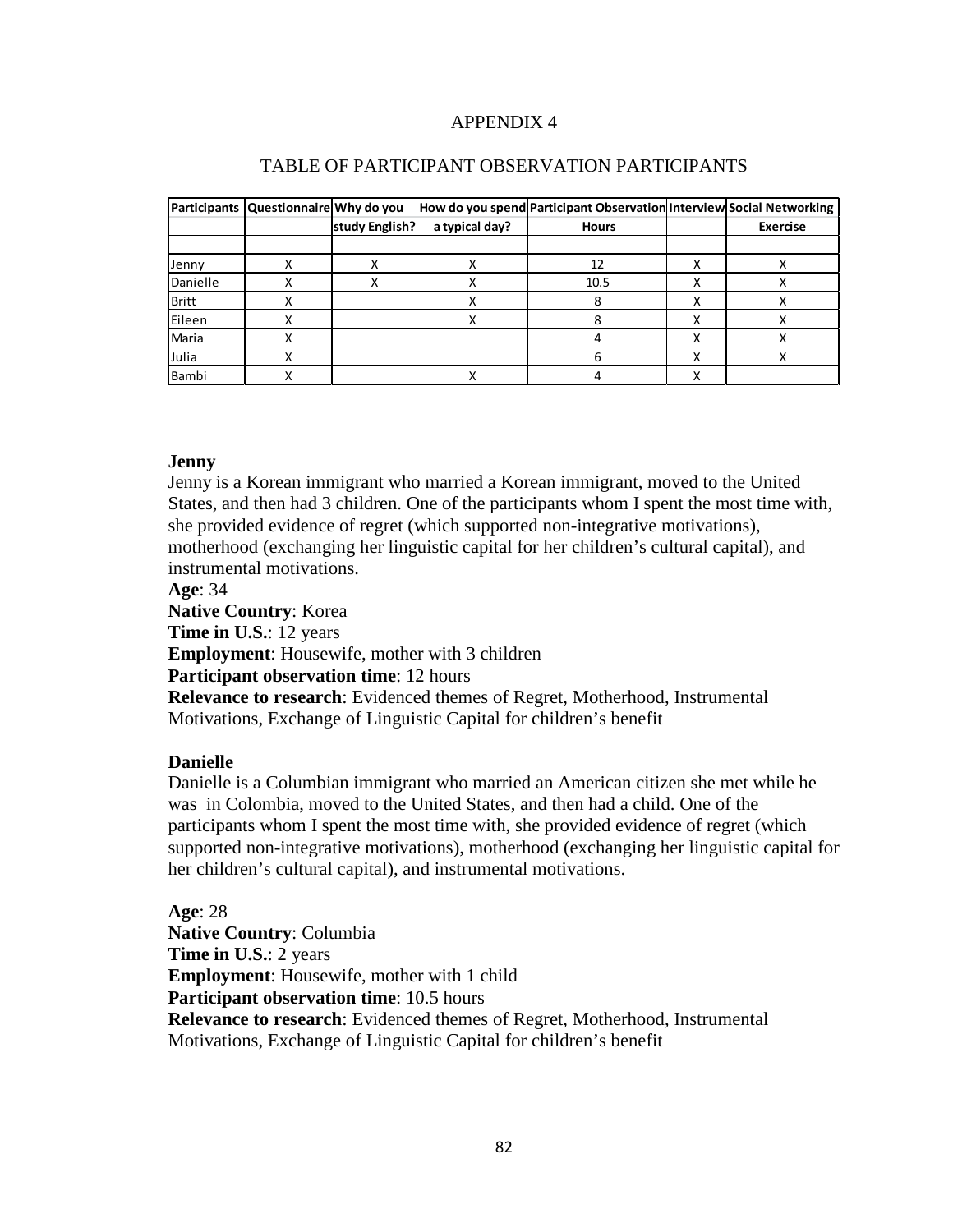|              | Participants Questionnaire Why do you |                |                | How do you spend Participant Observation Interview Social Networking |                 |
|--------------|---------------------------------------|----------------|----------------|----------------------------------------------------------------------|-----------------|
|              |                                       | study English? | a typical day? | <b>Hours</b>                                                         | <b>Exercise</b> |
|              |                                       |                |                |                                                                      |                 |
| Jenny        |                                       |                |                | 12                                                                   |                 |
| Danielle     |                                       |                |                | 10.5                                                                 | ⋏               |
| <b>Britt</b> |                                       |                |                |                                                                      | ⋏               |
| Eileen       |                                       |                |                |                                                                      | х               |
| Maria        |                                       |                |                |                                                                      | ⋏               |
| Julia        |                                       |                |                |                                                                      |                 |
| Bambi        |                                       |                |                |                                                                      |                 |

#### TABLE OF PARTICIPANT OBSERVATION PARTICIPANTS

## **Jenny**

Jenny is a Korean immigrant who married a Korean immigrant, moved to the United States, and then had 3 children. One of the participants whom I spent the most time with, she provided evidence of regret (which supported non-integrative motivations), motherhood (exchanging her linguistic capital for her children's cultural capital), and instrumental motivations.

**Age**: 34

**Native Country**: Korea **Time in U.S.**: 12 years **Employment**: Housewife, mother with 3 children **Participant observation time**: 12 hours **Relevance to research**: Evidenced themes of Regret, Motherhood, Instrumental Motivations, Exchange of Linguistic Capital for children's benefit

## **Danielle**

Danielle is a Columbian immigrant who married an American citizen she met while he was in Colombia, moved to the United States, and then had a child. One of the participants whom I spent the most time with, she provided evidence of regret (which supported non-integrative motivations), motherhood (exchanging her linguistic capital for her children's cultural capital), and instrumental motivations.

**Age**: 28 **Native Country**: Columbia **Time in U.S.**: 2 years **Employment**: Housewife, mother with 1 child **Participant observation time**: 10.5 hours **Relevance to research**: Evidenced themes of Regret, Motherhood, Instrumental Motivations, Exchange of Linguistic Capital for children's benefit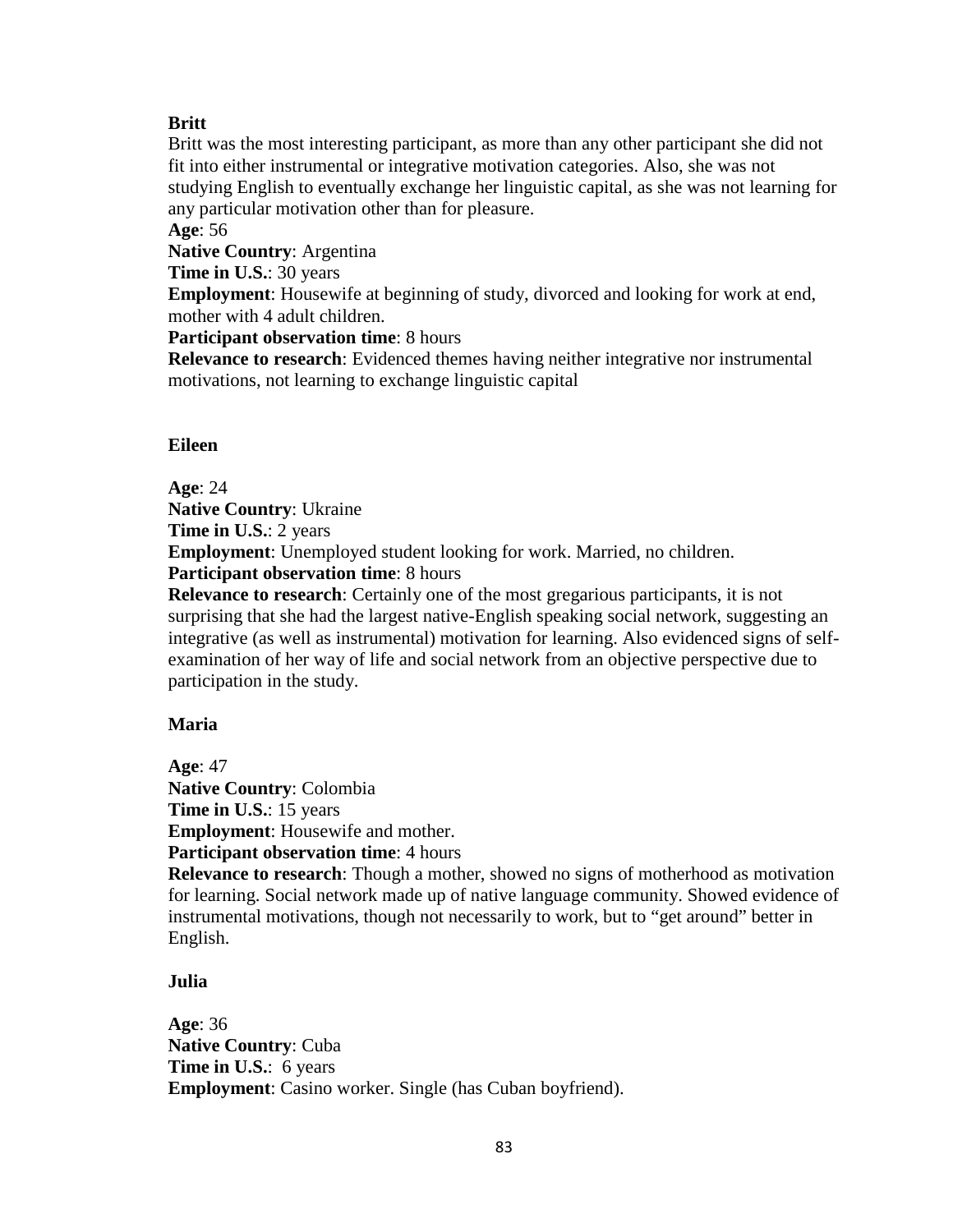## **Britt**

Britt was the most interesting participant, as more than any other participant she did not fit into either instrumental or integrative motivation categories. Also, she was not studying English to eventually exchange her linguistic capital, as she was not learning for any particular motivation other than for pleasure.

**Age**: 56

**Native Country**: Argentina

**Time in U.S.**: 30 years

**Employment**: Housewife at beginning of study, divorced and looking for work at end, mother with 4 adult children.

**Participant observation time: 8 hours** 

**Relevance to research**: Evidenced themes having neither integrative nor instrumental motivations, not learning to exchange linguistic capital

#### **Eileen**

**Age**: 24 **Native Country**: Ukraine **Time in U.S.**: 2 years **Employment**: Unemployed student looking for work. Married, no children. **Participant observation time**: 8 hours

**Relevance to research**: Certainly one of the most gregarious participants, it is not surprising that she had the largest native-English speaking social network, suggesting an integrative (as well as instrumental) motivation for learning. Also evidenced signs of selfexamination of her way of life and social network from an objective perspective due to participation in the study.

#### **Maria**

**Age**: 47 **Native Country**: Colombia **Time in U.S.**: 15 years **Employment**: Housewife and mother. **Participant observation time**: 4 hours

**Relevance to research**: Though a mother, showed no signs of motherhood as motivation for learning. Social network made up of native language community. Showed evidence of instrumental motivations, though not necessarily to work, but to "get around" better in English.

#### **Julia**

**Age**: 36 **Native Country**: Cuba **Time in U.S.**: 6 years **Employment**: Casino worker. Single (has Cuban boyfriend).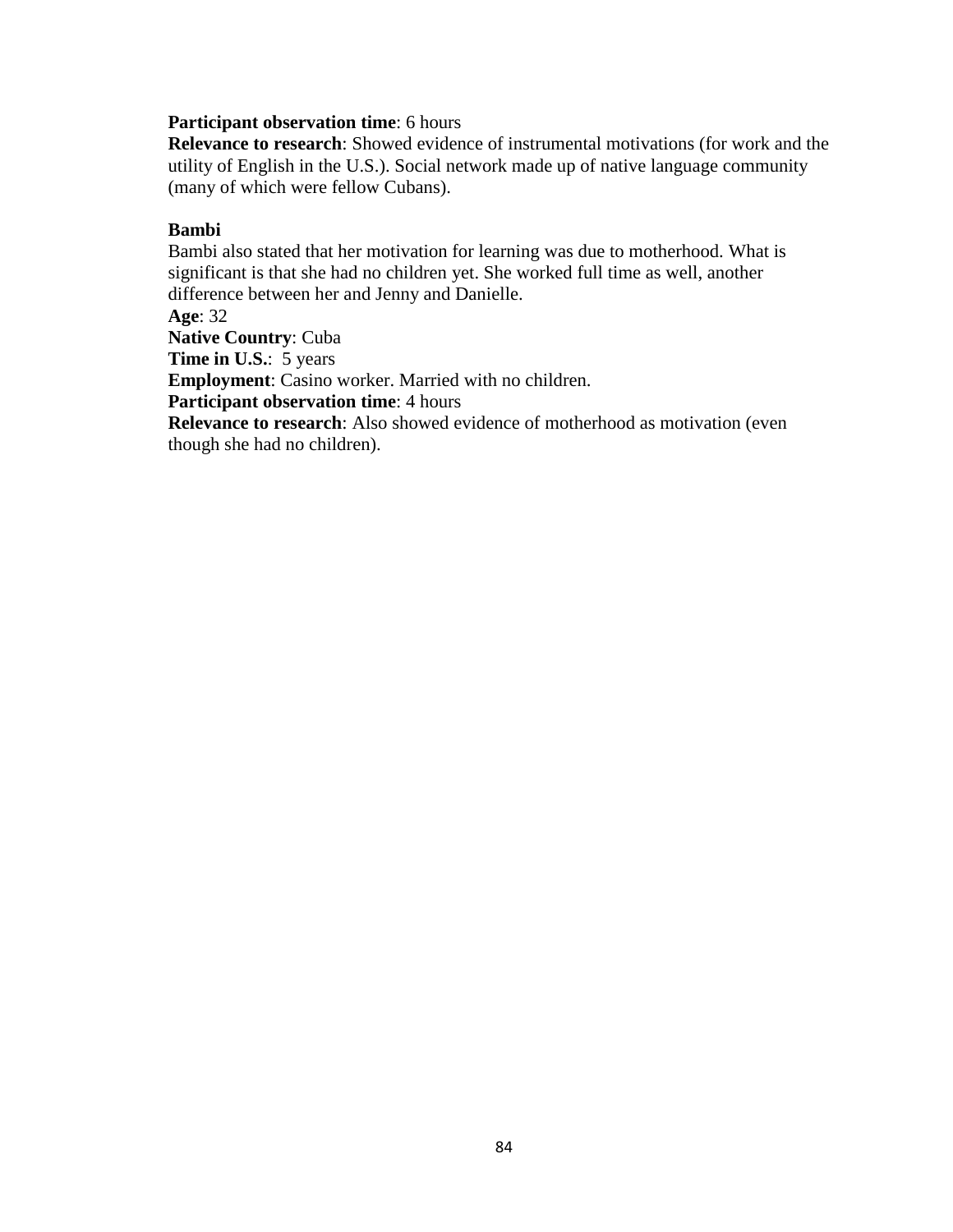#### **Participant observation time**: 6 hours

**Relevance to research**: Showed evidence of instrumental motivations (for work and the utility of English in the U.S.). Social network made up of native language community (many of which were fellow Cubans).

## **Bambi**

Bambi also stated that her motivation for learning was due to motherhood. What is significant is that she had no children yet. She worked full time as well, another difference between her and Jenny and Danielle. **Age**: 32

**Native Country**: Cuba

**Time in U.S.:** 5 years

**Employment**: Casino worker. Married with no children.

**Participant observation time**: 4 hours

**Relevance to research**: Also showed evidence of motherhood as motivation (even though she had no children).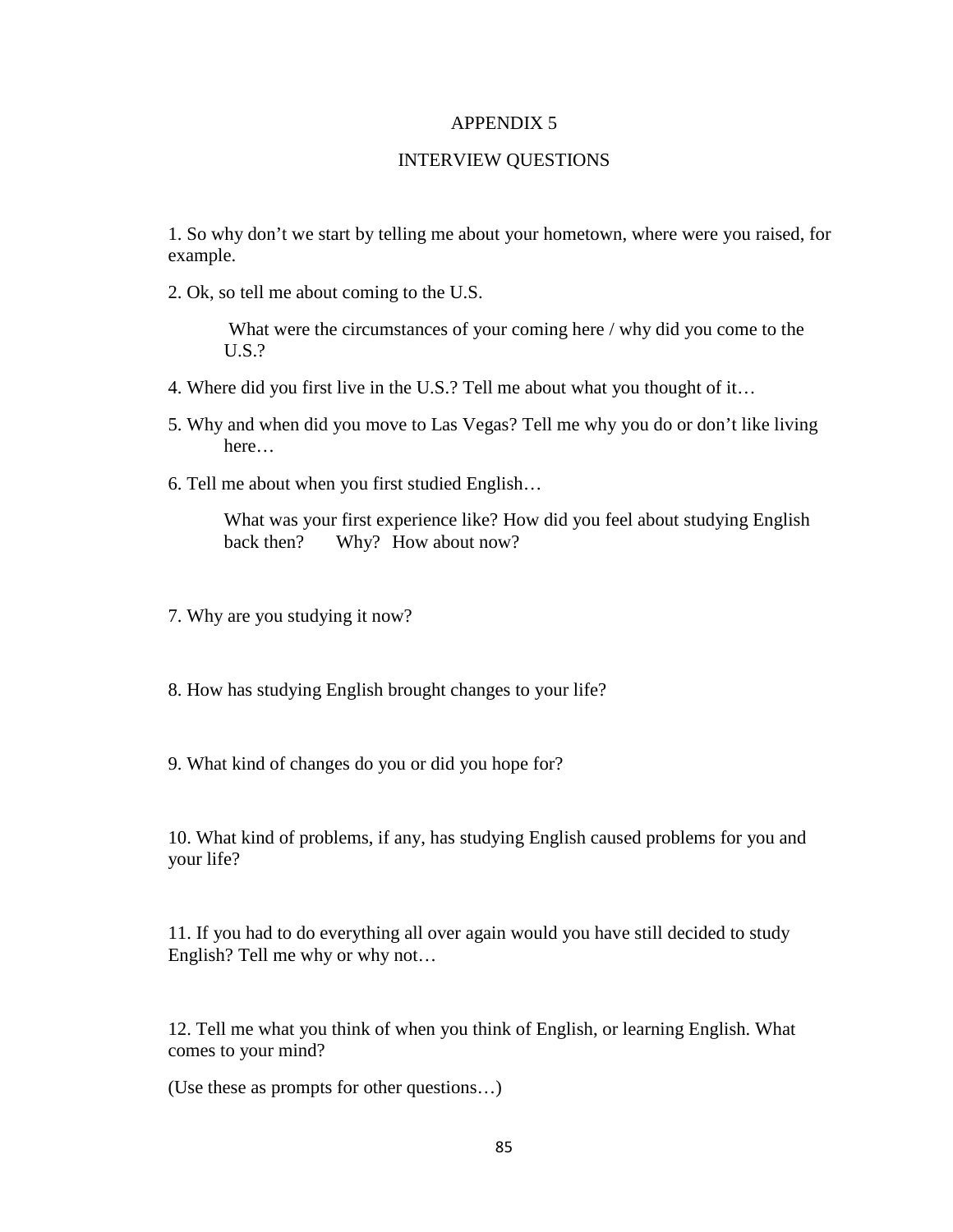## INTERVIEW QUESTIONS

1. So why don't we start by telling me about your hometown, where were you raised, for example.

2. Ok, so tell me about coming to the U.S.

What were the circumstances of your coming here / why did you come to the U.S.?

- 4. Where did you first live in the U.S.? Tell me about what you thought of it…
- 5. Why and when did you move to Las Vegas? Tell me why you do or don't like living here…
- 6. Tell me about when you first studied English…

What was your first experience like? How did you feel about studying English back then? Why? How about now?

7. Why are you studying it now?

- 8. How has studying English brought changes to your life?
- 9. What kind of changes do you or did you hope for?

10. What kind of problems, if any, has studying English caused problems for you and your life?

11. If you had to do everything all over again would you have still decided to study English? Tell me why or why not…

12. Tell me what you think of when you think of English, or learning English. What comes to your mind?

(Use these as prompts for other questions…)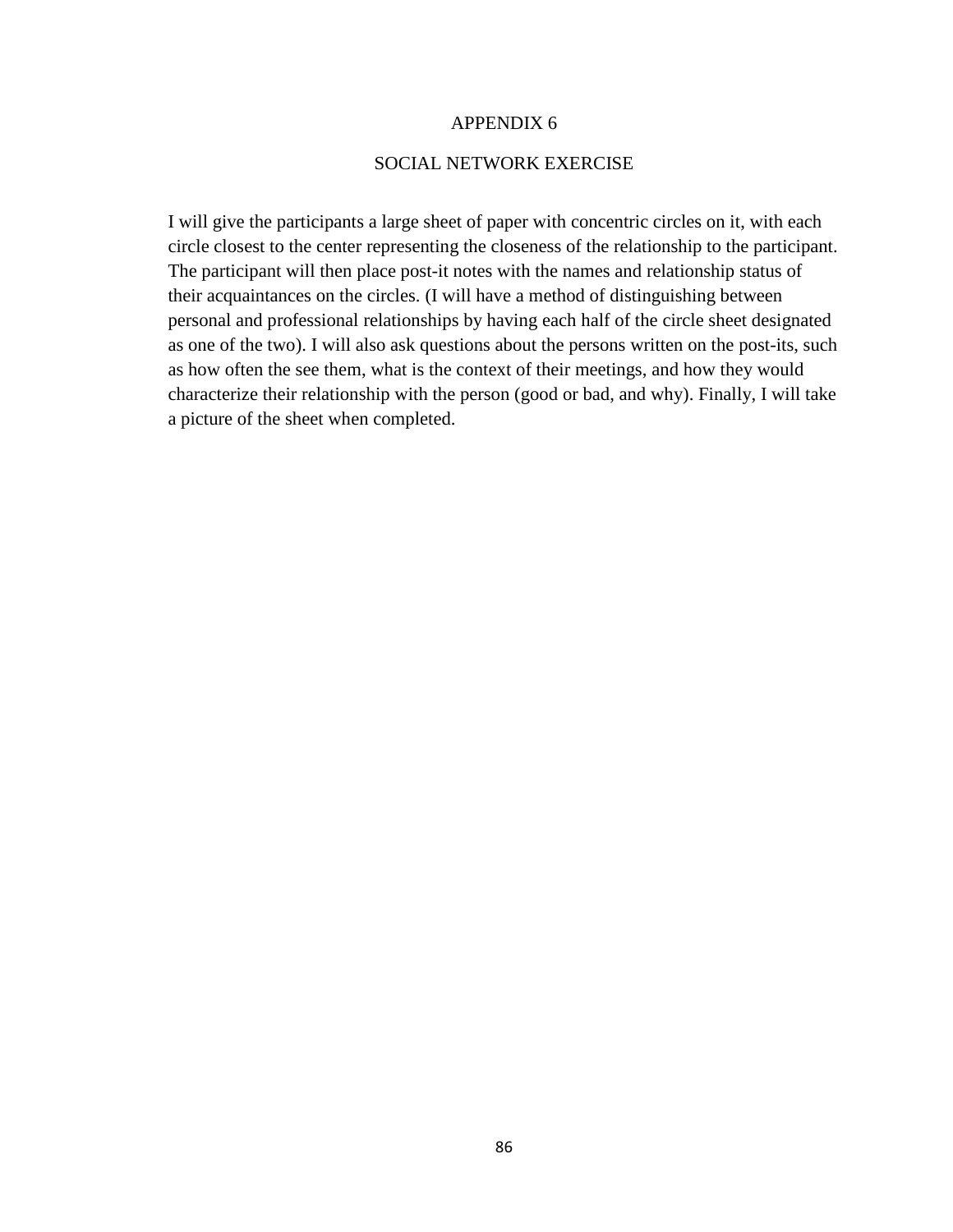## SOCIAL NETWORK EXERCISE

I will give the participants a large sheet of paper with concentric circles on it, with each circle closest to the center representing the closeness of the relationship to the participant. The participant will then place post-it notes with the names and relationship status of their acquaintances on the circles. (I will have a method of distinguishing between personal and professional relationships by having each half of the circle sheet designated as one of the two). I will also ask questions about the persons written on the post-its, such as how often the see them, what is the context of their meetings, and how they would characterize their relationship with the person (good or bad, and why). Finally, I will take a picture of the sheet when completed.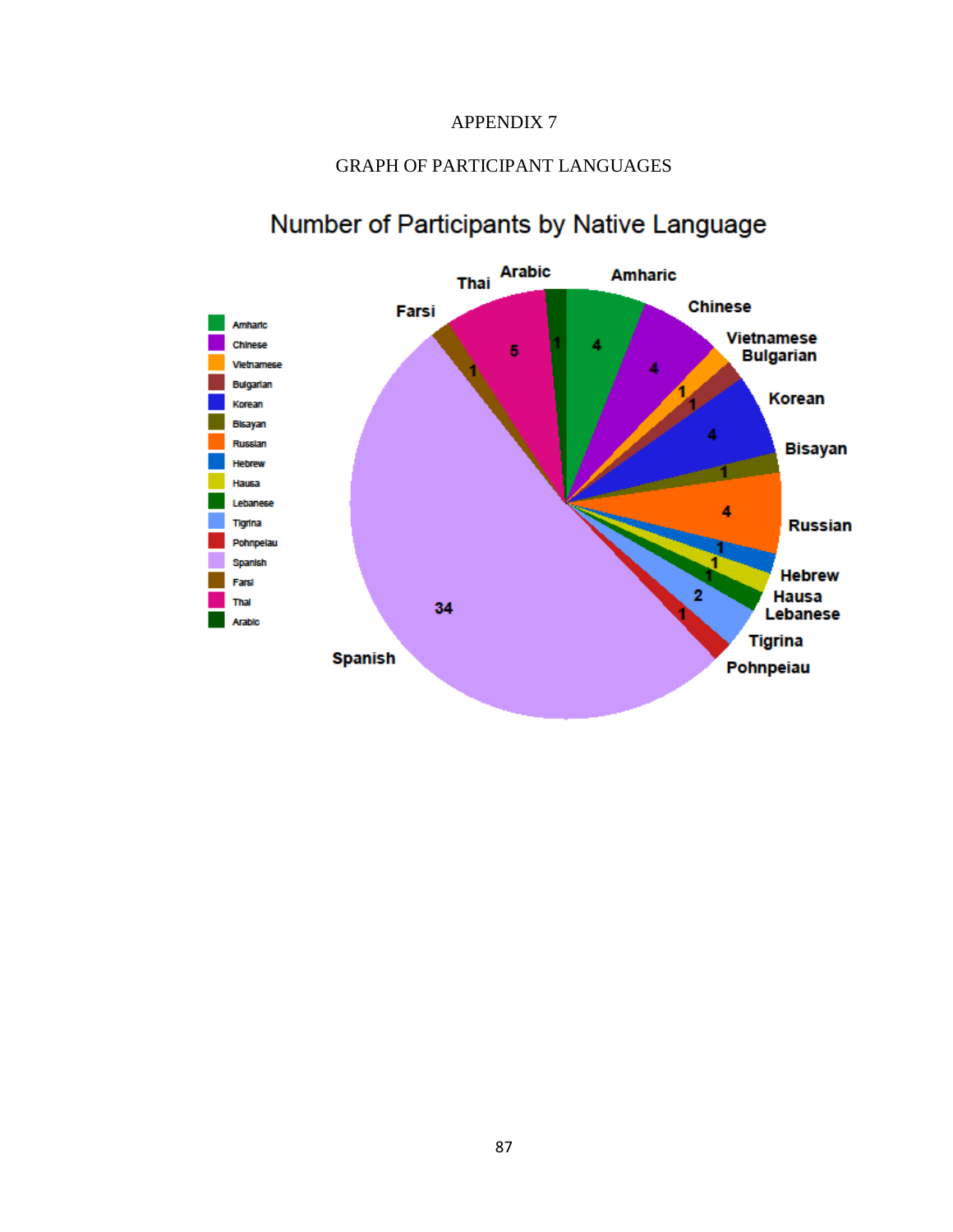# GRAPH OF PARTICIPANT LANGUAGES



# Number of Participants by Native Language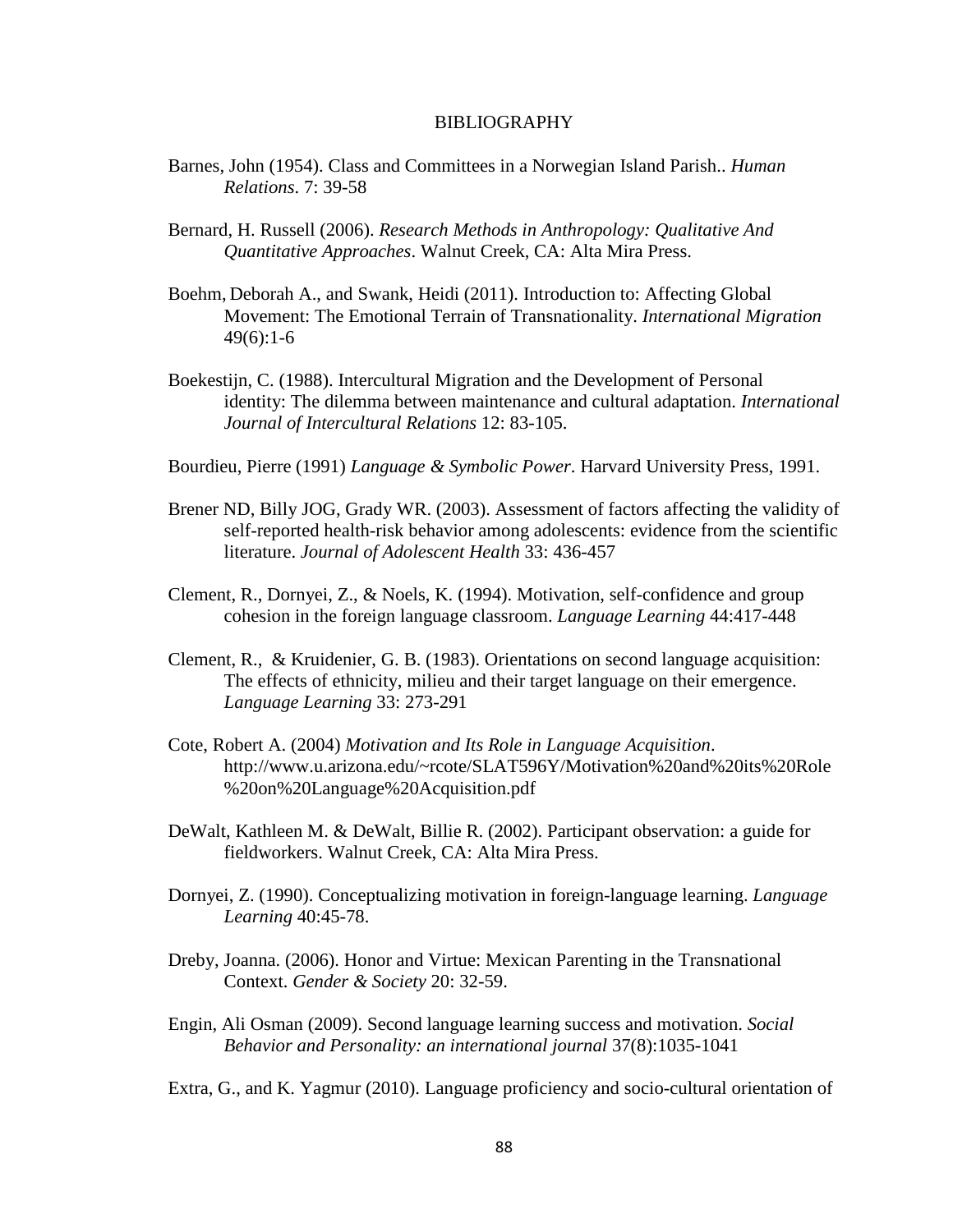#### BIBLIOGRAPHY

- Barnes, John (1954). Class and Committees in a Norwegian Island Parish.. *Human Relations*. 7: 39-58
- Bernard, H. Russell (2006). *Research Methods in Anthropology: Qualitative And Quantitative Approaches*. Walnut Creek, CA: Alta Mira Press.
- Boehm, Deborah A., and Swank, Heidi (2011). Introduction to: Affecting Global Movement: The Emotional Terrain of Transnationality. *International Migration* 49(6):1-6
- Boekestijn, C. (1988). Intercultural Migration and the Development of Personal identity: The dilemma between maintenance and cultural adaptation. *International Journal of Intercultural Relations* 12: 83-105.
- Bourdieu, Pierre (1991) *Language & Symbolic Power*. Harvard University Press, 1991.
- Brener ND, Billy JOG, Grady WR. (2003). Assessment of factors affecting the validity of self-reported health-risk behavior among adolescents: evidence from the scientific literature. *Journal of Adolescent Health* 33: 436-457
- Clement, R., Dornyei, Z., & Noels, K. (1994). Motivation, self-confidence and group cohesion in the foreign language classroom. *Language Learning* 44:417-448
- Clement, R., & Kruidenier, G. B. (1983). Orientations on second language acquisition: The effects of ethnicity, milieu and their target language on their emergence. *Language Learning* 33: 273-291
- Cote, Robert A. (2004) *Motivation and Its Role in Language Acquisition*. http://www.u.arizona.edu/~rcote/SLAT596Y/Motivation%20and%20its%20Role %20on%20Language%20Acquisition.pdf
- DeWalt, Kathleen M. & DeWalt, Billie R. (2002). Participant observation: a guide for fieldworkers. Walnut Creek, CA: Alta Mira Press.
- Dornyei, Z. (1990). Conceptualizing motivation in foreign-language learning. *Language Learning* 40:45-78.
- Dreby, Joanna. (2006). Honor and Virtue: Mexican Parenting in the Transnational Context. *Gender & Society* 20: 32-59.
- Engin, Ali Osman (2009). Second language learning success and motivation. *Social Behavior and Personality: an international journal* 37(8):1035-1041
- Extra, G., and K. Yagmur (2010). Language proficiency and socio-cultural orientation of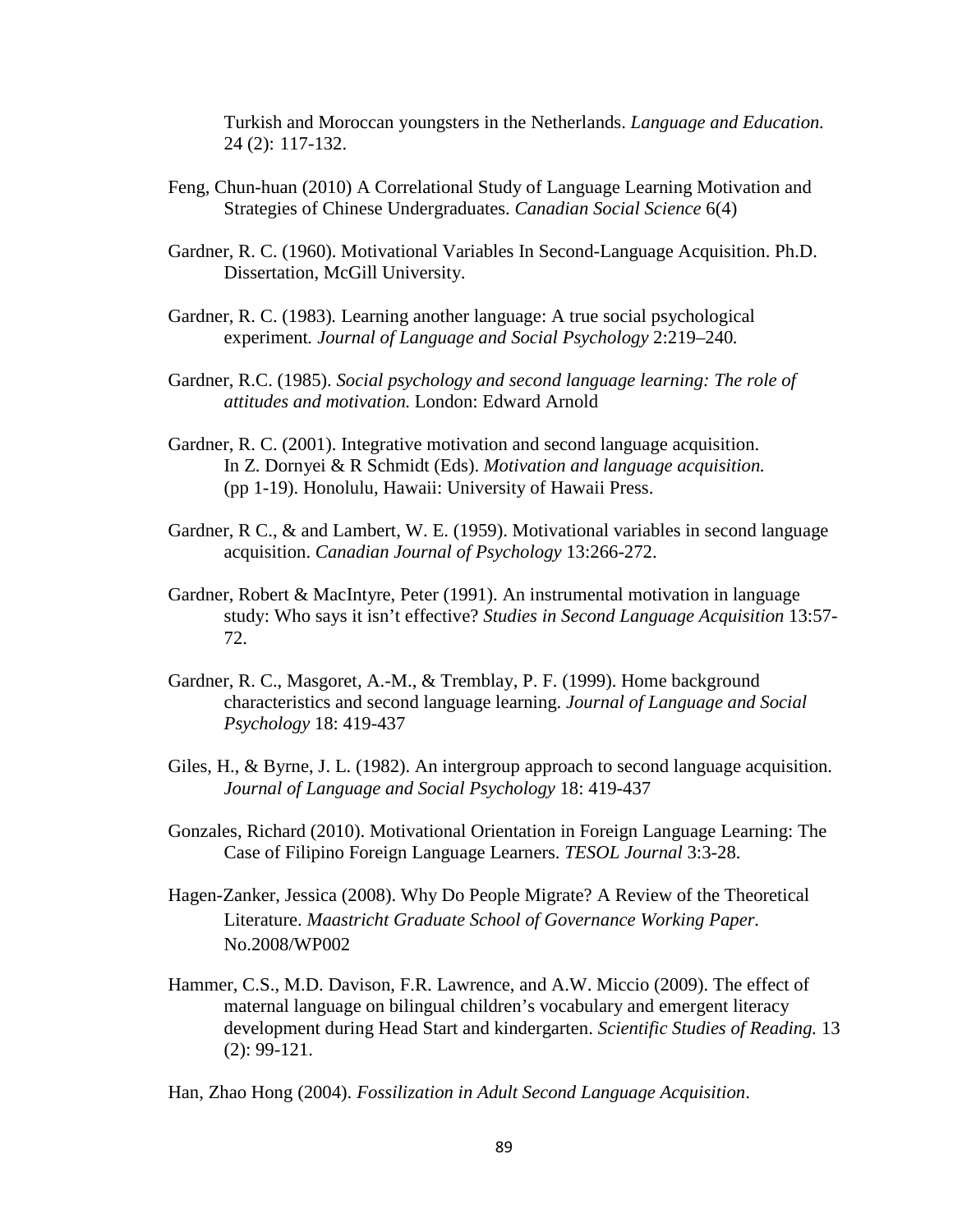Turkish and Moroccan youngsters in the Netherlands. *Language and Education.* 24 (2): 117-132.

- Feng, Chun-huan (2010) A Correlational Study of Language Learning Motivation and Strategies of Chinese Undergraduates. *Canadian Social Science* 6(4)
- Gardner, R. C. (1960). Motivational Variables In Second-Language Acquisition. Ph.D. Dissertation, McGill University.
- Gardner, R. C. (1983)*.* Learning another language: A true social psychological experiment*. Journal of Language and Social Psychology* 2:219*–*240*.*
- Gardner, R.C. (1985). *Social psychology and second language learning: The role of attitudes and motivation.* London: Edward Arnold
- Gardner, R. C. (2001). Integrative motivation and second language acquisition. In Z. Dornyei & R Schmidt (Eds). *Motivation and language acquisition.* (pp 1-19). Honolulu, Hawaii: University of Hawaii Press.
- Gardner, R C., & and Lambert, W. E. (1959). Motivational variables in second language acquisition. *Canadian Journal of Psychology* 13:266-272.
- Gardner, Robert & MacIntyre, Peter (1991). An instrumental motivation in language study: Who says it isn't effective? *Studies in Second Language Acquisition* 13:57- 72.
- Gardner, R. C., Masgoret, A.-M., & Tremblay, P. F. (1999). Home background characteristics and second language learning. *Journal of Language and Social Psychology* 18: 419-437
- Giles, H., & Byrne, J. L. (1982). An intergroup approach to second language acquisition. *Journal of Language and Social Psychology* 18: 419-437
- Gonzales, Richard (2010). Motivational Orientation in Foreign Language Learning: The Case of Filipino Foreign Language Learners. *TESOL Journal* 3:3-28.
- Hagen-Zanker, Jessica (2008). Why Do People Migrate? A Review of the Theoretical Literature. *Maastricht Graduate School of Governance Working Paper.*  No.2008/WP002
- Hammer, C.S., M.D. Davison, F.R. Lawrence, and A.W. Miccio (2009). The effect of maternal language on bilingual children's vocabulary and emergent literacy development during Head Start and kindergarten. *Scientific Studies of Reading.* 13 (2): 99-121.

Han, Zhao Hong (2004). *Fossilization in Adult Second Language Acquisition*.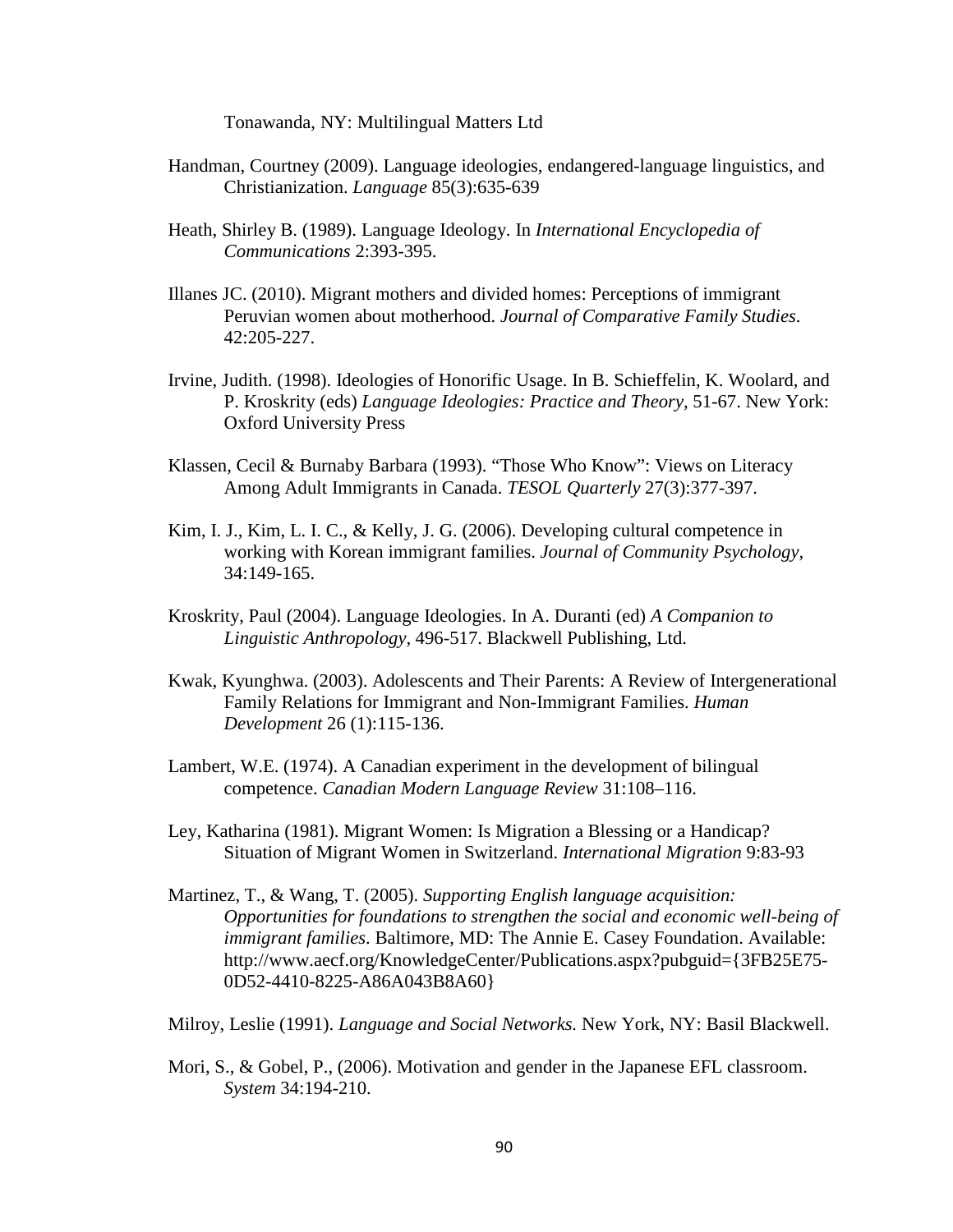Tonawanda, NY: Multilingual Matters Ltd

- Handman, Courtney (2009). Language ideologies, endangered-language linguistics, and Christianization. *Language* 85(3):635-639
- Heath, Shirley B. (1989). Language Ideology. In *International Encyclopedia of Communications* 2:393-395.
- Illanes JC. (2010). Migrant mothers and divided homes: Perceptions of immigrant Peruvian women about motherhood. *Journal of Comparative Family Studies*. 42:205-227.
- Irvine, Judith. (1998). Ideologies of Honorific Usage. In B. Schieffelin, K. Woolard, and P. Kroskrity (eds) *Language Ideologies: Practice and Theory,* 51-67. New York: Oxford University Press
- Klassen, Cecil & Burnaby Barbara (1993). "Those Who Know": Views on Literacy Among Adult Immigrants in Canada. *TESOL Quarterly* 27(3):377-397.
- Kim, I. J., Kim, L. I. C., & Kelly, J. G. (2006). Developing cultural competence in working with Korean immigrant families. *Journal of Community Psychology,*  34:149-165.
- Kroskrity, Paul (2004). Language Ideologies. In A. Duranti (ed) *A Companion to Linguistic Anthropology,* 496-517. Blackwell Publishing, Ltd.
- Kwak, Kyunghwa. (2003). Adolescents and Their Parents: A Review of Intergenerational Family Relations for Immigrant and Non-Immigrant Families. *Human Development* 26 (1):115-136.
- Lambert, W.E. (1974). A Canadian experiment in the development of bilingual competence. *Canadian Modern Language Review* 31:108–116.
- Ley, Katharina (1981). Migrant Women: Is Migration a Blessing or a Handicap? Situation of Migrant Women in Switzerland. *International Migration* 9:83-93
- Martinez, T., & Wang, T. (2005). *Supporting English language acquisition: Opportunities for foundations to strengthen the social and economic well-being of immigrant families*. Baltimore, MD: The Annie E. Casey Foundation. Available: http://www.aecf.org/KnowledgeCenter/Publications.aspx?pubguid={3FB25E75- 0D52-4410-8225-A86A043B8A60}

Milroy, Leslie (1991). *Language and Social Networks.* New York, NY: Basil Blackwell.

Mori, S., & Gobel, P., (2006). Motivation and gender in the Japanese EFL classroom. *System* 34:194-210.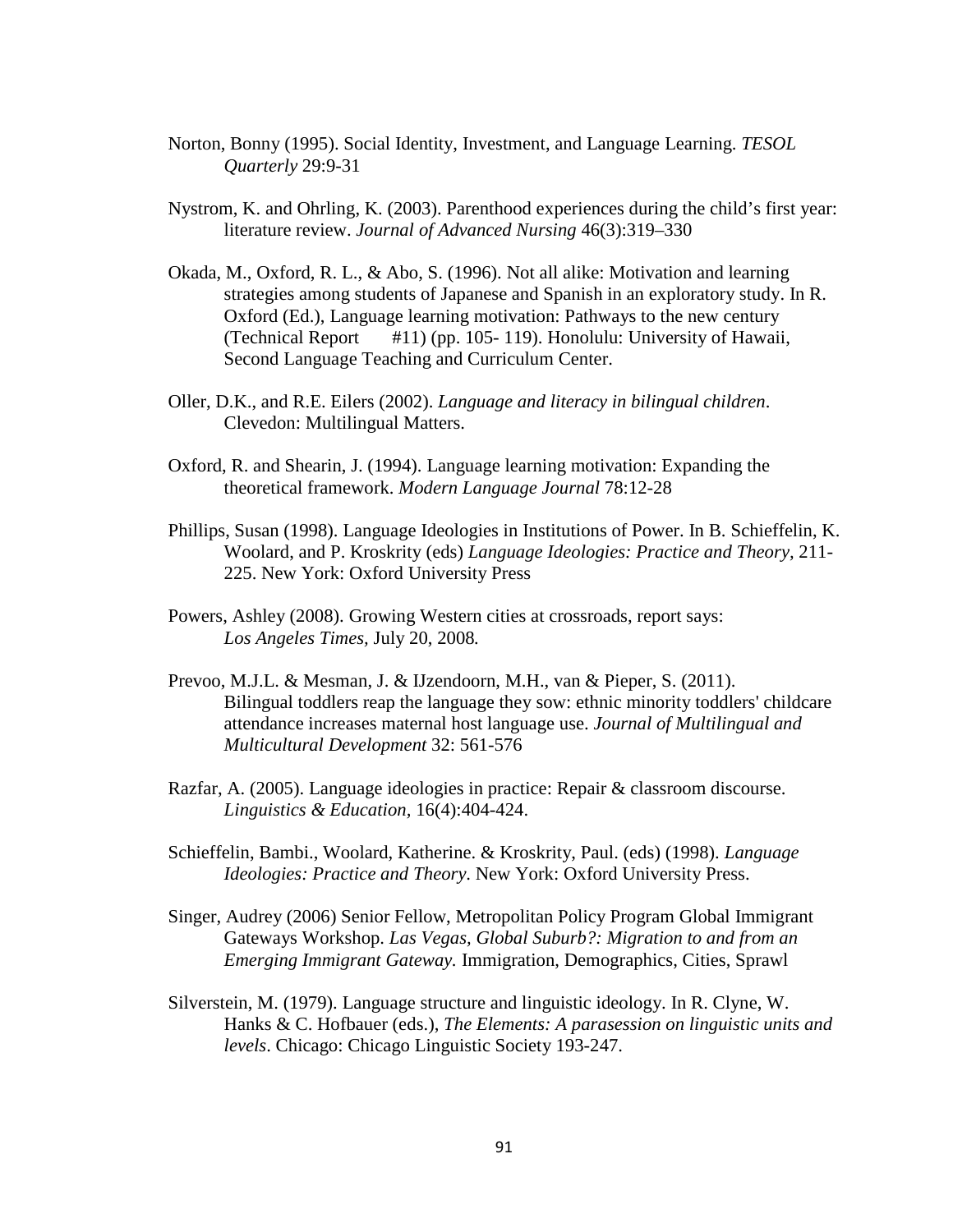- Norton, Bonny (1995). Social Identity, Investment, and Language Learning. *TESOL Quarterly* 29:9-31
- Nystrom, K. and Ohrling, K. (2003). Parenthood experiences during the child's first year: literature review. *Journal of Advanced Nursing* 46(3):319–330
- Okada, M., Oxford, R. L., & Abo, S. (1996). Not all alike: Motivation and learning strategies among students of Japanese and Spanish in an exploratory study. In R. Oxford (Ed.), Language learning motivation: Pathways to the new century (Technical Report #11) (pp. 105- 119). Honolulu: University of Hawaii, Second Language Teaching and Curriculum Center.
- Oller, D.K., and R.E. Eilers (2002). *Language and literacy in bilingual children*. Clevedon: Multilingual Matters.
- Oxford, R. and Shearin, J. (1994). Language learning motivation: Expanding the theoretical framework. *Modern Language Journal* 78:12-28
- Phillips, Susan (1998). Language Ideologies in Institutions of Power. In B. Schieffelin, K. Woolard, and P. Kroskrity (eds) *Language Ideologies: Practice and Theory,* 211- 225. New York: Oxford University Press
- Powers, Ashley (2008). Growing Western cities at crossroads, report says: *Los Angeles Times,* July 20, 2008*.*
- Prevoo, M.J.L. & Mesman, J. & IJzendoorn, M.H., van & Pieper, S. (2011). Bilingual toddlers reap the language they sow: ethnic minority toddlers' childcare attendance increases maternal host language use. *Journal of Multilingual and Multicultural Development* 32: 561-576
- Razfar, A. (2005). Language ideologies in practice: Repair & classroom discourse. *Linguistics & Education,* 16(4):404-424.
- Schieffelin, Bambi., Woolard, Katherine. & Kroskrity, Paul. (eds) (1998). *Language Ideologies: Practice and Theory*. New York: Oxford University Press.
- Singer, Audrey (2006) Senior Fellow, Metropolitan Policy Program Global Immigrant Gateways Workshop. *Las Vegas, Global Suburb?: Migration to and from an Emerging Immigrant Gateway.* Immigration, Demographics, Cities, Sprawl
- Silverstein, M. (1979). Language structure and linguistic ideology. In R. Clyne, W. Hanks & C. Hofbauer (eds.), *The Elements: A parasession on linguistic units and levels*. Chicago: Chicago Linguistic Society 193-247.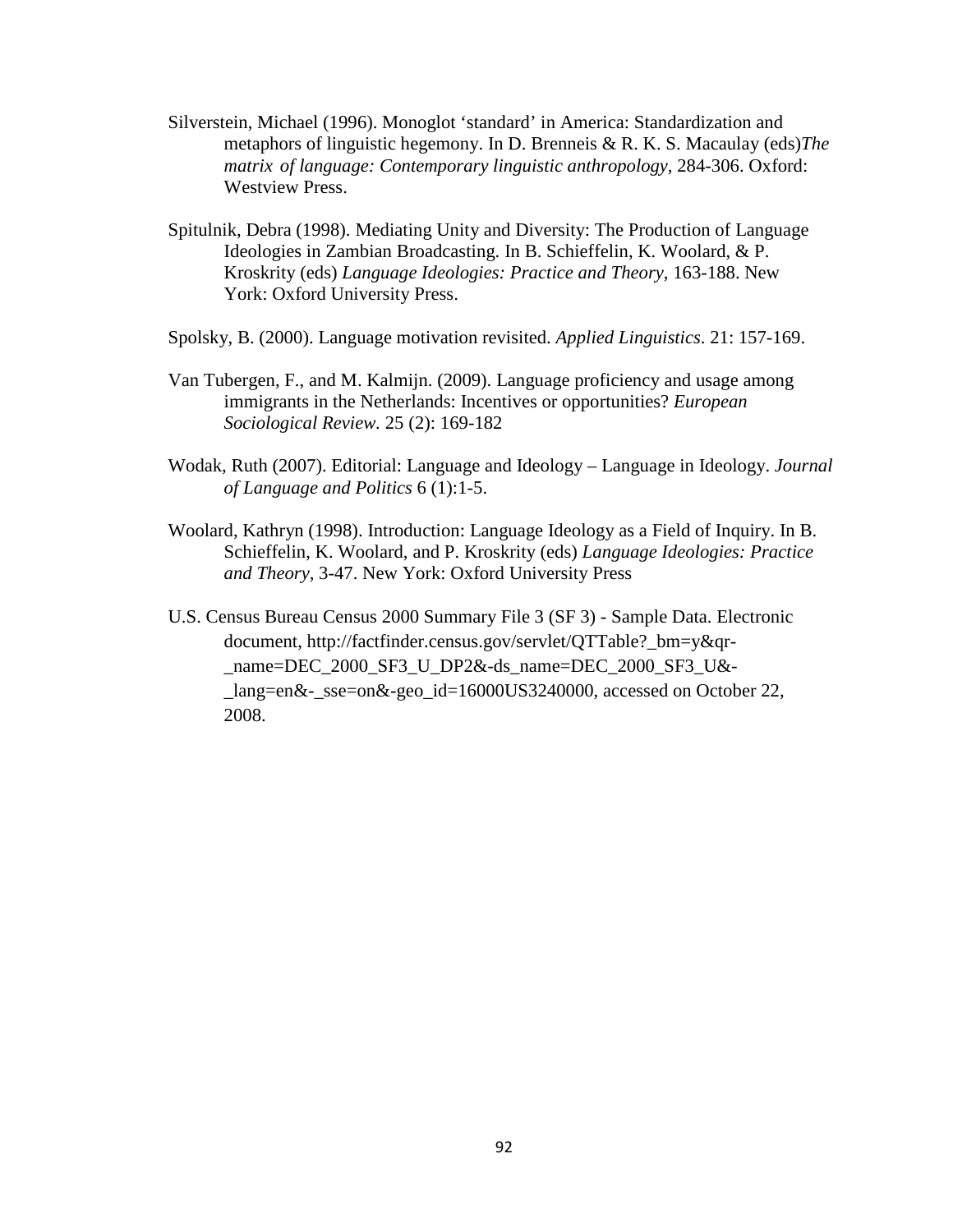- Silverstein, Michael (1996). Monoglot 'standard' in America: Standardization and metaphors of linguistic hegemony. In D. Brenneis & R. K. S. Macaulay (eds)*The matrix of language: Contemporary linguistic anthropology,* 284-306. Oxford: Westview Press.
- Spitulnik, Debra (1998). Mediating Unity and Diversity: The Production of Language Ideologies in Zambian Broadcasting. In B. Schieffelin, K. Woolard, & P. Kroskrity (eds) *Language Ideologies: Practice and Theory*, 163-188. New York: Oxford University Press.
- Spolsky, B. (2000). Language motivation revisited. *Applied Linguistics*. 21: 157-169.
- Van Tubergen, F., and M. Kalmijn. (2009). Language proficiency and usage among immigrants in the Netherlands: Incentives or opportunities? *European Sociological Review.* 25 (2): 169-182
- Wodak, Ruth (2007). Editorial: Language and Ideology Language in Ideology. *Journal of Language and Politics* 6 (1):1-5.
- Woolard, Kathryn (1998). Introduction: Language Ideology as a Field of Inquiry. In B. Schieffelin, K. Woolard, and P. Kroskrity (eds) *Language Ideologies: Practice and Theory,* 3-47. New York: Oxford University Press
- U.S. Census Bureau Census 2000 Summary File 3 (SF 3) Sample Data. Electronic document, http://factfinder.census.gov/servlet/QTTable?\_bm=y&qr- \_name=DEC\_2000\_SF3\_U\_DP2&-ds\_name=DEC\_2000\_SF3\_U&- \_lang=en&-\_sse=on&-geo\_id=16000US3240000, accessed on October 22, 2008.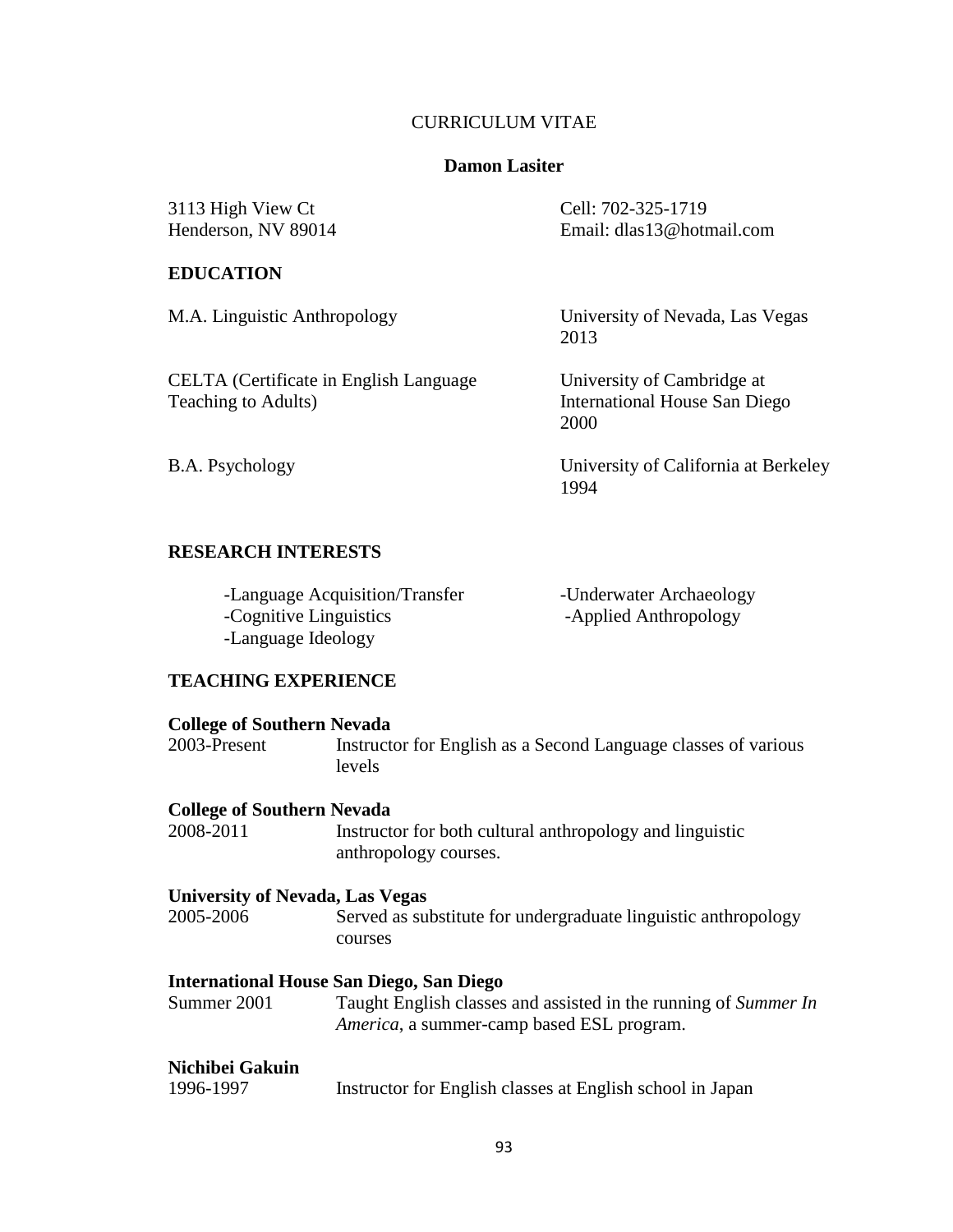## CURRICULUM VITAE

## **Damon Lasiter**

3113 High View Ct Cell: 702-325-1719<br>
Henderson, NV 89014 Email: dlas13@hotr

#### **EDUCATION**

CELTA (Certificate in English Language University of Cambridge at Teaching to Adults) **International House San Die** 

Email: dlas13@hotmail.com

M.A. Linguistic Anthropology University of Nevada, Las Vegas 2013

> International House San Diego 2000

B.A. Psychology University of California at Berkeley 1994

## **RESEARCH INTERESTS**

| -Language Acquisition/Transfer | -Underwater Archaeology |
|--------------------------------|-------------------------|
| -Cognitive Linguistics         | -Applied Anthropology   |
| -Language Ideology             |                         |

# **TEACHING EXPERIENCE**

| <b>College of Southern Nevada</b>      |                                                                                                                      |
|----------------------------------------|----------------------------------------------------------------------------------------------------------------------|
| 2003-Present                           | Instructor for English as a Second Language classes of various<br>levels                                             |
| <b>College of Southern Nevada</b>      |                                                                                                                      |
| 2008-2011                              | Instructor for both cultural anthropology and linguistic<br>anthropology courses.                                    |
| <b>University of Nevada, Las Vegas</b> |                                                                                                                      |
| 2005-2006                              | Served as substitute for undergraduate linguistic anthropology<br>courses                                            |
|                                        | <b>International House San Diego, San Diego</b>                                                                      |
| Summer 2001                            | Taught English classes and assisted in the running of Summer In<br><i>America</i> , a summer-camp based ESL program. |
| Nichibei Gakuin                        |                                                                                                                      |
| 1996-1997                              | Instructor for English classes at English school in Japan                                                            |